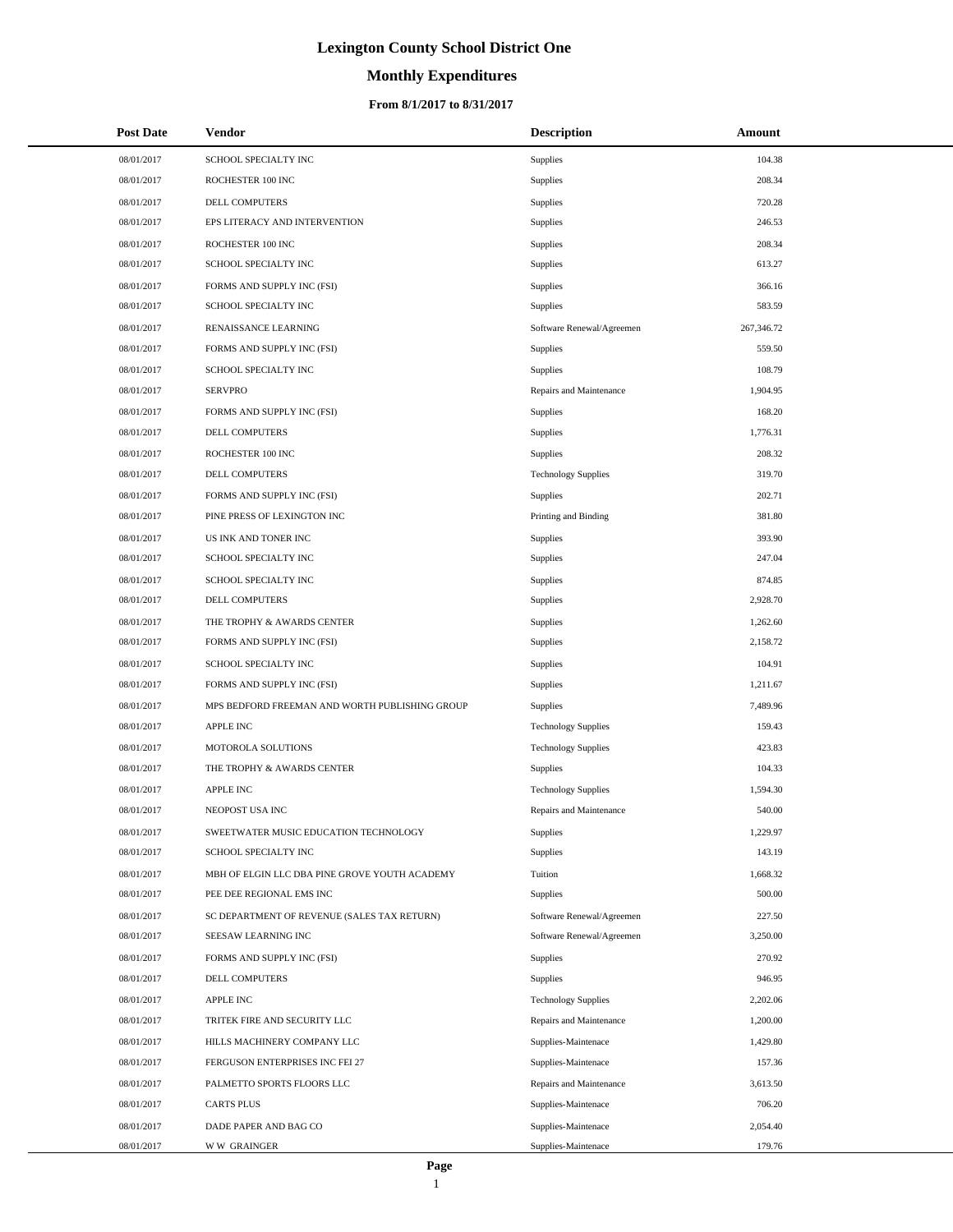# **Monthly Expenditures**

## **From 8/1/2017 to 8/31/2017**

| <b>Post Date</b> | Vendor                                         | <b>Description</b>         | Amount     |
|------------------|------------------------------------------------|----------------------------|------------|
| 08/01/2017       | SCHOOL SPECIALTY INC                           | Supplies                   | 104.38     |
| 08/01/2017       | ROCHESTER 100 INC                              | Supplies                   | 208.34     |
| 08/01/2017       | DELL COMPUTERS                                 | Supplies                   | 720.28     |
| 08/01/2017       | EPS LITERACY AND INTERVENTION                  | Supplies                   | 246.53     |
| 08/01/2017       | ROCHESTER 100 INC                              | Supplies                   | 208.34     |
| 08/01/2017       | SCHOOL SPECIALTY INC                           | Supplies                   | 613.27     |
| 08/01/2017       | FORMS AND SUPPLY INC (FSI)                     | Supplies                   | 366.16     |
| 08/01/2017       | SCHOOL SPECIALTY INC                           | Supplies                   | 583.59     |
| 08/01/2017       | RENAISSANCE LEARNING                           | Software Renewal/Agreemen  | 267,346.72 |
| 08/01/2017       | FORMS AND SUPPLY INC (FSI)                     | Supplies                   | 559.50     |
| 08/01/2017       | SCHOOL SPECIALTY INC                           | Supplies                   | 108.79     |
| 08/01/2017       | <b>SERVPRO</b>                                 | Repairs and Maintenance    | 1,904.95   |
| 08/01/2017       | FORMS AND SUPPLY INC (FSI)                     | Supplies                   | 168.20     |
| 08/01/2017       | DELL COMPUTERS                                 | Supplies                   | 1,776.31   |
| 08/01/2017       | ROCHESTER 100 INC                              | Supplies                   | 208.32     |
| 08/01/2017       | DELL COMPUTERS                                 | <b>Technology Supplies</b> | 319.70     |
| 08/01/2017       | FORMS AND SUPPLY INC (FSI)                     | Supplies                   | 202.71     |
| 08/01/2017       | PINE PRESS OF LEXINGTON INC                    | Printing and Binding       | 381.80     |
| 08/01/2017       | US INK AND TONER INC                           | Supplies                   | 393.90     |
| 08/01/2017       | SCHOOL SPECIALTY INC                           | Supplies                   | 247.04     |
| 08/01/2017       | SCHOOL SPECIALTY INC                           | Supplies                   | 874.85     |
| 08/01/2017       | DELL COMPUTERS                                 | Supplies                   | 2,928.70   |
| 08/01/2017       | THE TROPHY & AWARDS CENTER                     | Supplies                   | 1,262.60   |
| 08/01/2017       | FORMS AND SUPPLY INC (FSI)                     | Supplies                   | 2,158.72   |
| 08/01/2017       | SCHOOL SPECIALTY INC                           | Supplies                   | 104.91     |
| 08/01/2017       | FORMS AND SUPPLY INC (FSI)                     | Supplies                   | 1,211.67   |
| 08/01/2017       | MPS BEDFORD FREEMAN AND WORTH PUBLISHING GROUP | Supplies                   | 7,489.96   |
| 08/01/2017       | <b>APPLE INC</b>                               | <b>Technology Supplies</b> | 159.43     |
| 08/01/2017       | MOTOROLA SOLUTIONS                             | <b>Technology Supplies</b> | 423.83     |
| 08/01/2017       | THE TROPHY & AWARDS CENTER                     | <b>Supplies</b>            | 104.33     |
| 08/01/2017       | <b>APPLE INC</b>                               | <b>Technology Supplies</b> | 1,594.30   |
| 08/01/2017       | NEOPOST USA INC                                | Repairs and Maintenance    | 540.00     |
| 08/01/2017       | SWEETWATER MUSIC EDUCATION TECHNOLOGY          | Supplies                   | 1,229.97   |
| 08/01/2017       | SCHOOL SPECIALTY INC                           | Supplies                   | 143.19     |
| 08/01/2017       | MBH OF ELGIN LLC DBA PINE GROVE YOUTH ACADEMY  | Tuition                    | 1,668.32   |
| 08/01/2017       | PEE DEE REGIONAL EMS INC                       | Supplies                   | 500.00     |
| 08/01/2017       | SC DEPARTMENT OF REVENUE (SALES TAX RETURN)    | Software Renewal/Agreemen  | 227.50     |
| 08/01/2017       | SEESAW LEARNING INC                            | Software Renewal/Agreemen  | 3,250.00   |
| 08/01/2017       | FORMS AND SUPPLY INC (FSI)                     | Supplies                   | 270.92     |
| 08/01/2017       | DELL COMPUTERS                                 | Supplies                   | 946.95     |
| 08/01/2017       | <b>APPLE INC</b>                               | <b>Technology Supplies</b> | 2,202.06   |
| 08/01/2017       | TRITEK FIRE AND SECURITY LLC                   | Repairs and Maintenance    | 1,200.00   |
| 08/01/2017       | HILLS MACHINERY COMPANY LLC                    | Supplies-Maintenace        | 1,429.80   |
| 08/01/2017       | FERGUSON ENTERPRISES INC FEI 27                | Supplies-Maintenace        | 157.36     |
| 08/01/2017       | PALMETTO SPORTS FLOORS LLC                     | Repairs and Maintenance    | 3,613.50   |
| 08/01/2017       | <b>CARTS PLUS</b>                              | Supplies-Maintenace        | 706.20     |
| 08/01/2017       | DADE PAPER AND BAG CO                          | Supplies-Maintenace        | 2,054.40   |
| 08/01/2017       | <b>WW GRAINGER</b>                             | Supplies-Maintenace        | 179.76     |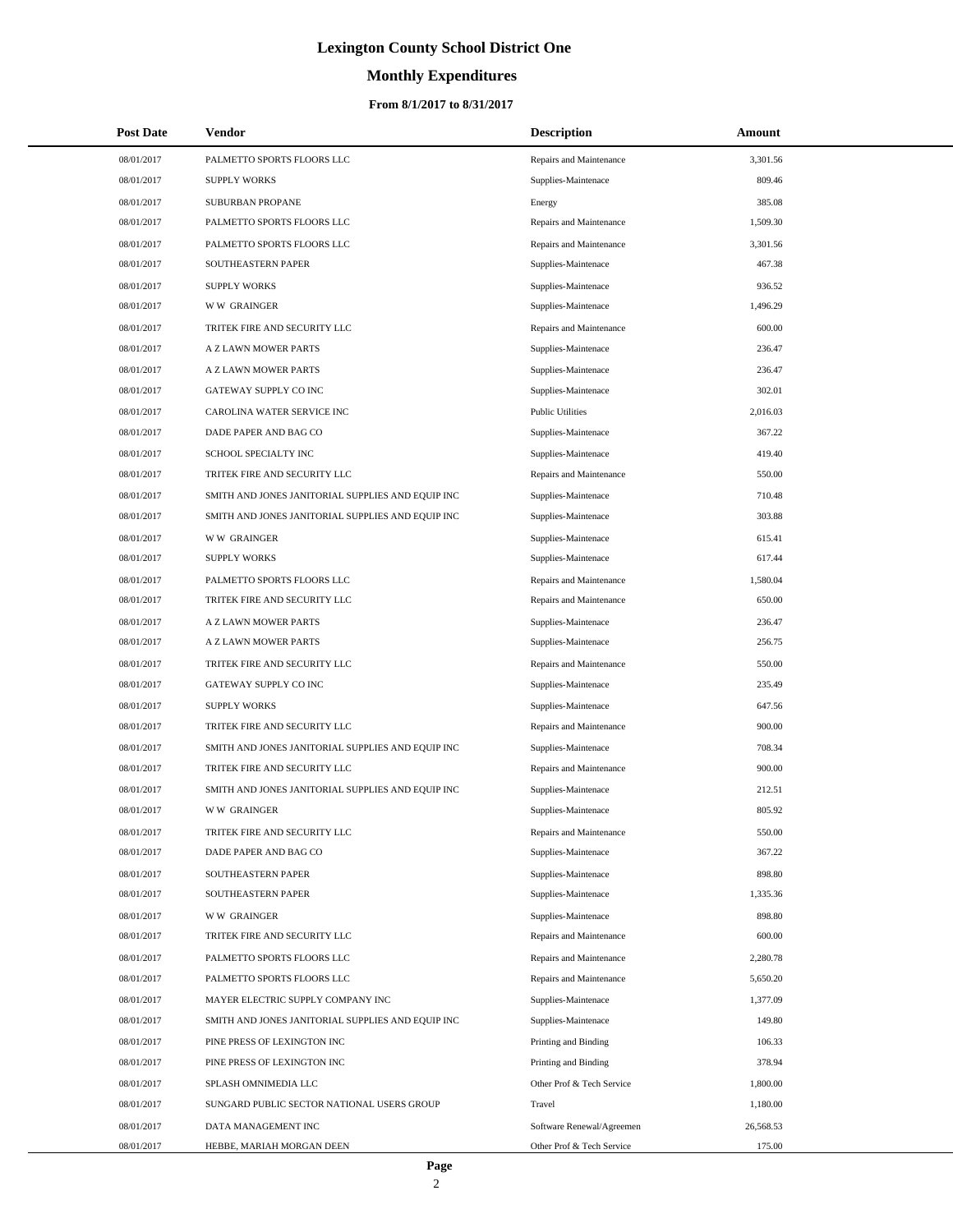# **Monthly Expenditures**

## **From 8/1/2017 to 8/31/2017**

| <b>Post Date</b> | Vendor                                            | <b>Description</b>        | Amount    |
|------------------|---------------------------------------------------|---------------------------|-----------|
| 08/01/2017       | PALMETTO SPORTS FLOORS LLC                        | Repairs and Maintenance   | 3,301.56  |
| 08/01/2017       | <b>SUPPLY WORKS</b>                               | Supplies-Maintenace       | 809.46    |
| 08/01/2017       | SUBURBAN PROPANE                                  | Energy                    | 385.08    |
| 08/01/2017       | PALMETTO SPORTS FLOORS LLC                        | Repairs and Maintenance   | 1,509.30  |
| 08/01/2017       | PALMETTO SPORTS FLOORS LLC                        | Repairs and Maintenance   | 3,301.56  |
| 08/01/2017       | SOUTHEASTERN PAPER                                | Supplies-Maintenace       | 467.38    |
| 08/01/2017       | <b>SUPPLY WORKS</b>                               | Supplies-Maintenace       | 936.52    |
| 08/01/2017       | W W GRAINGER                                      | Supplies-Maintenace       | 1,496.29  |
| 08/01/2017       | TRITEK FIRE AND SECURITY LLC                      | Repairs and Maintenance   | 600.00    |
| 08/01/2017       | A Z LAWN MOWER PARTS                              | Supplies-Maintenace       | 236.47    |
| 08/01/2017       | A Z LAWN MOWER PARTS                              | Supplies-Maintenace       | 236.47    |
| 08/01/2017       | GATEWAY SUPPLY CO INC                             | Supplies-Maintenace       | 302.01    |
| 08/01/2017       | CAROLINA WATER SERVICE INC                        | <b>Public Utilities</b>   | 2,016.03  |
| 08/01/2017       | DADE PAPER AND BAG CO                             | Supplies-Maintenace       | 367.22    |
| 08/01/2017       | SCHOOL SPECIALTY INC                              | Supplies-Maintenace       | 419.40    |
| 08/01/2017       | TRITEK FIRE AND SECURITY LLC                      | Repairs and Maintenance   | 550.00    |
| 08/01/2017       | SMITH AND JONES JANITORIAL SUPPLIES AND EQUIP INC | Supplies-Maintenace       | 710.48    |
| 08/01/2017       | SMITH AND JONES JANITORIAL SUPPLIES AND EQUIP INC | Supplies-Maintenace       | 303.88    |
| 08/01/2017       | <b>WW GRAINGER</b>                                | Supplies-Maintenace       | 615.41    |
| 08/01/2017       | <b>SUPPLY WORKS</b>                               | Supplies-Maintenace       | 617.44    |
| 08/01/2017       | PALMETTO SPORTS FLOORS LLC                        | Repairs and Maintenance   | 1,580.04  |
| 08/01/2017       | TRITEK FIRE AND SECURITY LLC                      | Repairs and Maintenance   | 650.00    |
| 08/01/2017       | A Z LAWN MOWER PARTS                              | Supplies-Maintenace       | 236.47    |
| 08/01/2017       | A Z LAWN MOWER PARTS                              | Supplies-Maintenace       | 256.75    |
| 08/01/2017       | TRITEK FIRE AND SECURITY LLC                      | Repairs and Maintenance   | 550.00    |
| 08/01/2017       | GATEWAY SUPPLY CO INC                             | Supplies-Maintenace       | 235.49    |
| 08/01/2017       | <b>SUPPLY WORKS</b>                               | Supplies-Maintenace       | 647.56    |
| 08/01/2017       | TRITEK FIRE AND SECURITY LLC                      | Repairs and Maintenance   | 900.00    |
| 08/01/2017       | SMITH AND JONES JANITORIAL SUPPLIES AND EQUIP INC | Supplies-Maintenace       | 708.34    |
| 08/01/2017       | TRITEK FIRE AND SECURITY LLC                      | Repairs and Maintenance   | 900.00    |
| 08/01/2017       | SMITH AND JONES JANITORIAL SUPPLIES AND EQUIP INC | Supplies-Maintenace       | 212.51    |
| 08/01/2017       | <b>WW GRAINGER</b>                                | Supplies-Maintenace       | 805.92    |
| 08/01/2017       | TRITEK FIRE AND SECURITY LLC                      | Repairs and Maintenance   | 550.00    |
| 08/01/2017       | DADE PAPER AND BAG CO                             | Supplies-Maintenace       | 367.22    |
| 08/01/2017       | SOUTHEASTERN PAPER                                | Supplies-Maintenace       | 898.80    |
| 08/01/2017       | SOUTHEASTERN PAPER                                | Supplies-Maintenace       | 1,335.36  |
| 08/01/2017       | <b>WW GRAINGER</b>                                | Supplies-Maintenace       | 898.80    |
| 08/01/2017       | TRITEK FIRE AND SECURITY LLC                      | Repairs and Maintenance   | 600.00    |
| 08/01/2017       | PALMETTO SPORTS FLOORS LLC                        | Repairs and Maintenance   | 2,280.78  |
| 08/01/2017       | PALMETTO SPORTS FLOORS LLC                        | Repairs and Maintenance   | 5,650.20  |
| 08/01/2017       | MAYER ELECTRIC SUPPLY COMPANY INC                 | Supplies-Maintenace       | 1,377.09  |
| 08/01/2017       | SMITH AND JONES JANITORIAL SUPPLIES AND EQUIP INC | Supplies-Maintenace       | 149.80    |
| 08/01/2017       | PINE PRESS OF LEXINGTON INC                       | Printing and Binding      | 106.33    |
| 08/01/2017       | PINE PRESS OF LEXINGTON INC                       | Printing and Binding      | 378.94    |
| 08/01/2017       | SPLASH OMNIMEDIA LLC                              | Other Prof & Tech Service | 1,800.00  |
| 08/01/2017       | SUNGARD PUBLIC SECTOR NATIONAL USERS GROUP        | Travel                    | 1,180.00  |
| 08/01/2017       | DATA MANAGEMENT INC                               | Software Renewal/Agreemen | 26,568.53 |
| 08/01/2017       | HEBBE, MARIAH MORGAN DEEN                         | Other Prof & Tech Service | 175.00    |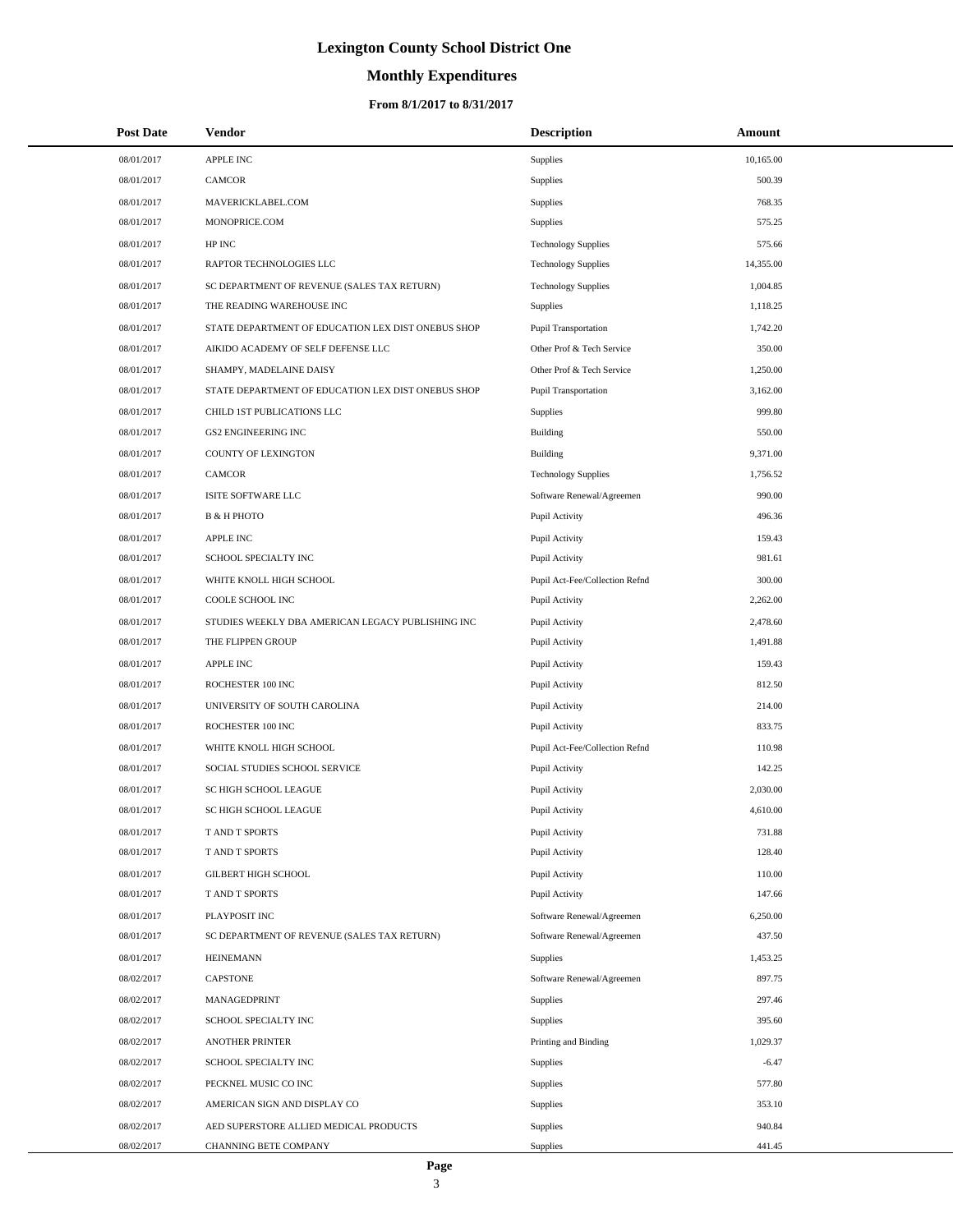# **Monthly Expenditures**

### **From 8/1/2017 to 8/31/2017**

| <b>Post Date</b> | Vendor                                             | <b>Description</b>             | Amount    |
|------------------|----------------------------------------------------|--------------------------------|-----------|
| 08/01/2017       | <b>APPLE INC</b>                                   | Supplies                       | 10,165.00 |
| 08/01/2017       | <b>CAMCOR</b>                                      | Supplies                       | 500.39    |
| 08/01/2017       | MAVERICKLABEL.COM                                  | Supplies                       | 768.35    |
| 08/01/2017       | MONOPRICE.COM                                      | Supplies                       | 575.25    |
| 08/01/2017       | HP INC                                             | <b>Technology Supplies</b>     | 575.66    |
| 08/01/2017       | RAPTOR TECHNOLOGIES LLC                            | <b>Technology Supplies</b>     | 14,355.00 |
| 08/01/2017       | SC DEPARTMENT OF REVENUE (SALES TAX RETURN)        | <b>Technology Supplies</b>     | 1,004.85  |
| 08/01/2017       | THE READING WAREHOUSE INC                          | <b>Supplies</b>                | 1,118.25  |
| 08/01/2017       | STATE DEPARTMENT OF EDUCATION LEX DIST ONEBUS SHOP | Pupil Transportation           | 1,742.20  |
| 08/01/2017       | AIKIDO ACADEMY OF SELF DEFENSE LLC                 | Other Prof & Tech Service      | 350.00    |
| 08/01/2017       | SHAMPY, MADELAINE DAISY                            | Other Prof & Tech Service      | 1,250.00  |
| 08/01/2017       | STATE DEPARTMENT OF EDUCATION LEX DIST ONEBUS SHOP | Pupil Transportation           | 3,162.00  |
| 08/01/2017       | CHILD 1ST PUBLICATIONS LLC                         | Supplies                       | 999.80    |
| 08/01/2017       | <b>GS2 ENGINEERING INC</b>                         | Building                       | 550.00    |
| 08/01/2017       | COUNTY OF LEXINGTON                                | Building                       | 9,371.00  |
| 08/01/2017       | <b>CAMCOR</b>                                      | <b>Technology Supplies</b>     | 1,756.52  |
| 08/01/2017       | ISITE SOFTWARE LLC                                 | Software Renewal/Agreemen      | 990.00    |
| 08/01/2017       | <b>B &amp; H PHOTO</b>                             | Pupil Activity                 | 496.36    |
| 08/01/2017       | APPLE INC                                          | Pupil Activity                 | 159.43    |
| 08/01/2017       | SCHOOL SPECIALTY INC                               | Pupil Activity                 | 981.61    |
| 08/01/2017       | WHITE KNOLL HIGH SCHOOL                            | Pupil Act-Fee/Collection Refnd | 300.00    |
| 08/01/2017       | COOLE SCHOOL INC                                   | Pupil Activity                 | 2,262.00  |
| 08/01/2017       | STUDIES WEEKLY DBA AMERICAN LEGACY PUBLISHING INC  | Pupil Activity                 | 2,478.60  |
| 08/01/2017       | THE FLIPPEN GROUP                                  | Pupil Activity                 | 1,491.88  |
| 08/01/2017       | <b>APPLE INC</b>                                   | Pupil Activity                 | 159.43    |
| 08/01/2017       | ROCHESTER 100 INC                                  | Pupil Activity                 | 812.50    |
| 08/01/2017       | UNIVERSITY OF SOUTH CAROLINA                       | Pupil Activity                 | 214.00    |
| 08/01/2017       | ROCHESTER 100 INC                                  | Pupil Activity                 | 833.75    |
| 08/01/2017       | WHITE KNOLL HIGH SCHOOL                            | Pupil Act-Fee/Collection Refnd | 110.98    |
| 08/01/2017       | SOCIAL STUDIES SCHOOL SERVICE                      | Pupil Activity                 | 142.25    |
| 08/01/2017       | SC HIGH SCHOOL LEAGUE                              | Pupil Activity                 | 2,030.00  |
| 08/01/2017       | SC HIGH SCHOOL LEAGUE                              | Pupil Activity                 | 4,610.00  |
| 08/01/2017       | T AND T SPORTS                                     | Pupil Activity                 | 731.88    |
| 08/01/2017       | T AND T SPORTS                                     | Pupil Activity                 | 128.40    |
| 08/01/2017       | <b>GILBERT HIGH SCHOOL</b>                         | Pupil Activity                 | 110.00    |
| 08/01/2017       | T AND T SPORTS                                     | Pupil Activity                 | 147.66    |
| 08/01/2017       | PLAYPOSIT INC                                      | Software Renewal/Agreemen      | 6,250.00  |
| 08/01/2017       | SC DEPARTMENT OF REVENUE (SALES TAX RETURN)        | Software Renewal/Agreemen      | 437.50    |
| 08/01/2017       | <b>HEINEMANN</b>                                   | Supplies                       | 1,453.25  |
| 08/02/2017       | CAPSTONE                                           | Software Renewal/Agreemen      | 897.75    |
| 08/02/2017       | MANAGEDPRINT                                       | Supplies                       | 297.46    |
| 08/02/2017       | SCHOOL SPECIALTY INC                               | Supplies                       | 395.60    |
| 08/02/2017       | <b>ANOTHER PRINTER</b>                             | Printing and Binding           | 1,029.37  |
| 08/02/2017       | SCHOOL SPECIALTY INC                               | Supplies                       | $-6.47$   |
| 08/02/2017       | PECKNEL MUSIC CO INC                               | Supplies                       | 577.80    |
| 08/02/2017       | AMERICAN SIGN AND DISPLAY CO                       | Supplies                       | 353.10    |
| 08/02/2017       | AED SUPERSTORE ALLIED MEDICAL PRODUCTS             | Supplies                       | 940.84    |
| 08/02/2017       | CHANNING BETE COMPANY                              | <b>Supplies</b>                | 441.45    |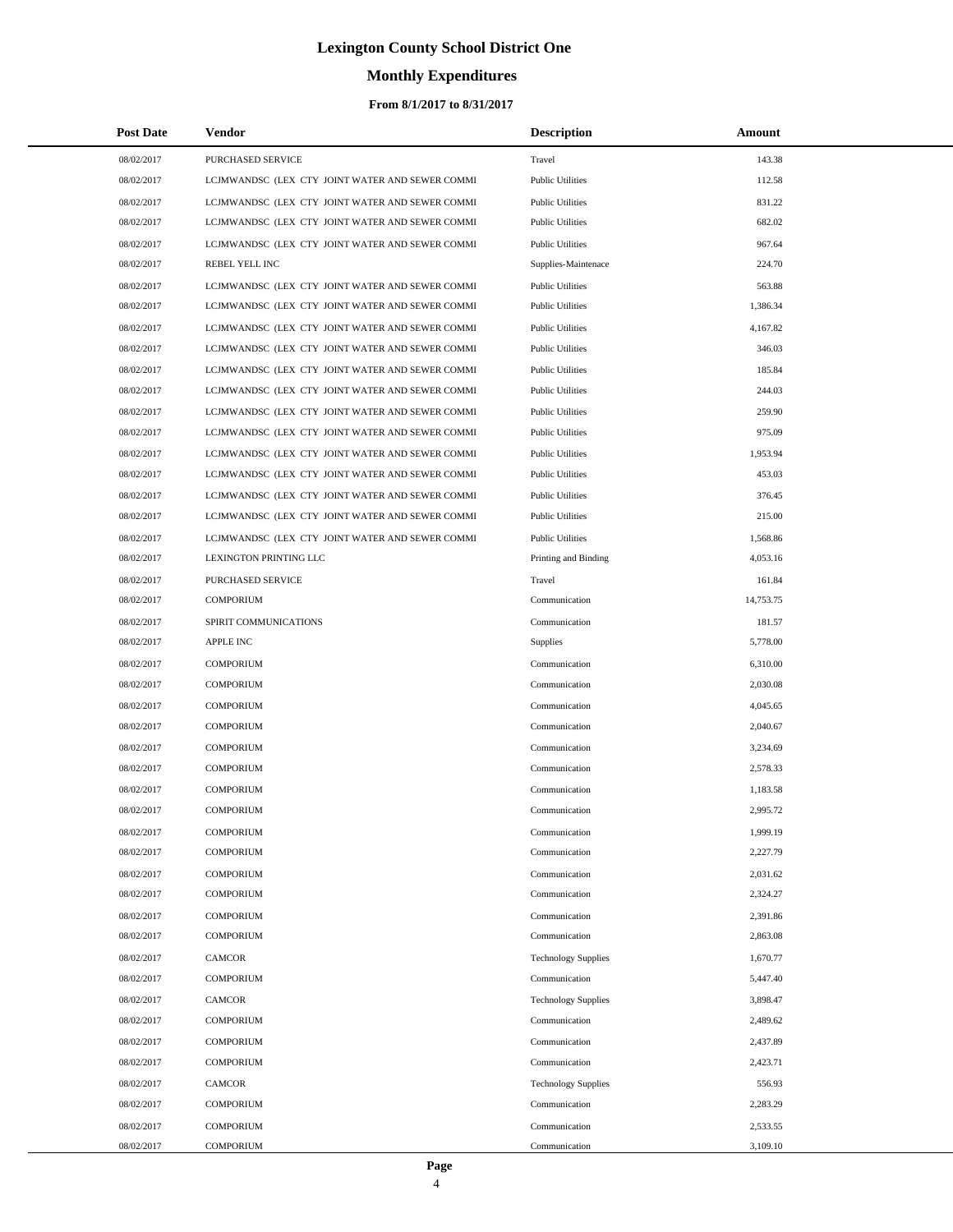## **Monthly Expenditures**

### **From 8/1/2017 to 8/31/2017**

| <b>Post Date</b> | Vendor                                          | <b>Description</b>         | Amount    |
|------------------|-------------------------------------------------|----------------------------|-----------|
| 08/02/2017       | PURCHASED SERVICE                               | Travel                     | 143.38    |
| 08/02/2017       | LCJMWANDSC (LEX CTY JOINT WATER AND SEWER COMMI | <b>Public Utilities</b>    | 112.58    |
| 08/02/2017       | LCJMWANDSC (LEX CTY JOINT WATER AND SEWER COMMI | <b>Public Utilities</b>    | 831.22    |
| 08/02/2017       | LCJMWANDSC (LEX CTY JOINT WATER AND SEWER COMMI | <b>Public Utilities</b>    | 682.02    |
| 08/02/2017       | LCJMWANDSC (LEX CTY JOINT WATER AND SEWER COMMI | <b>Public Utilities</b>    | 967.64    |
| 08/02/2017       | REBEL YELL INC                                  | Supplies-Maintenace        | 224.70    |
| 08/02/2017       | LCJMWANDSC (LEX CTY JOINT WATER AND SEWER COMMI | <b>Public Utilities</b>    | 563.88    |
| 08/02/2017       | LCJMWANDSC (LEX CTY JOINT WATER AND SEWER COMMI | <b>Public Utilities</b>    | 1,386.34  |
| 08/02/2017       | LCJMWANDSC (LEX CTY JOINT WATER AND SEWER COMMI | <b>Public Utilities</b>    | 4,167.82  |
| 08/02/2017       | LCJMWANDSC (LEX CTY JOINT WATER AND SEWER COMMI | <b>Public Utilities</b>    | 346.03    |
| 08/02/2017       | LCJMWANDSC (LEX CTY JOINT WATER AND SEWER COMMI | <b>Public Utilities</b>    | 185.84    |
| 08/02/2017       | LCJMWANDSC (LEX CTY JOINT WATER AND SEWER COMMI | <b>Public Utilities</b>    | 244.03    |
| 08/02/2017       | LCJMWANDSC (LEX CTY JOINT WATER AND SEWER COMMI | <b>Public Utilities</b>    | 259.90    |
| 08/02/2017       | LCJMWANDSC (LEX CTY JOINT WATER AND SEWER COMMI | <b>Public Utilities</b>    | 975.09    |
| 08/02/2017       | LCJMWANDSC (LEX CTY JOINT WATER AND SEWER COMMI | <b>Public Utilities</b>    | 1,953.94  |
| 08/02/2017       | LCJMWANDSC (LEX CTY JOINT WATER AND SEWER COMMI | <b>Public Utilities</b>    | 453.03    |
| 08/02/2017       | LCJMWANDSC (LEX CTY JOINT WATER AND SEWER COMMI | <b>Public Utilities</b>    | 376.45    |
| 08/02/2017       | LCJMWANDSC (LEX CTY JOINT WATER AND SEWER COMMI | <b>Public Utilities</b>    | 215.00    |
| 08/02/2017       | LCJMWANDSC (LEX CTY JOINT WATER AND SEWER COMMI | <b>Public Utilities</b>    | 1,568.86  |
| 08/02/2017       | LEXINGTON PRINTING LLC                          | Printing and Binding       | 4,053.16  |
| 08/02/2017       | PURCHASED SERVICE                               | Travel                     | 161.84    |
| 08/02/2017       | <b>COMPORIUM</b>                                | Communication              | 14,753.75 |
| 08/02/2017       | SPIRIT COMMUNICATIONS                           | Communication              | 181.57    |
| 08/02/2017       | <b>APPLE INC</b>                                | Supplies                   | 5,778.00  |
| 08/02/2017       | <b>COMPORIUM</b>                                | Communication              | 6,310.00  |
| 08/02/2017       | <b>COMPORIUM</b>                                | Communication              | 2,030.08  |
| 08/02/2017       | <b>COMPORIUM</b>                                | Communication              | 4,045.65  |
| 08/02/2017       | <b>COMPORIUM</b>                                | Communication              | 2,040.67  |
| 08/02/2017       | <b>COMPORIUM</b>                                | Communication              | 3,234.69  |
| 08/02/2017       | <b>COMPORIUM</b>                                | Communication              | 2,578.33  |
| 08/02/2017       | <b>COMPORIUM</b>                                | Communication              | 1,183.58  |
| 08/02/2017       | <b>COMPORIUM</b>                                | Communication              | 2,995.72  |
| 08/02/2017       | <b>COMPORIUM</b>                                | Communication              | 1,999.19  |
| 08/02/2017       | <b>COMPORIUM</b>                                | Communication              | 2,227.79  |
| 08/02/2017       | <b>COMPORIUM</b>                                | Communication              | 2,031.62  |
| 08/02/2017       | <b>COMPORIUM</b>                                | Communication              | 2,324.27  |
| 08/02/2017       | <b>COMPORIUM</b>                                | Communication              | 2,391.86  |
| 08/02/2017       | <b>COMPORIUM</b>                                | Communication              | 2,863.08  |
| 08/02/2017       | CAMCOR                                          | <b>Technology Supplies</b> | 1,670.77  |
| 08/02/2017       | <b>COMPORIUM</b>                                | Communication              | 5,447.40  |
| 08/02/2017       | CAMCOR                                          | <b>Technology Supplies</b> | 3,898.47  |
| 08/02/2017       | <b>COMPORIUM</b>                                | Communication              | 2,489.62  |
| 08/02/2017       | <b>COMPORIUM</b>                                | Communication              | 2,437.89  |
| 08/02/2017       | <b>COMPORIUM</b>                                | Communication              | 2,423.71  |
| 08/02/2017       | CAMCOR                                          | <b>Technology Supplies</b> | 556.93    |
| 08/02/2017       | <b>COMPORIUM</b>                                | Communication              | 2,283.29  |
| 08/02/2017       | <b>COMPORIUM</b>                                | Communication              | 2,533.55  |
| 08/02/2017       | <b>COMPORIUM</b>                                | Communication              | 3,109.10  |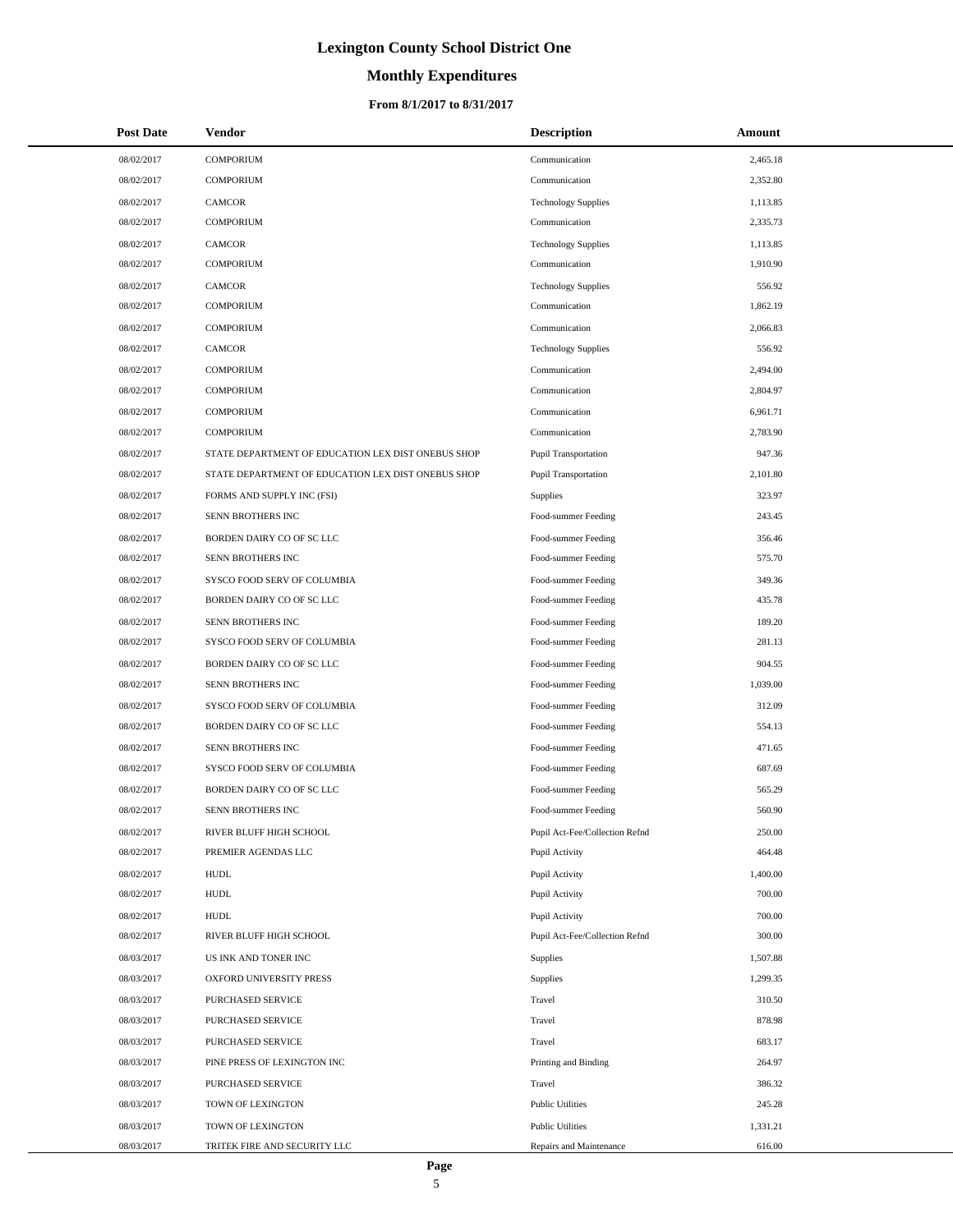# **Monthly Expenditures**

### **From 8/1/2017 to 8/31/2017**

| <b>Post Date</b> | Vendor                                             | <b>Description</b>             | Amount   |
|------------------|----------------------------------------------------|--------------------------------|----------|
| 08/02/2017       | <b>COMPORIUM</b>                                   | Communication                  | 2,465.18 |
| 08/02/2017       | <b>COMPORIUM</b>                                   | Communication                  | 2,352.80 |
| 08/02/2017       | CAMCOR                                             | <b>Technology Supplies</b>     | 1,113.85 |
| 08/02/2017       | <b>COMPORIUM</b>                                   | Communication                  | 2,335.73 |
| 08/02/2017       | <b>CAMCOR</b>                                      | <b>Technology Supplies</b>     | 1,113.85 |
| 08/02/2017       | <b>COMPORIUM</b>                                   | Communication                  | 1,910.90 |
| 08/02/2017       | CAMCOR                                             | <b>Technology Supplies</b>     | 556.92   |
| 08/02/2017       | <b>COMPORIUM</b>                                   | Communication                  | 1,862.19 |
| 08/02/2017       | <b>COMPORIUM</b>                                   | Communication                  | 2,066.83 |
| 08/02/2017       | <b>CAMCOR</b>                                      | <b>Technology Supplies</b>     | 556.92   |
| 08/02/2017       | <b>COMPORIUM</b>                                   | Communication                  | 2,494.00 |
| 08/02/2017       | <b>COMPORIUM</b>                                   | Communication                  | 2,804.97 |
| 08/02/2017       | <b>COMPORIUM</b>                                   | Communication                  | 6,961.71 |
| 08/02/2017       | <b>COMPORIUM</b>                                   | Communication                  | 2,783.90 |
| 08/02/2017       | STATE DEPARTMENT OF EDUCATION LEX DIST ONEBUS SHOP | Pupil Transportation           | 947.36   |
| 08/02/2017       | STATE DEPARTMENT OF EDUCATION LEX DIST ONEBUS SHOP | Pupil Transportation           | 2,101.80 |
| 08/02/2017       | FORMS AND SUPPLY INC (FSI)                         | Supplies                       | 323.97   |
| 08/02/2017       | SENN BROTHERS INC                                  | Food-summer Feeding            | 243.45   |
| 08/02/2017       | BORDEN DAIRY CO OF SC LLC                          | Food-summer Feeding            | 356.46   |
| 08/02/2017       | SENN BROTHERS INC                                  | Food-summer Feeding            | 575.70   |
| 08/02/2017       | SYSCO FOOD SERV OF COLUMBIA                        | Food-summer Feeding            | 349.36   |
| 08/02/2017       | BORDEN DAIRY CO OF SC LLC                          | Food-summer Feeding            | 435.78   |
| 08/02/2017       | SENN BROTHERS INC                                  | Food-summer Feeding            | 189.20   |
| 08/02/2017       | SYSCO FOOD SERV OF COLUMBIA                        | Food-summer Feeding            | 281.13   |
| 08/02/2017       | BORDEN DAIRY CO OF SC LLC                          | Food-summer Feeding            | 904.55   |
| 08/02/2017       | SENN BROTHERS INC                                  | Food-summer Feeding            | 1,039.00 |
| 08/02/2017       | SYSCO FOOD SERV OF COLUMBIA                        | Food-summer Feeding            | 312.09   |
| 08/02/2017       | BORDEN DAIRY CO OF SC LLC                          | Food-summer Feeding            | 554.13   |
| 08/02/2017       | SENN BROTHERS INC                                  | Food-summer Feeding            | 471.65   |
| 08/02/2017       | SYSCO FOOD SERV OF COLUMBIA                        | Food-summer Feeding            | 687.69   |
| 08/02/2017       | BORDEN DAIRY CO OF SC LLC                          | Food-summer Feeding            | 565.29   |
| 08/02/2017       | SENN BROTHERS INC                                  | Food-summer Feeding            | 560.90   |
| 08/02/2017       | RIVER BLUFF HIGH SCHOOL                            | Pupil Act-Fee/Collection Refnd | 250.00   |
| 08/02/2017       | PREMIER AGENDAS LLC                                | Pupil Activity                 | 464.48   |
| 08/02/2017       | <b>HUDL</b>                                        | Pupil Activity                 | 1,400.00 |
| 08/02/2017       | <b>HUDL</b>                                        | Pupil Activity                 | 700.00   |
| 08/02/2017       | <b>HUDL</b>                                        | Pupil Activity                 | 700.00   |
| 08/02/2017       | RIVER BLUFF HIGH SCHOOL                            | Pupil Act-Fee/Collection Refnd | 300.00   |
| 08/03/2017       | US INK AND TONER INC                               | Supplies                       | 1,507.88 |
| 08/03/2017       | OXFORD UNIVERSITY PRESS                            | Supplies                       | 1,299.35 |
| 08/03/2017       | PURCHASED SERVICE                                  | Travel                         | 310.50   |
| 08/03/2017       | PURCHASED SERVICE                                  | Travel                         | 878.98   |
| 08/03/2017       | PURCHASED SERVICE                                  | Travel                         | 683.17   |
| 08/03/2017       | PINE PRESS OF LEXINGTON INC                        | Printing and Binding           | 264.97   |
| 08/03/2017       | PURCHASED SERVICE                                  | Travel                         | 386.32   |
| 08/03/2017       | TOWN OF LEXINGTON                                  | <b>Public Utilities</b>        | 245.28   |
| 08/03/2017       | TOWN OF LEXINGTON                                  | <b>Public Utilities</b>        | 1,331.21 |
| 08/03/2017       | TRITEK FIRE AND SECURITY LLC                       | Repairs and Maintenance        | 616.00   |

÷.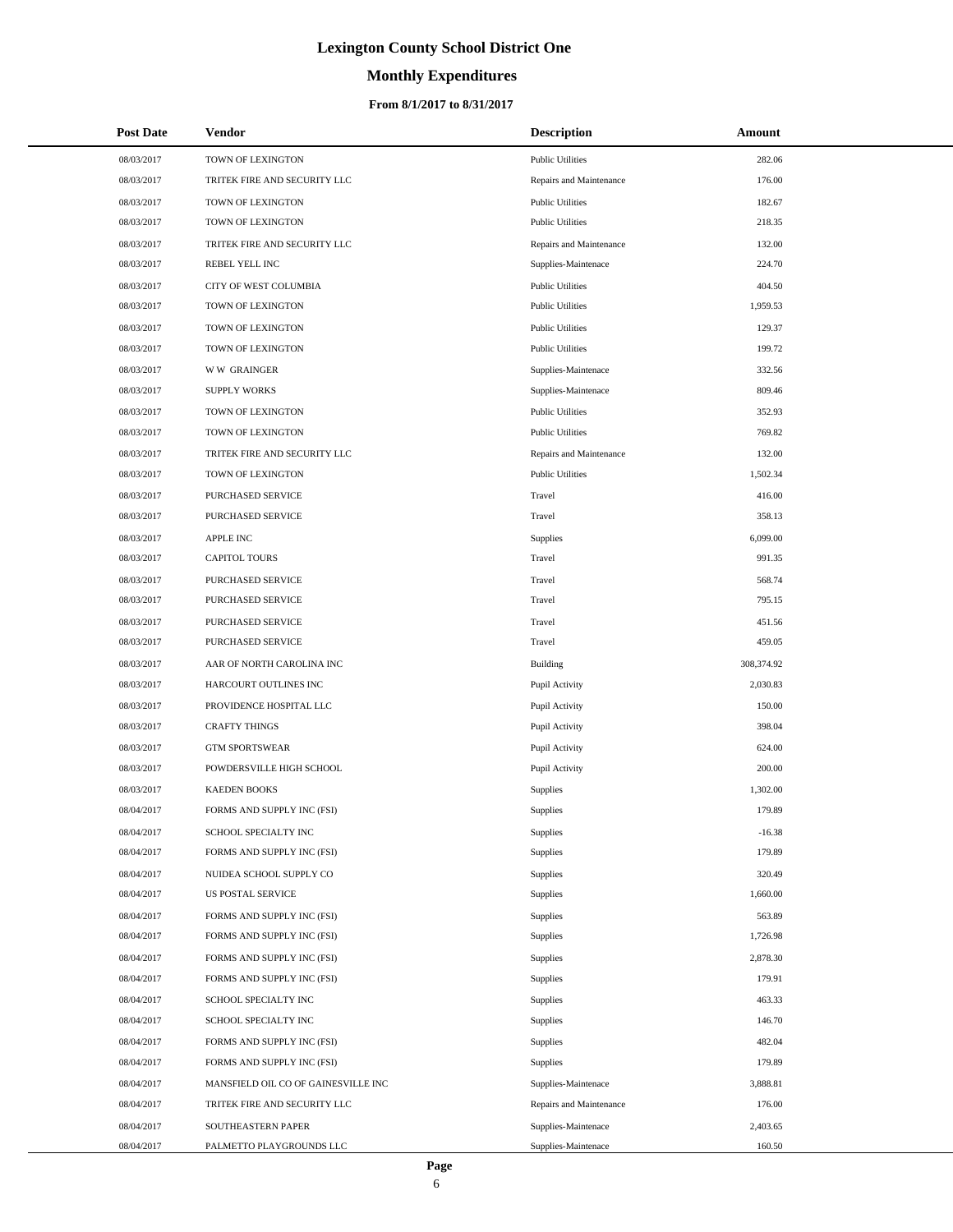# **Monthly Expenditures**

## **From 8/1/2017 to 8/31/2017**

| <b>Post Date</b> | Vendor                              | <b>Description</b>      | Amount     |  |
|------------------|-------------------------------------|-------------------------|------------|--|
| 08/03/2017       | TOWN OF LEXINGTON                   | <b>Public Utilities</b> | 282.06     |  |
| 08/03/2017       | TRITEK FIRE AND SECURITY LLC        | Repairs and Maintenance | 176.00     |  |
| 08/03/2017       | TOWN OF LEXINGTON                   | <b>Public Utilities</b> | 182.67     |  |
| 08/03/2017       | TOWN OF LEXINGTON                   | <b>Public Utilities</b> | 218.35     |  |
| 08/03/2017       | TRITEK FIRE AND SECURITY LLC        | Repairs and Maintenance | 132.00     |  |
| 08/03/2017       | REBEL YELL INC                      | Supplies-Maintenace     | 224.70     |  |
| 08/03/2017       | CITY OF WEST COLUMBIA               | <b>Public Utilities</b> | 404.50     |  |
| 08/03/2017       | TOWN OF LEXINGTON                   | <b>Public Utilities</b> | 1,959.53   |  |
| 08/03/2017       | TOWN OF LEXINGTON                   | <b>Public Utilities</b> | 129.37     |  |
| 08/03/2017       | TOWN OF LEXINGTON                   | <b>Public Utilities</b> | 199.72     |  |
| 08/03/2017       | <b>WW GRAINGER</b>                  | Supplies-Maintenace     | 332.56     |  |
| 08/03/2017       | <b>SUPPLY WORKS</b>                 | Supplies-Maintenace     | 809.46     |  |
| 08/03/2017       | TOWN OF LEXINGTON                   | <b>Public Utilities</b> | 352.93     |  |
| 08/03/2017       | TOWN OF LEXINGTON                   | <b>Public Utilities</b> | 769.82     |  |
| 08/03/2017       | TRITEK FIRE AND SECURITY LLC        | Repairs and Maintenance | 132.00     |  |
| 08/03/2017       | TOWN OF LEXINGTON                   | <b>Public Utilities</b> | 1,502.34   |  |
| 08/03/2017       | PURCHASED SERVICE                   | Travel                  | 416.00     |  |
| 08/03/2017       | PURCHASED SERVICE                   | Travel                  | 358.13     |  |
| 08/03/2017       | <b>APPLE INC</b>                    | Supplies                | 6,099.00   |  |
| 08/03/2017       | <b>CAPITOL TOURS</b>                | Travel                  | 991.35     |  |
| 08/03/2017       | PURCHASED SERVICE                   | Travel                  | 568.74     |  |
| 08/03/2017       | PURCHASED SERVICE                   | Travel                  | 795.15     |  |
| 08/03/2017       | PURCHASED SERVICE                   | Travel                  | 451.56     |  |
| 08/03/2017       | PURCHASED SERVICE                   | Travel                  | 459.05     |  |
| 08/03/2017       | AAR OF NORTH CAROLINA INC           | <b>Building</b>         | 308,374.92 |  |
| 08/03/2017       | HARCOURT OUTLINES INC               | Pupil Activity          | 2,030.83   |  |
| 08/03/2017       | PROVIDENCE HOSPITAL LLC             | Pupil Activity          | 150.00     |  |
| 08/03/2017       | <b>CRAFTY THINGS</b>                | Pupil Activity          | 398.04     |  |
| 08/03/2017       | <b>GTM SPORTSWEAR</b>               | Pupil Activity          | 624.00     |  |
| 08/03/2017       | POWDERSVILLE HIGH SCHOOL            | Pupil Activity          | 200.00     |  |
| 08/03/2017       | <b>KAEDEN BOOKS</b>                 | Supplies                | 1,302.00   |  |
| 08/04/2017       | FORMS AND SUPPLY INC (FSI)          | <b>Supplies</b>         | 179.89     |  |
| 08/04/2017       | SCHOOL SPECIALTY INC                | Supplies                | $-16.38$   |  |
| 08/04/2017       | FORMS AND SUPPLY INC (FSI)          | Supplies                | 179.89     |  |
| 08/04/2017       | NUIDEA SCHOOL SUPPLY CO             | Supplies                | 320.49     |  |
| 08/04/2017       | US POSTAL SERVICE                   | Supplies                | 1,660.00   |  |
| 08/04/2017       | FORMS AND SUPPLY INC (FSI)          | Supplies                | 563.89     |  |
| 08/04/2017       | FORMS AND SUPPLY INC (FSI)          | Supplies                | 1,726.98   |  |
| 08/04/2017       | FORMS AND SUPPLY INC (FSI)          | Supplies                | 2,878.30   |  |
| 08/04/2017       | FORMS AND SUPPLY INC (FSI)          | Supplies                | 179.91     |  |
| 08/04/2017       | SCHOOL SPECIALTY INC                | Supplies                | 463.33     |  |
| 08/04/2017       | SCHOOL SPECIALTY INC                | Supplies                | 146.70     |  |
| 08/04/2017       | FORMS AND SUPPLY INC (FSI)          | Supplies                | 482.04     |  |
| 08/04/2017       | FORMS AND SUPPLY INC (FSI)          | Supplies                | 179.89     |  |
| 08/04/2017       | MANSFIELD OIL CO OF GAINESVILLE INC | Supplies-Maintenace     | 3,888.81   |  |
| 08/04/2017       | TRITEK FIRE AND SECURITY LLC        | Repairs and Maintenance | 176.00     |  |
| 08/04/2017       | SOUTHEASTERN PAPER                  | Supplies-Maintenace     | 2,403.65   |  |
| 08/04/2017       | PALMETTO PLAYGROUNDS LLC            | Supplies-Maintenace     | 160.50     |  |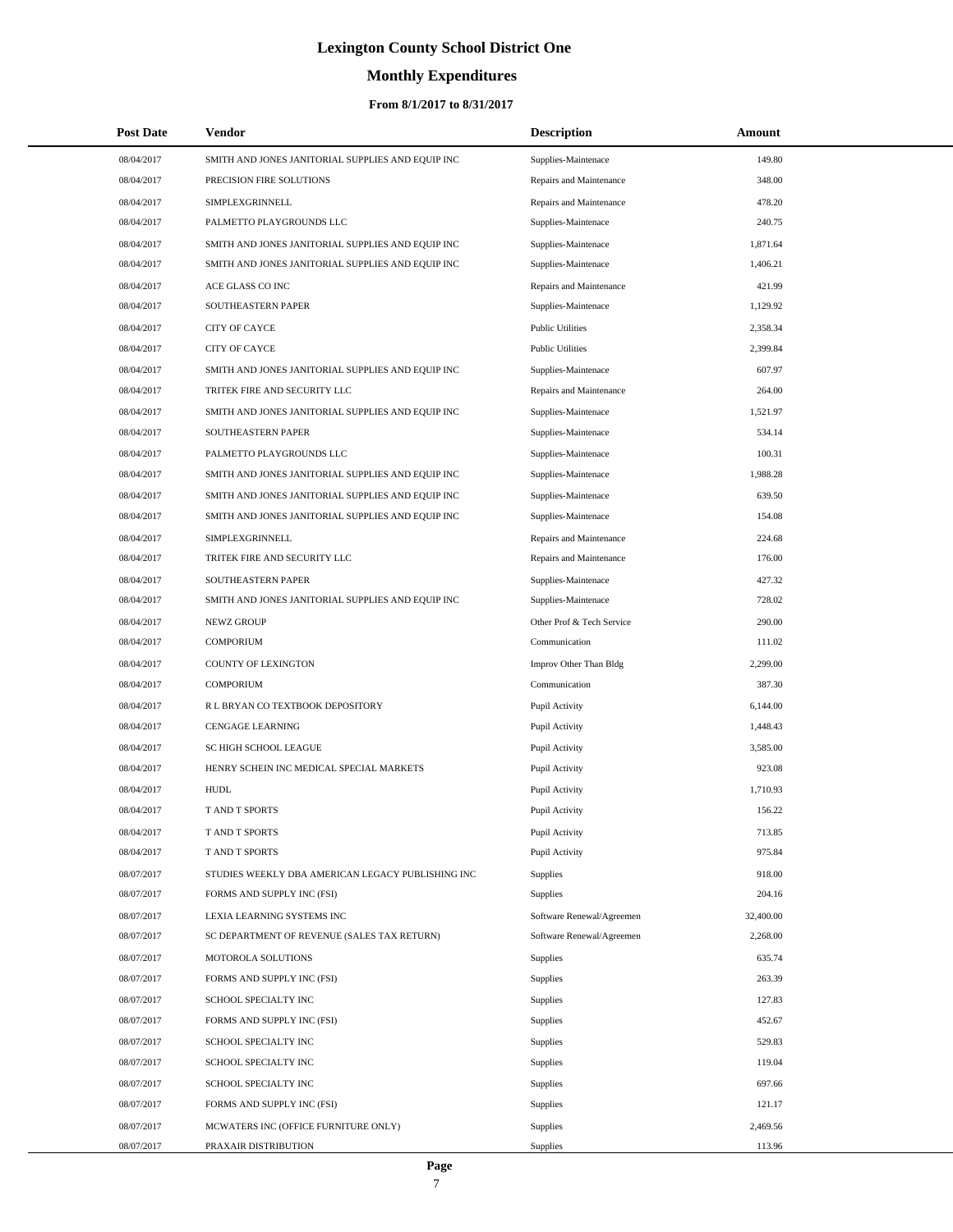# **Monthly Expenditures**

## **From 8/1/2017 to 8/31/2017**

| <b>Post Date</b> | Vendor                                            | <b>Description</b>        | Amount    |
|------------------|---------------------------------------------------|---------------------------|-----------|
| 08/04/2017       | SMITH AND JONES JANITORIAL SUPPLIES AND EQUIP INC | Supplies-Maintenace       | 149.80    |
| 08/04/2017       | PRECISION FIRE SOLUTIONS                          | Repairs and Maintenance   | 348.00    |
| 08/04/2017       | SIMPLEXGRINNELL                                   | Repairs and Maintenance   | 478.20    |
| 08/04/2017       | PALMETTO PLAYGROUNDS LLC                          | Supplies-Maintenace       | 240.75    |
| 08/04/2017       | SMITH AND JONES JANITORIAL SUPPLIES AND EQUIP INC | Supplies-Maintenace       | 1,871.64  |
| 08/04/2017       | SMITH AND JONES JANITORIAL SUPPLIES AND EQUIP INC | Supplies-Maintenace       | 1,406.21  |
| 08/04/2017       | ACE GLASS CO INC                                  | Repairs and Maintenance   | 421.99    |
| 08/04/2017       | SOUTHEASTERN PAPER                                | Supplies-Maintenace       | 1,129.92  |
| 08/04/2017       | CITY OF CAYCE                                     | <b>Public Utilities</b>   | 2,358.34  |
| 08/04/2017       | CITY OF CAYCE                                     | <b>Public Utilities</b>   | 2,399.84  |
| 08/04/2017       | SMITH AND JONES JANITORIAL SUPPLIES AND EQUIP INC | Supplies-Maintenace       | 607.97    |
| 08/04/2017       | TRITEK FIRE AND SECURITY LLC                      | Repairs and Maintenance   | 264.00    |
| 08/04/2017       | SMITH AND JONES JANITORIAL SUPPLIES AND EQUIP INC | Supplies-Maintenace       | 1,521.97  |
| 08/04/2017       | SOUTHEASTERN PAPER                                | Supplies-Maintenace       | 534.14    |
| 08/04/2017       | PALMETTO PLAYGROUNDS LLC                          | Supplies-Maintenace       | 100.31    |
| 08/04/2017       | SMITH AND JONES JANITORIAL SUPPLIES AND EQUIP INC | Supplies-Maintenace       | 1,988.28  |
| 08/04/2017       | SMITH AND JONES JANITORIAL SUPPLIES AND EQUIP INC | Supplies-Maintenace       | 639.50    |
| 08/04/2017       | SMITH AND JONES JANITORIAL SUPPLIES AND EQUIP INC | Supplies-Maintenace       | 154.08    |
| 08/04/2017       | SIMPLEXGRINNELL                                   | Repairs and Maintenance   | 224.68    |
| 08/04/2017       | TRITEK FIRE AND SECURITY LLC                      | Repairs and Maintenance   | 176.00    |
| 08/04/2017       | SOUTHEASTERN PAPER                                | Supplies-Maintenace       | 427.32    |
| 08/04/2017       | SMITH AND JONES JANITORIAL SUPPLIES AND EQUIP INC | Supplies-Maintenace       | 728.02    |
| 08/04/2017       | NEWZ GROUP                                        | Other Prof & Tech Service | 290.00    |
| 08/04/2017       | <b>COMPORIUM</b>                                  | Communication             | 111.02    |
| 08/04/2017       | COUNTY OF LEXINGTON                               | Improv Other Than Bldg    | 2,299.00  |
| 08/04/2017       | <b>COMPORIUM</b>                                  | Communication             | 387.30    |
| 08/04/2017       | R L BRYAN CO TEXTBOOK DEPOSITORY                  | Pupil Activity            | 6,144.00  |
| 08/04/2017       | <b>CENGAGE LEARNING</b>                           | Pupil Activity            | 1,448.43  |
| 08/04/2017       | SC HIGH SCHOOL LEAGUE                             | Pupil Activity            | 3,585.00  |
| 08/04/2017       | HENRY SCHEIN INC MEDICAL SPECIAL MARKETS          | Pupil Activity            | 923.08    |
| 08/04/2017       | <b>HUDL</b>                                       | Pupil Activity            | 1,710.93  |
| 08/04/2017       | <b>T AND T SPORTS</b>                             | Pupil Activity            | 156.22    |
| 08/04/2017       | T AND T SPORTS                                    | Pupil Activity            | 713.85    |
| 08/04/2017       | T AND T SPORTS                                    | Pupil Activity            | 975.84    |
| 08/07/2017       | STUDIES WEEKLY DBA AMERICAN LEGACY PUBLISHING INC | <b>Supplies</b>           | 918.00    |
| 08/07/2017       | FORMS AND SUPPLY INC (FSI)                        | <b>Supplies</b>           | 204.16    |
| 08/07/2017       | LEXIA LEARNING SYSTEMS INC                        | Software Renewal/Agreemen | 32,400.00 |
| 08/07/2017       | SC DEPARTMENT OF REVENUE (SALES TAX RETURN)       | Software Renewal/Agreemen | 2,268.00  |
| 08/07/2017       | MOTOROLA SOLUTIONS                                | <b>Supplies</b>           | 635.74    |
| 08/07/2017       | FORMS AND SUPPLY INC (FSI)                        | <b>Supplies</b>           | 263.39    |
| 08/07/2017       | SCHOOL SPECIALTY INC                              | <b>Supplies</b>           | 127.83    |
| 08/07/2017       | FORMS AND SUPPLY INC (FSI)                        | <b>Supplies</b>           | 452.67    |
| 08/07/2017       | SCHOOL SPECIALTY INC                              | Supplies                  | 529.83    |
| 08/07/2017       | SCHOOL SPECIALTY INC                              | <b>Supplies</b>           | 119.04    |
| 08/07/2017       | SCHOOL SPECIALTY INC                              | Supplies                  | 697.66    |
| 08/07/2017       | FORMS AND SUPPLY INC (FSI)                        | <b>Supplies</b>           | 121.17    |
| 08/07/2017       | MCWATERS INC (OFFICE FURNITURE ONLY)              | <b>Supplies</b>           | 2,469.56  |
| 08/07/2017       | PRAXAIR DISTRIBUTION                              | <b>Supplies</b>           | 113.96    |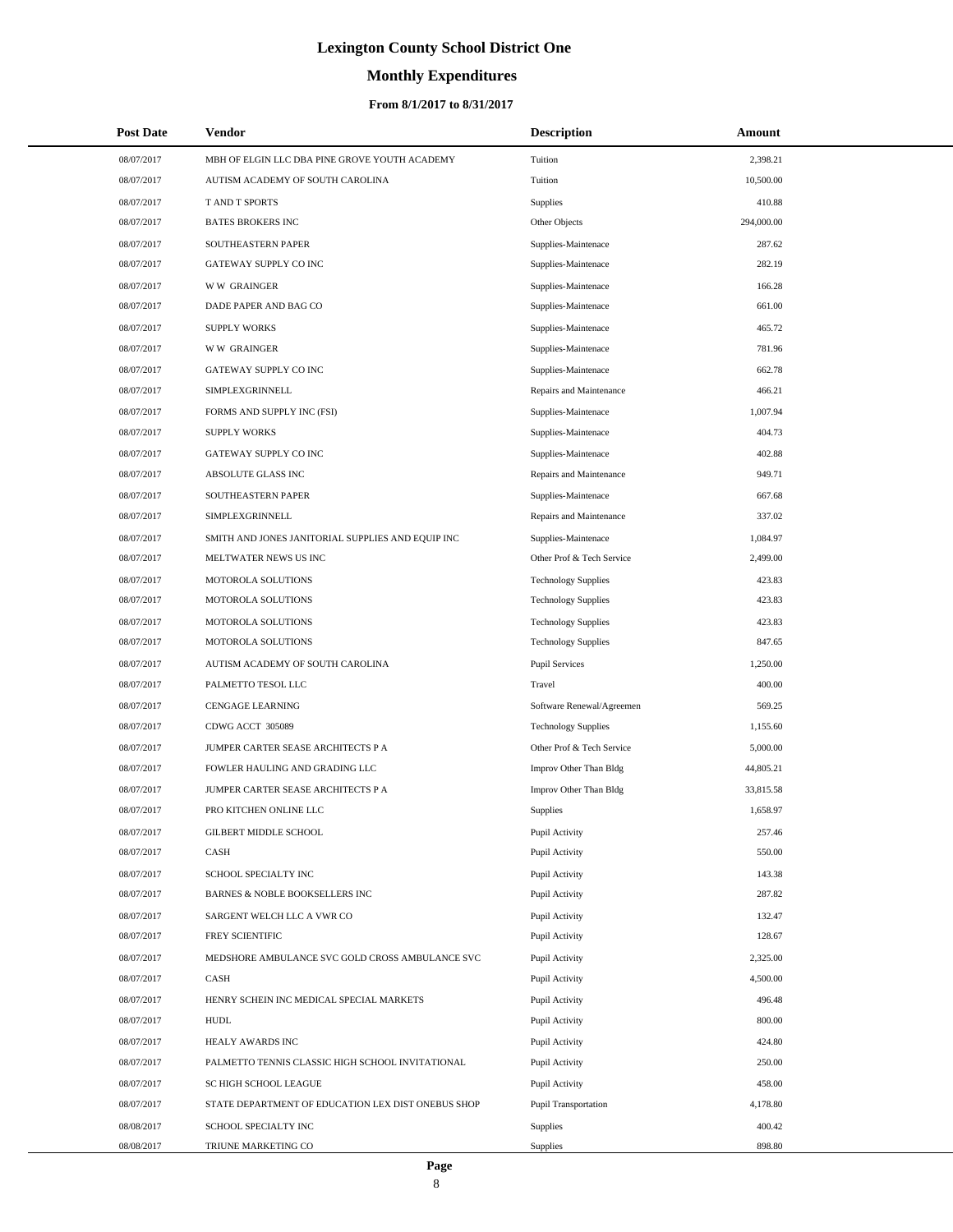# **Monthly Expenditures**

## **From 8/1/2017 to 8/31/2017**

| <b>Post Date</b> | <b>Vendor</b>                                      | <b>Description</b>         | Amount     |
|------------------|----------------------------------------------------|----------------------------|------------|
| 08/07/2017       | MBH OF ELGIN LLC DBA PINE GROVE YOUTH ACADEMY      | Tuition                    | 2,398.21   |
| 08/07/2017       | AUTISM ACADEMY OF SOUTH CAROLINA                   | Tuition                    | 10,500.00  |
| 08/07/2017       | T AND T SPORTS                                     | Supplies                   | 410.88     |
| 08/07/2017       | <b>BATES BROKERS INC</b>                           | Other Objects              | 294,000.00 |
| 08/07/2017       | SOUTHEASTERN PAPER                                 | Supplies-Maintenace        | 287.62     |
| 08/07/2017       | GATEWAY SUPPLY CO INC                              | Supplies-Maintenace        | 282.19     |
| 08/07/2017       | <b>WW GRAINGER</b>                                 | Supplies-Maintenace        | 166.28     |
| 08/07/2017       | DADE PAPER AND BAG CO                              | Supplies-Maintenace        | 661.00     |
| 08/07/2017       | <b>SUPPLY WORKS</b>                                | Supplies-Maintenace        | 465.72     |
| 08/07/2017       | <b>WW GRAINGER</b>                                 | Supplies-Maintenace        | 781.96     |
| 08/07/2017       | GATEWAY SUPPLY CO INC                              | Supplies-Maintenace        | 662.78     |
| 08/07/2017       | SIMPLEXGRINNELL                                    | Repairs and Maintenance    | 466.21     |
| 08/07/2017       | FORMS AND SUPPLY INC (FSI)                         | Supplies-Maintenace        | 1,007.94   |
| 08/07/2017       | <b>SUPPLY WORKS</b>                                | Supplies-Maintenace        | 404.73     |
| 08/07/2017       | GATEWAY SUPPLY CO INC                              | Supplies-Maintenace        | 402.88     |
| 08/07/2017       | ABSOLUTE GLASS INC                                 | Repairs and Maintenance    | 949.71     |
| 08/07/2017       | SOUTHEASTERN PAPER                                 | Supplies-Maintenace        | 667.68     |
| 08/07/2017       | SIMPLEXGRINNELL                                    | Repairs and Maintenance    | 337.02     |
| 08/07/2017       | SMITH AND JONES JANITORIAL SUPPLIES AND EQUIP INC  | Supplies-Maintenace        | 1,084.97   |
| 08/07/2017       | MELTWATER NEWS US INC                              | Other Prof & Tech Service  | 2,499.00   |
| 08/07/2017       | MOTOROLA SOLUTIONS                                 | <b>Technology Supplies</b> | 423.83     |
| 08/07/2017       | MOTOROLA SOLUTIONS                                 | <b>Technology Supplies</b> | 423.83     |
| 08/07/2017       | MOTOROLA SOLUTIONS                                 | <b>Technology Supplies</b> | 423.83     |
| 08/07/2017       | MOTOROLA SOLUTIONS                                 | <b>Technology Supplies</b> | 847.65     |
| 08/07/2017       | AUTISM ACADEMY OF SOUTH CAROLINA                   | <b>Pupil Services</b>      | 1,250.00   |
| 08/07/2017       | PALMETTO TESOL LLC                                 | Travel                     | 400.00     |
| 08/07/2017       | CENGAGE LEARNING                                   | Software Renewal/Agreemen  | 569.25     |
| 08/07/2017       | CDWG ACCT 305089                                   | <b>Technology Supplies</b> | 1,155.60   |
| 08/07/2017       | JUMPER CARTER SEASE ARCHITECTS P A                 | Other Prof & Tech Service  | 5,000.00   |
| 08/07/2017       | FOWLER HAULING AND GRADING LLC                     | Improv Other Than Bldg     | 44,805.21  |
| 08/07/2017       | JUMPER CARTER SEASE ARCHITECTS P A                 | Improv Other Than Bldg     | 33,815.58  |
| 08/07/2017       | PRO KITCHEN ONLINE LLC                             | Supplies                   | 1,658.97   |
| 08/07/2017       | GILBERT MIDDLE SCHOOL                              | Pupil Activity             | 257.46     |
| 08/07/2017       | CASH                                               | Pupil Activity             | 550.00     |
| 08/07/2017       | SCHOOL SPECIALTY INC                               | Pupil Activity             | 143.38     |
| 08/07/2017       | BARNES & NOBLE BOOKSELLERS INC                     | Pupil Activity             | 287.82     |
| 08/07/2017       | SARGENT WELCH LLC A VWR CO                         | Pupil Activity             | 132.47     |
| 08/07/2017       | FREY SCIENTIFIC                                    | Pupil Activity             | 128.67     |
| 08/07/2017       | MEDSHORE AMBULANCE SVC GOLD CROSS AMBULANCE SVC    | Pupil Activity             | 2,325.00   |
| 08/07/2017       | CASH                                               | Pupil Activity             | 4,500.00   |
| 08/07/2017       | HENRY SCHEIN INC MEDICAL SPECIAL MARKETS           | Pupil Activity             | 496.48     |
| 08/07/2017       | <b>HUDL</b>                                        | Pupil Activity             | 800.00     |
| 08/07/2017       | HEALY AWARDS INC                                   | Pupil Activity             | 424.80     |
| 08/07/2017       | PALMETTO TENNIS CLASSIC HIGH SCHOOL INVITATIONAL   | Pupil Activity             | 250.00     |
| 08/07/2017       | SC HIGH SCHOOL LEAGUE                              | Pupil Activity             | 458.00     |
| 08/07/2017       | STATE DEPARTMENT OF EDUCATION LEX DIST ONEBUS SHOP | Pupil Transportation       | 4,178.80   |
| 08/08/2017       | SCHOOL SPECIALTY INC                               | Supplies                   | 400.42     |
| 08/08/2017       | TRIUNE MARKETING CO                                | Supplies                   | 898.80     |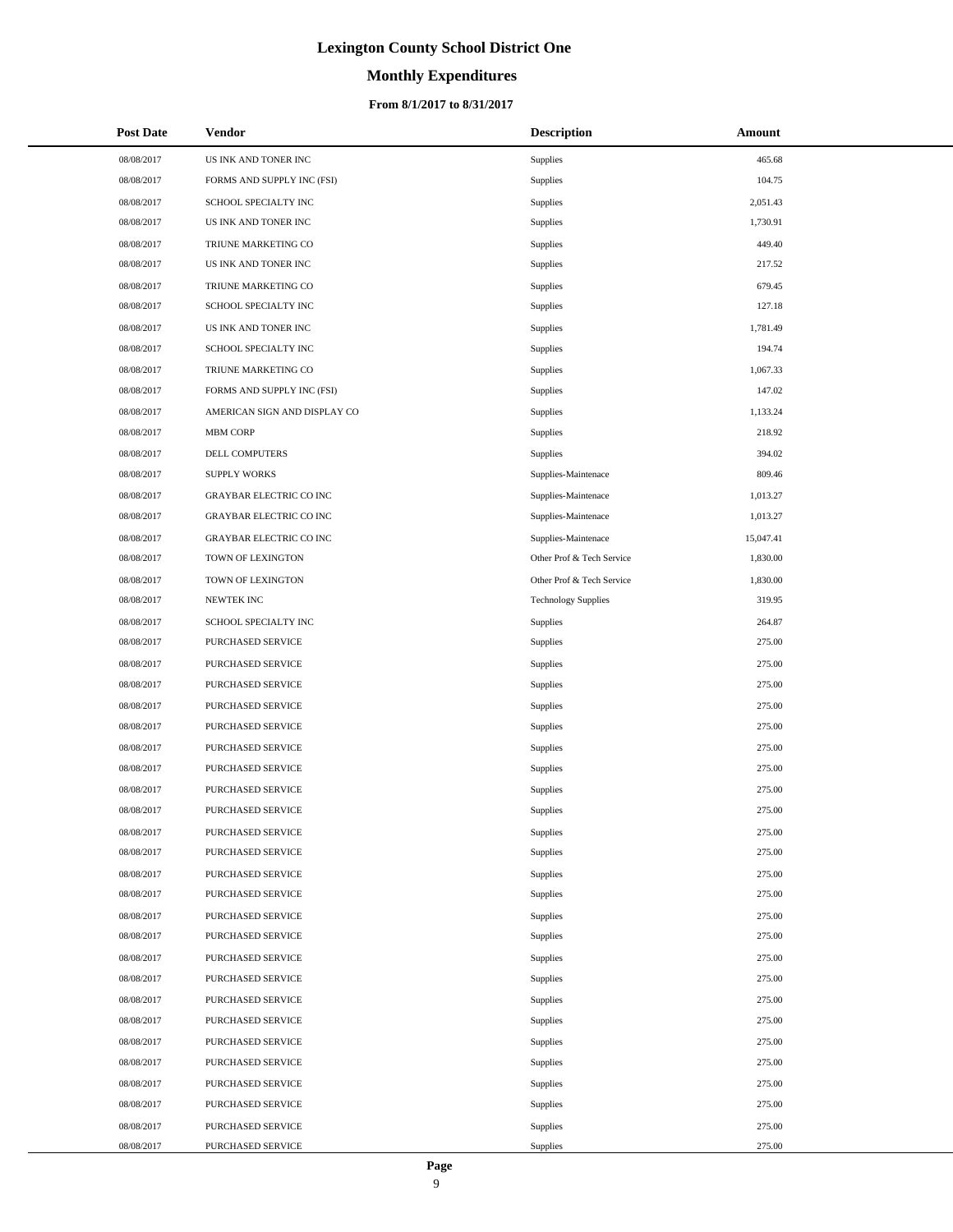## **Monthly Expenditures**

### **From 8/1/2017 to 8/31/2017**

| <b>Post Date</b> | Vendor                         | <b>Description</b>         | Amount    |
|------------------|--------------------------------|----------------------------|-----------|
| 08/08/2017       | US INK AND TONER INC           | Supplies                   | 465.68    |
| 08/08/2017       | FORMS AND SUPPLY INC (FSI)     | Supplies                   | 104.75    |
| 08/08/2017       | SCHOOL SPECIALTY INC           | Supplies                   | 2,051.43  |
| 08/08/2017       | US INK AND TONER INC           | Supplies                   | 1,730.91  |
| 08/08/2017       | TRIUNE MARKETING CO            | Supplies                   | 449.40    |
| 08/08/2017       | US INK AND TONER INC           | Supplies                   | 217.52    |
| 08/08/2017       | TRIUNE MARKETING CO            | Supplies                   | 679.45    |
| 08/08/2017       | SCHOOL SPECIALTY INC           | Supplies                   | 127.18    |
| 08/08/2017       | US INK AND TONER INC           | Supplies                   | 1,781.49  |
| 08/08/2017       | SCHOOL SPECIALTY INC           | Supplies                   | 194.74    |
| 08/08/2017       | TRIUNE MARKETING CO            | Supplies                   | 1,067.33  |
| 08/08/2017       | FORMS AND SUPPLY INC (FSI)     | Supplies                   | 147.02    |
| 08/08/2017       | AMERICAN SIGN AND DISPLAY CO   | Supplies                   | 1,133.24  |
| 08/08/2017       | <b>MBM CORP</b>                | Supplies                   | 218.92    |
| 08/08/2017       | <b>DELL COMPUTERS</b>          | Supplies                   | 394.02    |
| 08/08/2017       | <b>SUPPLY WORKS</b>            | Supplies-Maintenace        | 809.46    |
| 08/08/2017       | <b>GRAYBAR ELECTRIC CO INC</b> | Supplies-Maintenace        | 1,013.27  |
| 08/08/2017       | GRAYBAR ELECTRIC CO INC        | Supplies-Maintenace        | 1,013.27  |
| 08/08/2017       | <b>GRAYBAR ELECTRIC CO INC</b> | Supplies-Maintenace        | 15,047.41 |
| 08/08/2017       | TOWN OF LEXINGTON              | Other Prof & Tech Service  | 1,830.00  |
| 08/08/2017       | TOWN OF LEXINGTON              | Other Prof & Tech Service  | 1,830.00  |
| 08/08/2017       | NEWTEK INC                     | <b>Technology Supplies</b> | 319.95    |
| 08/08/2017       | SCHOOL SPECIALTY INC           | Supplies                   | 264.87    |
| 08/08/2017       | PURCHASED SERVICE              | Supplies                   | 275.00    |
| 08/08/2017       | PURCHASED SERVICE              | Supplies                   | 275.00    |
| 08/08/2017       | PURCHASED SERVICE              | Supplies                   | 275.00    |
| 08/08/2017       | PURCHASED SERVICE              | Supplies                   | 275.00    |
| 08/08/2017       | PURCHASED SERVICE              | Supplies                   | 275.00    |
| 08/08/2017       | PURCHASED SERVICE              | Supplies                   | 275.00    |
| 08/08/2017       | PURCHASED SERVICE              | Supplies                   | 275.00    |
| 08/08/2017       | PURCHASED SERVICE              | Supplies                   | 275.00    |
| 08/08/2017       | PURCHASED SERVICE              | Supplies                   | 275.00    |
| 08/08/2017       | PURCHASED SERVICE              | Supplies                   | 275.00    |
| 08/08/2017       | PURCHASED SERVICE              | Supplies                   | 275.00    |
| 08/08/2017       | PURCHASED SERVICE              | Supplies                   | 275.00    |
| 08/08/2017       | PURCHASED SERVICE              | Supplies                   | 275.00    |
| 08/08/2017       | PURCHASED SERVICE              | Supplies                   | 275.00    |
| 08/08/2017       | PURCHASED SERVICE              | Supplies                   | 275.00    |
| 08/08/2017       | PURCHASED SERVICE              | Supplies                   | 275.00    |
| 08/08/2017       | PURCHASED SERVICE              | Supplies                   | 275.00    |
| 08/08/2017       | PURCHASED SERVICE              | Supplies                   | 275.00    |
| 08/08/2017       | PURCHASED SERVICE              | Supplies                   | 275.00    |
| 08/08/2017       | PURCHASED SERVICE              | Supplies                   | 275.00    |
| 08/08/2017       | PURCHASED SERVICE              | Supplies                   | 275.00    |
| 08/08/2017       | PURCHASED SERVICE              | Supplies                   | 275.00    |
| 08/08/2017       | PURCHASED SERVICE              | Supplies                   | 275.00    |
| 08/08/2017       | PURCHASED SERVICE              | Supplies                   | 275.00    |
| 08/08/2017       | PURCHASED SERVICE              | Supplies                   | 275.00    |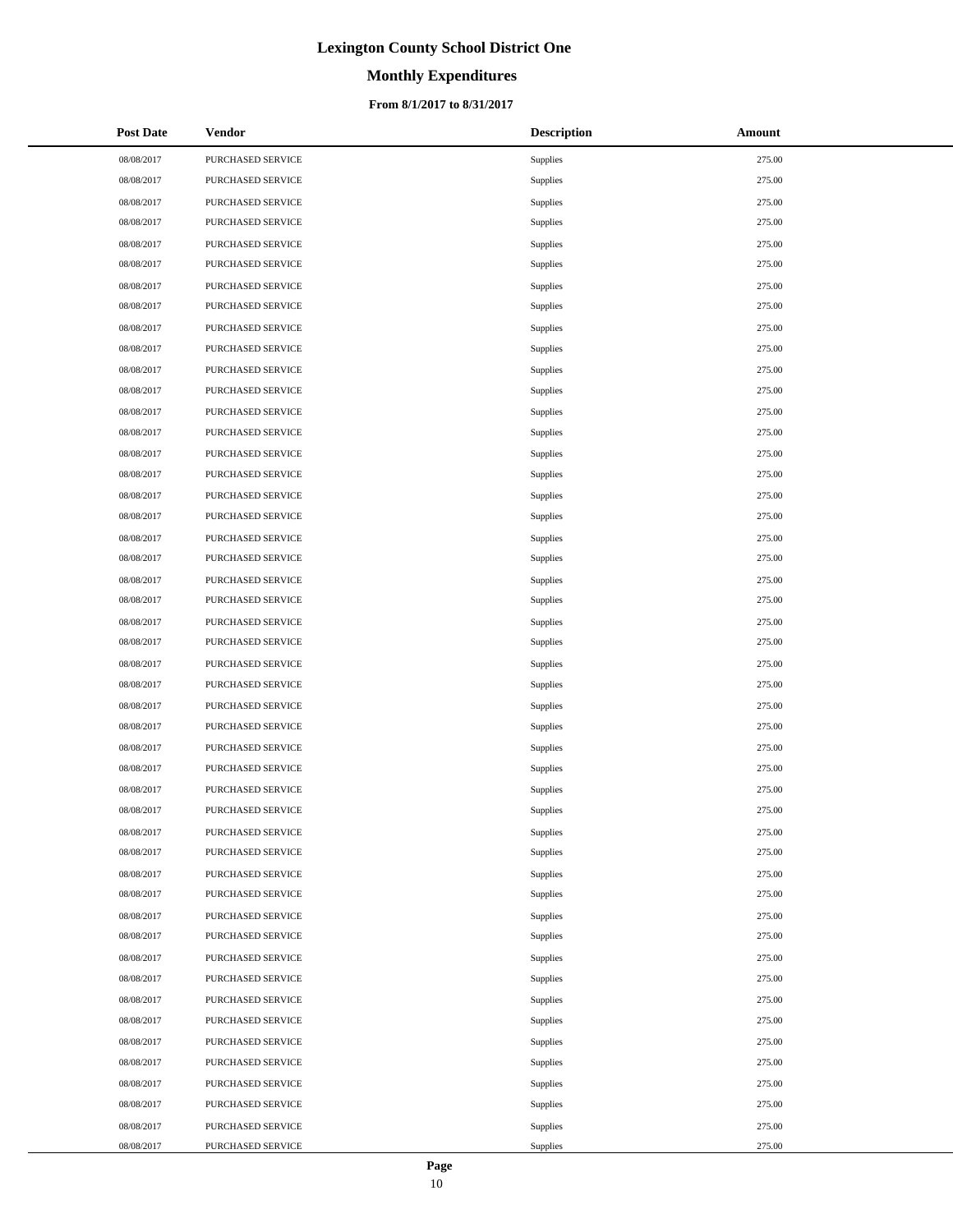# **Monthly Expenditures**

### **From 8/1/2017 to 8/31/2017**

| <b>Post Date</b> | <b>Vendor</b>     | <b>Description</b> | Amount |
|------------------|-------------------|--------------------|--------|
| 08/08/2017       | PURCHASED SERVICE | Supplies           | 275.00 |
| 08/08/2017       | PURCHASED SERVICE | Supplies           | 275.00 |
| 08/08/2017       | PURCHASED SERVICE | Supplies           | 275.00 |
| 08/08/2017       | PURCHASED SERVICE | Supplies           | 275.00 |
| 08/08/2017       | PURCHASED SERVICE | Supplies           | 275.00 |
| 08/08/2017       | PURCHASED SERVICE | Supplies           | 275.00 |
| 08/08/2017       | PURCHASED SERVICE | Supplies           | 275.00 |
| 08/08/2017       | PURCHASED SERVICE | Supplies           | 275.00 |
| 08/08/2017       | PURCHASED SERVICE | Supplies           | 275.00 |
| 08/08/2017       | PURCHASED SERVICE | Supplies           | 275.00 |
| 08/08/2017       | PURCHASED SERVICE | Supplies           | 275.00 |
| 08/08/2017       | PURCHASED SERVICE | Supplies           | 275.00 |
| 08/08/2017       | PURCHASED SERVICE | Supplies           | 275.00 |
| 08/08/2017       | PURCHASED SERVICE | Supplies           | 275.00 |
| 08/08/2017       | PURCHASED SERVICE | Supplies           | 275.00 |
| 08/08/2017       | PURCHASED SERVICE | Supplies           | 275.00 |
| 08/08/2017       | PURCHASED SERVICE | Supplies           | 275.00 |
| 08/08/2017       | PURCHASED SERVICE | Supplies           | 275.00 |
| 08/08/2017       | PURCHASED SERVICE | Supplies           | 275.00 |
| 08/08/2017       | PURCHASED SERVICE | Supplies           | 275.00 |
| 08/08/2017       | PURCHASED SERVICE | Supplies           | 275.00 |
| 08/08/2017       | PURCHASED SERVICE | Supplies           | 275.00 |
| 08/08/2017       | PURCHASED SERVICE | Supplies           | 275.00 |
| 08/08/2017       | PURCHASED SERVICE | Supplies           | 275.00 |
| 08/08/2017       | PURCHASED SERVICE | Supplies           | 275.00 |
| 08/08/2017       | PURCHASED SERVICE | Supplies           | 275.00 |
| 08/08/2017       | PURCHASED SERVICE | Supplies           | 275.00 |
| 08/08/2017       | PURCHASED SERVICE | Supplies           | 275.00 |
| 08/08/2017       | PURCHASED SERVICE | Supplies           | 275.00 |
| 08/08/2017       | PURCHASED SERVICE | Supplies           | 275.00 |
| 08/08/2017       | PURCHASED SERVICE | Supplies           | 275.00 |
| 08/08/2017       | PURCHASED SERVICE | Supplies           | 275.00 |
| 08/08/2017       | PURCHASED SERVICE | Supplies           | 275.00 |
| 08/08/2017       | PURCHASED SERVICE | Supplies           | 275.00 |
| 08/08/2017       | PURCHASED SERVICE | Supplies           | 275.00 |
| 08/08/2017       | PURCHASED SERVICE | Supplies           | 275.00 |
| 08/08/2017       | PURCHASED SERVICE | Supplies           | 275.00 |
| 08/08/2017       | PURCHASED SERVICE | Supplies           | 275.00 |
| 08/08/2017       | PURCHASED SERVICE | Supplies           | 275.00 |
| 08/08/2017       | PURCHASED SERVICE | Supplies           | 275.00 |
| 08/08/2017       | PURCHASED SERVICE | Supplies           | 275.00 |
| 08/08/2017       | PURCHASED SERVICE | Supplies           | 275.00 |
| 08/08/2017       | PURCHASED SERVICE | Supplies           | 275.00 |
| 08/08/2017       | PURCHASED SERVICE | Supplies           | 275.00 |
| 08/08/2017       | PURCHASED SERVICE | Supplies           | 275.00 |
| 08/08/2017       | PURCHASED SERVICE | Supplies           | 275.00 |
| 08/08/2017       | PURCHASED SERVICE | Supplies           | 275.00 |
| 08/08/2017       | PURCHASED SERVICE | Supplies           | 275.00 |

 $\overline{a}$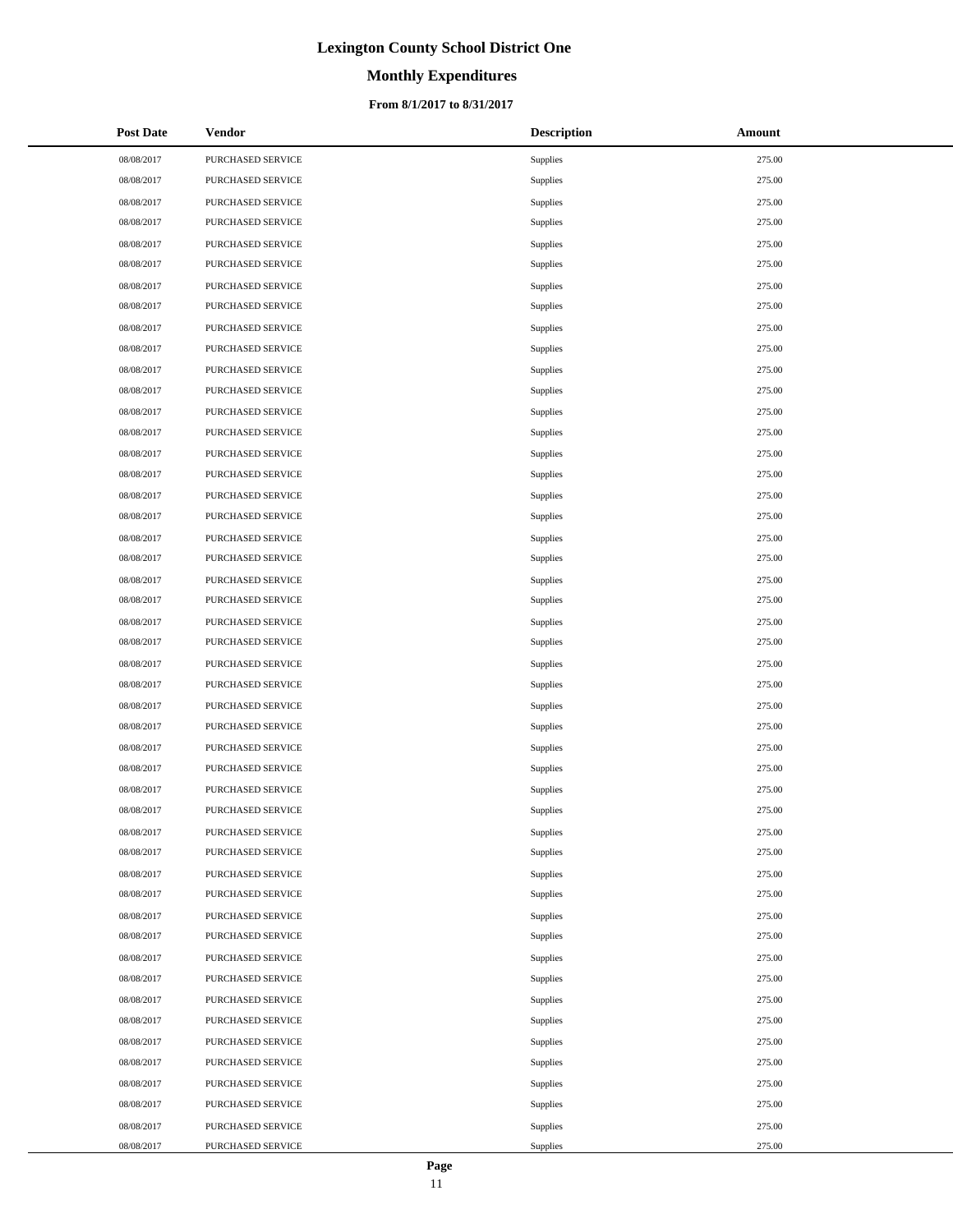# **Monthly Expenditures**

### **From 8/1/2017 to 8/31/2017**

| <b>Post Date</b> | <b>Vendor</b>     | <b>Description</b> | Amount |
|------------------|-------------------|--------------------|--------|
| 08/08/2017       | PURCHASED SERVICE | Supplies           | 275.00 |
| 08/08/2017       | PURCHASED SERVICE | Supplies           | 275.00 |
| 08/08/2017       | PURCHASED SERVICE | Supplies           | 275.00 |
| 08/08/2017       | PURCHASED SERVICE | Supplies           | 275.00 |
| 08/08/2017       | PURCHASED SERVICE | Supplies           | 275.00 |
| 08/08/2017       | PURCHASED SERVICE | Supplies           | 275.00 |
| 08/08/2017       | PURCHASED SERVICE | Supplies           | 275.00 |
| 08/08/2017       | PURCHASED SERVICE | Supplies           | 275.00 |
| 08/08/2017       | PURCHASED SERVICE | Supplies           | 275.00 |
| 08/08/2017       | PURCHASED SERVICE | Supplies           | 275.00 |
| 08/08/2017       | PURCHASED SERVICE | Supplies           | 275.00 |
| 08/08/2017       | PURCHASED SERVICE | Supplies           | 275.00 |
| 08/08/2017       | PURCHASED SERVICE | Supplies           | 275.00 |
| 08/08/2017       | PURCHASED SERVICE | Supplies           | 275.00 |
| 08/08/2017       | PURCHASED SERVICE | Supplies           | 275.00 |
| 08/08/2017       | PURCHASED SERVICE | Supplies           | 275.00 |
| 08/08/2017       | PURCHASED SERVICE | Supplies           | 275.00 |
| 08/08/2017       | PURCHASED SERVICE | Supplies           | 275.00 |
| 08/08/2017       | PURCHASED SERVICE | Supplies           | 275.00 |
| 08/08/2017       | PURCHASED SERVICE | Supplies           | 275.00 |
| 08/08/2017       | PURCHASED SERVICE | Supplies           | 275.00 |
| 08/08/2017       | PURCHASED SERVICE | Supplies           | 275.00 |
| 08/08/2017       | PURCHASED SERVICE | Supplies           | 275.00 |
| 08/08/2017       | PURCHASED SERVICE | Supplies           | 275.00 |
| 08/08/2017       | PURCHASED SERVICE | Supplies           | 275.00 |
| 08/08/2017       | PURCHASED SERVICE | Supplies           | 275.00 |
| 08/08/2017       | PURCHASED SERVICE | Supplies           | 275.00 |
| 08/08/2017       | PURCHASED SERVICE | Supplies           | 275.00 |
| 08/08/2017       | PURCHASED SERVICE | Supplies           | 275.00 |
| 08/08/2017       | PURCHASED SERVICE | Supplies           | 275.00 |
| 08/08/2017       | PURCHASED SERVICE | Supplies           | 275.00 |
| 08/08/2017       | PURCHASED SERVICE | Supplies           | 275.00 |
| 08/08/2017       | PURCHASED SERVICE | Supplies           | 275.00 |
| 08/08/2017       | PURCHASED SERVICE | Supplies           | 275.00 |
| 08/08/2017       | PURCHASED SERVICE | Supplies           | 275.00 |
| 08/08/2017       | PURCHASED SERVICE | Supplies           | 275.00 |
| 08/08/2017       | PURCHASED SERVICE | Supplies           | 275.00 |
| 08/08/2017       | PURCHASED SERVICE | Supplies           | 275.00 |
| 08/08/2017       | PURCHASED SERVICE | Supplies           | 275.00 |
| 08/08/2017       | PURCHASED SERVICE | Supplies           | 275.00 |
| 08/08/2017       | PURCHASED SERVICE | Supplies           | 275.00 |
| 08/08/2017       | PURCHASED SERVICE | Supplies           | 275.00 |
| 08/08/2017       | PURCHASED SERVICE | Supplies           | 275.00 |
| 08/08/2017       | PURCHASED SERVICE | Supplies           | 275.00 |
| 08/08/2017       | PURCHASED SERVICE | Supplies           | 275.00 |
| 08/08/2017       | PURCHASED SERVICE | Supplies           | 275.00 |
| 08/08/2017       | PURCHASED SERVICE | Supplies           | 275.00 |
| 08/08/2017       | PURCHASED SERVICE | Supplies           | 275.00 |

 $\overline{a}$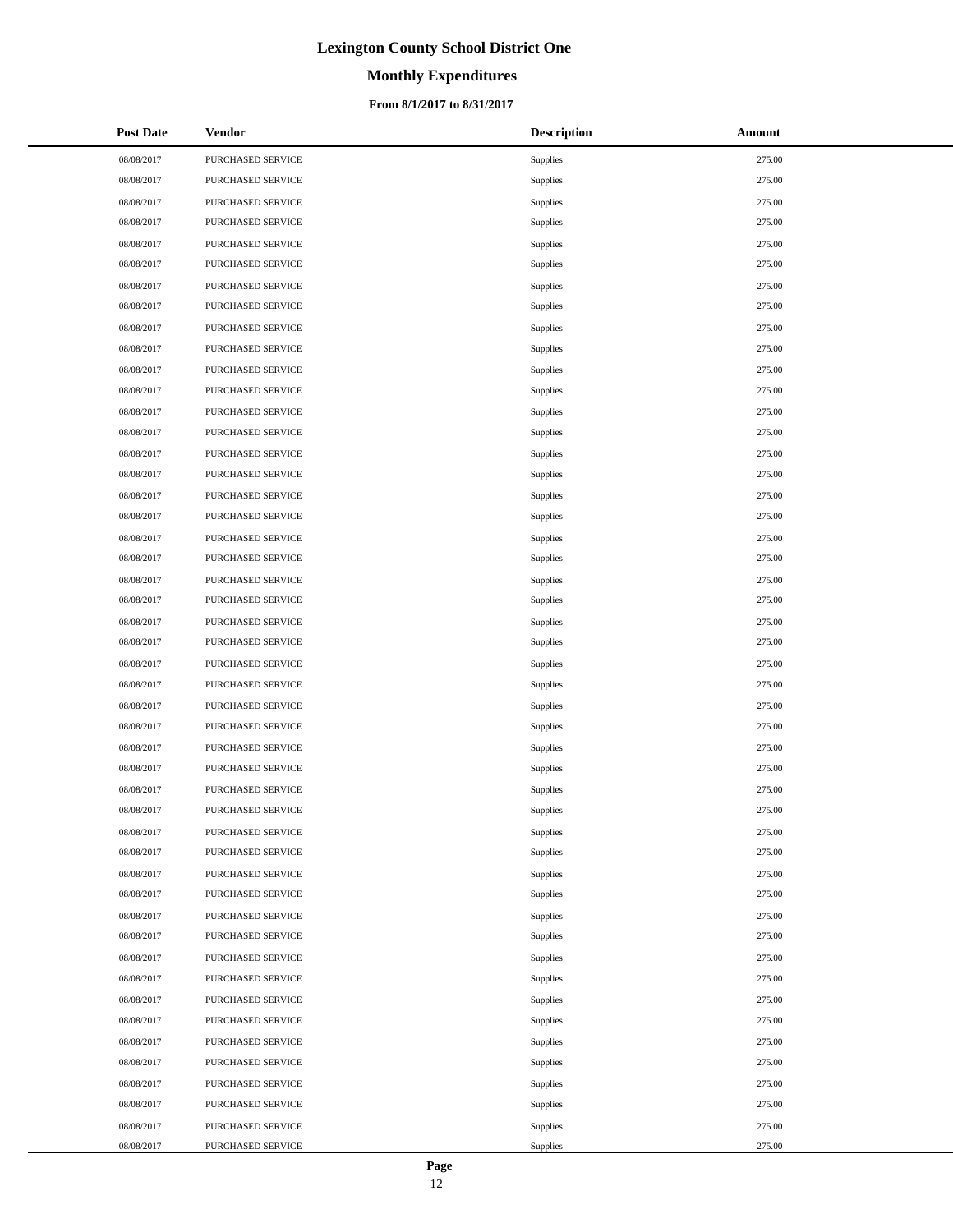# **Monthly Expenditures**

### **From 8/1/2017 to 8/31/2017**

| <b>Post Date</b> | <b>Vendor</b>     | <b>Description</b> | Amount |
|------------------|-------------------|--------------------|--------|
| 08/08/2017       | PURCHASED SERVICE | Supplies           | 275.00 |
| 08/08/2017       | PURCHASED SERVICE | Supplies           | 275.00 |
| 08/08/2017       | PURCHASED SERVICE | Supplies           | 275.00 |
| 08/08/2017       | PURCHASED SERVICE | Supplies           | 275.00 |
| 08/08/2017       | PURCHASED SERVICE | Supplies           | 275.00 |
| 08/08/2017       | PURCHASED SERVICE | Supplies           | 275.00 |
| 08/08/2017       | PURCHASED SERVICE | Supplies           | 275.00 |
| 08/08/2017       | PURCHASED SERVICE | Supplies           | 275.00 |
| 08/08/2017       | PURCHASED SERVICE | Supplies           | 275.00 |
| 08/08/2017       | PURCHASED SERVICE | Supplies           | 275.00 |
| 08/08/2017       | PURCHASED SERVICE | Supplies           | 275.00 |
| 08/08/2017       | PURCHASED SERVICE | Supplies           | 275.00 |
| 08/08/2017       | PURCHASED SERVICE | Supplies           | 275.00 |
| 08/08/2017       | PURCHASED SERVICE | Supplies           | 275.00 |
| 08/08/2017       | PURCHASED SERVICE | Supplies           | 275.00 |
| 08/08/2017       | PURCHASED SERVICE | Supplies           | 275.00 |
| 08/08/2017       | PURCHASED SERVICE | Supplies           | 275.00 |
| 08/08/2017       | PURCHASED SERVICE | Supplies           | 275.00 |
| 08/08/2017       | PURCHASED SERVICE | Supplies           | 275.00 |
| 08/08/2017       | PURCHASED SERVICE | Supplies           | 275.00 |
| 08/08/2017       | PURCHASED SERVICE | Supplies           | 275.00 |
| 08/08/2017       | PURCHASED SERVICE | Supplies           | 275.00 |
| 08/08/2017       | PURCHASED SERVICE | Supplies           | 275.00 |
| 08/08/2017       | PURCHASED SERVICE | Supplies           | 275.00 |
| 08/08/2017       | PURCHASED SERVICE | Supplies           | 275.00 |
| 08/08/2017       | PURCHASED SERVICE | Supplies           | 275.00 |
| 08/08/2017       | PURCHASED SERVICE | Supplies           | 275.00 |
| 08/08/2017       | PURCHASED SERVICE | Supplies           | 275.00 |
| 08/08/2017       | PURCHASED SERVICE | Supplies           | 275.00 |
| 08/08/2017       | PURCHASED SERVICE | Supplies           | 275.00 |
| 08/08/2017       | PURCHASED SERVICE | Supplies           | 275.00 |
| 08/08/2017       | PURCHASED SERVICE | Supplies           | 275.00 |
| 08/08/2017       | PURCHASED SERVICE | Supplies           | 275.00 |
| 08/08/2017       | PURCHASED SERVICE | Supplies           | 275.00 |
| 08/08/2017       | PURCHASED SERVICE | Supplies           | 275.00 |
| 08/08/2017       | PURCHASED SERVICE | Supplies           | 275.00 |
| 08/08/2017       | PURCHASED SERVICE | Supplies           | 275.00 |
| 08/08/2017       | PURCHASED SERVICE | Supplies           | 275.00 |
| 08/08/2017       | PURCHASED SERVICE | Supplies           | 275.00 |
| 08/08/2017       | PURCHASED SERVICE | Supplies           | 275.00 |
| 08/08/2017       | PURCHASED SERVICE | Supplies           | 275.00 |
| 08/08/2017       | PURCHASED SERVICE | Supplies           | 275.00 |
| 08/08/2017       | PURCHASED SERVICE | Supplies           | 275.00 |
| 08/08/2017       | PURCHASED SERVICE | Supplies           | 275.00 |
| 08/08/2017       | PURCHASED SERVICE | Supplies           | 275.00 |
| 08/08/2017       | PURCHASED SERVICE | Supplies           | 275.00 |
| 08/08/2017       | PURCHASED SERVICE | Supplies           | 275.00 |
| 08/08/2017       | PURCHASED SERVICE | Supplies           | 275.00 |

 $\overline{a}$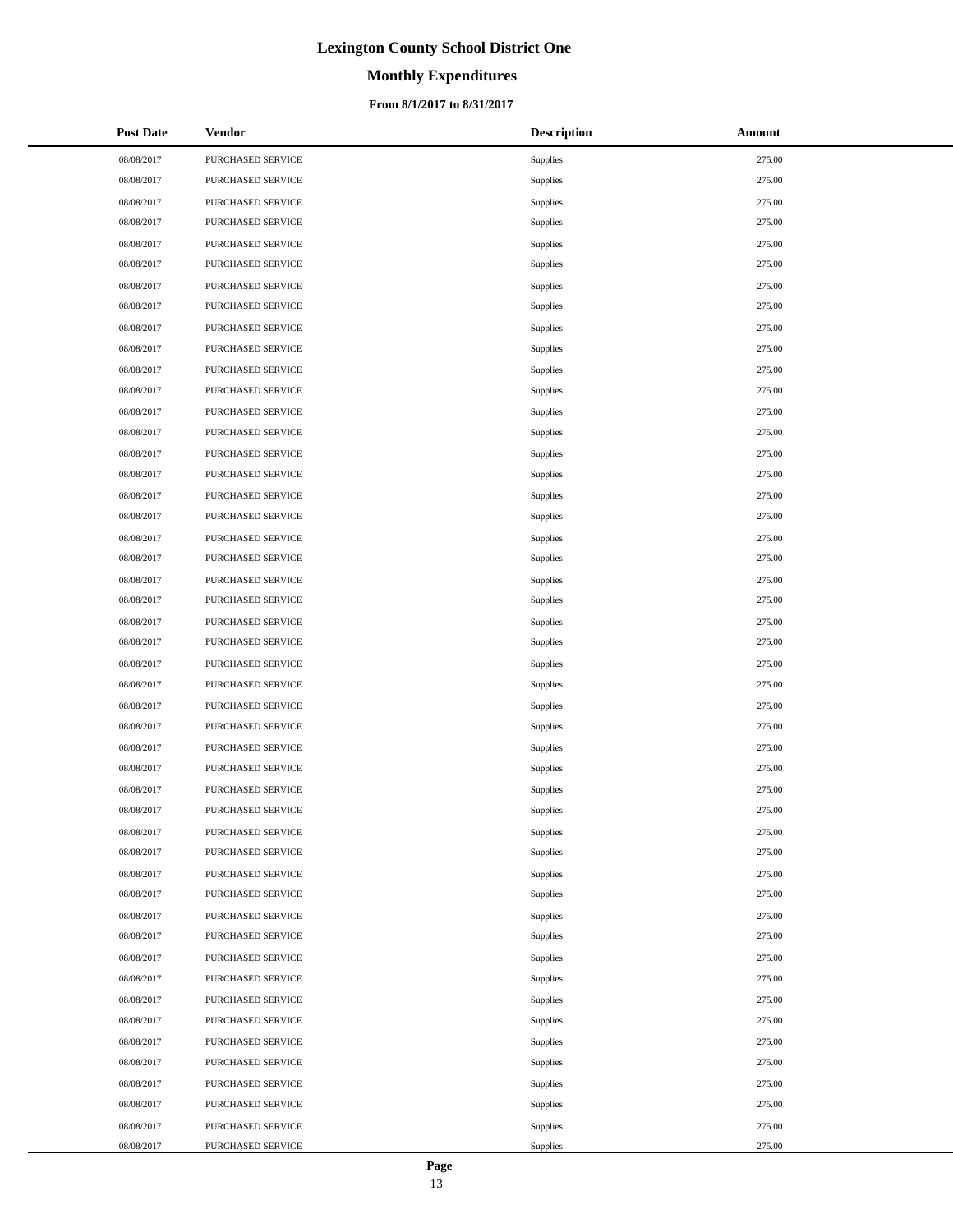# **Monthly Expenditures**

### **From 8/1/2017 to 8/31/2017**

| <b>Post Date</b> | <b>Vendor</b>     | <b>Description</b> | Amount |
|------------------|-------------------|--------------------|--------|
| 08/08/2017       | PURCHASED SERVICE | Supplies           | 275.00 |
| 08/08/2017       | PURCHASED SERVICE | Supplies           | 275.00 |
| 08/08/2017       | PURCHASED SERVICE | Supplies           | 275.00 |
| 08/08/2017       | PURCHASED SERVICE | Supplies           | 275.00 |
| 08/08/2017       | PURCHASED SERVICE | Supplies           | 275.00 |
| 08/08/2017       | PURCHASED SERVICE | Supplies           | 275.00 |
| 08/08/2017       | PURCHASED SERVICE | Supplies           | 275.00 |
| 08/08/2017       | PURCHASED SERVICE | Supplies           | 275.00 |
| 08/08/2017       | PURCHASED SERVICE | Supplies           | 275.00 |
| 08/08/2017       | PURCHASED SERVICE | Supplies           | 275.00 |
| 08/08/2017       | PURCHASED SERVICE | Supplies           | 275.00 |
| 08/08/2017       | PURCHASED SERVICE | Supplies           | 275.00 |
| 08/08/2017       | PURCHASED SERVICE | Supplies           | 275.00 |
| 08/08/2017       | PURCHASED SERVICE | Supplies           | 275.00 |
| 08/08/2017       | PURCHASED SERVICE | Supplies           | 275.00 |
| 08/08/2017       | PURCHASED SERVICE | Supplies           | 275.00 |
| 08/08/2017       | PURCHASED SERVICE | Supplies           | 275.00 |
| 08/08/2017       | PURCHASED SERVICE | Supplies           | 275.00 |
| 08/08/2017       | PURCHASED SERVICE | Supplies           | 275.00 |
| 08/08/2017       | PURCHASED SERVICE | Supplies           | 275.00 |
| 08/08/2017       | PURCHASED SERVICE | Supplies           | 275.00 |
| 08/08/2017       | PURCHASED SERVICE | Supplies           | 275.00 |
| 08/08/2017       | PURCHASED SERVICE | Supplies           | 275.00 |
| 08/08/2017       | PURCHASED SERVICE | Supplies           | 275.00 |
| 08/08/2017       | PURCHASED SERVICE | Supplies           | 275.00 |
| 08/08/2017       | PURCHASED SERVICE | Supplies           | 275.00 |
| 08/08/2017       | PURCHASED SERVICE | Supplies           | 275.00 |
| 08/08/2017       | PURCHASED SERVICE | Supplies           | 275.00 |
| 08/08/2017       | PURCHASED SERVICE | Supplies           | 275.00 |
| 08/08/2017       | PURCHASED SERVICE | Supplies           | 275.00 |
| 08/08/2017       | PURCHASED SERVICE | Supplies           | 275.00 |
| 08/08/2017       | PURCHASED SERVICE | Supplies           | 275.00 |
| 08/08/2017       | PURCHASED SERVICE | Supplies           | 275.00 |
| 08/08/2017       | PURCHASED SERVICE | Supplies           | 275.00 |
| 08/08/2017       | PURCHASED SERVICE | Supplies           | 275.00 |
| 08/08/2017       | PURCHASED SERVICE | Supplies           | 275.00 |
| 08/08/2017       | PURCHASED SERVICE | Supplies           | 275.00 |
| 08/08/2017       | PURCHASED SERVICE | Supplies           | 275.00 |
| 08/08/2017       | PURCHASED SERVICE | Supplies           | 275.00 |
| 08/08/2017       | PURCHASED SERVICE | Supplies           | 275.00 |
| 08/08/2017       | PURCHASED SERVICE | Supplies           | 275.00 |
| 08/08/2017       | PURCHASED SERVICE | Supplies           | 275.00 |
| 08/08/2017       | PURCHASED SERVICE | Supplies           | 275.00 |
| 08/08/2017       | PURCHASED SERVICE | Supplies           | 275.00 |
| 08/08/2017       | PURCHASED SERVICE | Supplies           | 275.00 |
| 08/08/2017       | PURCHASED SERVICE | Supplies           | 275.00 |
| 08/08/2017       | PURCHASED SERVICE | Supplies           | 275.00 |
| 08/08/2017       | PURCHASED SERVICE | Supplies           | 275.00 |

 $\overline{a}$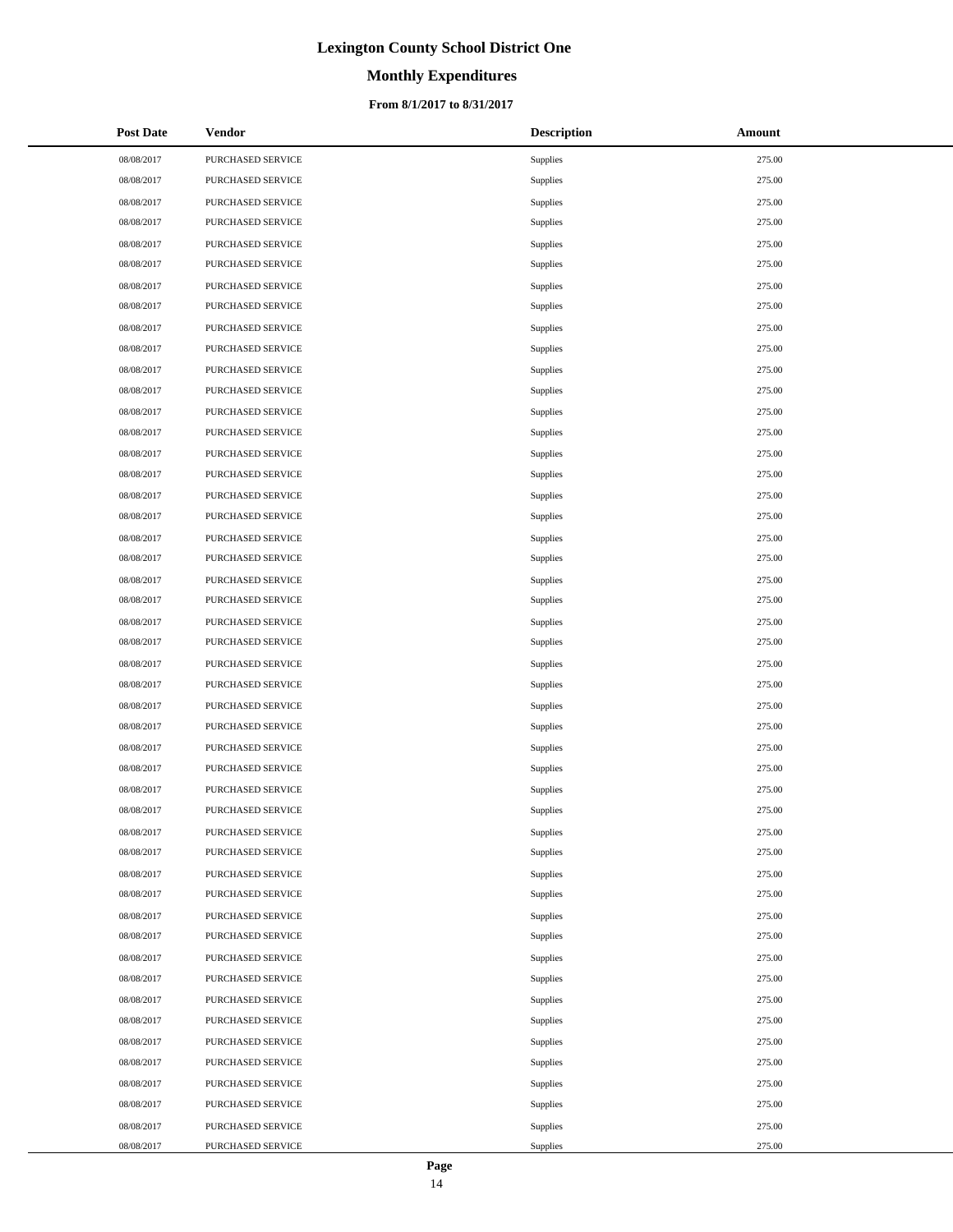# **Monthly Expenditures**

### **From 8/1/2017 to 8/31/2017**

| <b>Post Date</b> | <b>Vendor</b>     | <b>Description</b> | Amount |
|------------------|-------------------|--------------------|--------|
| 08/08/2017       | PURCHASED SERVICE | Supplies           | 275.00 |
| 08/08/2017       | PURCHASED SERVICE | Supplies           | 275.00 |
| 08/08/2017       | PURCHASED SERVICE | Supplies           | 275.00 |
| 08/08/2017       | PURCHASED SERVICE | Supplies           | 275.00 |
| 08/08/2017       | PURCHASED SERVICE | Supplies           | 275.00 |
| 08/08/2017       | PURCHASED SERVICE | Supplies           | 275.00 |
| 08/08/2017       | PURCHASED SERVICE | Supplies           | 275.00 |
| 08/08/2017       | PURCHASED SERVICE | Supplies           | 275.00 |
| 08/08/2017       | PURCHASED SERVICE | Supplies           | 275.00 |
| 08/08/2017       | PURCHASED SERVICE | Supplies           | 275.00 |
| 08/08/2017       | PURCHASED SERVICE | Supplies           | 275.00 |
| 08/08/2017       | PURCHASED SERVICE | Supplies           | 275.00 |
| 08/08/2017       | PURCHASED SERVICE | Supplies           | 275.00 |
| 08/08/2017       | PURCHASED SERVICE | Supplies           | 275.00 |
| 08/08/2017       | PURCHASED SERVICE | Supplies           | 275.00 |
| 08/08/2017       | PURCHASED SERVICE | Supplies           | 275.00 |
| 08/08/2017       | PURCHASED SERVICE | Supplies           | 275.00 |
| 08/08/2017       | PURCHASED SERVICE | Supplies           | 275.00 |
| 08/08/2017       | PURCHASED SERVICE | Supplies           | 275.00 |
| 08/08/2017       | PURCHASED SERVICE | Supplies           | 275.00 |
| 08/08/2017       | PURCHASED SERVICE | Supplies           | 275.00 |
| 08/08/2017       | PURCHASED SERVICE | Supplies           | 275.00 |
| 08/08/2017       | PURCHASED SERVICE | Supplies           | 275.00 |
| 08/08/2017       | PURCHASED SERVICE | Supplies           | 275.00 |
| 08/08/2017       | PURCHASED SERVICE | Supplies           | 275.00 |
| 08/08/2017       | PURCHASED SERVICE | Supplies           | 275.00 |
| 08/08/2017       | PURCHASED SERVICE | Supplies           | 275.00 |
| 08/08/2017       | PURCHASED SERVICE | Supplies           | 275.00 |
| 08/08/2017       | PURCHASED SERVICE | Supplies           | 275.00 |
| 08/08/2017       | PURCHASED SERVICE | Supplies           | 275.00 |
| 08/08/2017       | PURCHASED SERVICE | Supplies           | 275.00 |
| 08/08/2017       | PURCHASED SERVICE | Supplies           | 275.00 |
| 08/08/2017       | PURCHASED SERVICE | Supplies           | 275.00 |
| 08/08/2017       | PURCHASED SERVICE | Supplies           | 275.00 |
| 08/08/2017       | PURCHASED SERVICE | Supplies           | 275.00 |
| 08/08/2017       | PURCHASED SERVICE | Supplies           | 275.00 |
| 08/08/2017       | PURCHASED SERVICE | Supplies           | 275.00 |
| 08/08/2017       | PURCHASED SERVICE | Supplies           | 275.00 |
| 08/08/2017       | PURCHASED SERVICE | Supplies           | 275.00 |
| 08/08/2017       | PURCHASED SERVICE | Supplies           | 275.00 |
| 08/08/2017       | PURCHASED SERVICE | Supplies           | 275.00 |
| 08/08/2017       | PURCHASED SERVICE | Supplies           | 275.00 |
| 08/08/2017       | PURCHASED SERVICE | Supplies           | 275.00 |
| 08/08/2017       | PURCHASED SERVICE | Supplies           | 275.00 |
| 08/08/2017       | PURCHASED SERVICE | Supplies           | 275.00 |
| 08/08/2017       | PURCHASED SERVICE | Supplies           | 275.00 |
| 08/08/2017       | PURCHASED SERVICE | Supplies           | 275.00 |
| 08/08/2017       | PURCHASED SERVICE | Supplies           | 275.00 |

 $\overline{a}$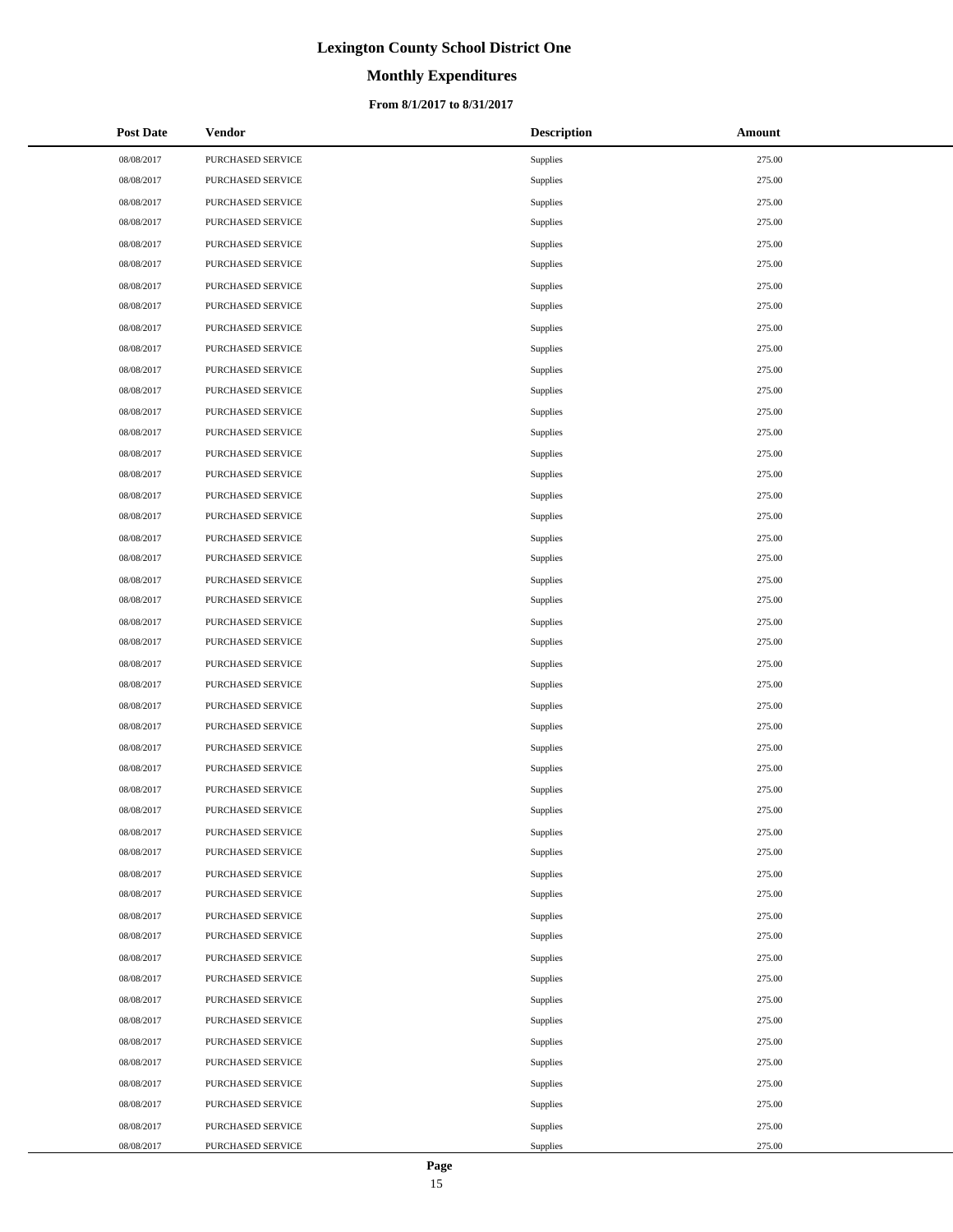# **Monthly Expenditures**

### **From 8/1/2017 to 8/31/2017**

| <b>Post Date</b> | <b>Vendor</b>     | <b>Description</b> | Amount |
|------------------|-------------------|--------------------|--------|
| 08/08/2017       | PURCHASED SERVICE | Supplies           | 275.00 |
| 08/08/2017       | PURCHASED SERVICE | Supplies           | 275.00 |
| 08/08/2017       | PURCHASED SERVICE | Supplies           | 275.00 |
| 08/08/2017       | PURCHASED SERVICE | Supplies           | 275.00 |
| 08/08/2017       | PURCHASED SERVICE | Supplies           | 275.00 |
| 08/08/2017       | PURCHASED SERVICE | Supplies           | 275.00 |
| 08/08/2017       | PURCHASED SERVICE | Supplies           | 275.00 |
| 08/08/2017       | PURCHASED SERVICE | Supplies           | 275.00 |
| 08/08/2017       | PURCHASED SERVICE | Supplies           | 275.00 |
| 08/08/2017       | PURCHASED SERVICE | Supplies           | 275.00 |
| 08/08/2017       | PURCHASED SERVICE | Supplies           | 275.00 |
| 08/08/2017       | PURCHASED SERVICE | Supplies           | 275.00 |
| 08/08/2017       | PURCHASED SERVICE | Supplies           | 275.00 |
| 08/08/2017       | PURCHASED SERVICE | Supplies           | 275.00 |
| 08/08/2017       | PURCHASED SERVICE | Supplies           | 275.00 |
| 08/08/2017       | PURCHASED SERVICE | Supplies           | 275.00 |
| 08/08/2017       | PURCHASED SERVICE | Supplies           | 275.00 |
| 08/08/2017       | PURCHASED SERVICE | Supplies           | 275.00 |
| 08/08/2017       | PURCHASED SERVICE | Supplies           | 275.00 |
| 08/08/2017       | PURCHASED SERVICE | Supplies           | 275.00 |
| 08/08/2017       | PURCHASED SERVICE | Supplies           | 275.00 |
| 08/08/2017       | PURCHASED SERVICE | Supplies           | 275.00 |
| 08/08/2017       | PURCHASED SERVICE | Supplies           | 275.00 |
| 08/08/2017       | PURCHASED SERVICE | Supplies           | 275.00 |
| 08/08/2017       | PURCHASED SERVICE | Supplies           | 275.00 |
| 08/08/2017       | PURCHASED SERVICE | Supplies           | 275.00 |
| 08/08/2017       | PURCHASED SERVICE | Supplies           | 275.00 |
| 08/08/2017       | PURCHASED SERVICE | Supplies           | 275.00 |
| 08/08/2017       | PURCHASED SERVICE | Supplies           | 275.00 |
| 08/08/2017       | PURCHASED SERVICE | Supplies           | 275.00 |
| 08/08/2017       | PURCHASED SERVICE | Supplies           | 275.00 |
| 08/08/2017       | PURCHASED SERVICE | Supplies           | 275.00 |
| 08/08/2017       | PURCHASED SERVICE | Supplies           | 275.00 |
| 08/08/2017       | PURCHASED SERVICE | Supplies           | 275.00 |
| 08/08/2017       | PURCHASED SERVICE | Supplies           | 275.00 |
| 08/08/2017       | PURCHASED SERVICE | Supplies           | 275.00 |
| 08/08/2017       | PURCHASED SERVICE | Supplies           | 275.00 |
| 08/08/2017       | PURCHASED SERVICE | Supplies           | 275.00 |
| 08/08/2017       | PURCHASED SERVICE | Supplies           | 275.00 |
| 08/08/2017       | PURCHASED SERVICE | Supplies           | 275.00 |
| 08/08/2017       | PURCHASED SERVICE | Supplies           | 275.00 |
| 08/08/2017       | PURCHASED SERVICE | Supplies           | 275.00 |
| 08/08/2017       | PURCHASED SERVICE | Supplies           | 275.00 |
| 08/08/2017       | PURCHASED SERVICE | Supplies           | 275.00 |
| 08/08/2017       | PURCHASED SERVICE | Supplies           | 275.00 |
| 08/08/2017       | PURCHASED SERVICE | Supplies           | 275.00 |
| 08/08/2017       | PURCHASED SERVICE | Supplies           | 275.00 |
| 08/08/2017       | PURCHASED SERVICE | Supplies           | 275.00 |

 $\overline{a}$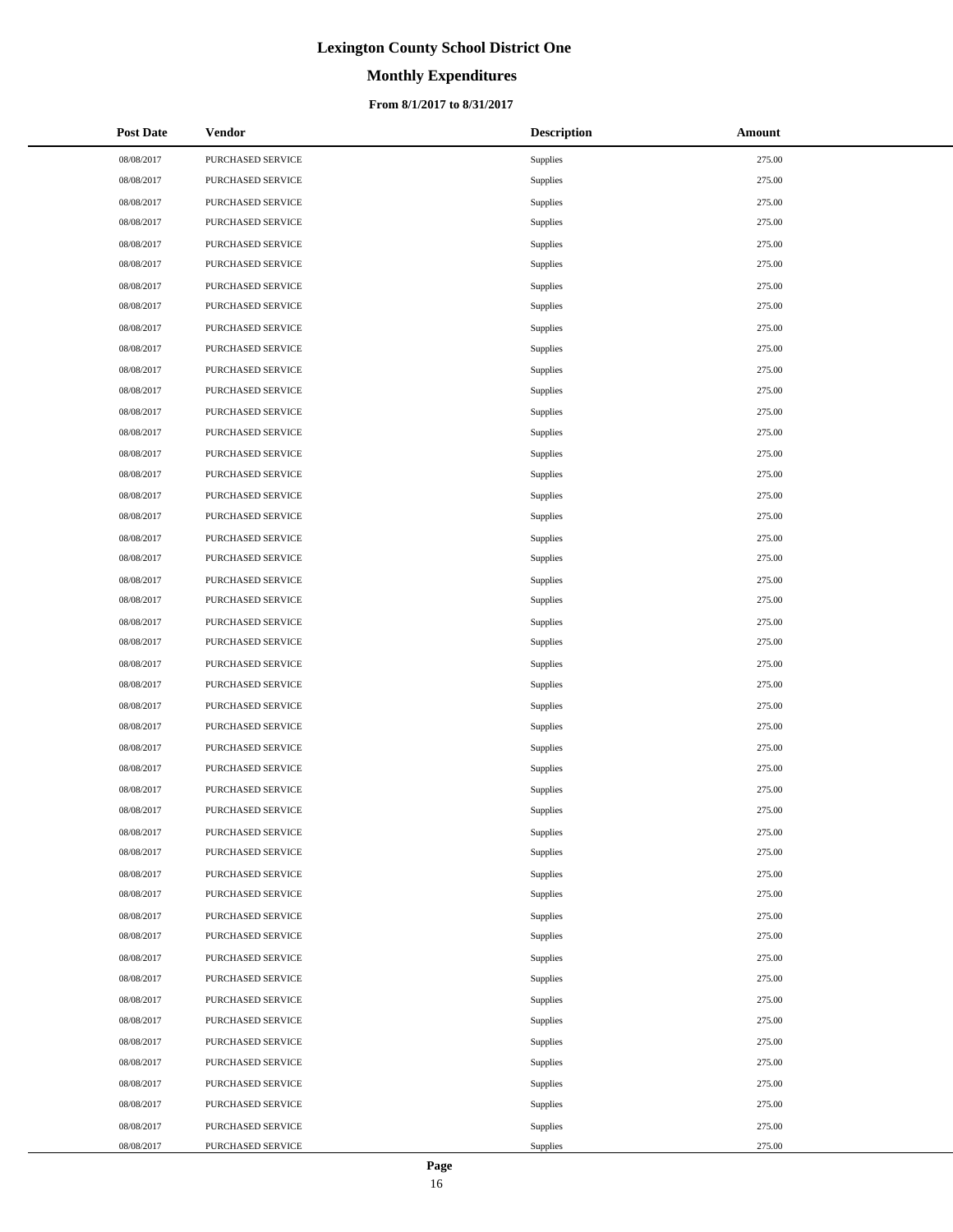# **Monthly Expenditures**

### **From 8/1/2017 to 8/31/2017**

| <b>Post Date</b> | <b>Vendor</b>     | <b>Description</b> | Amount |
|------------------|-------------------|--------------------|--------|
| 08/08/2017       | PURCHASED SERVICE | Supplies           | 275.00 |
| 08/08/2017       | PURCHASED SERVICE | Supplies           | 275.00 |
| 08/08/2017       | PURCHASED SERVICE | Supplies           | 275.00 |
| 08/08/2017       | PURCHASED SERVICE | Supplies           | 275.00 |
| 08/08/2017       | PURCHASED SERVICE | Supplies           | 275.00 |
| 08/08/2017       | PURCHASED SERVICE | Supplies           | 275.00 |
| 08/08/2017       | PURCHASED SERVICE | Supplies           | 275.00 |
| 08/08/2017       | PURCHASED SERVICE | Supplies           | 275.00 |
| 08/08/2017       | PURCHASED SERVICE | Supplies           | 275.00 |
| 08/08/2017       | PURCHASED SERVICE | Supplies           | 275.00 |
| 08/08/2017       | PURCHASED SERVICE | Supplies           | 275.00 |
| 08/08/2017       | PURCHASED SERVICE | Supplies           | 275.00 |
| 08/08/2017       | PURCHASED SERVICE | Supplies           | 275.00 |
| 08/08/2017       | PURCHASED SERVICE | Supplies           | 275.00 |
| 08/08/2017       | PURCHASED SERVICE | Supplies           | 275.00 |
| 08/08/2017       | PURCHASED SERVICE | Supplies           | 275.00 |
| 08/08/2017       | PURCHASED SERVICE | Supplies           | 275.00 |
| 08/08/2017       | PURCHASED SERVICE | Supplies           | 275.00 |
| 08/08/2017       | PURCHASED SERVICE | Supplies           | 275.00 |
| 08/08/2017       | PURCHASED SERVICE | Supplies           | 275.00 |
| 08/08/2017       | PURCHASED SERVICE | Supplies           | 275.00 |
| 08/08/2017       | PURCHASED SERVICE | Supplies           | 275.00 |
| 08/08/2017       | PURCHASED SERVICE | Supplies           | 275.00 |
| 08/08/2017       | PURCHASED SERVICE | Supplies           | 275.00 |
| 08/08/2017       | PURCHASED SERVICE | Supplies           | 275.00 |
| 08/08/2017       | PURCHASED SERVICE | Supplies           | 275.00 |
| 08/08/2017       | PURCHASED SERVICE | Supplies           | 275.00 |
| 08/08/2017       | PURCHASED SERVICE | Supplies           | 275.00 |
| 08/08/2017       | PURCHASED SERVICE | Supplies           | 275.00 |
| 08/08/2017       | PURCHASED SERVICE | Supplies           | 275.00 |
| 08/08/2017       | PURCHASED SERVICE | Supplies           | 275.00 |
| 08/08/2017       | PURCHASED SERVICE | Supplies           | 275.00 |
| 08/08/2017       | PURCHASED SERVICE | Supplies           | 275.00 |
| 08/08/2017       | PURCHASED SERVICE | Supplies           | 275.00 |
| 08/08/2017       | PURCHASED SERVICE | Supplies           | 275.00 |
| 08/08/2017       | PURCHASED SERVICE | Supplies           | 275.00 |
| 08/08/2017       | PURCHASED SERVICE | Supplies           | 275.00 |
| 08/08/2017       | PURCHASED SERVICE | Supplies           | 275.00 |
| 08/08/2017       | PURCHASED SERVICE | Supplies           | 275.00 |
| 08/08/2017       | PURCHASED SERVICE | Supplies           | 275.00 |
| 08/08/2017       | PURCHASED SERVICE | Supplies           | 275.00 |
| 08/08/2017       | PURCHASED SERVICE | Supplies           | 275.00 |
| 08/08/2017       | PURCHASED SERVICE | Supplies           | 275.00 |
| 08/08/2017       | PURCHASED SERVICE | Supplies           | 275.00 |
| 08/08/2017       | PURCHASED SERVICE | Supplies           | 275.00 |
| 08/08/2017       | PURCHASED SERVICE | Supplies           | 275.00 |
| 08/08/2017       | PURCHASED SERVICE | Supplies           | 275.00 |
| 08/08/2017       | PURCHASED SERVICE | Supplies           | 275.00 |

 $\overline{a}$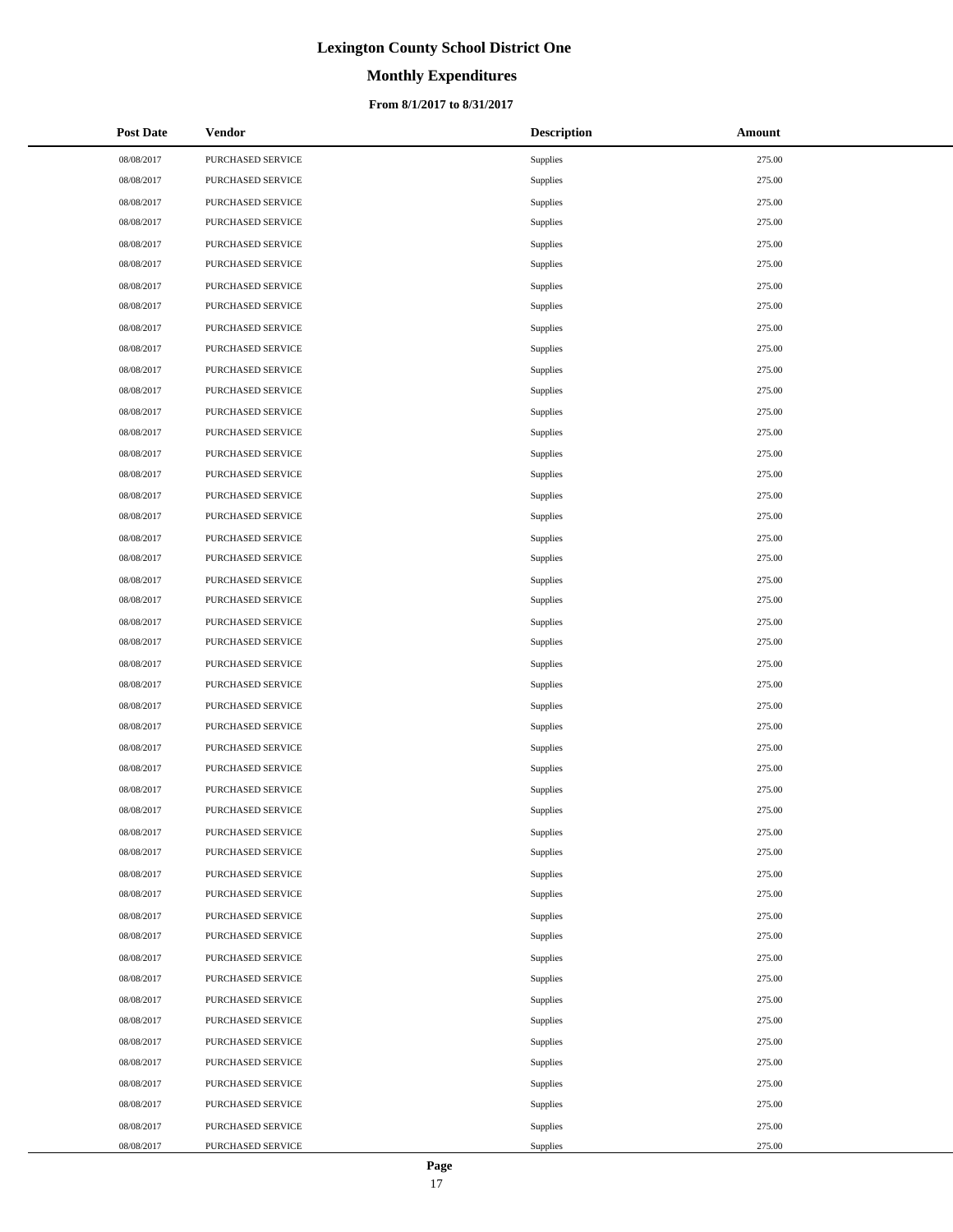# **Monthly Expenditures**

### **From 8/1/2017 to 8/31/2017**

| <b>Post Date</b> | Vendor            | <b>Description</b> | Amount |
|------------------|-------------------|--------------------|--------|
| 08/08/2017       | PURCHASED SERVICE | Supplies           | 275.00 |
| 08/08/2017       | PURCHASED SERVICE | Supplies           | 275.00 |
| 08/08/2017       | PURCHASED SERVICE | Supplies           | 275.00 |
| 08/08/2017       | PURCHASED SERVICE | Supplies           | 275.00 |
| 08/08/2017       | PURCHASED SERVICE | <b>Supplies</b>    | 275.00 |
| 08/08/2017       | PURCHASED SERVICE | Supplies           | 275.00 |
| 08/08/2017       | PURCHASED SERVICE | Supplies           | 275.00 |
| 08/08/2017       | PURCHASED SERVICE | Supplies           | 275.00 |
| 08/08/2017       | PURCHASED SERVICE | <b>Supplies</b>    | 275.00 |
| 08/08/2017       | PURCHASED SERVICE | Supplies           | 275.00 |
| 08/08/2017       | PURCHASED SERVICE | Supplies           | 275.00 |
| 08/08/2017       | PURCHASED SERVICE | Supplies           | 275.00 |
| 08/08/2017       | PURCHASED SERVICE | <b>Supplies</b>    | 275.00 |
| 08/08/2017       | PURCHASED SERVICE | Supplies           | 275.00 |
| 08/08/2017       | PURCHASED SERVICE | Supplies           | 275.00 |
| 08/08/2017       | PURCHASED SERVICE | Supplies           | 275.00 |
| 08/08/2017       | PURCHASED SERVICE | Supplies           | 275.00 |
| 08/08/2017       | PURCHASED SERVICE | Supplies           | 275.00 |
| 08/08/2017       | PURCHASED SERVICE | Supplies           | 275.00 |
| 08/08/2017       | PURCHASED SERVICE | Supplies           | 275.00 |
| 08/08/2017       | PURCHASED SERVICE | <b>Supplies</b>    | 275.00 |
| 08/08/2017       | PURCHASED SERVICE | Supplies           | 275.00 |
| 08/08/2017       | PURCHASED SERVICE | Supplies           | 275.00 |
| 08/08/2017       | PURCHASED SERVICE | Supplies           | 275.00 |
| 08/08/2017       | PURCHASED SERVICE | <b>Supplies</b>    | 275.00 |
| 08/08/2017       | PURCHASED SERVICE | Supplies           | 275.00 |
| 08/08/2017       | PURCHASED SERVICE | Supplies           | 275.00 |
| 08/08/2017       | PURCHASED SERVICE | Supplies           | 275.00 |
| 08/08/2017       | PURCHASED SERVICE | <b>Supplies</b>    | 275.00 |
| 08/08/2017       | PURCHASED SERVICE | Supplies           | 275.00 |
| 08/08/2017       | PURCHASED SERVICE | Supplies           | 275.00 |
| 08/08/2017       | PURCHASED SERVICE | Supplies           | 275.00 |
| 08/08/2017       | PURCHASED SERVICE | Supplies           | 275.00 |
| 08/08/2017       | PURCHASED SERVICE | Supplies           | 275.00 |
| 08/08/2017       | PURCHASED SERVICE | Supplies           | 275.00 |
| 08/08/2017       | PURCHASED SERVICE | Supplies           | 275.00 |
| 08/08/2017       | PURCHASED SERVICE | Supplies           | 275.00 |
| 08/08/2017       | PURCHASED SERVICE | Supplies           | 275.00 |
| 08/08/2017       | PURCHASED SERVICE | Supplies           | 275.00 |
| 08/08/2017       | PURCHASED SERVICE | Supplies           | 275.00 |
| 08/08/2017       | PURCHASED SERVICE | Supplies           | 275.00 |
| 08/08/2017       | PURCHASED SERVICE | Supplies           | 275.00 |
| 08/08/2017       | PURCHASED SERVICE | Supplies           | 275.00 |
| 08/08/2017       | PURCHASED SERVICE | Supplies           | 275.00 |
| 08/08/2017       | PURCHASED SERVICE | Supplies           | 275.00 |
| 08/08/2017       | PURCHASED SERVICE | Supplies           | 275.00 |
| 08/08/2017       | PURCHASED SERVICE | Supplies           | 275.00 |
| 08/08/2017       | PURCHASED SERVICE | Supplies           | 275.00 |

 $\overline{a}$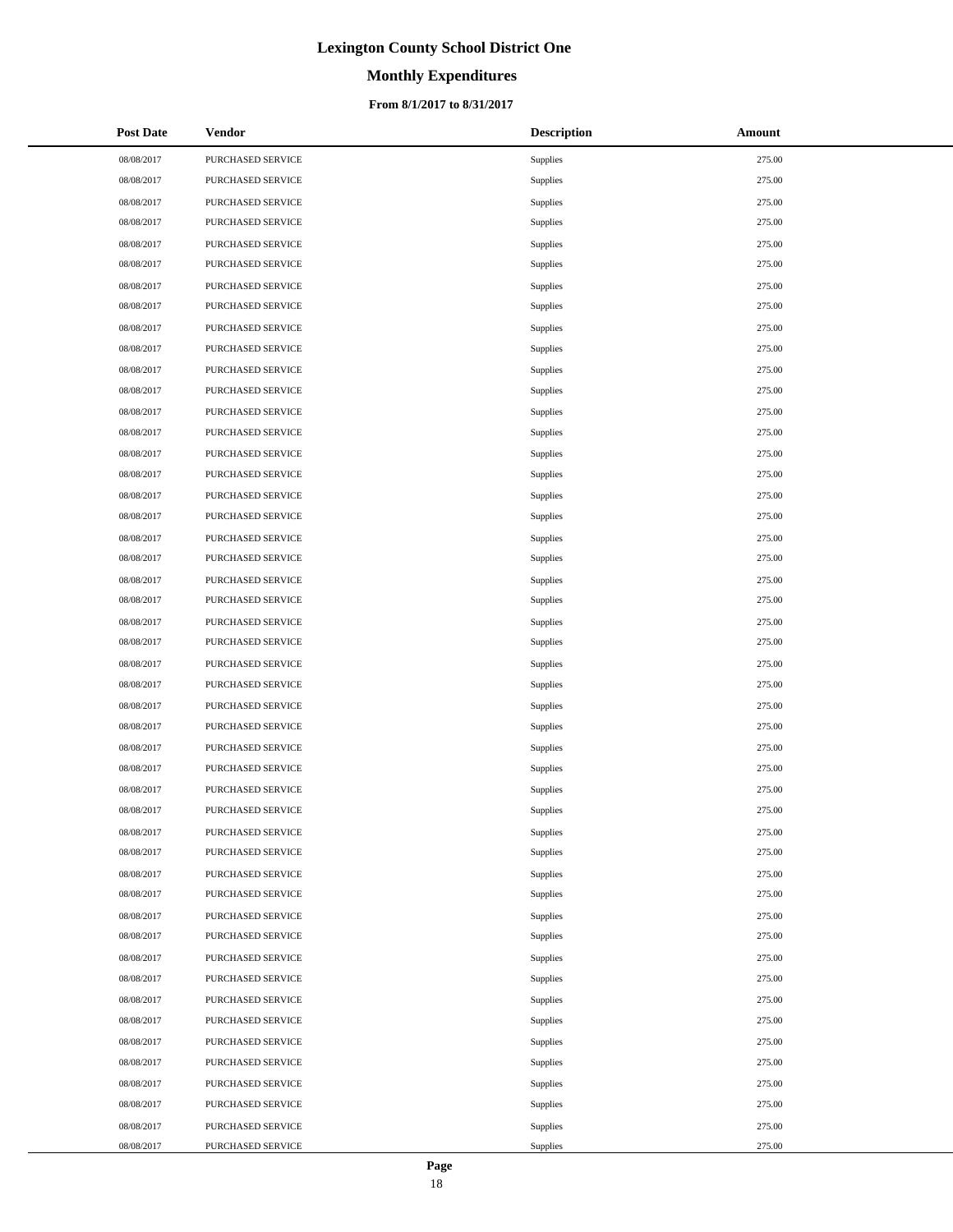# **Monthly Expenditures**

### **From 8/1/2017 to 8/31/2017**

| <b>Post Date</b> | <b>Vendor</b>     | <b>Description</b> | Amount |
|------------------|-------------------|--------------------|--------|
| 08/08/2017       | PURCHASED SERVICE | Supplies           | 275.00 |
| 08/08/2017       | PURCHASED SERVICE | Supplies           | 275.00 |
| 08/08/2017       | PURCHASED SERVICE | Supplies           | 275.00 |
| 08/08/2017       | PURCHASED SERVICE | Supplies           | 275.00 |
| 08/08/2017       | PURCHASED SERVICE | Supplies           | 275.00 |
| 08/08/2017       | PURCHASED SERVICE | Supplies           | 275.00 |
| 08/08/2017       | PURCHASED SERVICE | Supplies           | 275.00 |
| 08/08/2017       | PURCHASED SERVICE | Supplies           | 275.00 |
| 08/08/2017       | PURCHASED SERVICE | Supplies           | 275.00 |
| 08/08/2017       | PURCHASED SERVICE | Supplies           | 275.00 |
| 08/08/2017       | PURCHASED SERVICE | Supplies           | 275.00 |
| 08/08/2017       | PURCHASED SERVICE | Supplies           | 275.00 |
| 08/08/2017       | PURCHASED SERVICE | Supplies           | 275.00 |
| 08/08/2017       | PURCHASED SERVICE | Supplies           | 275.00 |
| 08/08/2017       | PURCHASED SERVICE | Supplies           | 275.00 |
| 08/08/2017       | PURCHASED SERVICE | Supplies           | 275.00 |
| 08/08/2017       | PURCHASED SERVICE | Supplies           | 275.00 |
| 08/08/2017       | PURCHASED SERVICE | Supplies           | 275.00 |
| 08/08/2017       | PURCHASED SERVICE | Supplies           | 275.00 |
| 08/08/2017       | PURCHASED SERVICE | Supplies           | 275.00 |
| 08/08/2017       | PURCHASED SERVICE | Supplies           | 275.00 |
| 08/08/2017       | PURCHASED SERVICE | Supplies           | 275.00 |
| 08/08/2017       | PURCHASED SERVICE | Supplies           | 275.00 |
| 08/08/2017       | PURCHASED SERVICE | Supplies           | 275.00 |
| 08/08/2017       | PURCHASED SERVICE | Supplies           | 275.00 |
| 08/08/2017       | PURCHASED SERVICE | Supplies           | 275.00 |
| 08/08/2017       | PURCHASED SERVICE | Supplies           | 275.00 |
| 08/08/2017       | PURCHASED SERVICE | Supplies           | 275.00 |
| 08/08/2017       | PURCHASED SERVICE | Supplies           | 275.00 |
| 08/08/2017       | PURCHASED SERVICE | Supplies           | 275.00 |
| 08/08/2017       | PURCHASED SERVICE | Supplies           | 275.00 |
| 08/08/2017       | PURCHASED SERVICE | Supplies           | 275.00 |
| 08/08/2017       | PURCHASED SERVICE | Supplies           | 275.00 |
| 08/08/2017       | PURCHASED SERVICE | Supplies           | 275.00 |
| 08/08/2017       | PURCHASED SERVICE | Supplies           | 275.00 |
| 08/08/2017       | PURCHASED SERVICE | Supplies           | 275.00 |
| 08/08/2017       | PURCHASED SERVICE | Supplies           | 275.00 |
| 08/08/2017       | PURCHASED SERVICE | Supplies           | 275.00 |
| 08/08/2017       | PURCHASED SERVICE | Supplies           | 275.00 |
| 08/08/2017       | PURCHASED SERVICE | Supplies           | 275.00 |
| 08/08/2017       | PURCHASED SERVICE | Supplies           | 275.00 |
| 08/08/2017       | PURCHASED SERVICE | Supplies           | 275.00 |
| 08/08/2017       | PURCHASED SERVICE | Supplies           | 275.00 |
| 08/08/2017       | PURCHASED SERVICE | Supplies           | 275.00 |
| 08/08/2017       | PURCHASED SERVICE | Supplies           | 275.00 |
| 08/08/2017       | PURCHASED SERVICE | Supplies           | 275.00 |
| 08/08/2017       | PURCHASED SERVICE | Supplies           | 275.00 |
| 08/08/2017       | PURCHASED SERVICE | Supplies           | 275.00 |

 $\overline{a}$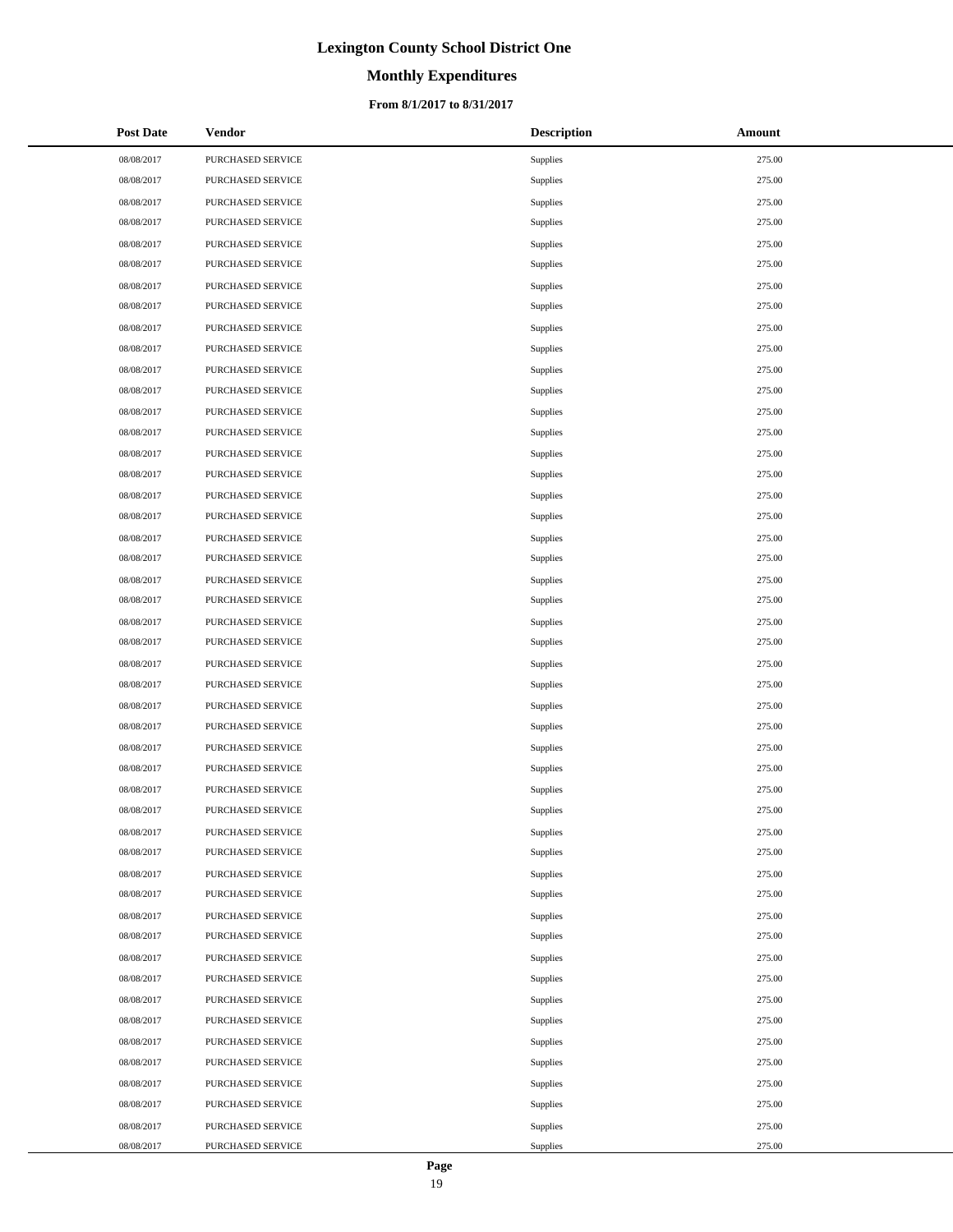# **Monthly Expenditures**

### **From 8/1/2017 to 8/31/2017**

| <b>Post Date</b> | <b>Vendor</b>     | <b>Description</b> | Amount |
|------------------|-------------------|--------------------|--------|
| 08/08/2017       | PURCHASED SERVICE | Supplies           | 275.00 |
| 08/08/2017       | PURCHASED SERVICE | Supplies           | 275.00 |
| 08/08/2017       | PURCHASED SERVICE | Supplies           | 275.00 |
| 08/08/2017       | PURCHASED SERVICE | Supplies           | 275.00 |
| 08/08/2017       | PURCHASED SERVICE | Supplies           | 275.00 |
| 08/08/2017       | PURCHASED SERVICE | Supplies           | 275.00 |
| 08/08/2017       | PURCHASED SERVICE | Supplies           | 275.00 |
| 08/08/2017       | PURCHASED SERVICE | Supplies           | 275.00 |
| 08/08/2017       | PURCHASED SERVICE | Supplies           | 275.00 |
| 08/08/2017       | PURCHASED SERVICE | Supplies           | 275.00 |
| 08/08/2017       | PURCHASED SERVICE | Supplies           | 275.00 |
| 08/08/2017       | PURCHASED SERVICE | Supplies           | 275.00 |
| 08/08/2017       | PURCHASED SERVICE | Supplies           | 275.00 |
| 08/08/2017       | PURCHASED SERVICE | Supplies           | 275.00 |
| 08/08/2017       | PURCHASED SERVICE | Supplies           | 275.00 |
| 08/08/2017       | PURCHASED SERVICE | Supplies           | 275.00 |
| 08/08/2017       | PURCHASED SERVICE | Supplies           | 275.00 |
| 08/08/2017       | PURCHASED SERVICE | Supplies           | 275.00 |
| 08/08/2017       | PURCHASED SERVICE | Supplies           | 275.00 |
| 08/08/2017       | PURCHASED SERVICE | Supplies           | 275.00 |
| 08/08/2017       | PURCHASED SERVICE | Supplies           | 275.00 |
| 08/08/2017       | PURCHASED SERVICE | Supplies           | 275.00 |
| 08/08/2017       | PURCHASED SERVICE | Supplies           | 275.00 |
| 08/08/2017       | PURCHASED SERVICE | Supplies           | 275.00 |
| 08/08/2017       | PURCHASED SERVICE | Supplies           | 275.00 |
| 08/08/2017       | PURCHASED SERVICE | Supplies           | 275.00 |
| 08/08/2017       | PURCHASED SERVICE | Supplies           | 275.00 |
| 08/08/2017       | PURCHASED SERVICE | Supplies           | 275.00 |
| 08/08/2017       | PURCHASED SERVICE | Supplies           | 275.00 |
| 08/08/2017       | PURCHASED SERVICE | Supplies           | 275.00 |
| 08/08/2017       | PURCHASED SERVICE | Supplies           | 275.00 |
| 08/08/2017       | PURCHASED SERVICE | Supplies           | 275.00 |
| 08/08/2017       | PURCHASED SERVICE | Supplies           | 275.00 |
| 08/08/2017       | PURCHASED SERVICE | Supplies           | 275.00 |
| 08/08/2017       | PURCHASED SERVICE | Supplies           | 275.00 |
| 08/08/2017       | PURCHASED SERVICE | Supplies           | 275.00 |
| 08/08/2017       | PURCHASED SERVICE | Supplies           | 275.00 |
| 08/08/2017       | PURCHASED SERVICE | Supplies           | 275.00 |
| 08/08/2017       | PURCHASED SERVICE | Supplies           | 275.00 |
| 08/08/2017       | PURCHASED SERVICE | Supplies           | 275.00 |
| 08/08/2017       | PURCHASED SERVICE | Supplies           | 275.00 |
| 08/08/2017       | PURCHASED SERVICE | Supplies           | 275.00 |
| 08/08/2017       | PURCHASED SERVICE | Supplies           | 275.00 |
| 08/08/2017       | PURCHASED SERVICE | Supplies           | 275.00 |
| 08/08/2017       | PURCHASED SERVICE | Supplies           | 275.00 |
| 08/08/2017       | PURCHASED SERVICE | Supplies           | 275.00 |
| 08/08/2017       | PURCHASED SERVICE | Supplies           | 275.00 |
| 08/08/2017       | PURCHASED SERVICE | Supplies           | 275.00 |

 $\overline{a}$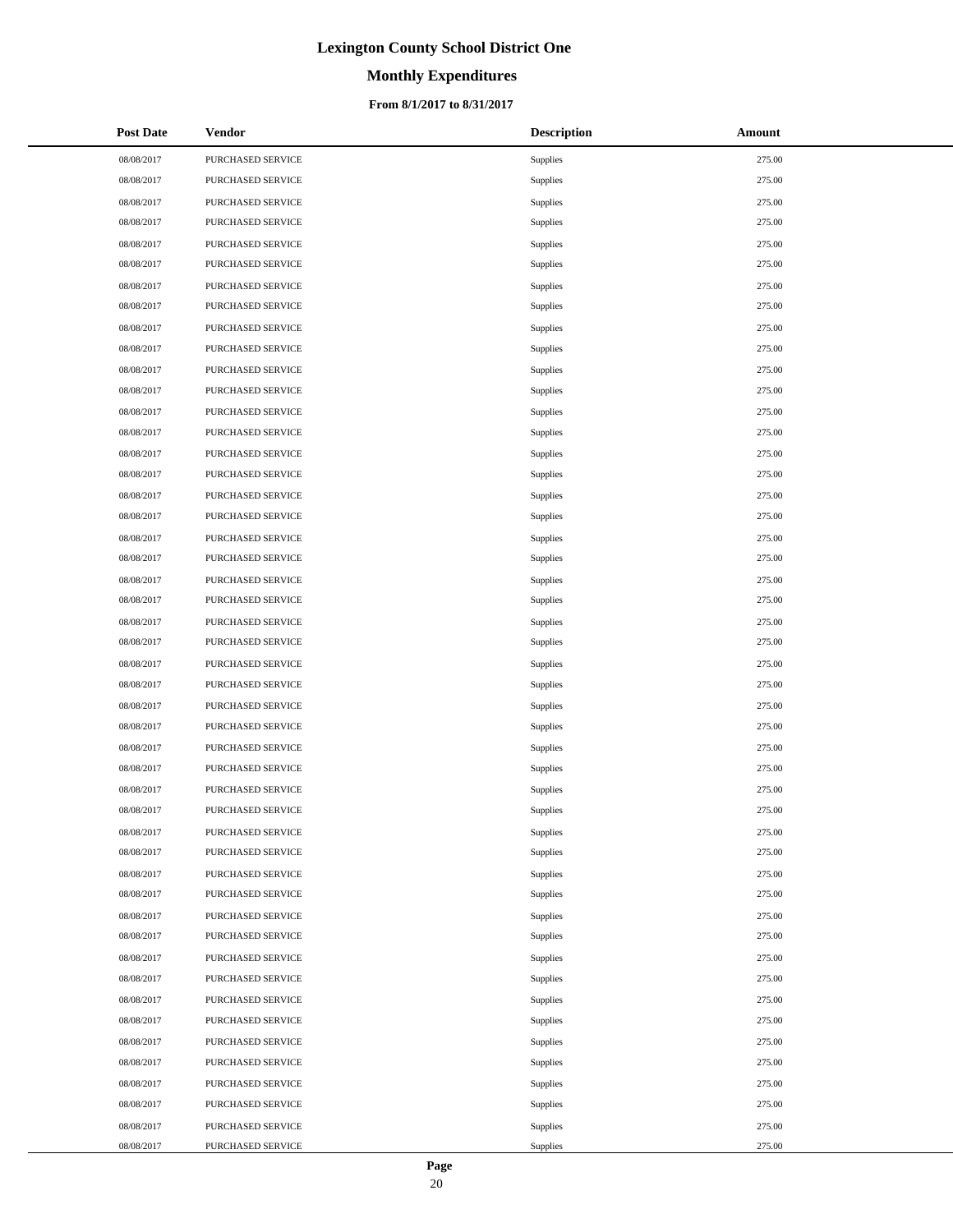# **Monthly Expenditures**

### **From 8/1/2017 to 8/31/2017**

| <b>Post Date</b> | <b>Vendor</b>     | <b>Description</b> | Amount |
|------------------|-------------------|--------------------|--------|
| 08/08/2017       | PURCHASED SERVICE | Supplies           | 275.00 |
| 08/08/2017       | PURCHASED SERVICE | Supplies           | 275.00 |
| 08/08/2017       | PURCHASED SERVICE | Supplies           | 275.00 |
| 08/08/2017       | PURCHASED SERVICE | Supplies           | 275.00 |
| 08/08/2017       | PURCHASED SERVICE | Supplies           | 275.00 |
| 08/08/2017       | PURCHASED SERVICE | Supplies           | 275.00 |
| 08/08/2017       | PURCHASED SERVICE | Supplies           | 275.00 |
| 08/08/2017       | PURCHASED SERVICE | Supplies           | 275.00 |
| 08/08/2017       | PURCHASED SERVICE | Supplies           | 275.00 |
| 08/08/2017       | PURCHASED SERVICE | Supplies           | 275.00 |
| 08/08/2017       | PURCHASED SERVICE | Supplies           | 275.00 |
| 08/08/2017       | PURCHASED SERVICE | Supplies           | 275.00 |
| 08/08/2017       | PURCHASED SERVICE | Supplies           | 275.00 |
| 08/08/2017       | PURCHASED SERVICE | Supplies           | 275.00 |
| 08/08/2017       | PURCHASED SERVICE | Supplies           | 275.00 |
| 08/08/2017       | PURCHASED SERVICE | Supplies           | 275.00 |
| 08/08/2017       | PURCHASED SERVICE | Supplies           | 275.00 |
| 08/08/2017       | PURCHASED SERVICE | Supplies           | 275.00 |
| 08/08/2017       | PURCHASED SERVICE | Supplies           | 275.00 |
| 08/08/2017       | PURCHASED SERVICE | Supplies           | 275.00 |
| 08/08/2017       | PURCHASED SERVICE | Supplies           | 275.00 |
| 08/08/2017       | PURCHASED SERVICE | Supplies           | 275.00 |
| 08/08/2017       | PURCHASED SERVICE | Supplies           | 275.00 |
| 08/08/2017       | PURCHASED SERVICE | Supplies           | 275.00 |
| 08/08/2017       | PURCHASED SERVICE | Supplies           | 275.00 |
| 08/08/2017       | PURCHASED SERVICE | Supplies           | 275.00 |
| 08/08/2017       | PURCHASED SERVICE | Supplies           | 275.00 |
| 08/08/2017       | PURCHASED SERVICE | Supplies           | 275.00 |
| 08/08/2017       | PURCHASED SERVICE | Supplies           | 275.00 |
| 08/08/2017       | PURCHASED SERVICE | Supplies           | 275.00 |
| 08/08/2017       | PURCHASED SERVICE | Supplies           | 275.00 |
| 08/08/2017       | PURCHASED SERVICE | Supplies           | 275.00 |
| 08/08/2017       | PURCHASED SERVICE | Supplies           | 275.00 |
| 08/08/2017       | PURCHASED SERVICE | Supplies           | 275.00 |
| 08/08/2017       | PURCHASED SERVICE | Supplies           | 275.00 |
| 08/08/2017       | PURCHASED SERVICE | Supplies           | 275.00 |
| 08/08/2017       | PURCHASED SERVICE | Supplies           | 275.00 |
| 08/08/2017       | PURCHASED SERVICE | Supplies           | 275.00 |
| 08/08/2017       | PURCHASED SERVICE | Supplies           | 275.00 |
| 08/08/2017       | PURCHASED SERVICE | Supplies           | 275.00 |
| 08/08/2017       | PURCHASED SERVICE | Supplies           | 275.00 |
| 08/08/2017       | PURCHASED SERVICE | Supplies           | 275.00 |
| 08/08/2017       | PURCHASED SERVICE | Supplies           | 275.00 |
| 08/08/2017       | PURCHASED SERVICE | Supplies           | 275.00 |
| 08/08/2017       | PURCHASED SERVICE | Supplies           | 275.00 |
| 08/08/2017       | PURCHASED SERVICE | Supplies           | 275.00 |
| 08/08/2017       | PURCHASED SERVICE | Supplies           | 275.00 |
| 08/08/2017       | PURCHASED SERVICE | Supplies           | 275.00 |

 $\overline{a}$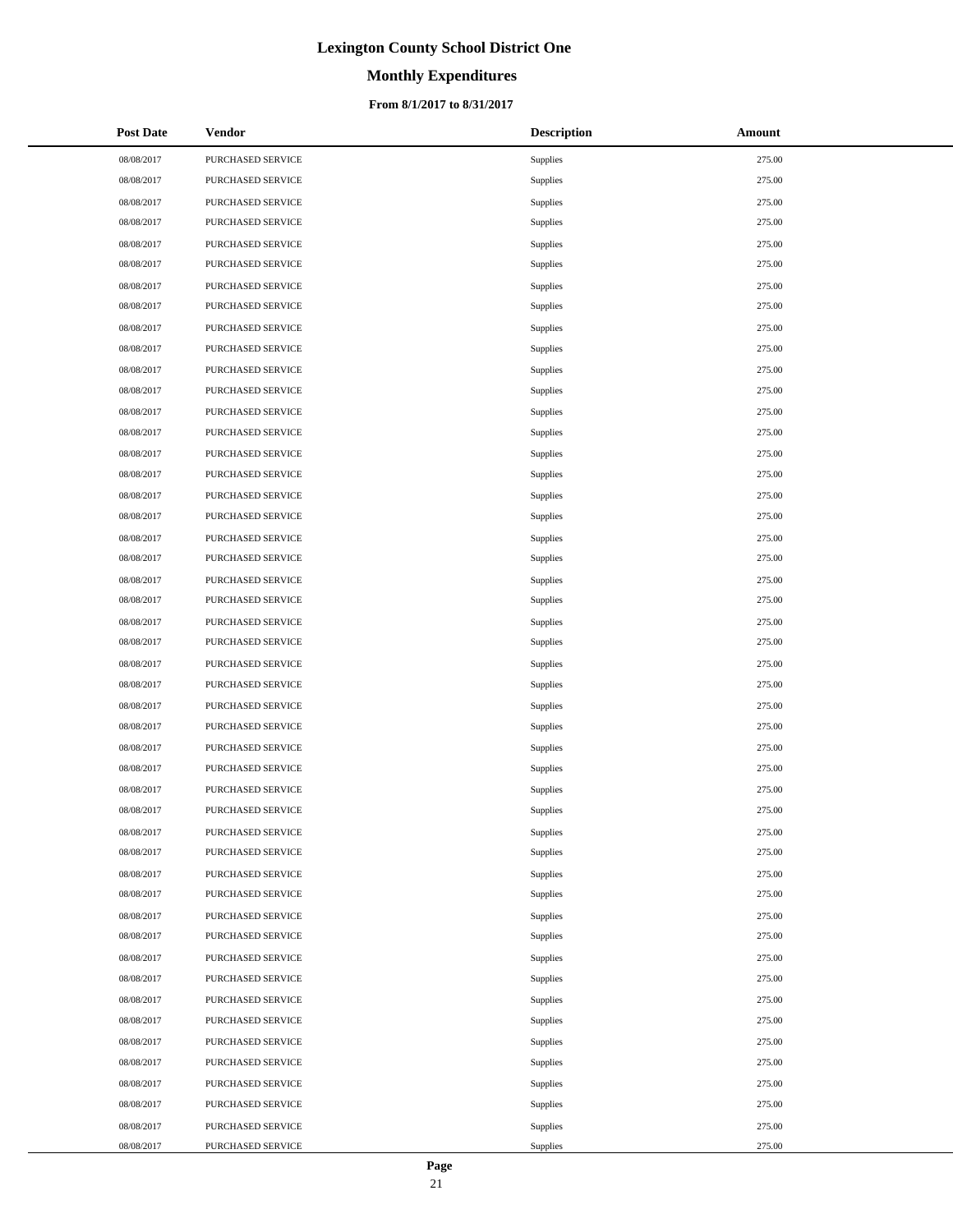# **Monthly Expenditures**

### **From 8/1/2017 to 8/31/2017**

| <b>Post Date</b> | <b>Vendor</b>     | <b>Description</b> | Amount |
|------------------|-------------------|--------------------|--------|
| 08/08/2017       | PURCHASED SERVICE | Supplies           | 275.00 |
| 08/08/2017       | PURCHASED SERVICE | Supplies           | 275.00 |
| 08/08/2017       | PURCHASED SERVICE | Supplies           | 275.00 |
| 08/08/2017       | PURCHASED SERVICE | Supplies           | 275.00 |
| 08/08/2017       | PURCHASED SERVICE | Supplies           | 275.00 |
| 08/08/2017       | PURCHASED SERVICE | Supplies           | 275.00 |
| 08/08/2017       | PURCHASED SERVICE | Supplies           | 275.00 |
| 08/08/2017       | PURCHASED SERVICE | Supplies           | 275.00 |
| 08/08/2017       | PURCHASED SERVICE | Supplies           | 275.00 |
| 08/08/2017       | PURCHASED SERVICE | Supplies           | 275.00 |
| 08/08/2017       | PURCHASED SERVICE | Supplies           | 275.00 |
| 08/08/2017       | PURCHASED SERVICE | Supplies           | 275.00 |
| 08/08/2017       | PURCHASED SERVICE | Supplies           | 275.00 |
| 08/08/2017       | PURCHASED SERVICE | Supplies           | 275.00 |
| 08/08/2017       | PURCHASED SERVICE | Supplies           | 275.00 |
| 08/08/2017       | PURCHASED SERVICE | Supplies           | 275.00 |
| 08/08/2017       | PURCHASED SERVICE | Supplies           | 275.00 |
| 08/08/2017       | PURCHASED SERVICE | Supplies           | 275.00 |
| 08/08/2017       | PURCHASED SERVICE | Supplies           | 275.00 |
| 08/08/2017       | PURCHASED SERVICE | Supplies           | 275.00 |
| 08/08/2017       | PURCHASED SERVICE | Supplies           | 275.00 |
| 08/08/2017       | PURCHASED SERVICE | Supplies           | 275.00 |
| 08/08/2017       | PURCHASED SERVICE | Supplies           | 275.00 |
| 08/08/2017       | PURCHASED SERVICE | Supplies           | 275.00 |
| 08/08/2017       | PURCHASED SERVICE | Supplies           | 275.00 |
| 08/08/2017       | PURCHASED SERVICE | Supplies           | 275.00 |
| 08/08/2017       | PURCHASED SERVICE | Supplies           | 275.00 |
| 08/08/2017       | PURCHASED SERVICE | Supplies           | 275.00 |
| 08/08/2017       | PURCHASED SERVICE | Supplies           | 275.00 |
| 08/08/2017       | PURCHASED SERVICE | Supplies           | 275.00 |
| 08/08/2017       | PURCHASED SERVICE | Supplies           | 275.00 |
| 08/08/2017       | PURCHASED SERVICE | Supplies           | 275.00 |
| 08/08/2017       | PURCHASED SERVICE | Supplies           | 275.00 |
| 08/08/2017       | PURCHASED SERVICE | Supplies           | 275.00 |
| 08/08/2017       | PURCHASED SERVICE | Supplies           | 275.00 |
| 08/08/2017       | PURCHASED SERVICE | Supplies           | 275.00 |
| 08/08/2017       | PURCHASED SERVICE | Supplies           | 275.00 |
| 08/08/2017       | PURCHASED SERVICE | Supplies           | 275.00 |
| 08/08/2017       | PURCHASED SERVICE | Supplies           | 275.00 |
| 08/08/2017       | PURCHASED SERVICE | Supplies           | 275.00 |
| 08/08/2017       | PURCHASED SERVICE | Supplies           | 275.00 |
| 08/08/2017       | PURCHASED SERVICE | Supplies           | 275.00 |
| 08/08/2017       | PURCHASED SERVICE | Supplies           | 275.00 |
| 08/08/2017       | PURCHASED SERVICE | Supplies           | 275.00 |
| 08/08/2017       | PURCHASED SERVICE | Supplies           | 275.00 |
| 08/08/2017       | PURCHASED SERVICE | Supplies           | 275.00 |
| 08/08/2017       | PURCHASED SERVICE | Supplies           | 275.00 |
| 08/08/2017       | PURCHASED SERVICE | Supplies           | 275.00 |

 $\overline{a}$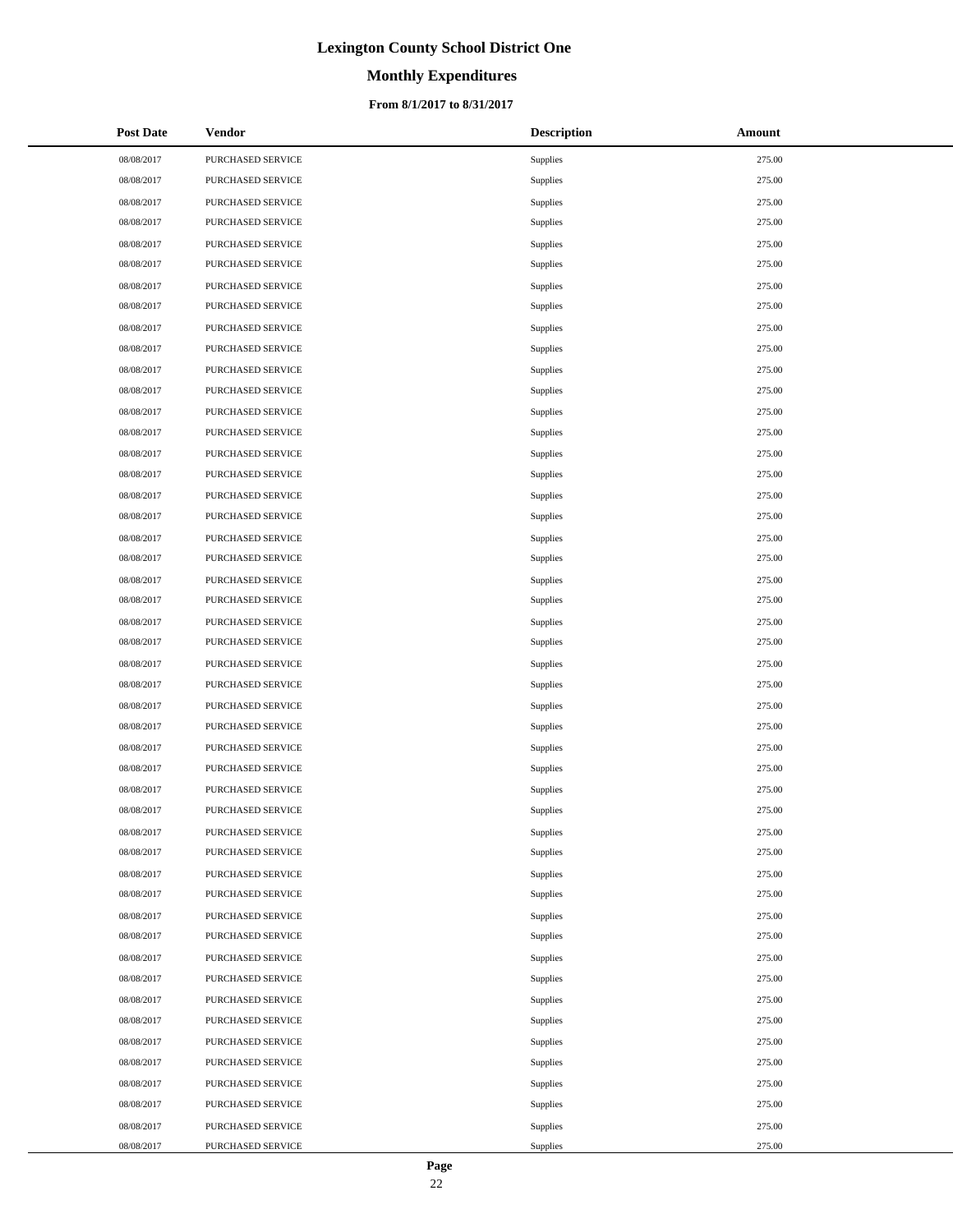# **Monthly Expenditures**

### **From 8/1/2017 to 8/31/2017**

| <b>Post Date</b> | <b>Vendor</b>     | <b>Description</b> | Amount |
|------------------|-------------------|--------------------|--------|
| 08/08/2017       | PURCHASED SERVICE | Supplies           | 275.00 |
| 08/08/2017       | PURCHASED SERVICE | Supplies           | 275.00 |
| 08/08/2017       | PURCHASED SERVICE | Supplies           | 275.00 |
| 08/08/2017       | PURCHASED SERVICE | Supplies           | 275.00 |
| 08/08/2017       | PURCHASED SERVICE | Supplies           | 275.00 |
| 08/08/2017       | PURCHASED SERVICE | Supplies           | 275.00 |
| 08/08/2017       | PURCHASED SERVICE | Supplies           | 275.00 |
| 08/08/2017       | PURCHASED SERVICE | Supplies           | 275.00 |
| 08/08/2017       | PURCHASED SERVICE | Supplies           | 275.00 |
| 08/08/2017       | PURCHASED SERVICE | Supplies           | 275.00 |
| 08/08/2017       | PURCHASED SERVICE | Supplies           | 275.00 |
| 08/08/2017       | PURCHASED SERVICE | Supplies           | 275.00 |
| 08/08/2017       | PURCHASED SERVICE | Supplies           | 275.00 |
| 08/08/2017       | PURCHASED SERVICE | Supplies           | 275.00 |
| 08/08/2017       | PURCHASED SERVICE | Supplies           | 275.00 |
| 08/08/2017       | PURCHASED SERVICE | Supplies           | 275.00 |
| 08/08/2017       | PURCHASED SERVICE | Supplies           | 275.00 |
| 08/08/2017       | PURCHASED SERVICE | Supplies           | 275.00 |
| 08/08/2017       | PURCHASED SERVICE | Supplies           | 275.00 |
| 08/08/2017       | PURCHASED SERVICE | Supplies           | 275.00 |
| 08/08/2017       | PURCHASED SERVICE | Supplies           | 275.00 |
| 08/08/2017       | PURCHASED SERVICE | Supplies           | 275.00 |
| 08/08/2017       | PURCHASED SERVICE | Supplies           | 275.00 |
| 08/08/2017       | PURCHASED SERVICE | Supplies           | 275.00 |
| 08/08/2017       | PURCHASED SERVICE | Supplies           | 275.00 |
| 08/08/2017       | PURCHASED SERVICE | Supplies           | 275.00 |
| 08/08/2017       | PURCHASED SERVICE | Supplies           | 275.00 |
| 08/08/2017       | PURCHASED SERVICE | Supplies           | 275.00 |
| 08/08/2017       | PURCHASED SERVICE | Supplies           | 275.00 |
| 08/08/2017       | PURCHASED SERVICE | Supplies           | 275.00 |
| 08/08/2017       | PURCHASED SERVICE | Supplies           | 275.00 |
| 08/08/2017       | PURCHASED SERVICE | Supplies           | 275.00 |
| 08/08/2017       | PURCHASED SERVICE | Supplies           | 275.00 |
| 08/08/2017       | PURCHASED SERVICE | Supplies           | 275.00 |
| 08/08/2017       | PURCHASED SERVICE | Supplies           | 275.00 |
| 08/08/2017       | PURCHASED SERVICE | Supplies           | 275.00 |
| 08/08/2017       | PURCHASED SERVICE | Supplies           | 275.00 |
| 08/08/2017       | PURCHASED SERVICE | Supplies           | 275.00 |
| 08/08/2017       | PURCHASED SERVICE | Supplies           | 275.00 |
| 08/08/2017       | PURCHASED SERVICE | Supplies           | 275.00 |
| 08/08/2017       | PURCHASED SERVICE | Supplies           | 275.00 |
| 08/08/2017       | PURCHASED SERVICE | Supplies           | 275.00 |
| 08/08/2017       | PURCHASED SERVICE | Supplies           | 275.00 |
| 08/08/2017       | PURCHASED SERVICE | Supplies           | 275.00 |
| 08/08/2017       | PURCHASED SERVICE | Supplies           | 275.00 |
| 08/08/2017       | PURCHASED SERVICE | Supplies           | 275.00 |
| 08/08/2017       | PURCHASED SERVICE | Supplies           | 275.00 |
| 08/08/2017       | PURCHASED SERVICE | Supplies           | 275.00 |

 $\overline{a}$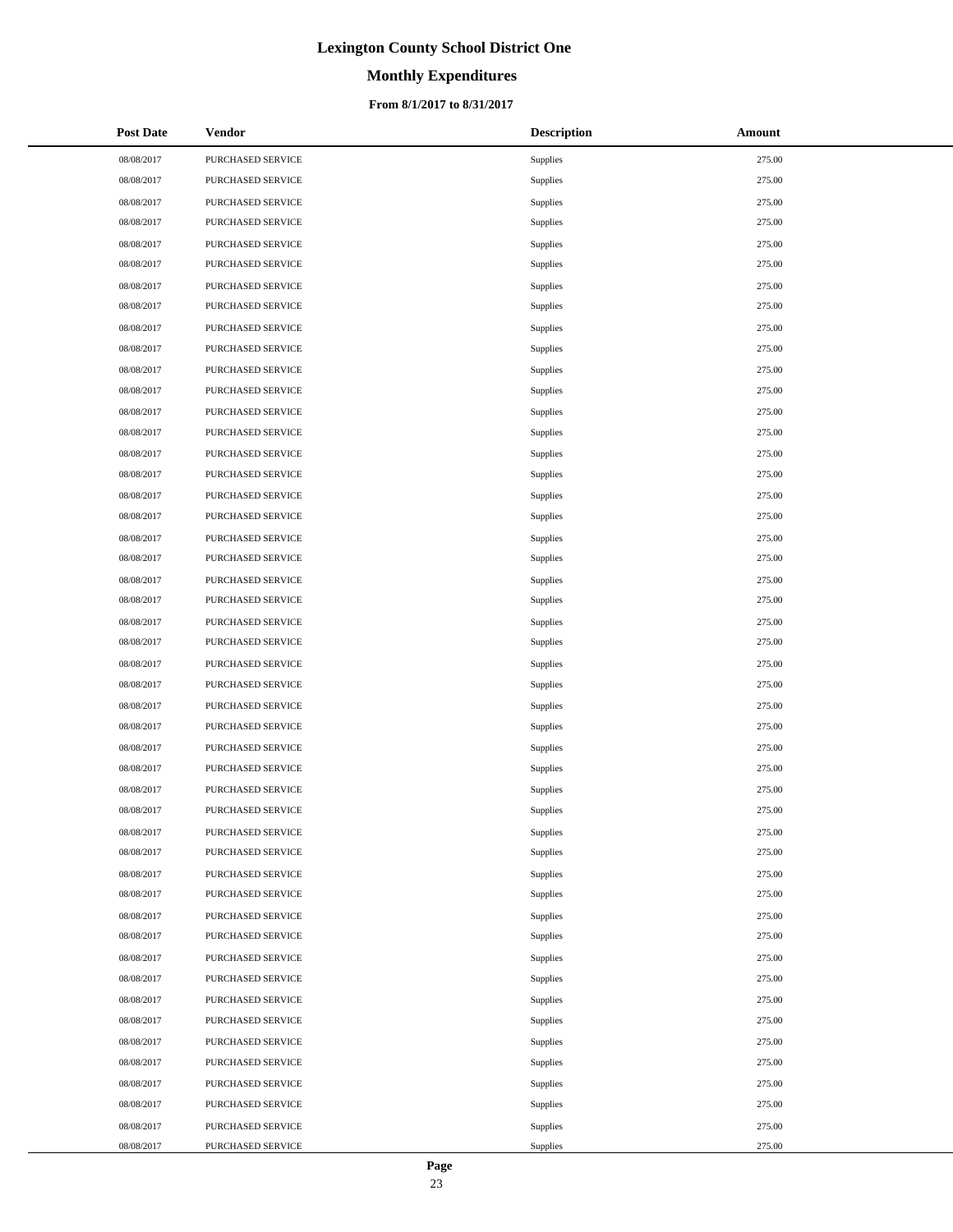# **Monthly Expenditures**

### **From 8/1/2017 to 8/31/2017**

| <b>Post Date</b> | <b>Vendor</b>     | <b>Description</b> | Amount |
|------------------|-------------------|--------------------|--------|
| 08/08/2017       | PURCHASED SERVICE | Supplies           | 275.00 |
| 08/08/2017       | PURCHASED SERVICE | Supplies           | 275.00 |
| 08/08/2017       | PURCHASED SERVICE | Supplies           | 275.00 |
| 08/08/2017       | PURCHASED SERVICE | Supplies           | 275.00 |
| 08/08/2017       | PURCHASED SERVICE | Supplies           | 275.00 |
| 08/08/2017       | PURCHASED SERVICE | Supplies           | 275.00 |
| 08/08/2017       | PURCHASED SERVICE | Supplies           | 275.00 |
| 08/08/2017       | PURCHASED SERVICE | Supplies           | 275.00 |
| 08/08/2017       | PURCHASED SERVICE | Supplies           | 275.00 |
| 08/08/2017       | PURCHASED SERVICE | Supplies           | 275.00 |
| 08/08/2017       | PURCHASED SERVICE | Supplies           | 275.00 |
| 08/08/2017       | PURCHASED SERVICE | Supplies           | 275.00 |
| 08/08/2017       | PURCHASED SERVICE | Supplies           | 275.00 |
| 08/08/2017       | PURCHASED SERVICE | Supplies           | 275.00 |
| 08/08/2017       | PURCHASED SERVICE | Supplies           | 275.00 |
| 08/08/2017       | PURCHASED SERVICE | Supplies           | 275.00 |
| 08/08/2017       | PURCHASED SERVICE | Supplies           | 275.00 |
| 08/08/2017       | PURCHASED SERVICE | Supplies           | 275.00 |
| 08/08/2017       | PURCHASED SERVICE | Supplies           | 275.00 |
| 08/08/2017       | PURCHASED SERVICE | Supplies           | 275.00 |
| 08/08/2017       | PURCHASED SERVICE | Supplies           | 275.00 |
| 08/08/2017       | PURCHASED SERVICE | Supplies           | 275.00 |
| 08/08/2017       | PURCHASED SERVICE | Supplies           | 275.00 |
| 08/08/2017       | PURCHASED SERVICE | Supplies           | 275.00 |
| 08/08/2017       | PURCHASED SERVICE | Supplies           | 275.00 |
| 08/08/2017       | PURCHASED SERVICE | Supplies           | 275.00 |
| 08/08/2017       | PURCHASED SERVICE | Supplies           | 275.00 |
| 08/08/2017       | PURCHASED SERVICE | Supplies           | 275.00 |
| 08/08/2017       | PURCHASED SERVICE | Supplies           | 275.00 |
| 08/08/2017       | PURCHASED SERVICE | Supplies           | 275.00 |
| 08/08/2017       | PURCHASED SERVICE | Supplies           | 275.00 |
| 08/08/2017       | PURCHASED SERVICE | Supplies           | 275.00 |
| 08/08/2017       | PURCHASED SERVICE | Supplies           | 275.00 |
| 08/08/2017       | PURCHASED SERVICE | Supplies           | 275.00 |
| 08/08/2017       | PURCHASED SERVICE | Supplies           | 275.00 |
| 08/08/2017       | PURCHASED SERVICE | Supplies           | 275.00 |
| 08/08/2017       | PURCHASED SERVICE | Supplies           | 275.00 |
| 08/08/2017       | PURCHASED SERVICE | Supplies           | 275.00 |
| 08/08/2017       | PURCHASED SERVICE | Supplies           | 275.00 |
| 08/08/2017       | PURCHASED SERVICE | Supplies           | 275.00 |
| 08/08/2017       | PURCHASED SERVICE | Supplies           | 275.00 |
| 08/08/2017       | PURCHASED SERVICE | Supplies           | 275.00 |
| 08/08/2017       | PURCHASED SERVICE | Supplies           | 275.00 |
| 08/08/2017       | PURCHASED SERVICE | Supplies           | 275.00 |
| 08/08/2017       | PURCHASED SERVICE | Supplies           | 275.00 |
| 08/08/2017       | PURCHASED SERVICE | Supplies           | 275.00 |
| 08/08/2017       | PURCHASED SERVICE | Supplies           | 275.00 |
| 08/08/2017       | PURCHASED SERVICE | Supplies           | 275.00 |

 $\overline{a}$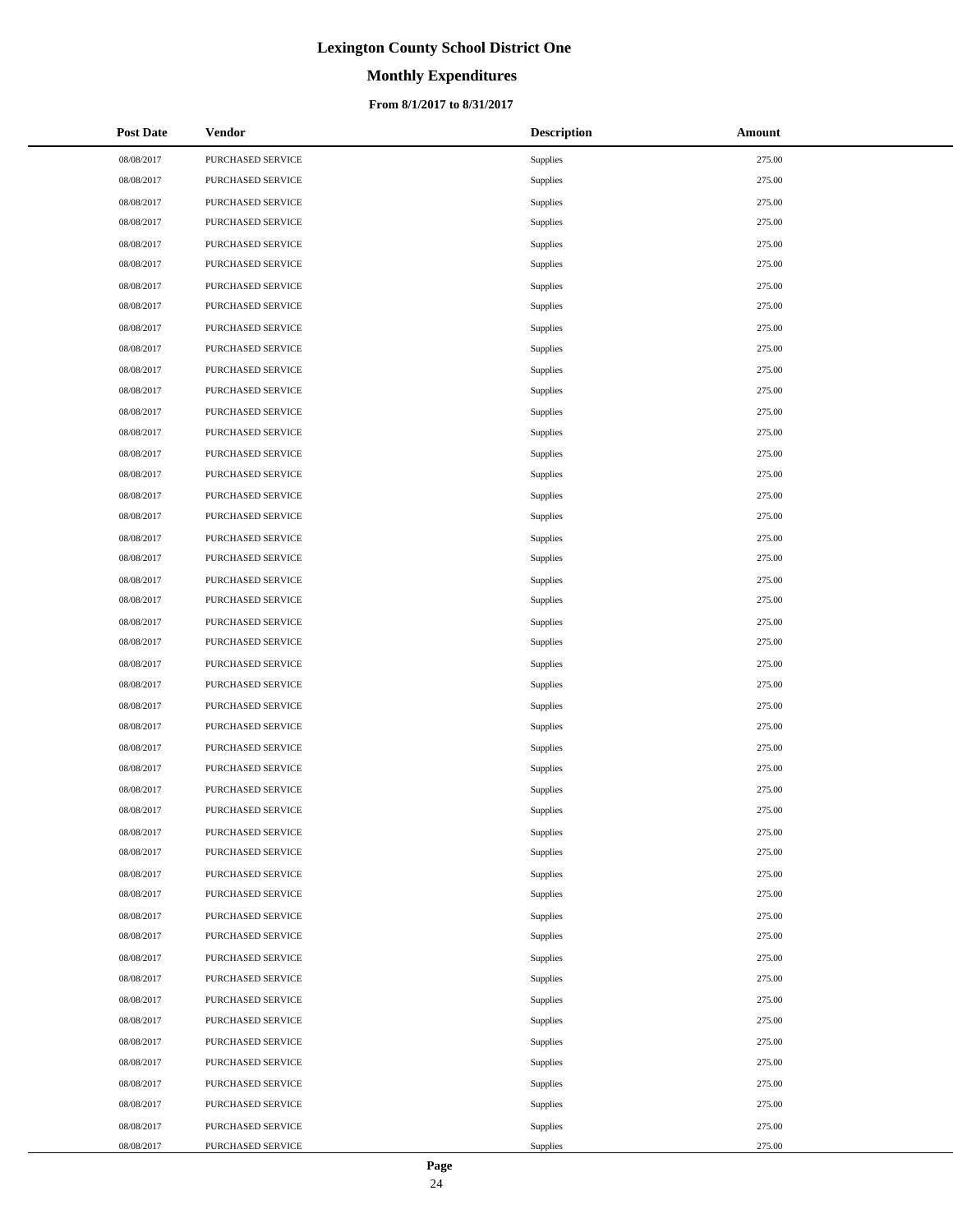# **Monthly Expenditures**

### **From 8/1/2017 to 8/31/2017**

| <b>Post Date</b> | <b>Vendor</b>     | <b>Description</b> | Amount |
|------------------|-------------------|--------------------|--------|
| 08/08/2017       | PURCHASED SERVICE | Supplies           | 275.00 |
| 08/08/2017       | PURCHASED SERVICE | Supplies           | 275.00 |
| 08/08/2017       | PURCHASED SERVICE | Supplies           | 275.00 |
| 08/08/2017       | PURCHASED SERVICE | Supplies           | 275.00 |
| 08/08/2017       | PURCHASED SERVICE | Supplies           | 275.00 |
| 08/08/2017       | PURCHASED SERVICE | Supplies           | 275.00 |
| 08/08/2017       | PURCHASED SERVICE | Supplies           | 275.00 |
| 08/08/2017       | PURCHASED SERVICE | Supplies           | 275.00 |
| 08/08/2017       | PURCHASED SERVICE | Supplies           | 275.00 |
| 08/08/2017       | PURCHASED SERVICE | Supplies           | 275.00 |
| 08/08/2017       | PURCHASED SERVICE | Supplies           | 275.00 |
| 08/08/2017       | PURCHASED SERVICE | Supplies           | 275.00 |
| 08/08/2017       | PURCHASED SERVICE | Supplies           | 275.00 |
| 08/08/2017       | PURCHASED SERVICE | Supplies           | 275.00 |
| 08/08/2017       | PURCHASED SERVICE | Supplies           | 275.00 |
| 08/08/2017       | PURCHASED SERVICE | Supplies           | 275.00 |
| 08/08/2017       | PURCHASED SERVICE | Supplies           | 275.00 |
| 08/08/2017       | PURCHASED SERVICE | Supplies           | 275.00 |
| 08/08/2017       | PURCHASED SERVICE | Supplies           | 275.00 |
| 08/08/2017       | PURCHASED SERVICE | Supplies           | 275.00 |
| 08/08/2017       | PURCHASED SERVICE | Supplies           | 275.00 |
| 08/08/2017       | PURCHASED SERVICE | Supplies           | 275.00 |
| 08/08/2017       | PURCHASED SERVICE | Supplies           | 275.00 |
| 08/08/2017       | PURCHASED SERVICE | Supplies           | 275.00 |
| 08/08/2017       | PURCHASED SERVICE | Supplies           | 275.00 |
| 08/08/2017       | PURCHASED SERVICE | Supplies           | 275.00 |
| 08/08/2017       | PURCHASED SERVICE | Supplies           | 275.00 |
| 08/08/2017       | PURCHASED SERVICE | Supplies           | 275.00 |
| 08/08/2017       | PURCHASED SERVICE | Supplies           | 275.00 |
| 08/08/2017       | PURCHASED SERVICE | Supplies           | 275.00 |
| 08/08/2017       | PURCHASED SERVICE | Supplies           | 275.00 |
| 08/08/2017       | PURCHASED SERVICE | Supplies           | 275.00 |
| 08/08/2017       | PURCHASED SERVICE | Supplies           | 275.00 |
| 08/08/2017       | PURCHASED SERVICE | Supplies           | 275.00 |
| 08/08/2017       | PURCHASED SERVICE | Supplies           | 275.00 |
| 08/08/2017       | PURCHASED SERVICE | Supplies           | 275.00 |
| 08/08/2017       | PURCHASED SERVICE | Supplies           | 275.00 |
| 08/08/2017       | PURCHASED SERVICE | Supplies           | 275.00 |
| 08/08/2017       | PURCHASED SERVICE | Supplies           | 275.00 |
| 08/08/2017       | PURCHASED SERVICE | Supplies           | 275.00 |
| 08/08/2017       | PURCHASED SERVICE | Supplies           | 275.00 |
| 08/08/2017       | PURCHASED SERVICE | Supplies           | 275.00 |
| 08/08/2017       | PURCHASED SERVICE | Supplies           | 275.00 |
| 08/08/2017       | PURCHASED SERVICE | Supplies           | 275.00 |
| 08/08/2017       | PURCHASED SERVICE | Supplies           | 275.00 |
| 08/08/2017       | PURCHASED SERVICE | Supplies           | 275.00 |
| 08/08/2017       | PURCHASED SERVICE | Supplies           | 275.00 |
| 08/08/2017       | PURCHASED SERVICE | Supplies           | 275.00 |

 $\overline{a}$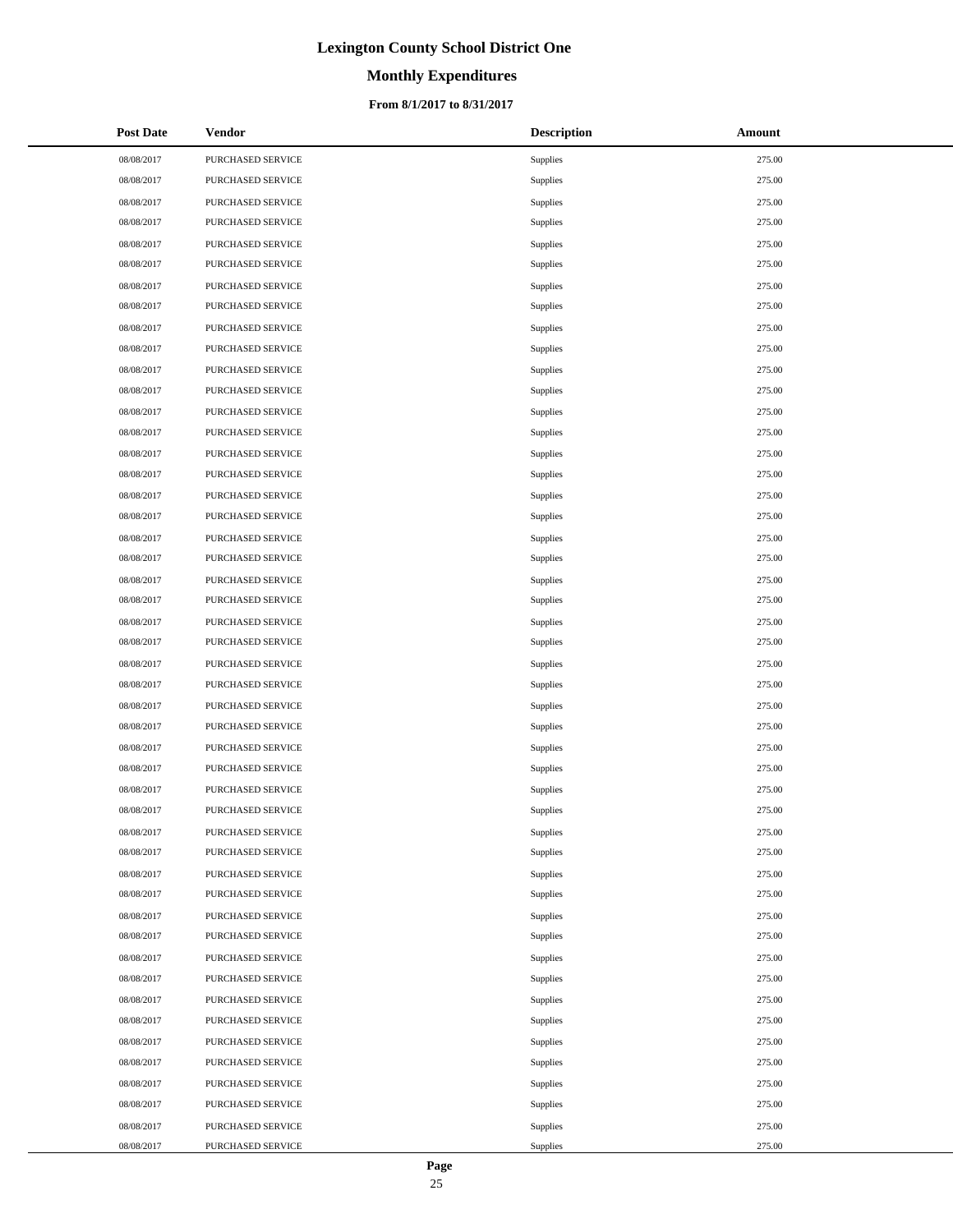# **Monthly Expenditures**

### **From 8/1/2017 to 8/31/2017**

| <b>Post Date</b> | <b>Vendor</b>     | <b>Description</b> | Amount |
|------------------|-------------------|--------------------|--------|
| 08/08/2017       | PURCHASED SERVICE | Supplies           | 275.00 |
| 08/08/2017       | PURCHASED SERVICE | Supplies           | 275.00 |
| 08/08/2017       | PURCHASED SERVICE | Supplies           | 275.00 |
| 08/08/2017       | PURCHASED SERVICE | Supplies           | 275.00 |
| 08/08/2017       | PURCHASED SERVICE | Supplies           | 275.00 |
| 08/08/2017       | PURCHASED SERVICE | Supplies           | 275.00 |
| 08/08/2017       | PURCHASED SERVICE | Supplies           | 275.00 |
| 08/08/2017       | PURCHASED SERVICE | Supplies           | 275.00 |
| 08/08/2017       | PURCHASED SERVICE | Supplies           | 275.00 |
| 08/08/2017       | PURCHASED SERVICE | Supplies           | 275.00 |
| 08/08/2017       | PURCHASED SERVICE | Supplies           | 275.00 |
| 08/08/2017       | PURCHASED SERVICE | Supplies           | 275.00 |
| 08/08/2017       | PURCHASED SERVICE | Supplies           | 275.00 |
| 08/08/2017       | PURCHASED SERVICE | Supplies           | 275.00 |
| 08/08/2017       | PURCHASED SERVICE | Supplies           | 275.00 |
| 08/08/2017       | PURCHASED SERVICE | Supplies           | 275.00 |
| 08/08/2017       | PURCHASED SERVICE | Supplies           | 275.00 |
| 08/08/2017       | PURCHASED SERVICE | Supplies           | 275.00 |
| 08/08/2017       | PURCHASED SERVICE | Supplies           | 275.00 |
| 08/08/2017       | PURCHASED SERVICE | Supplies           | 275.00 |
| 08/08/2017       | PURCHASED SERVICE | Supplies           | 275.00 |
| 08/08/2017       | PURCHASED SERVICE | Supplies           | 275.00 |
| 08/08/2017       | PURCHASED SERVICE | Supplies           | 275.00 |
| 08/08/2017       | PURCHASED SERVICE | Supplies           | 275.00 |
| 08/08/2017       | PURCHASED SERVICE | Supplies           | 275.00 |
| 08/08/2017       | PURCHASED SERVICE | Supplies           | 275.00 |
| 08/08/2017       | PURCHASED SERVICE | Supplies           | 275.00 |
| 08/08/2017       | PURCHASED SERVICE | Supplies           | 275.00 |
| 08/08/2017       | PURCHASED SERVICE | Supplies           | 275.00 |
| 08/08/2017       | PURCHASED SERVICE | Supplies           | 275.00 |
| 08/08/2017       | PURCHASED SERVICE | Supplies           | 275.00 |
| 08/08/2017       | PURCHASED SERVICE | Supplies           | 275.00 |
| 08/08/2017       | PURCHASED SERVICE | Supplies           | 275.00 |
| 08/08/2017       | PURCHASED SERVICE | Supplies           | 275.00 |
| 08/08/2017       | PURCHASED SERVICE | Supplies           | 275.00 |
| 08/08/2017       | PURCHASED SERVICE | Supplies           | 275.00 |
| 08/08/2017       | PURCHASED SERVICE | Supplies           | 275.00 |
| 08/08/2017       | PURCHASED SERVICE | Supplies           | 275.00 |
| 08/08/2017       | PURCHASED SERVICE | Supplies           | 275.00 |
| 08/08/2017       | PURCHASED SERVICE | Supplies           | 275.00 |
| 08/08/2017       | PURCHASED SERVICE | Supplies           | 275.00 |
| 08/08/2017       | PURCHASED SERVICE | Supplies           | 275.00 |
| 08/08/2017       | PURCHASED SERVICE | Supplies           | 275.00 |
| 08/08/2017       | PURCHASED SERVICE | Supplies           | 275.00 |
| 08/08/2017       | PURCHASED SERVICE | Supplies           | 275.00 |
| 08/08/2017       | PURCHASED SERVICE | Supplies           | 275.00 |
| 08/08/2017       | PURCHASED SERVICE | Supplies           | 275.00 |
| 08/08/2017       | PURCHASED SERVICE | Supplies           | 275.00 |

 $\overline{a}$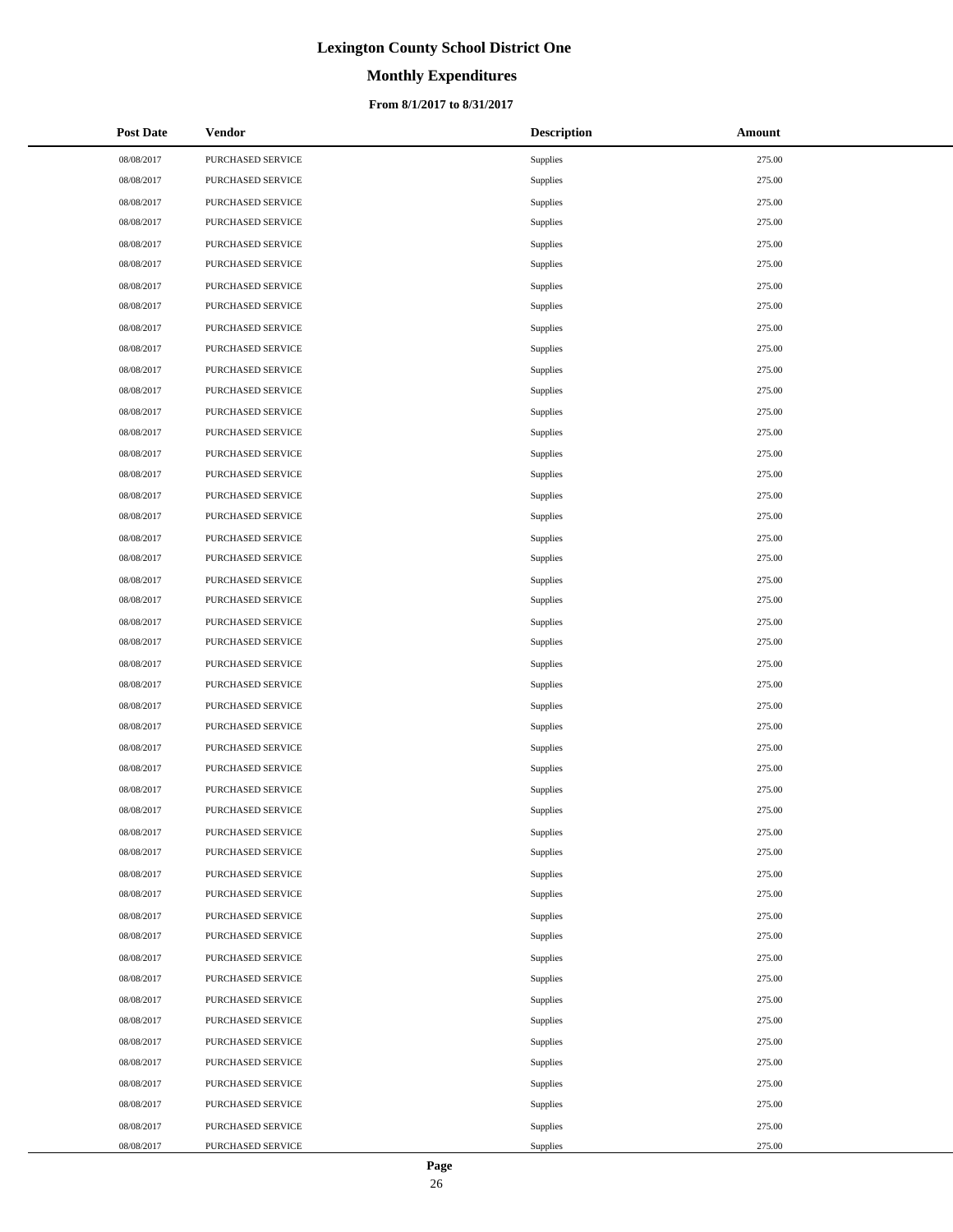# **Monthly Expenditures**

### **From 8/1/2017 to 8/31/2017**

| <b>Post Date</b> | <b>Vendor</b>     | <b>Description</b> | Amount |
|------------------|-------------------|--------------------|--------|
| 08/08/2017       | PURCHASED SERVICE | Supplies           | 275.00 |
| 08/08/2017       | PURCHASED SERVICE | Supplies           | 275.00 |
| 08/08/2017       | PURCHASED SERVICE | Supplies           | 275.00 |
| 08/08/2017       | PURCHASED SERVICE | Supplies           | 275.00 |
| 08/08/2017       | PURCHASED SERVICE | Supplies           | 275.00 |
| 08/08/2017       | PURCHASED SERVICE | Supplies           | 275.00 |
| 08/08/2017       | PURCHASED SERVICE | Supplies           | 275.00 |
| 08/08/2017       | PURCHASED SERVICE | Supplies           | 275.00 |
| 08/08/2017       | PURCHASED SERVICE | Supplies           | 275.00 |
| 08/08/2017       | PURCHASED SERVICE | Supplies           | 275.00 |
| 08/08/2017       | PURCHASED SERVICE | Supplies           | 275.00 |
| 08/08/2017       | PURCHASED SERVICE | Supplies           | 275.00 |
| 08/08/2017       | PURCHASED SERVICE | Supplies           | 275.00 |
| 08/08/2017       | PURCHASED SERVICE | Supplies           | 275.00 |
| 08/08/2017       | PURCHASED SERVICE | Supplies           | 275.00 |
| 08/08/2017       | PURCHASED SERVICE | Supplies           | 275.00 |
| 08/08/2017       | PURCHASED SERVICE | Supplies           | 275.00 |
| 08/08/2017       | PURCHASED SERVICE | Supplies           | 275.00 |
| 08/08/2017       | PURCHASED SERVICE | Supplies           | 275.00 |
| 08/08/2017       | PURCHASED SERVICE | Supplies           | 275.00 |
| 08/08/2017       | PURCHASED SERVICE | Supplies           | 275.00 |
| 08/08/2017       | PURCHASED SERVICE | Supplies           | 275.00 |
| 08/08/2017       | PURCHASED SERVICE | Supplies           | 275.00 |
| 08/08/2017       | PURCHASED SERVICE | Supplies           | 275.00 |
| 08/08/2017       | PURCHASED SERVICE | Supplies           | 275.00 |
| 08/08/2017       | PURCHASED SERVICE | Supplies           | 275.00 |
| 08/08/2017       | PURCHASED SERVICE | Supplies           | 275.00 |
| 08/08/2017       | PURCHASED SERVICE | Supplies           | 275.00 |
| 08/08/2017       | PURCHASED SERVICE | Supplies           | 275.00 |
| 08/08/2017       | PURCHASED SERVICE | Supplies           | 275.00 |
| 08/08/2017       | PURCHASED SERVICE | Supplies           | 275.00 |
| 08/08/2017       | PURCHASED SERVICE | Supplies           | 275.00 |
| 08/08/2017       | PURCHASED SERVICE | Supplies           | 275.00 |
| 08/08/2017       | PURCHASED SERVICE | Supplies           | 275.00 |
| 08/08/2017       | PURCHASED SERVICE | Supplies           | 275.00 |
| 08/08/2017       | PURCHASED SERVICE | Supplies           | 275.00 |
| 08/08/2017       | PURCHASED SERVICE | Supplies           | 275.00 |
| 08/08/2017       | PURCHASED SERVICE | Supplies           | 275.00 |
| 08/08/2017       | PURCHASED SERVICE | Supplies           | 275.00 |
| 08/08/2017       | PURCHASED SERVICE | Supplies           | 275.00 |
| 08/08/2017       | PURCHASED SERVICE | Supplies           | 275.00 |
| 08/08/2017       | PURCHASED SERVICE | Supplies           | 275.00 |
| 08/08/2017       | PURCHASED SERVICE | Supplies           | 275.00 |
| 08/08/2017       | PURCHASED SERVICE | Supplies           | 275.00 |
| 08/08/2017       | PURCHASED SERVICE | Supplies           | 275.00 |
| 08/08/2017       | PURCHASED SERVICE | Supplies           | 275.00 |
| 08/08/2017       | PURCHASED SERVICE | Supplies           | 275.00 |
| 08/08/2017       | PURCHASED SERVICE | Supplies           | 275.00 |

 $\overline{a}$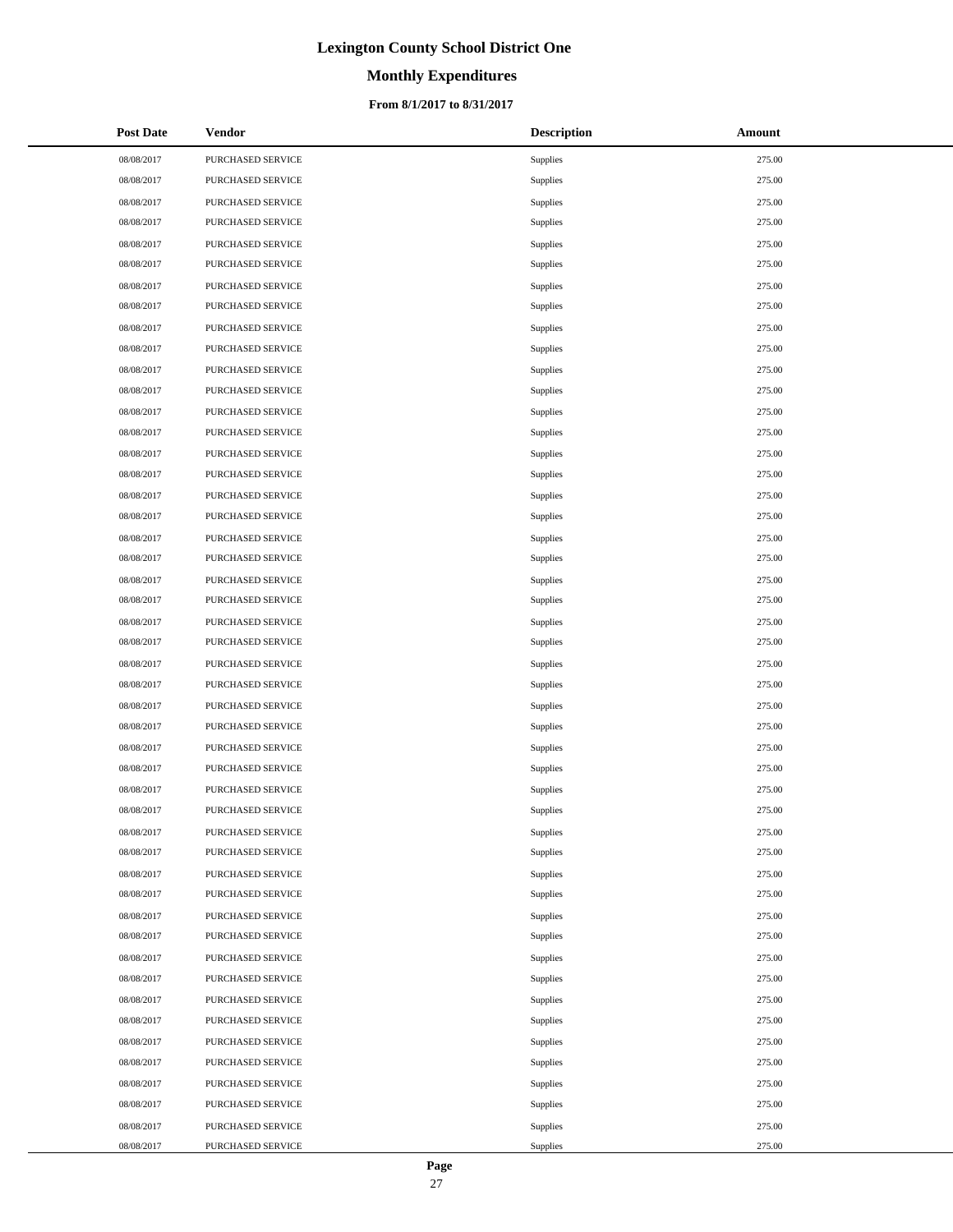# **Monthly Expenditures**

### **From 8/1/2017 to 8/31/2017**

| <b>Post Date</b> | <b>Vendor</b>     | <b>Description</b> | Amount |
|------------------|-------------------|--------------------|--------|
| 08/08/2017       | PURCHASED SERVICE | Supplies           | 275.00 |
| 08/08/2017       | PURCHASED SERVICE | Supplies           | 275.00 |
| 08/08/2017       | PURCHASED SERVICE | Supplies           | 275.00 |
| 08/08/2017       | PURCHASED SERVICE | Supplies           | 275.00 |
| 08/08/2017       | PURCHASED SERVICE | Supplies           | 275.00 |
| 08/08/2017       | PURCHASED SERVICE | Supplies           | 275.00 |
| 08/08/2017       | PURCHASED SERVICE | Supplies           | 275.00 |
| 08/08/2017       | PURCHASED SERVICE | Supplies           | 275.00 |
| 08/08/2017       | PURCHASED SERVICE | Supplies           | 275.00 |
| 08/08/2017       | PURCHASED SERVICE | Supplies           | 275.00 |
| 08/08/2017       | PURCHASED SERVICE | Supplies           | 275.00 |
| 08/08/2017       | PURCHASED SERVICE | Supplies           | 275.00 |
| 08/08/2017       | PURCHASED SERVICE | Supplies           | 275.00 |
| 08/08/2017       | PURCHASED SERVICE | Supplies           | 275.00 |
| 08/08/2017       | PURCHASED SERVICE | Supplies           | 275.00 |
| 08/08/2017       | PURCHASED SERVICE | Supplies           | 275.00 |
| 08/08/2017       | PURCHASED SERVICE | Supplies           | 275.00 |
| 08/08/2017       | PURCHASED SERVICE | Supplies           | 275.00 |
| 08/08/2017       | PURCHASED SERVICE | Supplies           | 275.00 |
| 08/08/2017       | PURCHASED SERVICE | Supplies           | 275.00 |
| 08/08/2017       | PURCHASED SERVICE | Supplies           | 275.00 |
| 08/08/2017       | PURCHASED SERVICE | Supplies           | 275.00 |
| 08/08/2017       | PURCHASED SERVICE | Supplies           | 275.00 |
| 08/08/2017       | PURCHASED SERVICE | Supplies           | 275.00 |
| 08/08/2017       | PURCHASED SERVICE | Supplies           | 275.00 |
| 08/08/2017       | PURCHASED SERVICE | Supplies           | 275.00 |
| 08/08/2017       | PURCHASED SERVICE | Supplies           | 275.00 |
| 08/08/2017       | PURCHASED SERVICE | Supplies           | 275.00 |
| 08/08/2017       | PURCHASED SERVICE | Supplies           | 275.00 |
| 08/08/2017       | PURCHASED SERVICE | Supplies           | 275.00 |
| 08/08/2017       | PURCHASED SERVICE | Supplies           | 275.00 |
| 08/08/2017       | PURCHASED SERVICE | Supplies           | 275.00 |
| 08/08/2017       | PURCHASED SERVICE | Supplies           | 275.00 |
| 08/08/2017       | PURCHASED SERVICE | Supplies           | 275.00 |
| 08/08/2017       | PURCHASED SERVICE | Supplies           | 275.00 |
| 08/08/2017       | PURCHASED SERVICE | Supplies           | 275.00 |
| 08/08/2017       | PURCHASED SERVICE | Supplies           | 275.00 |
| 08/08/2017       | PURCHASED SERVICE | Supplies           | 275.00 |
| 08/08/2017       | PURCHASED SERVICE | Supplies           | 275.00 |
| 08/08/2017       | PURCHASED SERVICE | Supplies           | 275.00 |
| 08/08/2017       | PURCHASED SERVICE | Supplies           | 275.00 |
| 08/08/2017       | PURCHASED SERVICE | Supplies           | 275.00 |
| 08/08/2017       | PURCHASED SERVICE | Supplies           | 275.00 |
| 08/08/2017       | PURCHASED SERVICE | Supplies           | 275.00 |
| 08/08/2017       | PURCHASED SERVICE | Supplies           | 275.00 |
| 08/08/2017       | PURCHASED SERVICE | Supplies           | 275.00 |
| 08/08/2017       | PURCHASED SERVICE | Supplies           | 275.00 |
| 08/08/2017       | PURCHASED SERVICE | Supplies           | 275.00 |

 $\overline{a}$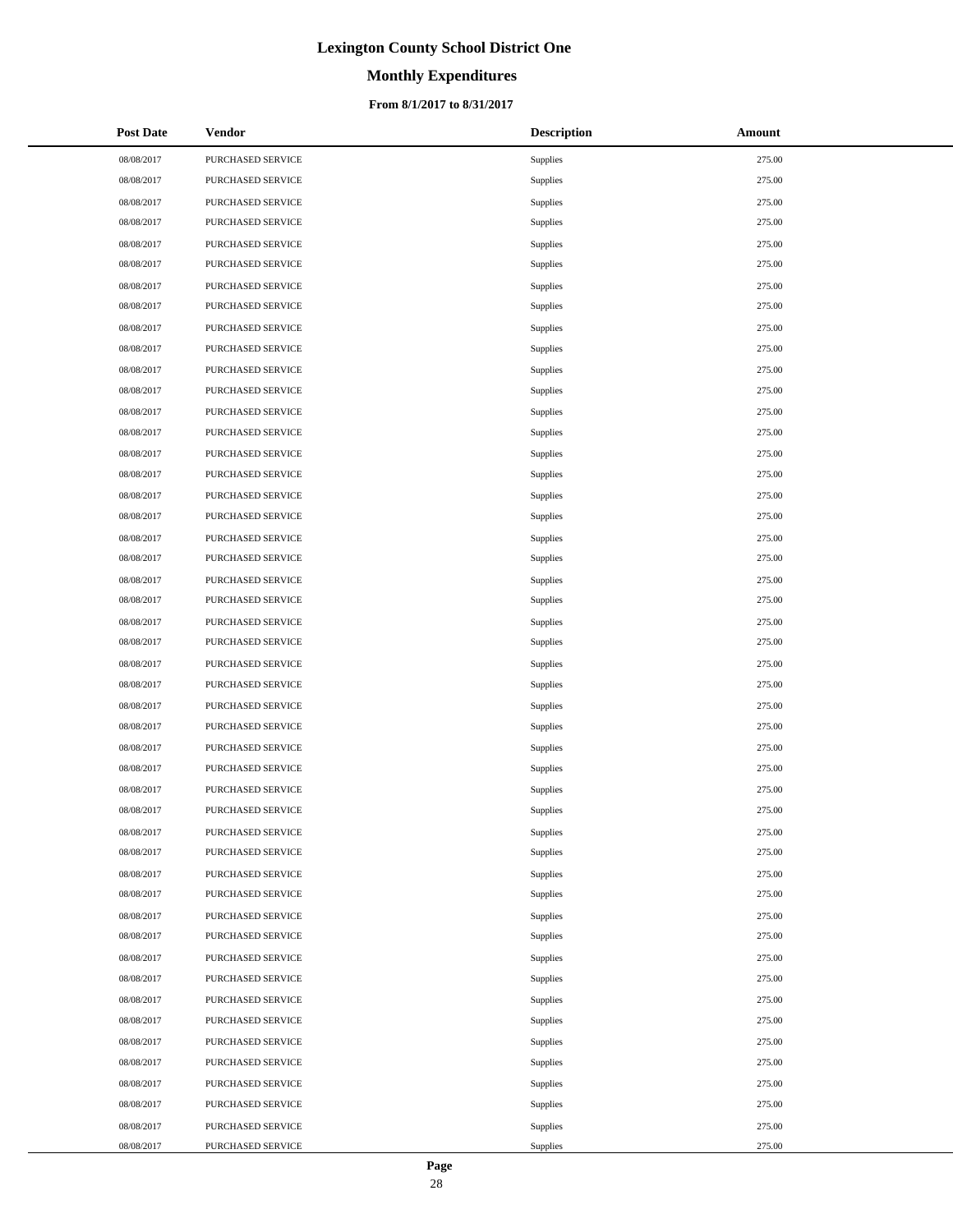# **Monthly Expenditures**

### **From 8/1/2017 to 8/31/2017**

| <b>Post Date</b> | <b>Vendor</b>     | <b>Description</b> | Amount |
|------------------|-------------------|--------------------|--------|
| 08/08/2017       | PURCHASED SERVICE | Supplies           | 275.00 |
| 08/08/2017       | PURCHASED SERVICE | Supplies           | 275.00 |
| 08/08/2017       | PURCHASED SERVICE | Supplies           | 275.00 |
| 08/08/2017       | PURCHASED SERVICE | Supplies           | 275.00 |
| 08/08/2017       | PURCHASED SERVICE | Supplies           | 275.00 |
| 08/08/2017       | PURCHASED SERVICE | Supplies           | 275.00 |
| 08/08/2017       | PURCHASED SERVICE | Supplies           | 275.00 |
| 08/08/2017       | PURCHASED SERVICE | Supplies           | 275.00 |
| 08/08/2017       | PURCHASED SERVICE | Supplies           | 275.00 |
| 08/08/2017       | PURCHASED SERVICE | Supplies           | 275.00 |
| 08/08/2017       | PURCHASED SERVICE | Supplies           | 275.00 |
| 08/08/2017       | PURCHASED SERVICE | Supplies           | 275.00 |
| 08/08/2017       | PURCHASED SERVICE | Supplies           | 275.00 |
| 08/08/2017       | PURCHASED SERVICE | Supplies           | 275.00 |
| 08/08/2017       | PURCHASED SERVICE | Supplies           | 275.00 |
| 08/08/2017       | PURCHASED SERVICE | Supplies           | 275.00 |
| 08/08/2017       | PURCHASED SERVICE | Supplies           | 275.00 |
| 08/08/2017       | PURCHASED SERVICE | Supplies           | 275.00 |
| 08/08/2017       | PURCHASED SERVICE | Supplies           | 275.00 |
| 08/08/2017       | PURCHASED SERVICE | Supplies           | 275.00 |
| 08/08/2017       | PURCHASED SERVICE | Supplies           | 275.00 |
| 08/08/2017       | PURCHASED SERVICE | Supplies           | 275.00 |
| 08/08/2017       | PURCHASED SERVICE | Supplies           | 275.00 |
| 08/08/2017       | PURCHASED SERVICE | Supplies           | 275.00 |
| 08/08/2017       | PURCHASED SERVICE | Supplies           | 275.00 |
| 08/08/2017       | PURCHASED SERVICE | Supplies           | 275.00 |
| 08/08/2017       | PURCHASED SERVICE | Supplies           | 275.00 |
| 08/08/2017       | PURCHASED SERVICE | Supplies           | 275.00 |
| 08/08/2017       | PURCHASED SERVICE | Supplies           | 275.00 |
| 08/08/2017       | PURCHASED SERVICE | Supplies           | 275.00 |
| 08/08/2017       | PURCHASED SERVICE | Supplies           | 275.00 |
| 08/08/2017       | PURCHASED SERVICE | Supplies           | 275.00 |
| 08/08/2017       | PURCHASED SERVICE | Supplies           | 275.00 |
| 08/08/2017       | PURCHASED SERVICE | Supplies           | 275.00 |
| 08/08/2017       | PURCHASED SERVICE | Supplies           | 275.00 |
| 08/08/2017       | PURCHASED SERVICE | Supplies           | 275.00 |
| 08/08/2017       | PURCHASED SERVICE | Supplies           | 275.00 |
| 08/08/2017       | PURCHASED SERVICE | Supplies           | 275.00 |
| 08/08/2017       | PURCHASED SERVICE | Supplies           | 275.00 |
| 08/08/2017       | PURCHASED SERVICE | Supplies           | 275.00 |
| 08/08/2017       | PURCHASED SERVICE | Supplies           | 275.00 |
| 08/08/2017       | PURCHASED SERVICE | Supplies           | 275.00 |
| 08/08/2017       | PURCHASED SERVICE | Supplies           | 275.00 |
| 08/08/2017       | PURCHASED SERVICE | Supplies           | 275.00 |
| 08/08/2017       | PURCHASED SERVICE | Supplies           | 275.00 |
| 08/08/2017       | PURCHASED SERVICE | Supplies           | 275.00 |
| 08/08/2017       | PURCHASED SERVICE | Supplies           | 275.00 |
| 08/08/2017       | PURCHASED SERVICE | Supplies           | 275.00 |

 $\overline{a}$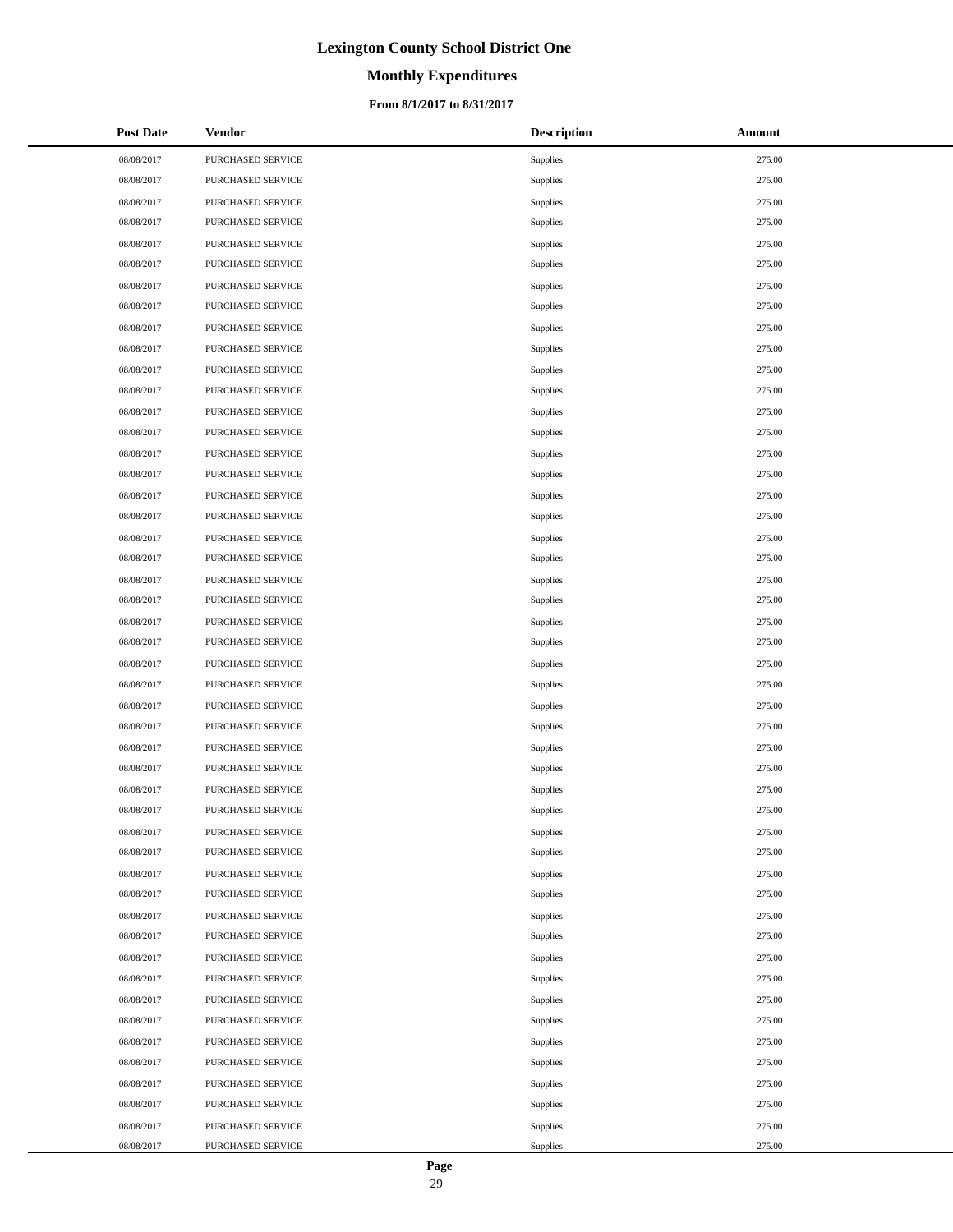# **Monthly Expenditures**

### **From 8/1/2017 to 8/31/2017**

| <b>Post Date</b> | <b>Vendor</b>     | <b>Description</b> | Amount |
|------------------|-------------------|--------------------|--------|
| 08/08/2017       | PURCHASED SERVICE | Supplies           | 275.00 |
| 08/08/2017       | PURCHASED SERVICE | Supplies           | 275.00 |
| 08/08/2017       | PURCHASED SERVICE | Supplies           | 275.00 |
| 08/08/2017       | PURCHASED SERVICE | Supplies           | 275.00 |
| 08/08/2017       | PURCHASED SERVICE | Supplies           | 275.00 |
| 08/08/2017       | PURCHASED SERVICE | Supplies           | 275.00 |
| 08/08/2017       | PURCHASED SERVICE | Supplies           | 275.00 |
| 08/08/2017       | PURCHASED SERVICE | Supplies           | 275.00 |
| 08/08/2017       | PURCHASED SERVICE | Supplies           | 275.00 |
| 08/08/2017       | PURCHASED SERVICE | Supplies           | 275.00 |
| 08/08/2017       | PURCHASED SERVICE | Supplies           | 275.00 |
| 08/08/2017       | PURCHASED SERVICE | Supplies           | 275.00 |
| 08/08/2017       | PURCHASED SERVICE | Supplies           | 275.00 |
| 08/08/2017       | PURCHASED SERVICE | Supplies           | 275.00 |
| 08/08/2017       | PURCHASED SERVICE | Supplies           | 275.00 |
| 08/08/2017       | PURCHASED SERVICE | Supplies           | 275.00 |
| 08/08/2017       | PURCHASED SERVICE | Supplies           | 275.00 |
| 08/08/2017       | PURCHASED SERVICE | Supplies           | 275.00 |
| 08/08/2017       | PURCHASED SERVICE | Supplies           | 275.00 |
| 08/08/2017       | PURCHASED SERVICE | Supplies           | 275.00 |
| 08/08/2017       | PURCHASED SERVICE | Supplies           | 275.00 |
| 08/08/2017       | PURCHASED SERVICE | Supplies           | 275.00 |
| 08/08/2017       | PURCHASED SERVICE | Supplies           | 275.00 |
| 08/08/2017       | PURCHASED SERVICE | Supplies           | 275.00 |
| 08/08/2017       | PURCHASED SERVICE | Supplies           | 275.00 |
| 08/08/2017       | PURCHASED SERVICE | Supplies           | 275.00 |
| 08/08/2017       | PURCHASED SERVICE | Supplies           | 275.00 |
| 08/08/2017       | PURCHASED SERVICE | Supplies           | 275.00 |
| 08/08/2017       | PURCHASED SERVICE | Supplies           | 275.00 |
| 08/08/2017       | PURCHASED SERVICE | Supplies           | 275.00 |
| 08/08/2017       | PURCHASED SERVICE | Supplies           | 275.00 |
| 08/08/2017       | PURCHASED SERVICE | Supplies           | 275.00 |
| 08/08/2017       | PURCHASED SERVICE | Supplies           | 275.00 |
| 08/08/2017       | PURCHASED SERVICE | Supplies           | 275.00 |
| 08/08/2017       | PURCHASED SERVICE | Supplies           | 275.00 |
| 08/08/2017       | PURCHASED SERVICE | Supplies           | 275.00 |
| 08/08/2017       | PURCHASED SERVICE | Supplies           | 275.00 |
| 08/08/2017       | PURCHASED SERVICE | Supplies           | 275.00 |
| 08/08/2017       | PURCHASED SERVICE | Supplies           | 275.00 |
| 08/08/2017       | PURCHASED SERVICE | Supplies           | 275.00 |
| 08/08/2017       | PURCHASED SERVICE | Supplies           | 275.00 |
| 08/08/2017       | PURCHASED SERVICE | Supplies           | 275.00 |
| 08/08/2017       | PURCHASED SERVICE | Supplies           | 275.00 |
| 08/08/2017       | PURCHASED SERVICE | Supplies           | 275.00 |
| 08/08/2017       | PURCHASED SERVICE | Supplies           | 275.00 |
| 08/08/2017       | PURCHASED SERVICE | Supplies           | 275.00 |
| 08/08/2017       | PURCHASED SERVICE | Supplies           | 275.00 |
| 08/08/2017       | PURCHASED SERVICE | Supplies           | 275.00 |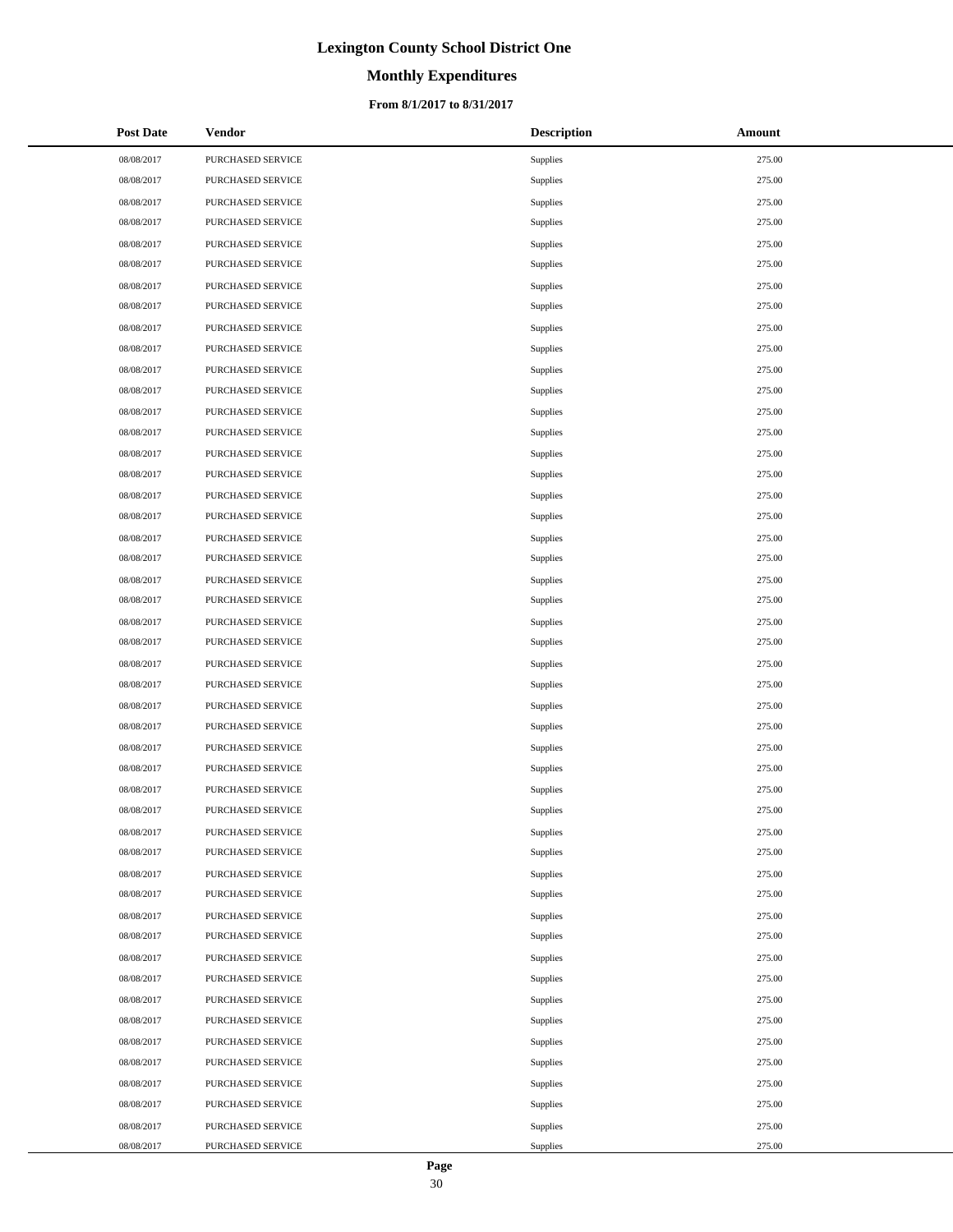# **Monthly Expenditures**

### **From 8/1/2017 to 8/31/2017**

| <b>Post Date</b> | <b>Vendor</b>     | <b>Description</b> | Amount |
|------------------|-------------------|--------------------|--------|
| 08/08/2017       | PURCHASED SERVICE | Supplies           | 275.00 |
| 08/08/2017       | PURCHASED SERVICE | Supplies           | 275.00 |
| 08/08/2017       | PURCHASED SERVICE | Supplies           | 275.00 |
| 08/08/2017       | PURCHASED SERVICE | Supplies           | 275.00 |
| 08/08/2017       | PURCHASED SERVICE | Supplies           | 275.00 |
| 08/08/2017       | PURCHASED SERVICE | Supplies           | 275.00 |
| 08/08/2017       | PURCHASED SERVICE | Supplies           | 275.00 |
| 08/08/2017       | PURCHASED SERVICE | Supplies           | 275.00 |
| 08/08/2017       | PURCHASED SERVICE | Supplies           | 275.00 |
| 08/08/2017       | PURCHASED SERVICE | Supplies           | 275.00 |
| 08/08/2017       | PURCHASED SERVICE | Supplies           | 275.00 |
| 08/08/2017       | PURCHASED SERVICE | Supplies           | 275.00 |
| 08/08/2017       | PURCHASED SERVICE | Supplies           | 275.00 |
| 08/08/2017       | PURCHASED SERVICE | Supplies           | 275.00 |
| 08/08/2017       | PURCHASED SERVICE | Supplies           | 275.00 |
| 08/08/2017       | PURCHASED SERVICE | Supplies           | 275.00 |
| 08/08/2017       | PURCHASED SERVICE | Supplies           | 275.00 |
| 08/08/2017       | PURCHASED SERVICE | Supplies           | 275.00 |
| 08/08/2017       | PURCHASED SERVICE | Supplies           | 275.00 |
| 08/08/2017       | PURCHASED SERVICE | Supplies           | 275.00 |
| 08/08/2017       | PURCHASED SERVICE | Supplies           | 275.00 |
| 08/08/2017       | PURCHASED SERVICE | Supplies           | 275.00 |
| 08/08/2017       | PURCHASED SERVICE | Supplies           | 275.00 |
| 08/08/2017       | PURCHASED SERVICE | Supplies           | 275.00 |
| 08/08/2017       | PURCHASED SERVICE | Supplies           | 275.00 |
| 08/08/2017       | PURCHASED SERVICE | Supplies           | 275.00 |
| 08/08/2017       | PURCHASED SERVICE | Supplies           | 275.00 |
| 08/08/2017       | PURCHASED SERVICE | Supplies           | 275.00 |
| 08/08/2017       | PURCHASED SERVICE | Supplies           | 275.00 |
| 08/08/2017       | PURCHASED SERVICE | Supplies           | 275.00 |
| 08/08/2017       | PURCHASED SERVICE | Supplies           | 275.00 |
| 08/08/2017       | PURCHASED SERVICE | Supplies           | 275.00 |
| 08/08/2017       | PURCHASED SERVICE | Supplies           | 275.00 |
| 08/08/2017       | PURCHASED SERVICE | Supplies           | 275.00 |
| 08/08/2017       | PURCHASED SERVICE | Supplies           | 275.00 |
| 08/08/2017       | PURCHASED SERVICE | Supplies           | 275.00 |
| 08/08/2017       | PURCHASED SERVICE | Supplies           | 275.00 |
| 08/08/2017       | PURCHASED SERVICE | Supplies           | 275.00 |
| 08/08/2017       | PURCHASED SERVICE | Supplies           | 275.00 |
| 08/08/2017       | PURCHASED SERVICE | Supplies           | 275.00 |
| 08/08/2017       | PURCHASED SERVICE | Supplies           | 275.00 |
| 08/08/2017       | PURCHASED SERVICE | Supplies           | 275.00 |
| 08/08/2017       | PURCHASED SERVICE | Supplies           | 275.00 |
| 08/08/2017       | PURCHASED SERVICE | Supplies           | 275.00 |
| 08/08/2017       | PURCHASED SERVICE | Supplies           | 275.00 |
| 08/08/2017       | PURCHASED SERVICE | Supplies           | 275.00 |
| 08/08/2017       | PURCHASED SERVICE | Supplies           | 275.00 |
| 08/08/2017       | PURCHASED SERVICE | Supplies           | 275.00 |

 $\overline{a}$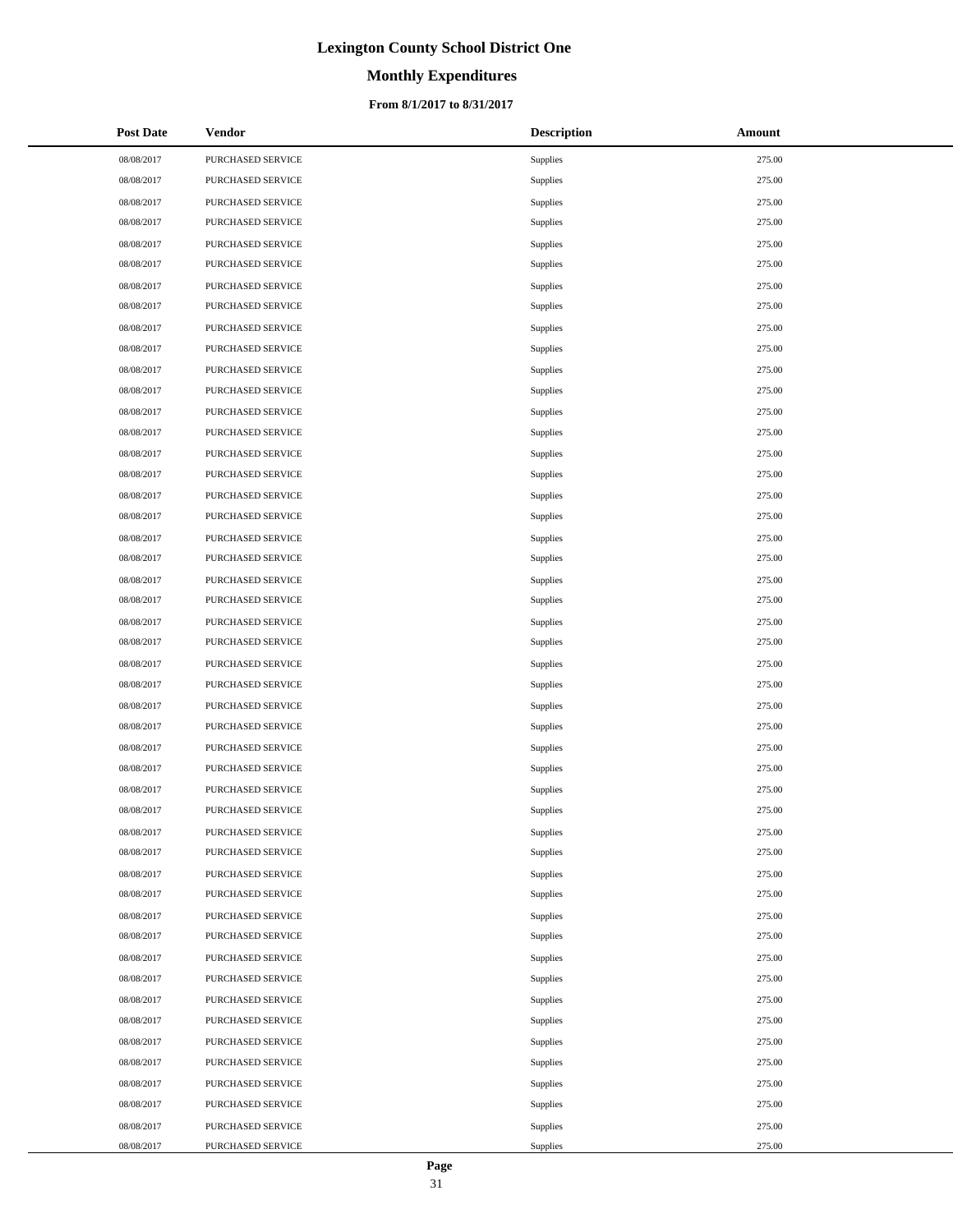# **Monthly Expenditures**

### **From 8/1/2017 to 8/31/2017**

| <b>Post Date</b> | <b>Vendor</b>     | <b>Description</b> | Amount |
|------------------|-------------------|--------------------|--------|
| 08/08/2017       | PURCHASED SERVICE | Supplies           | 275.00 |
| 08/08/2017       | PURCHASED SERVICE | Supplies           | 275.00 |
| 08/08/2017       | PURCHASED SERVICE | Supplies           | 275.00 |
| 08/08/2017       | PURCHASED SERVICE | Supplies           | 275.00 |
| 08/08/2017       | PURCHASED SERVICE | Supplies           | 275.00 |
| 08/08/2017       | PURCHASED SERVICE | Supplies           | 275.00 |
| 08/08/2017       | PURCHASED SERVICE | Supplies           | 275.00 |
| 08/08/2017       | PURCHASED SERVICE | Supplies           | 275.00 |
| 08/08/2017       | PURCHASED SERVICE | Supplies           | 275.00 |
| 08/08/2017       | PURCHASED SERVICE | Supplies           | 275.00 |
| 08/08/2017       | PURCHASED SERVICE | Supplies           | 275.00 |
| 08/08/2017       | PURCHASED SERVICE | Supplies           | 275.00 |
| 08/08/2017       | PURCHASED SERVICE | Supplies           | 275.00 |
| 08/08/2017       | PURCHASED SERVICE | Supplies           | 275.00 |
| 08/08/2017       | PURCHASED SERVICE | Supplies           | 275.00 |
| 08/08/2017       | PURCHASED SERVICE | Supplies           | 275.00 |
| 08/08/2017       | PURCHASED SERVICE | Supplies           | 275.00 |
| 08/08/2017       | PURCHASED SERVICE | Supplies           | 275.00 |
| 08/08/2017       | PURCHASED SERVICE | Supplies           | 275.00 |
| 08/08/2017       | PURCHASED SERVICE | Supplies           | 275.00 |
| 08/08/2017       | PURCHASED SERVICE | Supplies           | 275.00 |
| 08/08/2017       | PURCHASED SERVICE | Supplies           | 275.00 |
| 08/08/2017       | PURCHASED SERVICE | Supplies           | 275.00 |
| 08/08/2017       | PURCHASED SERVICE | Supplies           | 275.00 |
| 08/08/2017       | PURCHASED SERVICE | Supplies           | 275.00 |
| 08/08/2017       | PURCHASED SERVICE | Supplies           | 275.00 |
| 08/08/2017       | PURCHASED SERVICE | Supplies           | 275.00 |
| 08/08/2017       | PURCHASED SERVICE | Supplies           | 275.00 |
| 08/08/2017       | PURCHASED SERVICE | Supplies           | 275.00 |
| 08/08/2017       | PURCHASED SERVICE | Supplies           | 275.00 |
| 08/08/2017       | PURCHASED SERVICE | Supplies           | 275.00 |
| 08/08/2017       | PURCHASED SERVICE | Supplies           | 275.00 |
| 08/08/2017       | PURCHASED SERVICE | Supplies           | 275.00 |
| 08/08/2017       | PURCHASED SERVICE | Supplies           | 275.00 |
| 08/08/2017       | PURCHASED SERVICE | Supplies           | 275.00 |
| 08/08/2017       | PURCHASED SERVICE | Supplies           | 275.00 |
| 08/08/2017       | PURCHASED SERVICE | Supplies           | 275.00 |
| 08/08/2017       | PURCHASED SERVICE | Supplies           | 275.00 |
| 08/08/2017       | PURCHASED SERVICE | Supplies           | 275.00 |
| 08/08/2017       | PURCHASED SERVICE | Supplies           | 275.00 |
| 08/08/2017       | PURCHASED SERVICE | Supplies           | 275.00 |
| 08/08/2017       | PURCHASED SERVICE | Supplies           | 275.00 |
| 08/08/2017       | PURCHASED SERVICE | Supplies           | 275.00 |
| 08/08/2017       | PURCHASED SERVICE | Supplies           | 275.00 |
| 08/08/2017       | PURCHASED SERVICE | Supplies           | 275.00 |
| 08/08/2017       | PURCHASED SERVICE | Supplies           | 275.00 |
| 08/08/2017       | PURCHASED SERVICE | Supplies           | 275.00 |
| 08/08/2017       | PURCHASED SERVICE | Supplies           | 275.00 |

 $\overline{a}$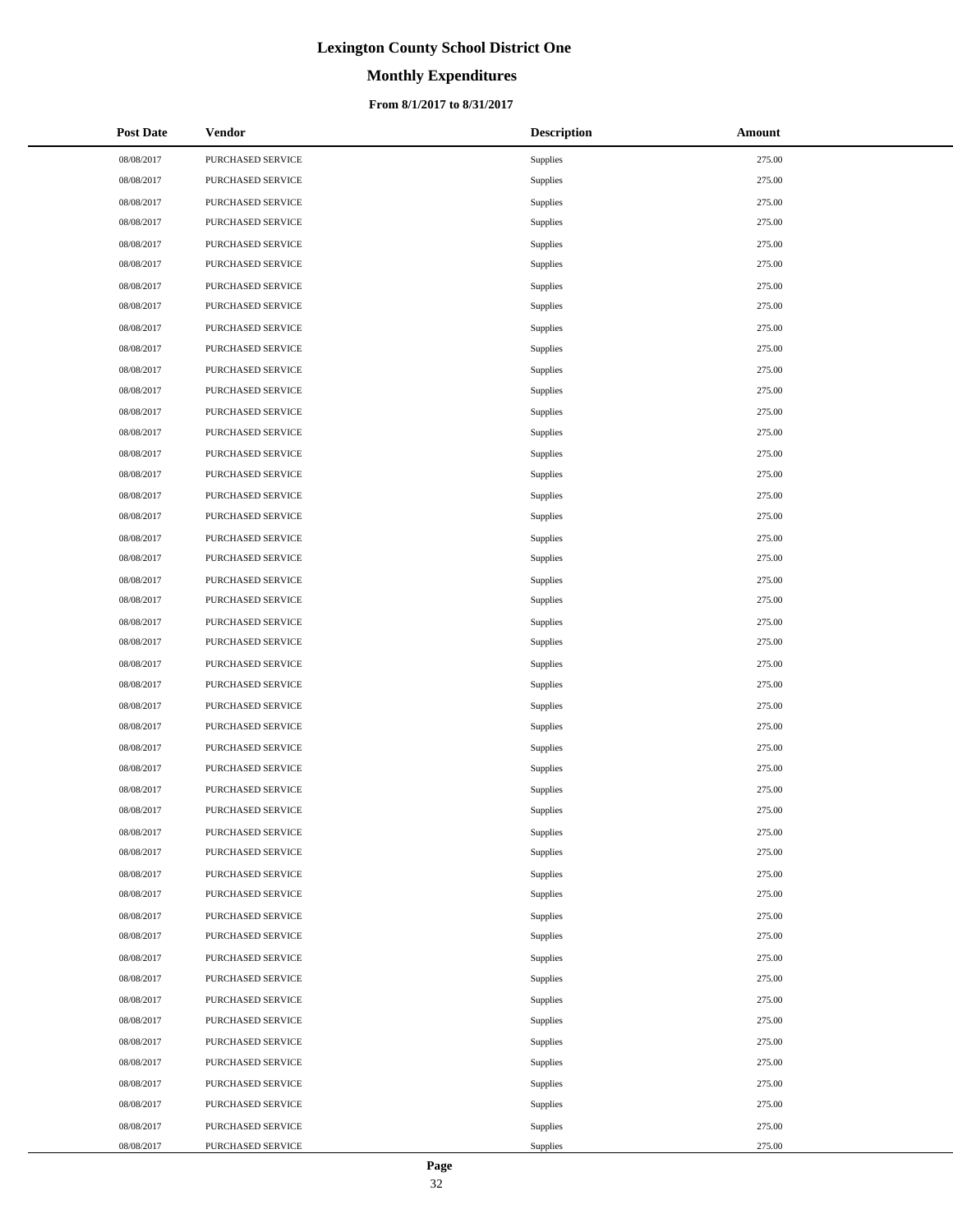# **Monthly Expenditures**

### **From 8/1/2017 to 8/31/2017**

| <b>Post Date</b> | <b>Vendor</b>     | <b>Description</b> | Amount |
|------------------|-------------------|--------------------|--------|
| 08/08/2017       | PURCHASED SERVICE | Supplies           | 275.00 |
| 08/08/2017       | PURCHASED SERVICE | Supplies           | 275.00 |
| 08/08/2017       | PURCHASED SERVICE | Supplies           | 275.00 |
| 08/08/2017       | PURCHASED SERVICE | Supplies           | 275.00 |
| 08/08/2017       | PURCHASED SERVICE | Supplies           | 275.00 |
| 08/08/2017       | PURCHASED SERVICE | Supplies           | 275.00 |
| 08/08/2017       | PURCHASED SERVICE | Supplies           | 275.00 |
| 08/08/2017       | PURCHASED SERVICE | Supplies           | 275.00 |
| 08/08/2017       | PURCHASED SERVICE | Supplies           | 275.00 |
| 08/08/2017       | PURCHASED SERVICE | Supplies           | 275.00 |
| 08/08/2017       | PURCHASED SERVICE | Supplies           | 275.00 |
| 08/08/2017       | PURCHASED SERVICE | Supplies           | 275.00 |
| 08/08/2017       | PURCHASED SERVICE | Supplies           | 275.00 |
| 08/08/2017       | PURCHASED SERVICE | Supplies           | 275.00 |
| 08/08/2017       | PURCHASED SERVICE | Supplies           | 275.00 |
| 08/08/2017       | PURCHASED SERVICE | Supplies           | 275.00 |
| 08/08/2017       | PURCHASED SERVICE | Supplies           | 275.00 |
| 08/08/2017       | PURCHASED SERVICE | Supplies           | 275.00 |
| 08/08/2017       | PURCHASED SERVICE | Supplies           | 275.00 |
| 08/08/2017       | PURCHASED SERVICE | Supplies           | 275.00 |
| 08/08/2017       | PURCHASED SERVICE | Supplies           | 275.00 |
| 08/08/2017       | PURCHASED SERVICE | Supplies           | 275.00 |
| 08/08/2017       | PURCHASED SERVICE | Supplies           | 275.00 |
| 08/08/2017       | PURCHASED SERVICE | Supplies           | 275.00 |
| 08/08/2017       | PURCHASED SERVICE | Supplies           | 275.00 |
| 08/08/2017       | PURCHASED SERVICE | Supplies           | 275.00 |
| 08/08/2017       | PURCHASED SERVICE | Supplies           | 275.00 |
| 08/08/2017       | PURCHASED SERVICE | Supplies           | 275.00 |
| 08/08/2017       | PURCHASED SERVICE | Supplies           | 275.00 |
| 08/08/2017       | PURCHASED SERVICE | Supplies           | 275.00 |
| 08/08/2017       | PURCHASED SERVICE | Supplies           | 275.00 |
| 08/08/2017       | PURCHASED SERVICE | Supplies           | 275.00 |
| 08/08/2017       | PURCHASED SERVICE | Supplies           | 275.00 |
| 08/08/2017       | PURCHASED SERVICE | Supplies           | 275.00 |
| 08/08/2017       | PURCHASED SERVICE | Supplies           | 275.00 |
| 08/08/2017       | PURCHASED SERVICE | Supplies           | 275.00 |
| 08/08/2017       | PURCHASED SERVICE | Supplies           | 275.00 |
| 08/08/2017       | PURCHASED SERVICE | Supplies           | 275.00 |
| 08/08/2017       | PURCHASED SERVICE | Supplies           | 275.00 |
| 08/08/2017       | PURCHASED SERVICE | Supplies           | 275.00 |
| 08/08/2017       | PURCHASED SERVICE | Supplies           | 275.00 |
| 08/08/2017       | PURCHASED SERVICE | Supplies           | 275.00 |
| 08/08/2017       | PURCHASED SERVICE | Supplies           | 275.00 |
| 08/08/2017       | PURCHASED SERVICE | Supplies           | 275.00 |
| 08/08/2017       | PURCHASED SERVICE | Supplies           | 275.00 |
| 08/08/2017       | PURCHASED SERVICE | Supplies           | 275.00 |
| 08/08/2017       | PURCHASED SERVICE | Supplies           | 275.00 |
| 08/08/2017       | PURCHASED SERVICE | Supplies           | 275.00 |

 $\overline{a}$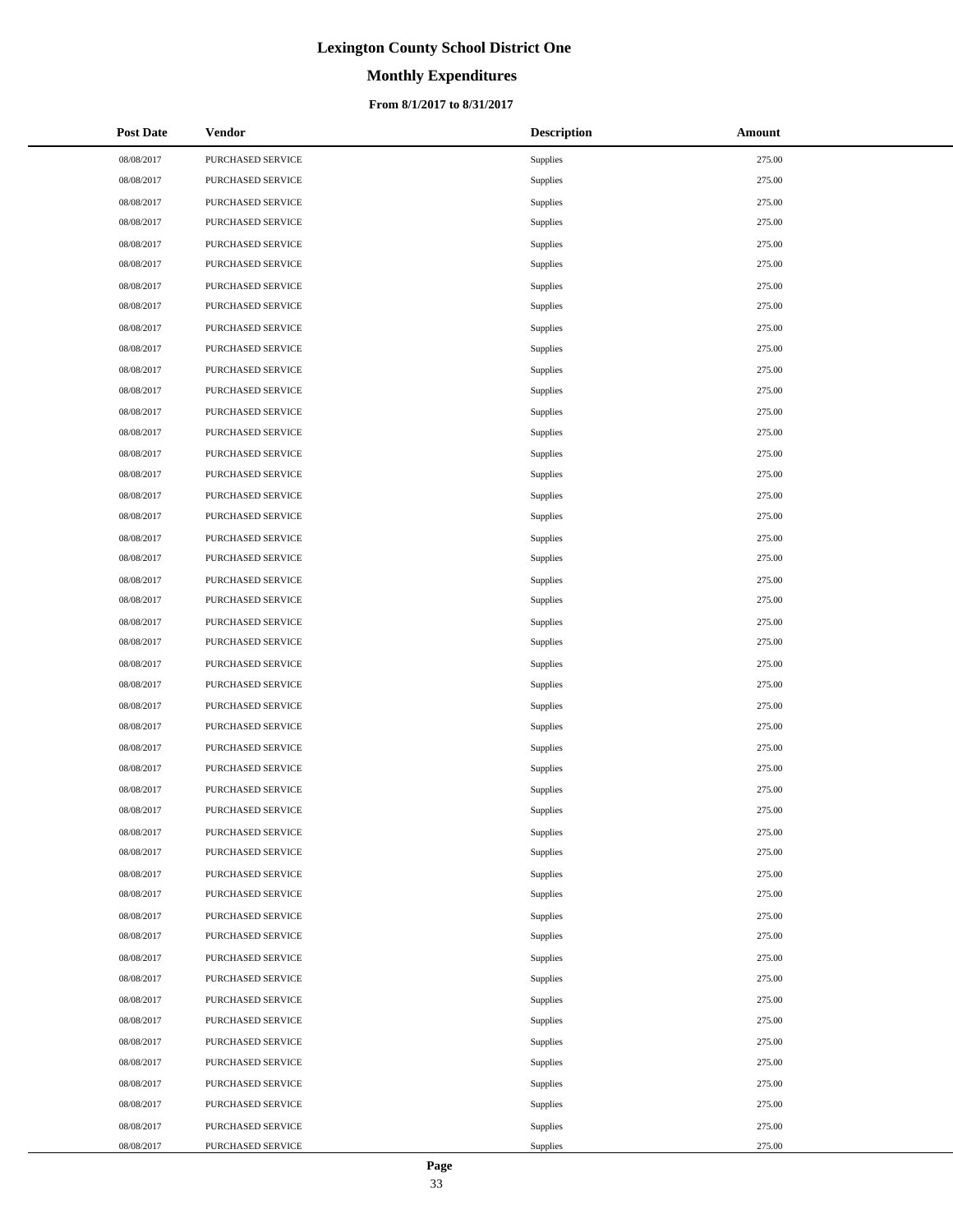# **Monthly Expenditures**

### **From 8/1/2017 to 8/31/2017**

| <b>Post Date</b> | <b>Vendor</b>     | <b>Description</b> | Amount |
|------------------|-------------------|--------------------|--------|
| 08/08/2017       | PURCHASED SERVICE | Supplies           | 275.00 |
| 08/08/2017       | PURCHASED SERVICE | Supplies           | 275.00 |
| 08/08/2017       | PURCHASED SERVICE | Supplies           | 275.00 |
| 08/08/2017       | PURCHASED SERVICE | Supplies           | 275.00 |
| 08/08/2017       | PURCHASED SERVICE | Supplies           | 275.00 |
| 08/08/2017       | PURCHASED SERVICE | Supplies           | 275.00 |
| 08/08/2017       | PURCHASED SERVICE | Supplies           | 275.00 |
| 08/08/2017       | PURCHASED SERVICE | Supplies           | 275.00 |
| 08/08/2017       | PURCHASED SERVICE | Supplies           | 275.00 |
| 08/08/2017       | PURCHASED SERVICE | Supplies           | 275.00 |
| 08/08/2017       | PURCHASED SERVICE | Supplies           | 275.00 |
| 08/08/2017       | PURCHASED SERVICE | Supplies           | 275.00 |
| 08/08/2017       | PURCHASED SERVICE | Supplies           | 275.00 |
| 08/08/2017       | PURCHASED SERVICE | Supplies           | 275.00 |
| 08/08/2017       | PURCHASED SERVICE | Supplies           | 275.00 |
| 08/08/2017       | PURCHASED SERVICE | Supplies           | 275.00 |
| 08/08/2017       | PURCHASED SERVICE | Supplies           | 275.00 |
| 08/08/2017       | PURCHASED SERVICE | Supplies           | 275.00 |
| 08/08/2017       | PURCHASED SERVICE | Supplies           | 275.00 |
| 08/08/2017       | PURCHASED SERVICE | Supplies           | 275.00 |
| 08/08/2017       | PURCHASED SERVICE | Supplies           | 275.00 |
| 08/08/2017       | PURCHASED SERVICE | Supplies           | 275.00 |
| 08/08/2017       | PURCHASED SERVICE | Supplies           | 275.00 |
| 08/08/2017       | PURCHASED SERVICE | Supplies           | 275.00 |
| 08/08/2017       | PURCHASED SERVICE | Supplies           | 275.00 |
| 08/08/2017       | PURCHASED SERVICE | Supplies           | 275.00 |
| 08/08/2017       | PURCHASED SERVICE | Supplies           | 275.00 |
| 08/08/2017       | PURCHASED SERVICE | Supplies           | 275.00 |
| 08/08/2017       | PURCHASED SERVICE | Supplies           | 275.00 |
| 08/08/2017       | PURCHASED SERVICE | Supplies           | 275.00 |
| 08/08/2017       | PURCHASED SERVICE | Supplies           | 275.00 |
| 08/08/2017       | PURCHASED SERVICE | Supplies           | 275.00 |
| 08/08/2017       | PURCHASED SERVICE | Supplies           | 275.00 |
| 08/08/2017       | PURCHASED SERVICE | Supplies           | 275.00 |
| 08/08/2017       | PURCHASED SERVICE | Supplies           | 275.00 |
| 08/08/2017       | PURCHASED SERVICE | Supplies           | 275.00 |
| 08/08/2017       | PURCHASED SERVICE | Supplies           | 275.00 |
| 08/08/2017       | PURCHASED SERVICE | Supplies           | 275.00 |
| 08/08/2017       | PURCHASED SERVICE | Supplies           | 275.00 |
| 08/08/2017       | PURCHASED SERVICE | Supplies           | 275.00 |
| 08/08/2017       | PURCHASED SERVICE | Supplies           | 275.00 |
| 08/08/2017       | PURCHASED SERVICE | Supplies           | 275.00 |
| 08/08/2017       | PURCHASED SERVICE | Supplies           | 275.00 |
| 08/08/2017       | PURCHASED SERVICE | Supplies           | 275.00 |
| 08/08/2017       | PURCHASED SERVICE | Supplies           | 275.00 |
| 08/08/2017       | PURCHASED SERVICE | Supplies           | 275.00 |
| 08/08/2017       | PURCHASED SERVICE | Supplies           | 275.00 |
| 08/08/2017       | PURCHASED SERVICE | Supplies           | 275.00 |

 $\overline{a}$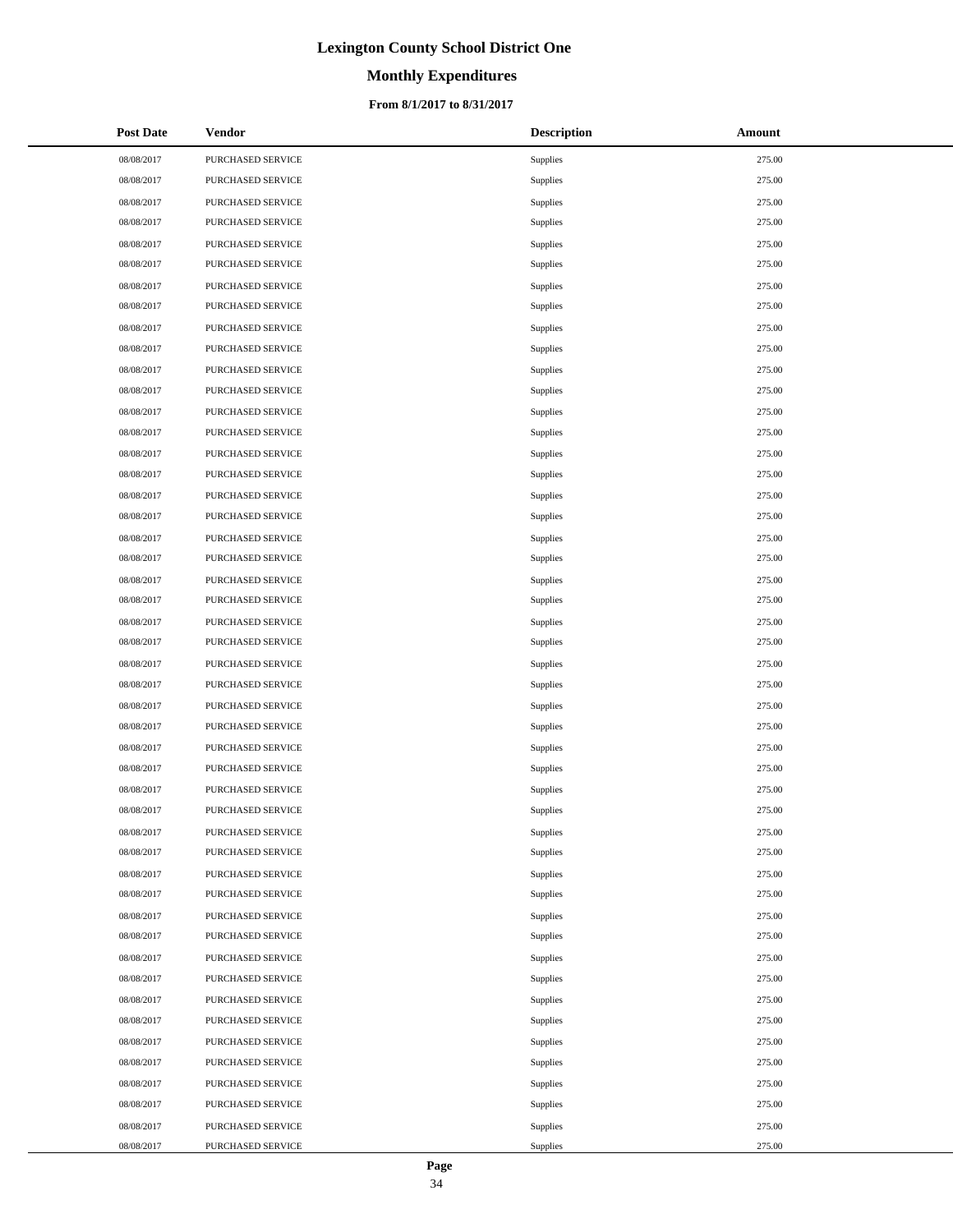# **Monthly Expenditures**

### **From 8/1/2017 to 8/31/2017**

| <b>Post Date</b> | <b>Vendor</b>     | <b>Description</b> | Amount |
|------------------|-------------------|--------------------|--------|
| 08/08/2017       | PURCHASED SERVICE | Supplies           | 275.00 |
| 08/08/2017       | PURCHASED SERVICE | Supplies           | 275.00 |
| 08/08/2017       | PURCHASED SERVICE | Supplies           | 275.00 |
| 08/08/2017       | PURCHASED SERVICE | Supplies           | 275.00 |
| 08/08/2017       | PURCHASED SERVICE | Supplies           | 275.00 |
| 08/08/2017       | PURCHASED SERVICE | Supplies           | 275.00 |
| 08/08/2017       | PURCHASED SERVICE | Supplies           | 275.00 |
| 08/08/2017       | PURCHASED SERVICE | Supplies           | 275.00 |
| 08/08/2017       | PURCHASED SERVICE | Supplies           | 275.00 |
| 08/08/2017       | PURCHASED SERVICE | Supplies           | 275.00 |
| 08/08/2017       | PURCHASED SERVICE | Supplies           | 275.00 |
| 08/08/2017       | PURCHASED SERVICE | Supplies           | 275.00 |
| 08/08/2017       | PURCHASED SERVICE | Supplies           | 275.00 |
| 08/08/2017       | PURCHASED SERVICE | Supplies           | 275.00 |
| 08/08/2017       | PURCHASED SERVICE | Supplies           | 275.00 |
| 08/08/2017       | PURCHASED SERVICE | Supplies           | 275.00 |
| 08/08/2017       | PURCHASED SERVICE | Supplies           | 275.00 |
| 08/08/2017       | PURCHASED SERVICE | Supplies           | 275.00 |
| 08/08/2017       | PURCHASED SERVICE | Supplies           | 275.00 |
| 08/08/2017       | PURCHASED SERVICE | Supplies           | 275.00 |
| 08/08/2017       | PURCHASED SERVICE | Supplies           | 275.00 |
| 08/08/2017       | PURCHASED SERVICE | Supplies           | 275.00 |
| 08/08/2017       | PURCHASED SERVICE | Supplies           | 275.00 |
| 08/08/2017       | PURCHASED SERVICE | Supplies           | 275.00 |
| 08/08/2017       | PURCHASED SERVICE | Supplies           | 275.00 |
| 08/08/2017       | PURCHASED SERVICE | Supplies           | 275.00 |
| 08/08/2017       | PURCHASED SERVICE | Supplies           | 275.00 |
| 08/08/2017       | PURCHASED SERVICE | Supplies           | 275.00 |
| 08/08/2017       | PURCHASED SERVICE | Supplies           | 275.00 |
| 08/08/2017       | PURCHASED SERVICE | Supplies           | 275.00 |
| 08/08/2017       | PURCHASED SERVICE | Supplies           | 275.00 |
| 08/08/2017       | PURCHASED SERVICE | Supplies           | 275.00 |
| 08/08/2017       | PURCHASED SERVICE | Supplies           | 275.00 |
| 08/08/2017       | PURCHASED SERVICE | Supplies           | 275.00 |
| 08/08/2017       | PURCHASED SERVICE | Supplies           | 275.00 |
| 08/08/2017       | PURCHASED SERVICE | Supplies           | 275.00 |
| 08/08/2017       | PURCHASED SERVICE | Supplies           | 275.00 |
| 08/08/2017       | PURCHASED SERVICE | Supplies           | 275.00 |
| 08/08/2017       | PURCHASED SERVICE | Supplies           | 275.00 |
| 08/08/2017       | PURCHASED SERVICE | Supplies           | 275.00 |
| 08/08/2017       | PURCHASED SERVICE | Supplies           | 275.00 |
| 08/08/2017       | PURCHASED SERVICE | Supplies           | 275.00 |
| 08/08/2017       | PURCHASED SERVICE | Supplies           | 275.00 |
| 08/08/2017       | PURCHASED SERVICE | Supplies           | 275.00 |
| 08/08/2017       | PURCHASED SERVICE | Supplies           | 275.00 |
| 08/08/2017       | PURCHASED SERVICE | Supplies           | 275.00 |
| 08/08/2017       | PURCHASED SERVICE | Supplies           | 275.00 |
| 08/08/2017       | PURCHASED SERVICE | Supplies           | 275.00 |

 $\overline{a}$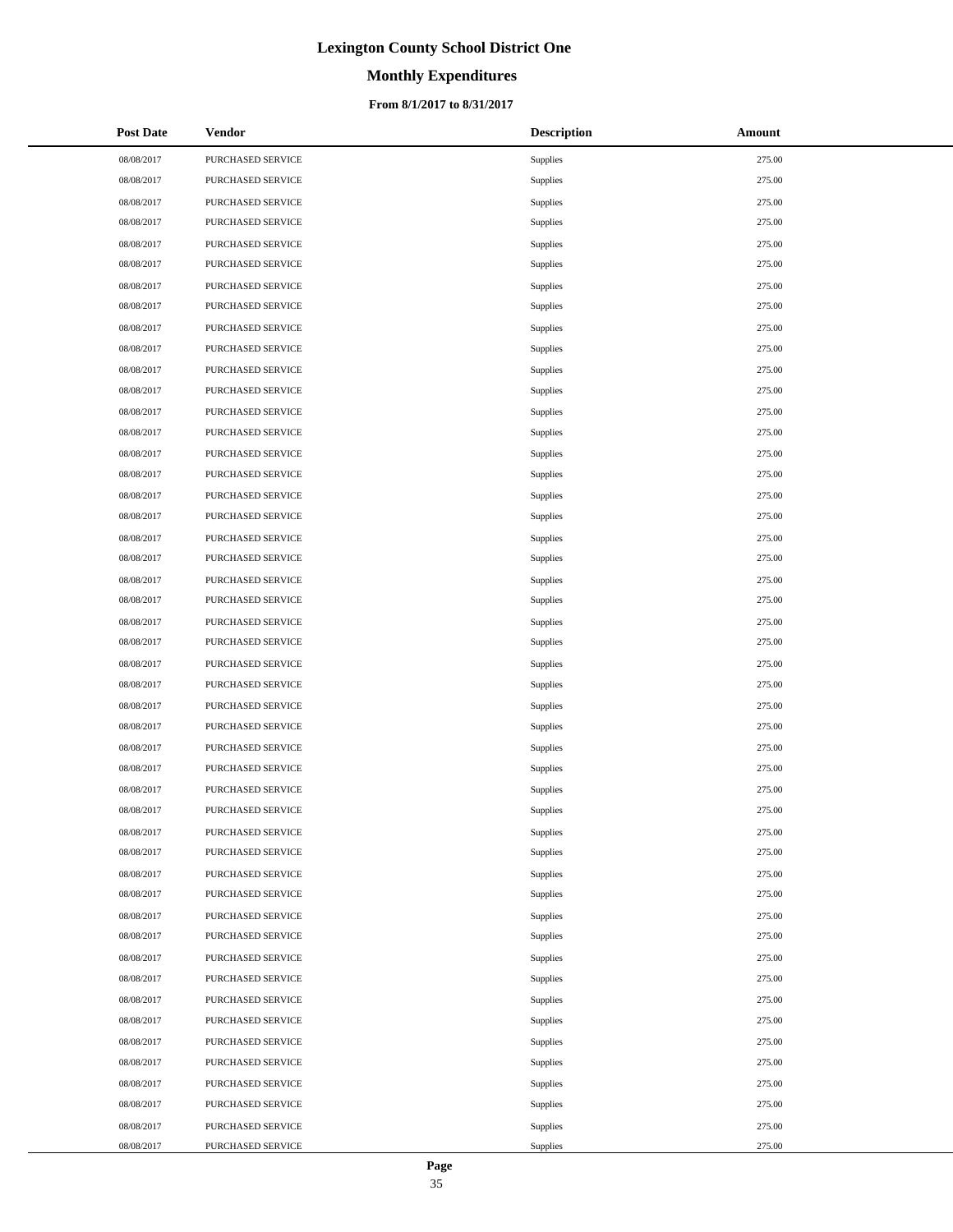# **Monthly Expenditures**

### **From 8/1/2017 to 8/31/2017**

| <b>Post Date</b> | <b>Vendor</b>     | <b>Description</b> | Amount |
|------------------|-------------------|--------------------|--------|
| 08/08/2017       | PURCHASED SERVICE | Supplies           | 275.00 |
| 08/08/2017       | PURCHASED SERVICE | Supplies           | 275.00 |
| 08/08/2017       | PURCHASED SERVICE | Supplies           | 275.00 |
| 08/08/2017       | PURCHASED SERVICE | Supplies           | 275.00 |
| 08/08/2017       | PURCHASED SERVICE | Supplies           | 275.00 |
| 08/08/2017       | PURCHASED SERVICE | Supplies           | 275.00 |
| 08/08/2017       | PURCHASED SERVICE | Supplies           | 275.00 |
| 08/08/2017       | PURCHASED SERVICE | Supplies           | 275.00 |
| 08/08/2017       | PURCHASED SERVICE | Supplies           | 275.00 |
| 08/08/2017       | PURCHASED SERVICE | Supplies           | 275.00 |
| 08/08/2017       | PURCHASED SERVICE | Supplies           | 275.00 |
| 08/08/2017       | PURCHASED SERVICE | Supplies           | 275.00 |
| 08/08/2017       | PURCHASED SERVICE | Supplies           | 275.00 |
| 08/08/2017       | PURCHASED SERVICE | Supplies           | 275.00 |
| 08/08/2017       | PURCHASED SERVICE | Supplies           | 275.00 |
| 08/08/2017       | PURCHASED SERVICE | Supplies           | 275.00 |
| 08/08/2017       | PURCHASED SERVICE | Supplies           | 275.00 |
| 08/08/2017       | PURCHASED SERVICE | Supplies           | 275.00 |
| 08/08/2017       | PURCHASED SERVICE | Supplies           | 275.00 |
| 08/08/2017       | PURCHASED SERVICE | Supplies           | 275.00 |
| 08/08/2017       | PURCHASED SERVICE | Supplies           | 275.00 |
| 08/08/2017       | PURCHASED SERVICE | Supplies           | 275.00 |
| 08/08/2017       | PURCHASED SERVICE | Supplies           | 275.00 |
| 08/08/2017       | PURCHASED SERVICE | Supplies           | 275.00 |
| 08/08/2017       | PURCHASED SERVICE | Supplies           | 275.00 |
| 08/08/2017       | PURCHASED SERVICE | Supplies           | 275.00 |
| 08/08/2017       | PURCHASED SERVICE | Supplies           | 275.00 |
| 08/08/2017       | PURCHASED SERVICE | Supplies           | 275.00 |
| 08/08/2017       | PURCHASED SERVICE | Supplies           | 275.00 |
| 08/08/2017       | PURCHASED SERVICE | Supplies           | 275.00 |
| 08/08/2017       | PURCHASED SERVICE | Supplies           | 275.00 |
| 08/08/2017       | PURCHASED SERVICE | Supplies           | 275.00 |
| 08/08/2017       | PURCHASED SERVICE | Supplies           | 275.00 |
| 08/08/2017       | PURCHASED SERVICE | Supplies           | 275.00 |
| 08/08/2017       | PURCHASED SERVICE | Supplies           | 275.00 |
| 08/08/2017       | PURCHASED SERVICE | Supplies           | 275.00 |
| 08/08/2017       | PURCHASED SERVICE | Supplies           | 275.00 |
| 08/08/2017       | PURCHASED SERVICE | Supplies           | 275.00 |
| 08/08/2017       | PURCHASED SERVICE | Supplies           | 275.00 |
| 08/08/2017       | PURCHASED SERVICE | Supplies           | 275.00 |
| 08/08/2017       | PURCHASED SERVICE | Supplies           | 275.00 |
| 08/08/2017       | PURCHASED SERVICE | Supplies           | 275.00 |
| 08/08/2017       | PURCHASED SERVICE | Supplies           | 275.00 |
| 08/08/2017       | PURCHASED SERVICE | Supplies           | 275.00 |
| 08/08/2017       | PURCHASED SERVICE | Supplies           | 275.00 |
| 08/08/2017       | PURCHASED SERVICE | Supplies           | 275.00 |
| 08/08/2017       | PURCHASED SERVICE | Supplies           | 275.00 |
| 08/08/2017       | PURCHASED SERVICE | Supplies           | 275.00 |

 $\overline{a}$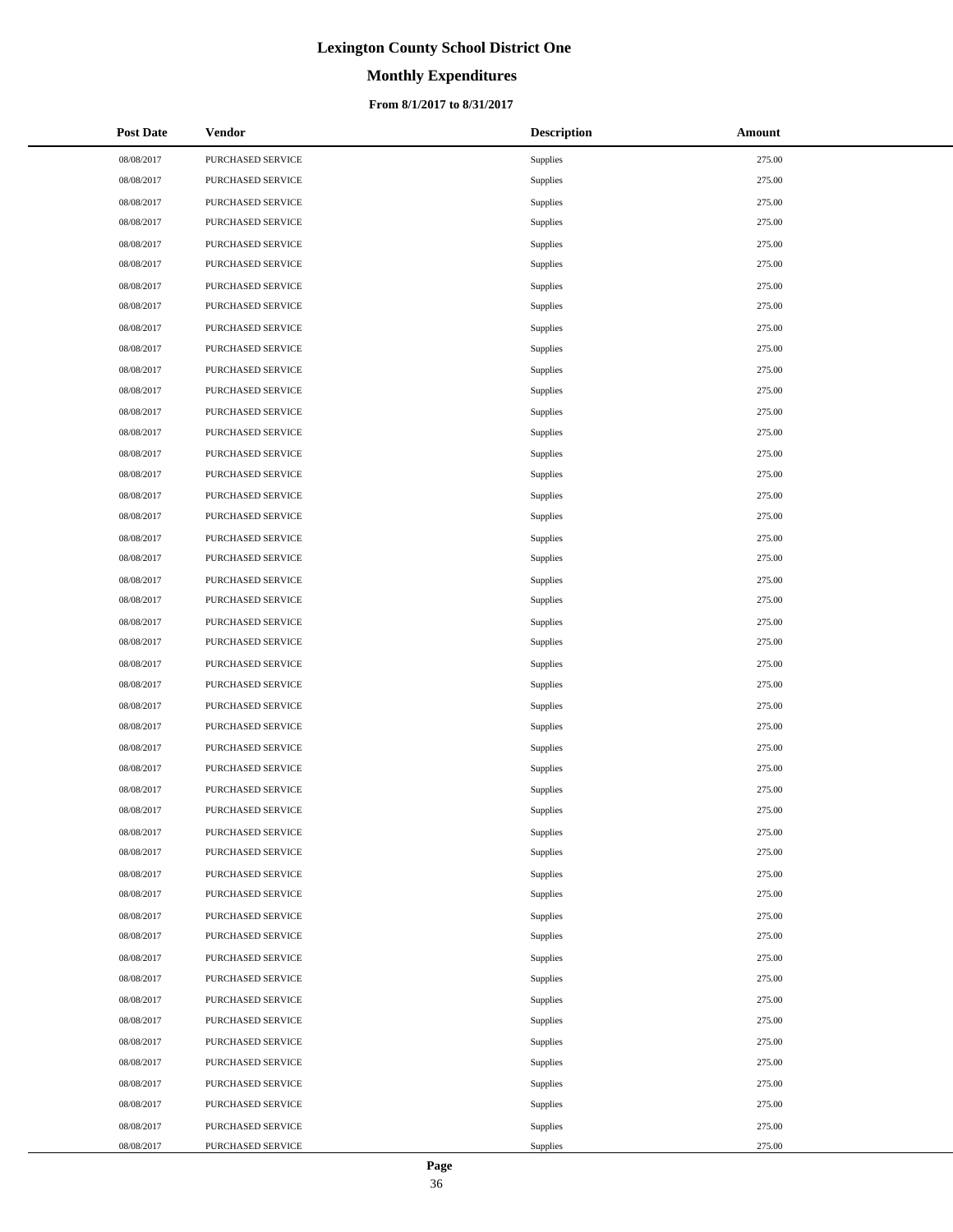# **Monthly Expenditures**

### **From 8/1/2017 to 8/31/2017**

| <b>Post Date</b> | <b>Vendor</b>     | <b>Description</b> | Amount |
|------------------|-------------------|--------------------|--------|
| 08/08/2017       | PURCHASED SERVICE | Supplies           | 275.00 |
| 08/08/2017       | PURCHASED SERVICE | Supplies           | 275.00 |
| 08/08/2017       | PURCHASED SERVICE | Supplies           | 275.00 |
| 08/08/2017       | PURCHASED SERVICE | Supplies           | 275.00 |
| 08/08/2017       | PURCHASED SERVICE | Supplies           | 275.00 |
| 08/08/2017       | PURCHASED SERVICE | Supplies           | 275.00 |
| 08/08/2017       | PURCHASED SERVICE | Supplies           | 275.00 |
| 08/08/2017       | PURCHASED SERVICE | Supplies           | 275.00 |
| 08/08/2017       | PURCHASED SERVICE | Supplies           | 275.00 |
| 08/08/2017       | PURCHASED SERVICE | Supplies           | 275.00 |
| 08/08/2017       | PURCHASED SERVICE | Supplies           | 275.00 |
| 08/08/2017       | PURCHASED SERVICE | Supplies           | 275.00 |
| 08/08/2017       | PURCHASED SERVICE | Supplies           | 275.00 |
| 08/08/2017       | PURCHASED SERVICE | Supplies           | 275.00 |
| 08/08/2017       | PURCHASED SERVICE | Supplies           | 275.00 |
| 08/08/2017       | PURCHASED SERVICE | Supplies           | 275.00 |
| 08/08/2017       | PURCHASED SERVICE | Supplies           | 275.00 |
| 08/08/2017       | PURCHASED SERVICE | Supplies           | 275.00 |
| 08/08/2017       | PURCHASED SERVICE | Supplies           | 275.00 |
| 08/08/2017       | PURCHASED SERVICE | Supplies           | 275.00 |
| 08/08/2017       | PURCHASED SERVICE | Supplies           | 275.00 |
| 08/08/2017       | PURCHASED SERVICE | Supplies           | 275.00 |
| 08/08/2017       | PURCHASED SERVICE | Supplies           | 275.00 |
| 08/08/2017       | PURCHASED SERVICE | Supplies           | 275.00 |
| 08/08/2017       | PURCHASED SERVICE | Supplies           | 275.00 |
| 08/08/2017       | PURCHASED SERVICE | Supplies           | 275.00 |
| 08/08/2017       | PURCHASED SERVICE | Supplies           | 275.00 |
| 08/08/2017       | PURCHASED SERVICE | Supplies           | 275.00 |
| 08/08/2017       | PURCHASED SERVICE | Supplies           | 275.00 |
| 08/08/2017       | PURCHASED SERVICE | Supplies           | 275.00 |
| 08/08/2017       | PURCHASED SERVICE | Supplies           | 275.00 |
| 08/08/2017       | PURCHASED SERVICE | Supplies           | 275.00 |
| 08/08/2017       | PURCHASED SERVICE | Supplies           | 275.00 |
| 08/08/2017       | PURCHASED SERVICE | Supplies           | 275.00 |
| 08/08/2017       | PURCHASED SERVICE | Supplies           | 275.00 |
| 08/08/2017       | PURCHASED SERVICE | Supplies           | 275.00 |
| 08/08/2017       | PURCHASED SERVICE | Supplies           | 275.00 |
| 08/08/2017       | PURCHASED SERVICE | Supplies           | 275.00 |
| 08/08/2017       | PURCHASED SERVICE | Supplies           | 275.00 |
| 08/08/2017       | PURCHASED SERVICE | Supplies           | 275.00 |
| 08/08/2017       | PURCHASED SERVICE | Supplies           | 275.00 |
| 08/08/2017       | PURCHASED SERVICE | Supplies           | 275.00 |
| 08/08/2017       | PURCHASED SERVICE | Supplies           | 275.00 |
| 08/08/2017       | PURCHASED SERVICE | Supplies           | 275.00 |
| 08/08/2017       | PURCHASED SERVICE | Supplies           | 275.00 |
| 08/08/2017       | PURCHASED SERVICE | Supplies           | 275.00 |
| 08/08/2017       | PURCHASED SERVICE | Supplies           | 275.00 |
| 08/08/2017       | PURCHASED SERVICE | Supplies           | 275.00 |

 $\overline{a}$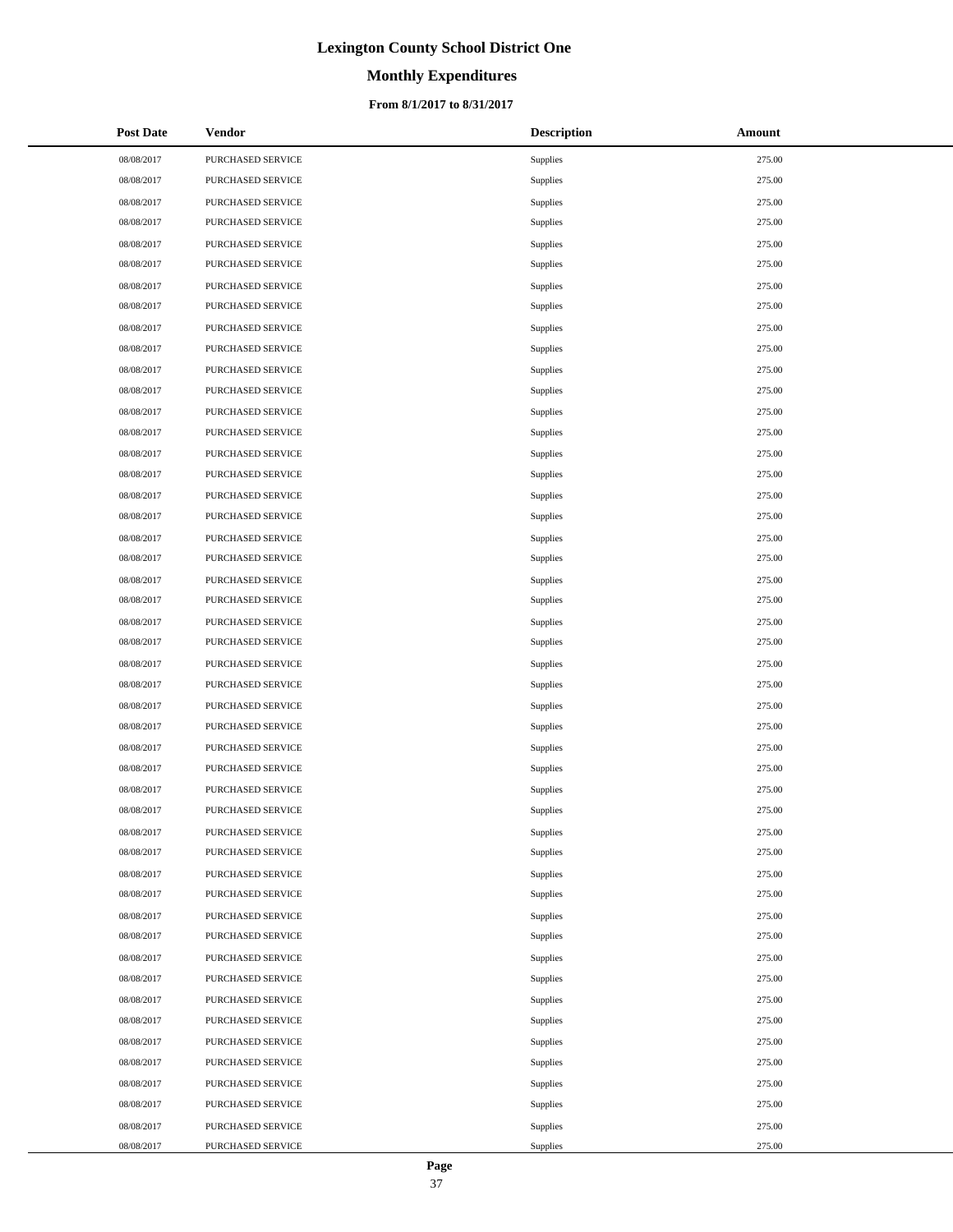# **Monthly Expenditures**

### **From 8/1/2017 to 8/31/2017**

| <b>Post Date</b> | <b>Vendor</b>     | <b>Description</b> | Amount |
|------------------|-------------------|--------------------|--------|
| 08/08/2017       | PURCHASED SERVICE | Supplies           | 275.00 |
| 08/08/2017       | PURCHASED SERVICE | Supplies           | 275.00 |
| 08/08/2017       | PURCHASED SERVICE | Supplies           | 275.00 |
| 08/08/2017       | PURCHASED SERVICE | Supplies           | 275.00 |
| 08/08/2017       | PURCHASED SERVICE | Supplies           | 275.00 |
| 08/08/2017       | PURCHASED SERVICE | Supplies           | 275.00 |
| 08/08/2017       | PURCHASED SERVICE | Supplies           | 275.00 |
| 08/08/2017       | PURCHASED SERVICE | Supplies           | 275.00 |
| 08/08/2017       | PURCHASED SERVICE | Supplies           | 275.00 |
| 08/08/2017       | PURCHASED SERVICE | Supplies           | 275.00 |
| 08/08/2017       | PURCHASED SERVICE | Supplies           | 275.00 |
| 08/08/2017       | PURCHASED SERVICE | Supplies           | 275.00 |
| 08/08/2017       | PURCHASED SERVICE | Supplies           | 275.00 |
| 08/08/2017       | PURCHASED SERVICE | Supplies           | 275.00 |
| 08/08/2017       | PURCHASED SERVICE | Supplies           | 275.00 |
| 08/08/2017       | PURCHASED SERVICE | Supplies           | 275.00 |
| 08/08/2017       | PURCHASED SERVICE | Supplies           | 275.00 |
| 08/08/2017       | PURCHASED SERVICE | Supplies           | 275.00 |
| 08/08/2017       | PURCHASED SERVICE | Supplies           | 275.00 |
| 08/08/2017       | PURCHASED SERVICE | Supplies           | 275.00 |
| 08/08/2017       | PURCHASED SERVICE | Supplies           | 275.00 |
| 08/08/2017       | PURCHASED SERVICE | Supplies           | 275.00 |
| 08/08/2017       | PURCHASED SERVICE | Supplies           | 275.00 |
| 08/08/2017       | PURCHASED SERVICE | Supplies           | 275.00 |
| 08/08/2017       | PURCHASED SERVICE | Supplies           | 275.00 |
| 08/08/2017       | PURCHASED SERVICE | Supplies           | 275.00 |
| 08/08/2017       | PURCHASED SERVICE | Supplies           | 275.00 |
| 08/08/2017       | PURCHASED SERVICE | Supplies           | 275.00 |
| 08/08/2017       | PURCHASED SERVICE | Supplies           | 275.00 |
| 08/08/2017       | PURCHASED SERVICE | Supplies           | 275.00 |
| 08/08/2017       | PURCHASED SERVICE | Supplies           | 275.00 |
| 08/08/2017       | PURCHASED SERVICE | Supplies           | 275.00 |
| 08/08/2017       | PURCHASED SERVICE | Supplies           | 275.00 |
| 08/08/2017       | PURCHASED SERVICE | Supplies           | 275.00 |
| 08/08/2017       | PURCHASED SERVICE | Supplies           | 275.00 |
| 08/08/2017       | PURCHASED SERVICE | Supplies           | 275.00 |
| 08/08/2017       | PURCHASED SERVICE | Supplies           | 275.00 |
| 08/08/2017       | PURCHASED SERVICE | Supplies           | 275.00 |
| 08/08/2017       | PURCHASED SERVICE | Supplies           | 275.00 |
| 08/08/2017       | PURCHASED SERVICE | Supplies           | 275.00 |
| 08/08/2017       | PURCHASED SERVICE | Supplies           | 275.00 |
| 08/08/2017       | PURCHASED SERVICE | Supplies           | 275.00 |
| 08/08/2017       | PURCHASED SERVICE | Supplies           | 275.00 |
| 08/08/2017       | PURCHASED SERVICE | Supplies           | 275.00 |
| 08/08/2017       | PURCHASED SERVICE | Supplies           | 275.00 |
| 08/08/2017       | PURCHASED SERVICE | Supplies           | 275.00 |
| 08/08/2017       | PURCHASED SERVICE | Supplies           | 275.00 |
| 08/08/2017       | PURCHASED SERVICE | Supplies           | 275.00 |

 $\overline{a}$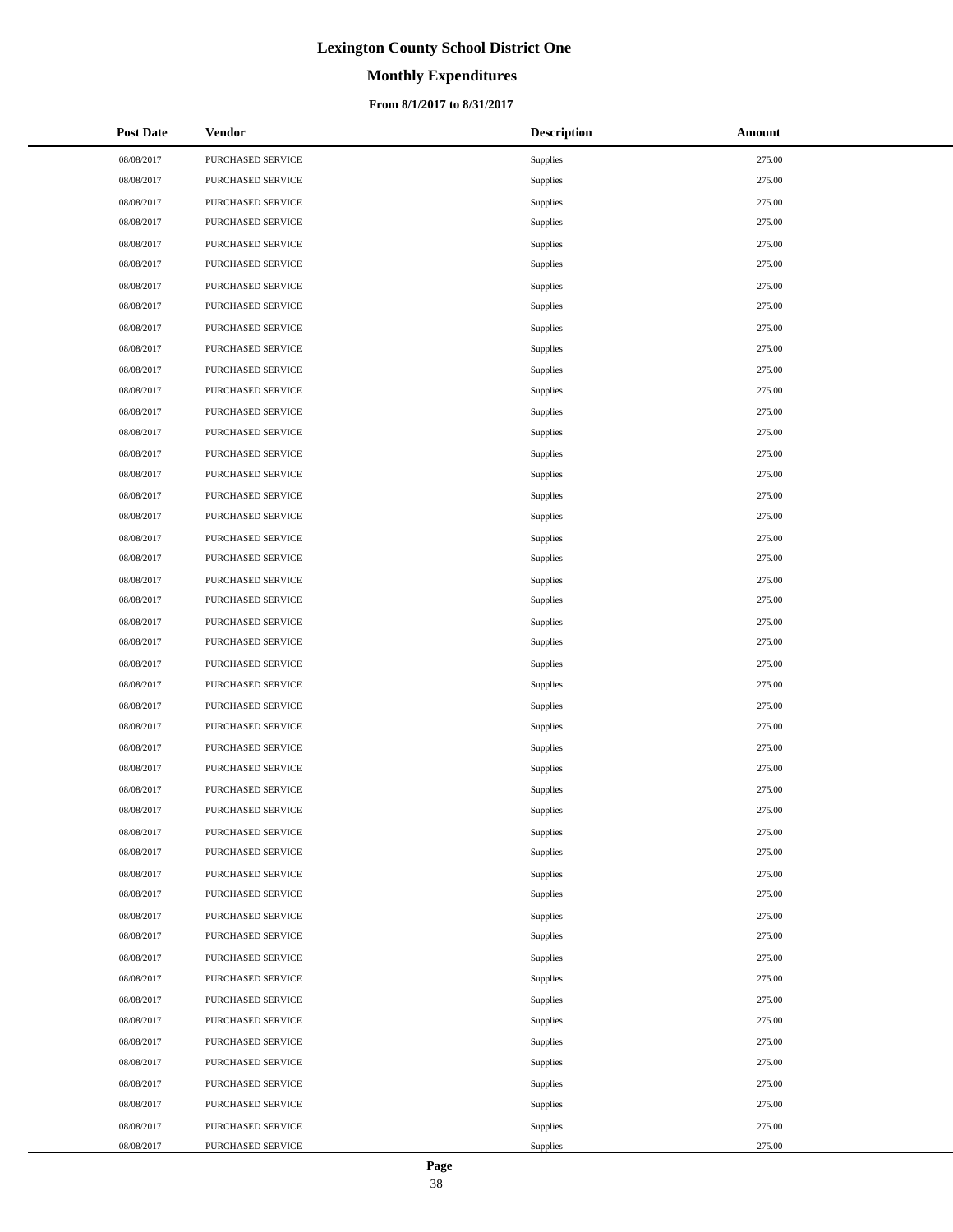# **Monthly Expenditures**

### **From 8/1/2017 to 8/31/2017**

| <b>Post Date</b> | <b>Vendor</b>     | <b>Description</b> | Amount |
|------------------|-------------------|--------------------|--------|
| 08/08/2017       | PURCHASED SERVICE | Supplies           | 275.00 |
| 08/08/2017       | PURCHASED SERVICE | Supplies           | 275.00 |
| 08/08/2017       | PURCHASED SERVICE | Supplies           | 275.00 |
| 08/08/2017       | PURCHASED SERVICE | Supplies           | 275.00 |
| 08/08/2017       | PURCHASED SERVICE | Supplies           | 275.00 |
| 08/08/2017       | PURCHASED SERVICE | Supplies           | 275.00 |
| 08/08/2017       | PURCHASED SERVICE | Supplies           | 275.00 |
| 08/08/2017       | PURCHASED SERVICE | Supplies           | 275.00 |
| 08/08/2017       | PURCHASED SERVICE | Supplies           | 275.00 |
| 08/08/2017       | PURCHASED SERVICE | Supplies           | 275.00 |
| 08/08/2017       | PURCHASED SERVICE | Supplies           | 275.00 |
| 08/08/2017       | PURCHASED SERVICE | Supplies           | 275.00 |
| 08/08/2017       | PURCHASED SERVICE | Supplies           | 275.00 |
| 08/08/2017       | PURCHASED SERVICE | Supplies           | 275.00 |
| 08/08/2017       | PURCHASED SERVICE | Supplies           | 275.00 |
| 08/08/2017       | PURCHASED SERVICE | Supplies           | 275.00 |
| 08/08/2017       | PURCHASED SERVICE | Supplies           | 275.00 |
| 08/08/2017       | PURCHASED SERVICE | Supplies           | 275.00 |
| 08/08/2017       | PURCHASED SERVICE | Supplies           | 275.00 |
| 08/08/2017       | PURCHASED SERVICE | Supplies           | 275.00 |
| 08/08/2017       | PURCHASED SERVICE | Supplies           | 275.00 |
| 08/08/2017       | PURCHASED SERVICE | Supplies           | 275.00 |
| 08/08/2017       | PURCHASED SERVICE | Supplies           | 275.00 |
| 08/08/2017       | PURCHASED SERVICE | Supplies           | 275.00 |
| 08/08/2017       | PURCHASED SERVICE | Supplies           | 275.00 |
| 08/08/2017       | PURCHASED SERVICE | Supplies           | 275.00 |
| 08/08/2017       | PURCHASED SERVICE | Supplies           | 275.00 |
| 08/08/2017       | PURCHASED SERVICE | Supplies           | 275.00 |
| 08/08/2017       | PURCHASED SERVICE | Supplies           | 275.00 |
| 08/08/2017       | PURCHASED SERVICE | Supplies           | 275.00 |
| 08/08/2017       | PURCHASED SERVICE | Supplies           | 275.00 |
| 08/08/2017       | PURCHASED SERVICE | Supplies           | 275.00 |
| 08/08/2017       | PURCHASED SERVICE | Supplies           | 275.00 |
| 08/08/2017       | PURCHASED SERVICE | Supplies           | 275.00 |
| 08/08/2017       | PURCHASED SERVICE | Supplies           | 275.00 |
| 08/08/2017       | PURCHASED SERVICE | <b>Supplies</b>    | 275.00 |
| 08/08/2017       | PURCHASED SERVICE | Supplies           | 275.00 |
| 08/08/2017       | PURCHASED SERVICE | Supplies           | 275.00 |
| 08/08/2017       | PURCHASED SERVICE | Supplies           | 275.00 |
| 08/08/2017       | PURCHASED SERVICE | Supplies           | 275.00 |
| 08/08/2017       | PURCHASED SERVICE | Supplies           | 275.00 |
| 08/08/2017       | PURCHASED SERVICE | Supplies           | 275.00 |
| 08/08/2017       | PURCHASED SERVICE | Supplies           | 275.00 |
| 08/08/2017       | PURCHASED SERVICE | Supplies           | 275.00 |
| 08/08/2017       | PURCHASED SERVICE | Supplies           | 275.00 |
| 08/08/2017       | PURCHASED SERVICE | Supplies           | 275.00 |
| 08/08/2017       | PURCHASED SERVICE | Supplies           | 275.00 |
| 08/08/2017       | PURCHASED SERVICE | Supplies           | 275.00 |

 $\overline{a}$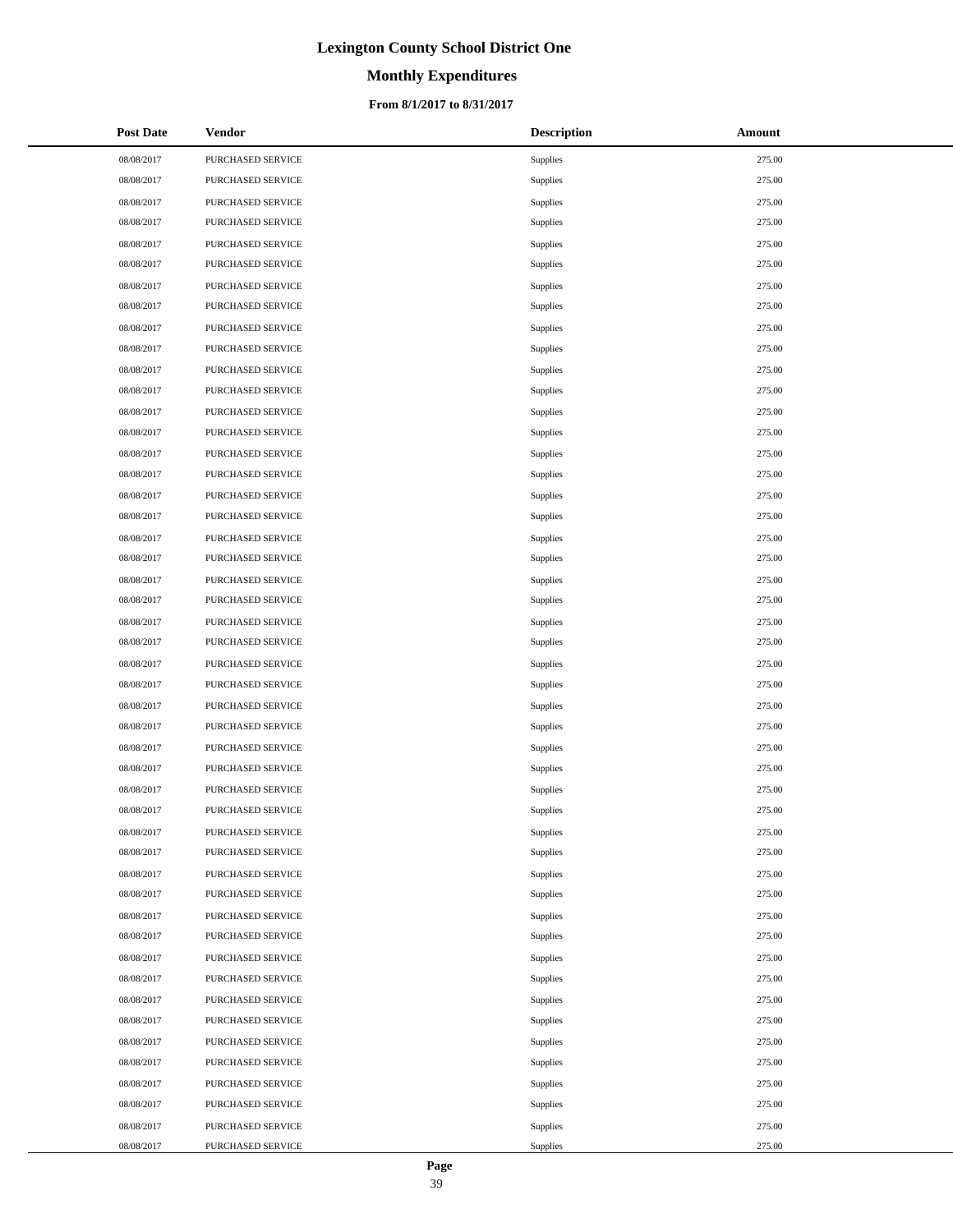# **Monthly Expenditures**

### **From 8/1/2017 to 8/31/2017**

| <b>Post Date</b> | <b>Vendor</b>     | <b>Description</b> | Amount |
|------------------|-------------------|--------------------|--------|
| 08/08/2017       | PURCHASED SERVICE | Supplies           | 275.00 |
| 08/08/2017       | PURCHASED SERVICE | Supplies           | 275.00 |
| 08/08/2017       | PURCHASED SERVICE | Supplies           | 275.00 |
| 08/08/2017       | PURCHASED SERVICE | Supplies           | 275.00 |
| 08/08/2017       | PURCHASED SERVICE | Supplies           | 275.00 |
| 08/08/2017       | PURCHASED SERVICE | Supplies           | 275.00 |
| 08/08/2017       | PURCHASED SERVICE | Supplies           | 275.00 |
| 08/08/2017       | PURCHASED SERVICE | Supplies           | 275.00 |
| 08/08/2017       | PURCHASED SERVICE | Supplies           | 275.00 |
| 08/08/2017       | PURCHASED SERVICE | Supplies           | 275.00 |
| 08/08/2017       | PURCHASED SERVICE | Supplies           | 275.00 |
| 08/08/2017       | PURCHASED SERVICE | Supplies           | 275.00 |
| 08/08/2017       | PURCHASED SERVICE | Supplies           | 275.00 |
| 08/08/2017       | PURCHASED SERVICE | Supplies           | 275.00 |
| 08/08/2017       | PURCHASED SERVICE | Supplies           | 275.00 |
| 08/08/2017       | PURCHASED SERVICE | Supplies           | 275.00 |
| 08/08/2017       | PURCHASED SERVICE | Supplies           | 275.00 |
| 08/08/2017       | PURCHASED SERVICE | Supplies           | 275.00 |
| 08/08/2017       | PURCHASED SERVICE | Supplies           | 275.00 |
| 08/08/2017       | PURCHASED SERVICE | Supplies           | 275.00 |
| 08/08/2017       | PURCHASED SERVICE | Supplies           | 275.00 |
| 08/08/2017       | PURCHASED SERVICE | Supplies           | 275.00 |
| 08/08/2017       | PURCHASED SERVICE | Supplies           | 275.00 |
| 08/08/2017       | PURCHASED SERVICE | Supplies           | 275.00 |
| 08/08/2017       | PURCHASED SERVICE | Supplies           | 275.00 |
| 08/08/2017       | PURCHASED SERVICE | Supplies           | 275.00 |
| 08/08/2017       | PURCHASED SERVICE | Supplies           | 275.00 |
| 08/08/2017       | PURCHASED SERVICE | Supplies           | 275.00 |
| 08/08/2017       | PURCHASED SERVICE | Supplies           | 275.00 |
| 08/08/2017       | PURCHASED SERVICE | Supplies           | 275.00 |
| 08/08/2017       | PURCHASED SERVICE | Supplies           | 275.00 |
| 08/08/2017       | PURCHASED SERVICE | Supplies           | 275.00 |
| 08/08/2017       | PURCHASED SERVICE | Supplies           | 275.00 |
| 08/08/2017       | PURCHASED SERVICE | Supplies           | 275.00 |
| 08/08/2017       | PURCHASED SERVICE | Supplies           | 275.00 |
| 08/08/2017       | PURCHASED SERVICE | Supplies           | 275.00 |
| 08/08/2017       | PURCHASED SERVICE | Supplies           | 275.00 |
| 08/08/2017       | PURCHASED SERVICE | Supplies           | 275.00 |
| 08/08/2017       | PURCHASED SERVICE | Supplies           | 275.00 |
| 08/08/2017       | PURCHASED SERVICE | Supplies           | 275.00 |
| 08/08/2017       | PURCHASED SERVICE | Supplies           | 275.00 |
| 08/08/2017       | PURCHASED SERVICE | Supplies           | 275.00 |
| 08/08/2017       | PURCHASED SERVICE | Supplies           | 275.00 |
| 08/08/2017       | PURCHASED SERVICE | Supplies           | 275.00 |
| 08/08/2017       | PURCHASED SERVICE | Supplies           | 275.00 |
| 08/08/2017       | PURCHASED SERVICE | Supplies           | 275.00 |
| 08/08/2017       | PURCHASED SERVICE | Supplies           | 275.00 |
| 08/08/2017       | PURCHASED SERVICE | Supplies           | 275.00 |

 $\overline{a}$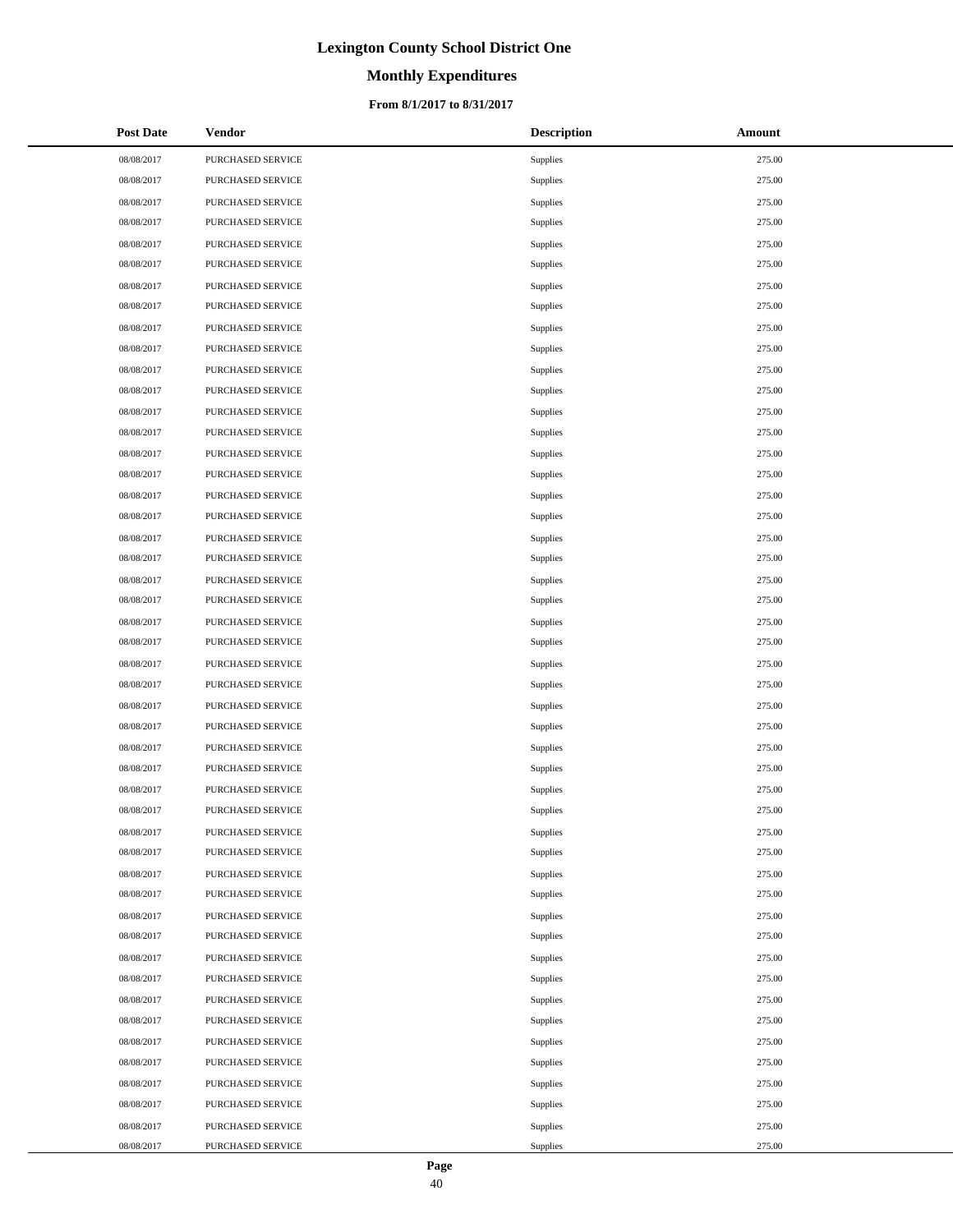# **Monthly Expenditures**

### **From 8/1/2017 to 8/31/2017**

| <b>Post Date</b> | <b>Vendor</b>     | <b>Description</b> | Amount |
|------------------|-------------------|--------------------|--------|
| 08/08/2017       | PURCHASED SERVICE | Supplies           | 275.00 |
| 08/08/2017       | PURCHASED SERVICE | Supplies           | 275.00 |
| 08/08/2017       | PURCHASED SERVICE | Supplies           | 275.00 |
| 08/08/2017       | PURCHASED SERVICE | Supplies           | 275.00 |
| 08/08/2017       | PURCHASED SERVICE | Supplies           | 275.00 |
| 08/08/2017       | PURCHASED SERVICE | Supplies           | 275.00 |
| 08/08/2017       | PURCHASED SERVICE | Supplies           | 275.00 |
| 08/08/2017       | PURCHASED SERVICE | Supplies           | 275.00 |
| 08/08/2017       | PURCHASED SERVICE | Supplies           | 275.00 |
| 08/08/2017       | PURCHASED SERVICE | Supplies           | 275.00 |
| 08/08/2017       | PURCHASED SERVICE | Supplies           | 275.00 |
| 08/08/2017       | PURCHASED SERVICE | Supplies           | 275.00 |
| 08/08/2017       | PURCHASED SERVICE | Supplies           | 275.00 |
| 08/08/2017       | PURCHASED SERVICE | Supplies           | 275.00 |
| 08/08/2017       | PURCHASED SERVICE | Supplies           | 275.00 |
| 08/08/2017       | PURCHASED SERVICE | Supplies           | 275.00 |
| 08/08/2017       | PURCHASED SERVICE | Supplies           | 275.00 |
| 08/08/2017       | PURCHASED SERVICE | Supplies           | 275.00 |
| 08/08/2017       | PURCHASED SERVICE | Supplies           | 275.00 |
| 08/08/2017       | PURCHASED SERVICE | Supplies           | 275.00 |
| 08/08/2017       | PURCHASED SERVICE | Supplies           | 275.00 |
| 08/08/2017       | PURCHASED SERVICE | Supplies           | 275.00 |
| 08/08/2017       | PURCHASED SERVICE | Supplies           | 275.00 |
| 08/08/2017       | PURCHASED SERVICE | Supplies           | 275.00 |
| 08/08/2017       | PURCHASED SERVICE | Supplies           | 275.00 |
| 08/08/2017       | PURCHASED SERVICE | Supplies           | 275.00 |
| 08/08/2017       | PURCHASED SERVICE | Supplies           | 275.00 |
| 08/08/2017       | PURCHASED SERVICE | Supplies           | 275.00 |
| 08/08/2017       | PURCHASED SERVICE | Supplies           | 275.00 |
| 08/08/2017       | PURCHASED SERVICE | Supplies           | 275.00 |
| 08/08/2017       | PURCHASED SERVICE | Supplies           | 275.00 |
| 08/08/2017       | PURCHASED SERVICE | Supplies           | 275.00 |
| 08/08/2017       | PURCHASED SERVICE | Supplies           | 275.00 |
| 08/08/2017       | PURCHASED SERVICE | Supplies           | 275.00 |
| 08/08/2017       | PURCHASED SERVICE | Supplies           | 275.00 |
| 08/08/2017       | PURCHASED SERVICE | Supplies           | 275.00 |
| 08/08/2017       | PURCHASED SERVICE | Supplies           | 275.00 |
| 08/08/2017       | PURCHASED SERVICE | Supplies           | 275.00 |
| 08/08/2017       | PURCHASED SERVICE | Supplies           | 275.00 |
| 08/08/2017       | PURCHASED SERVICE | Supplies           | 275.00 |
| 08/08/2017       | PURCHASED SERVICE | Supplies           | 275.00 |
| 08/08/2017       | PURCHASED SERVICE | Supplies           | 275.00 |
| 08/08/2017       | PURCHASED SERVICE | Supplies           | 275.00 |
| 08/08/2017       | PURCHASED SERVICE | Supplies           | 275.00 |
| 08/08/2017       | PURCHASED SERVICE | Supplies           | 275.00 |
| 08/08/2017       | PURCHASED SERVICE | Supplies           | 275.00 |
| 08/08/2017       | PURCHASED SERVICE | Supplies           | 275.00 |
| 08/08/2017       | PURCHASED SERVICE | Supplies           | 275.00 |

 $\overline{a}$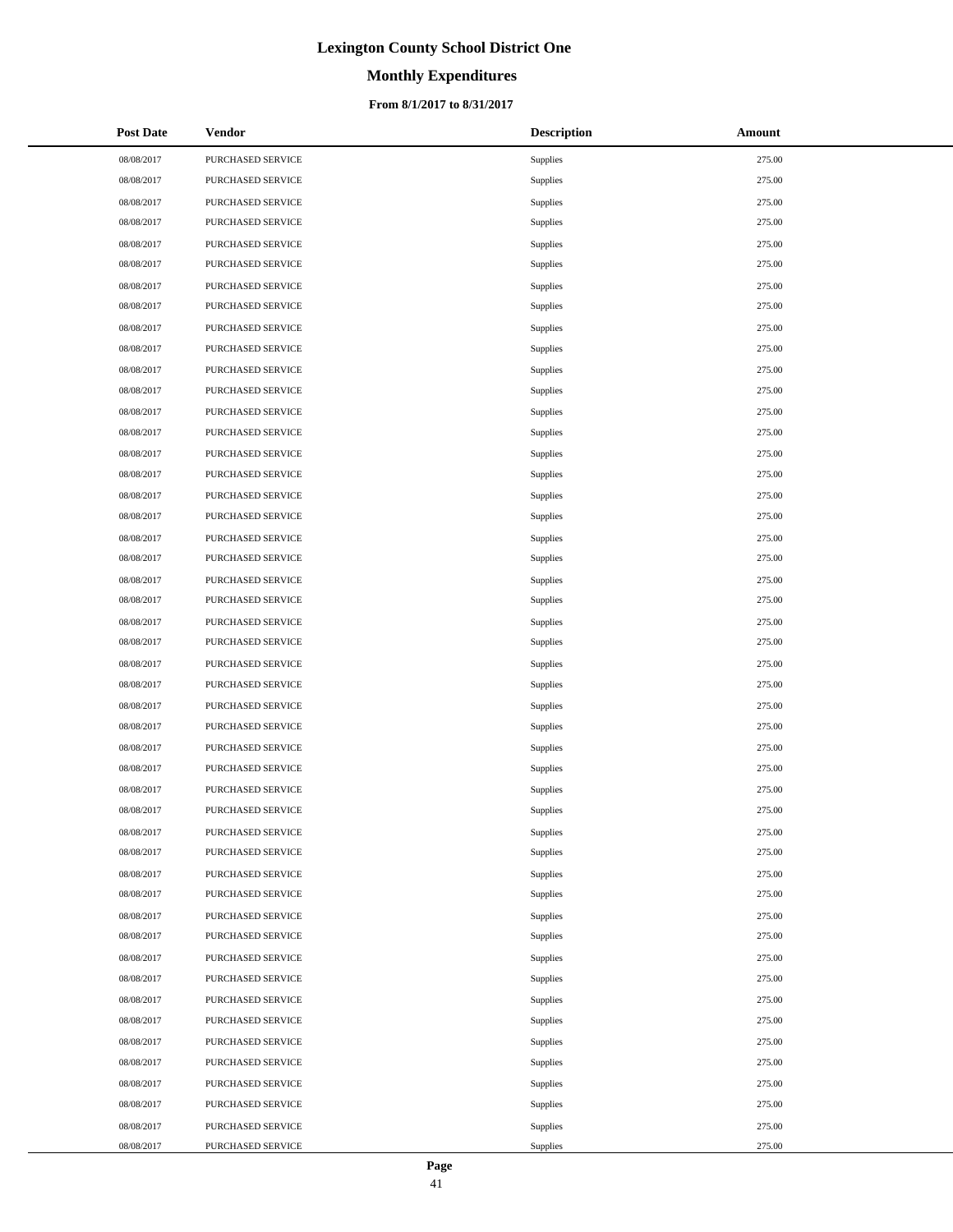# **Monthly Expenditures**

### **From 8/1/2017 to 8/31/2017**

| <b>Post Date</b> | <b>Vendor</b>     | <b>Description</b> | Amount |
|------------------|-------------------|--------------------|--------|
| 08/08/2017       | PURCHASED SERVICE | Supplies           | 275.00 |
| 08/08/2017       | PURCHASED SERVICE | Supplies           | 275.00 |
| 08/08/2017       | PURCHASED SERVICE | Supplies           | 275.00 |
| 08/08/2017       | PURCHASED SERVICE | Supplies           | 275.00 |
| 08/08/2017       | PURCHASED SERVICE | Supplies           | 275.00 |
| 08/08/2017       | PURCHASED SERVICE | Supplies           | 275.00 |
| 08/08/2017       | PURCHASED SERVICE | Supplies           | 275.00 |
| 08/08/2017       | PURCHASED SERVICE | Supplies           | 275.00 |
| 08/08/2017       | PURCHASED SERVICE | Supplies           | 275.00 |
| 08/08/2017       | PURCHASED SERVICE | Supplies           | 275.00 |
| 08/08/2017       | PURCHASED SERVICE | Supplies           | 275.00 |
| 08/08/2017       | PURCHASED SERVICE | Supplies           | 275.00 |
| 08/08/2017       | PURCHASED SERVICE | Supplies           | 275.00 |
| 08/08/2017       | PURCHASED SERVICE | Supplies           | 275.00 |
| 08/08/2017       | PURCHASED SERVICE | Supplies           | 275.00 |
| 08/08/2017       | PURCHASED SERVICE | Supplies           | 275.00 |
| 08/08/2017       | PURCHASED SERVICE | Supplies           | 275.00 |
| 08/08/2017       | PURCHASED SERVICE | Supplies           | 275.00 |
| 08/08/2017       | PURCHASED SERVICE | Supplies           | 275.00 |
| 08/08/2017       | PURCHASED SERVICE | Supplies           | 275.00 |
| 08/08/2017       | PURCHASED SERVICE | Supplies           | 275.00 |
| 08/08/2017       | PURCHASED SERVICE | Supplies           | 275.00 |
| 08/08/2017       | PURCHASED SERVICE | Supplies           | 275.00 |
| 08/08/2017       | PURCHASED SERVICE | Supplies           | 275.00 |
| 08/08/2017       | PURCHASED SERVICE | Supplies           | 275.00 |
| 08/08/2017       | PURCHASED SERVICE | Supplies           | 275.00 |
| 08/08/2017       | PURCHASED SERVICE | Supplies           | 275.00 |
| 08/08/2017       | PURCHASED SERVICE | Supplies           | 275.00 |
| 08/08/2017       | PURCHASED SERVICE | Supplies           | 275.00 |
| 08/08/2017       | PURCHASED SERVICE | Supplies           | 275.00 |
| 08/08/2017       | PURCHASED SERVICE | Supplies           | 275.00 |
| 08/08/2017       | PURCHASED SERVICE | Supplies           | 275.00 |
| 08/08/2017       | PURCHASED SERVICE | Supplies           | 275.00 |
| 08/08/2017       | PURCHASED SERVICE | Supplies           | 275.00 |
| 08/08/2017       | PURCHASED SERVICE | Supplies           | 275.00 |
| 08/08/2017       | PURCHASED SERVICE | Supplies           | 275.00 |
| 08/08/2017       | PURCHASED SERVICE | Supplies           | 275.00 |
| 08/08/2017       | PURCHASED SERVICE | Supplies           | 275.00 |
| 08/08/2017       | PURCHASED SERVICE | Supplies           | 275.00 |
| 08/08/2017       | PURCHASED SERVICE | Supplies           | 275.00 |
| 08/08/2017       | PURCHASED SERVICE | Supplies           | 275.00 |
| 08/08/2017       | PURCHASED SERVICE | Supplies           | 275.00 |
| 08/08/2017       | PURCHASED SERVICE | Supplies           | 275.00 |
| 08/08/2017       | PURCHASED SERVICE | Supplies           | 275.00 |
| 08/08/2017       | PURCHASED SERVICE | Supplies           | 275.00 |
| 08/08/2017       | PURCHASED SERVICE | Supplies           | 275.00 |
| 08/08/2017       | PURCHASED SERVICE | Supplies           | 275.00 |
| 08/08/2017       | PURCHASED SERVICE | Supplies           | 275.00 |

 $\overline{a}$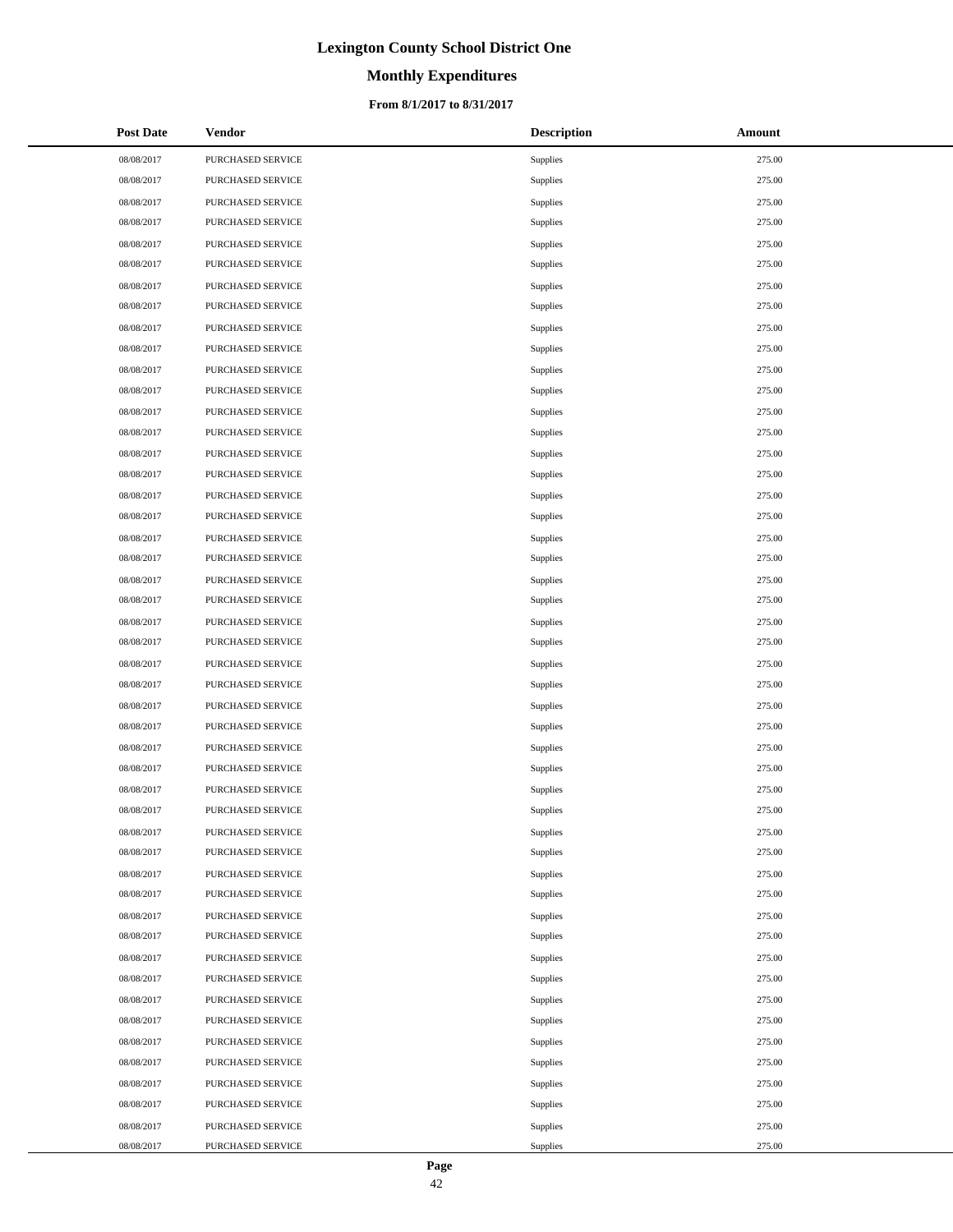# **Monthly Expenditures**

### **From 8/1/2017 to 8/31/2017**

| <b>Post Date</b> | Vendor                   | <b>Description</b> | Amount |
|------------------|--------------------------|--------------------|--------|
| 08/08/2017       | PURCHASED SERVICE        | Supplies           | 275.00 |
| 08/08/2017       | PURCHASED SERVICE        | Supplies           | 275.00 |
| 08/08/2017       | PURCHASED SERVICE        | Supplies           | 275.00 |
| 08/08/2017       | PURCHASED SERVICE        | Supplies           | 275.00 |
| 08/08/2017       | PURCHASED SERVICE        | <b>Supplies</b>    | 275.00 |
| 08/08/2017       | PURCHASED SERVICE        | Supplies           | 275.00 |
| 08/08/2017       | PURCHASED SERVICE        | Supplies           | 275.00 |
| 08/08/2017       | PURCHASED SERVICE        | Supplies           | 275.00 |
| 08/08/2017       | PURCHASED SERVICE        | <b>Supplies</b>    | 275.00 |
| 08/08/2017       | PURCHASED SERVICE        | Supplies           | 275.00 |
| 08/08/2017       | PURCHASED SERVICE        | Supplies           | 275.00 |
| 08/08/2017       | PURCHASED SERVICE        | Supplies           | 275.00 |
| 08/08/2017       | PURCHASED SERVICE        | <b>Supplies</b>    | 275.00 |
| 08/08/2017       | PURCHASED SERVICE        | Supplies           | 275.00 |
| 08/08/2017       | PURCHASED SERVICE        | Supplies           | 275.00 |
| 08/08/2017       | PURCHASED SERVICE        | Supplies           | 275.00 |
| 08/08/2017       | PURCHASED SERVICE        | Supplies           | 275.00 |
| 08/08/2017       | PURCHASED SERVICE        | Supplies           | 275.00 |
| 08/08/2017       | PURCHASED SERVICE        | Supplies           | 275.00 |
| 08/08/2017       | PURCHASED SERVICE        | Supplies           | 275.00 |
| 08/08/2017       | PURCHASED SERVICE        | <b>Supplies</b>    | 275.00 |
| 08/08/2017       | PURCHASED SERVICE        | Supplies           | 275.00 |
| 08/08/2017       | PURCHASED SERVICE        | Supplies           | 275.00 |
| 08/08/2017       | PURCHASED SERVICE        | Supplies           | 275.00 |
| 08/08/2017       | PURCHASED SERVICE        | <b>Supplies</b>    | 275.00 |
| 08/08/2017       | PURCHASED SERVICE        | Supplies           | 275.00 |
| 08/08/2017       | PURCHASED SERVICE        | Supplies           | 275.00 |
| 08/08/2017       | PURCHASED SERVICE        | Supplies           | 275.00 |
| 08/08/2017       | PURCHASED SERVICE        | <b>Supplies</b>    | 275.00 |
| 08/08/2017       | PURCHASED SERVICE        | Supplies           | 275.00 |
| 08/08/2017       | PURCHASED SERVICE        | Supplies           | 275.00 |
| 08/08/2017       | <b>PURCHASED SERVICE</b> | Supplies           | 275.00 |
| 08/08/2017       | PURCHASED SERVICE        | Supplies           | 275.00 |
| 08/08/2017       | PURCHASED SERVICE        | Supplies           | 275.00 |
| 08/08/2017       | PURCHASED SERVICE        | Supplies           | 275.00 |
| 08/08/2017       | PURCHASED SERVICE        | Supplies           | 275.00 |
| 08/08/2017       | PURCHASED SERVICE        | Supplies           | 275.00 |
| 08/08/2017       | PURCHASED SERVICE        | Supplies           | 275.00 |
| 08/08/2017       | PURCHASED SERVICE        | Supplies           | 275.00 |
| 08/08/2017       | PURCHASED SERVICE        | Supplies           | 275.00 |
| 08/08/2017       | PURCHASED SERVICE        | Supplies           | 275.00 |
| 08/08/2017       | PURCHASED SERVICE        | Supplies           | 275.00 |
| 08/08/2017       | PURCHASED SERVICE        | Supplies           | 275.00 |
| 08/08/2017       | PURCHASED SERVICE        | Supplies           | 275.00 |
| 08/08/2017       | PURCHASED SERVICE        | Supplies           | 275.00 |
| 08/08/2017       | PURCHASED SERVICE        | Supplies           | 275.00 |
| 08/08/2017       | PURCHASED SERVICE        | Supplies           | 275.00 |
| 08/08/2017       | PURCHASED SERVICE        | Supplies           | 275.00 |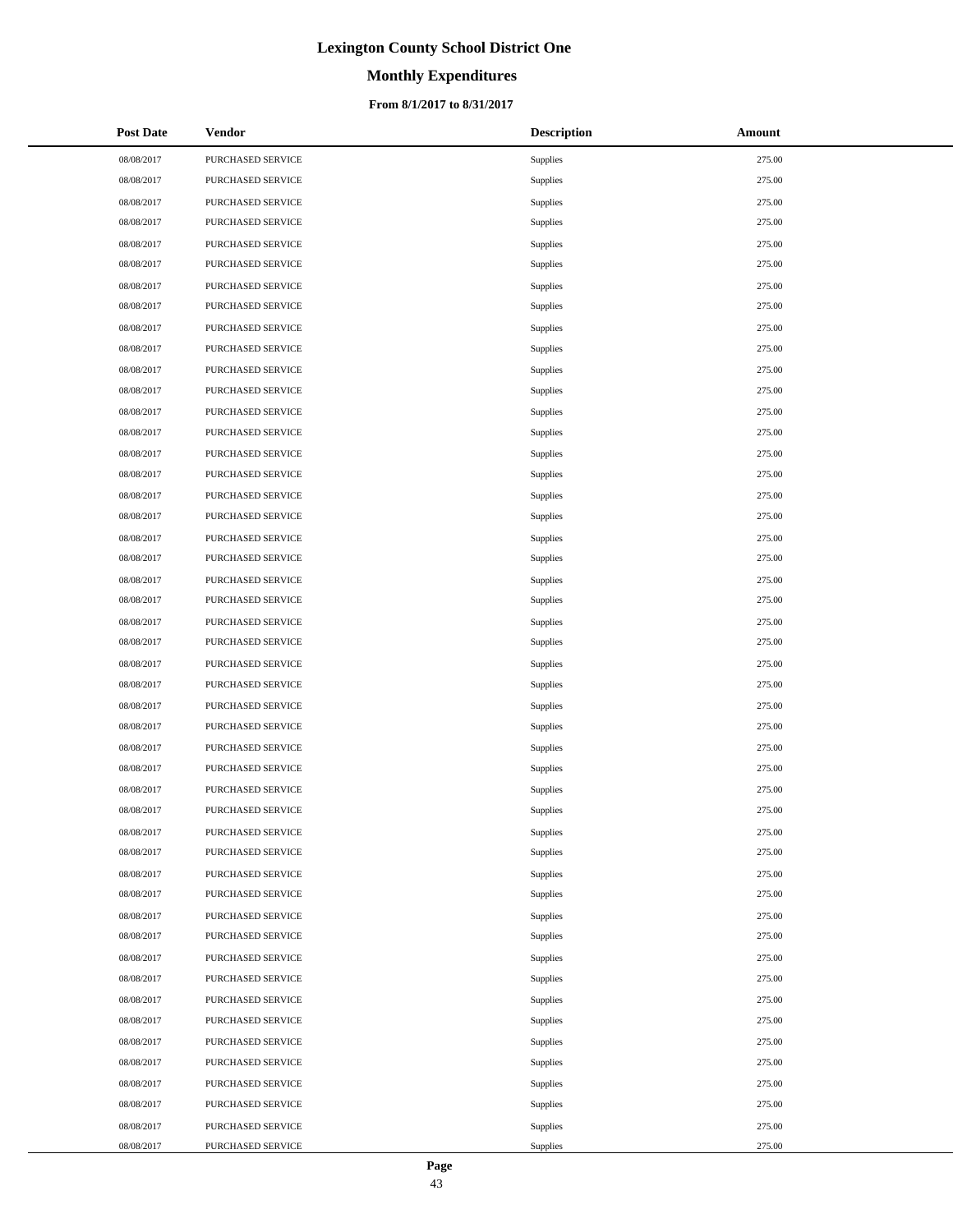# **Monthly Expenditures**

### **From 8/1/2017 to 8/31/2017**

| <b>Post Date</b> | <b>Vendor</b>     | <b>Description</b> | Amount |
|------------------|-------------------|--------------------|--------|
| 08/08/2017       | PURCHASED SERVICE | Supplies           | 275.00 |
| 08/08/2017       | PURCHASED SERVICE | Supplies           | 275.00 |
| 08/08/2017       | PURCHASED SERVICE | Supplies           | 275.00 |
| 08/08/2017       | PURCHASED SERVICE | Supplies           | 275.00 |
| 08/08/2017       | PURCHASED SERVICE | Supplies           | 275.00 |
| 08/08/2017       | PURCHASED SERVICE | Supplies           | 275.00 |
| 08/08/2017       | PURCHASED SERVICE | Supplies           | 275.00 |
| 08/08/2017       | PURCHASED SERVICE | Supplies           | 275.00 |
| 08/08/2017       | PURCHASED SERVICE | Supplies           | 275.00 |
| 08/08/2017       | PURCHASED SERVICE | Supplies           | 275.00 |
| 08/08/2017       | PURCHASED SERVICE | Supplies           | 275.00 |
| 08/08/2017       | PURCHASED SERVICE | Supplies           | 275.00 |
| 08/08/2017       | PURCHASED SERVICE | Supplies           | 275.00 |
| 08/08/2017       | PURCHASED SERVICE | Supplies           | 275.00 |
| 08/08/2017       | PURCHASED SERVICE | Supplies           | 275.00 |
| 08/08/2017       | PURCHASED SERVICE | Supplies           | 275.00 |
| 08/08/2017       | PURCHASED SERVICE | Supplies           | 275.00 |
| 08/08/2017       | PURCHASED SERVICE | Supplies           | 275.00 |
| 08/08/2017       | PURCHASED SERVICE | Supplies           | 275.00 |
| 08/08/2017       | PURCHASED SERVICE | Supplies           | 275.00 |
| 08/08/2017       | PURCHASED SERVICE | Supplies           | 275.00 |
| 08/08/2017       | PURCHASED SERVICE | Supplies           | 275.00 |
| 08/08/2017       | PURCHASED SERVICE | Supplies           | 275.00 |
| 08/08/2017       | PURCHASED SERVICE | Supplies           | 275.00 |
| 08/08/2017       | PURCHASED SERVICE | Supplies           | 275.00 |
| 08/08/2017       | PURCHASED SERVICE | Supplies           | 275.00 |
| 08/08/2017       | PURCHASED SERVICE | Supplies           | 275.00 |
| 08/08/2017       | PURCHASED SERVICE | Supplies           | 275.00 |
| 08/08/2017       | PURCHASED SERVICE | Supplies           | 275.00 |
| 08/08/2017       | PURCHASED SERVICE | Supplies           | 275.00 |
| 08/08/2017       | PURCHASED SERVICE | Supplies           | 275.00 |
| 08/08/2017       | PURCHASED SERVICE | Supplies           | 275.00 |
| 08/08/2017       | PURCHASED SERVICE | Supplies           | 275.00 |
| 08/08/2017       | PURCHASED SERVICE | Supplies           | 275.00 |
| 08/08/2017       | PURCHASED SERVICE | Supplies           | 275.00 |
| 08/08/2017       | PURCHASED SERVICE | Supplies           | 275.00 |
| 08/08/2017       | PURCHASED SERVICE | Supplies           | 275.00 |
| 08/08/2017       | PURCHASED SERVICE | Supplies           | 275.00 |
| 08/08/2017       | PURCHASED SERVICE | Supplies           | 275.00 |
| 08/08/2017       | PURCHASED SERVICE | Supplies           | 275.00 |
| 08/08/2017       | PURCHASED SERVICE | Supplies           | 275.00 |
| 08/08/2017       | PURCHASED SERVICE | Supplies           | 275.00 |
| 08/08/2017       | PURCHASED SERVICE | Supplies           | 275.00 |
| 08/08/2017       | PURCHASED SERVICE | Supplies           | 275.00 |
| 08/08/2017       | PURCHASED SERVICE | Supplies           | 275.00 |
| 08/08/2017       | PURCHASED SERVICE | Supplies           | 275.00 |
| 08/08/2017       | PURCHASED SERVICE | Supplies           | 275.00 |
| 08/08/2017       | PURCHASED SERVICE | Supplies           | 275.00 |

 $\overline{a}$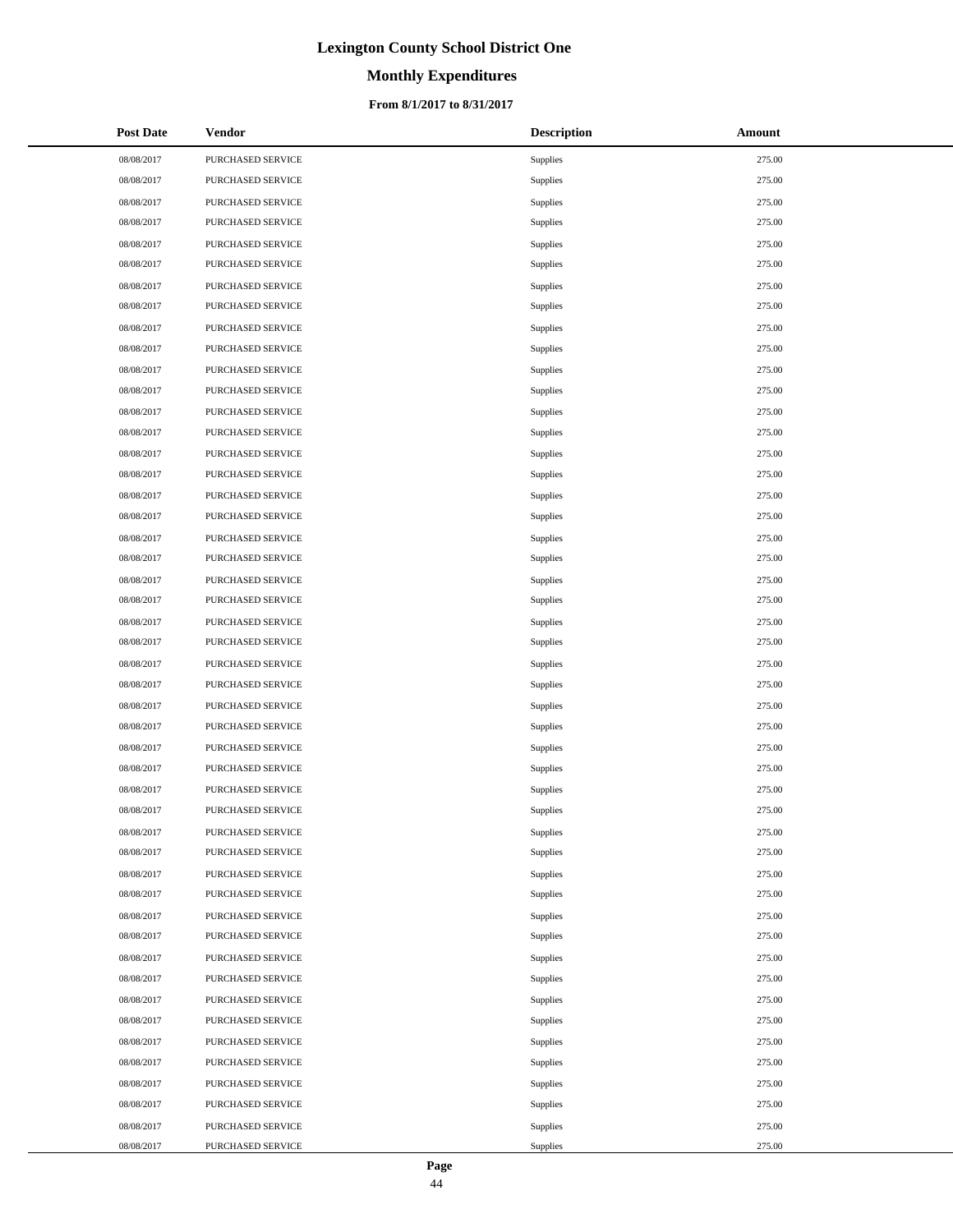# **Monthly Expenditures**

### **From 8/1/2017 to 8/31/2017**

| <b>Post Date</b> | <b>Vendor</b>     | <b>Description</b> | Amount |
|------------------|-------------------|--------------------|--------|
| 08/08/2017       | PURCHASED SERVICE | Supplies           | 275.00 |
| 08/08/2017       | PURCHASED SERVICE | Supplies           | 275.00 |
| 08/08/2017       | PURCHASED SERVICE | Supplies           | 275.00 |
| 08/08/2017       | PURCHASED SERVICE | Supplies           | 275.00 |
| 08/08/2017       | PURCHASED SERVICE | Supplies           | 275.00 |
| 08/08/2017       | PURCHASED SERVICE | Supplies           | 275.00 |
| 08/08/2017       | PURCHASED SERVICE | Supplies           | 275.00 |
| 08/08/2017       | PURCHASED SERVICE | Supplies           | 275.00 |
| 08/08/2017       | PURCHASED SERVICE | Supplies           | 275.00 |
| 08/08/2017       | PURCHASED SERVICE | Supplies           | 275.00 |
| 08/08/2017       | PURCHASED SERVICE | Supplies           | 275.00 |
| 08/08/2017       | PURCHASED SERVICE | Supplies           | 275.00 |
| 08/08/2017       | PURCHASED SERVICE | Supplies           | 275.00 |
| 08/08/2017       | PURCHASED SERVICE | Supplies           | 275.00 |
| 08/08/2017       | PURCHASED SERVICE | Supplies           | 275.00 |
| 08/08/2017       | PURCHASED SERVICE | Supplies           | 275.00 |
| 08/08/2017       | PURCHASED SERVICE | Supplies           | 275.00 |
| 08/08/2017       | PURCHASED SERVICE | Supplies           | 275.00 |
| 08/08/2017       | PURCHASED SERVICE | Supplies           | 275.00 |
| 08/08/2017       | PURCHASED SERVICE | Supplies           | 275.00 |
| 08/08/2017       | PURCHASED SERVICE | Supplies           | 275.00 |
| 08/08/2017       | PURCHASED SERVICE | Supplies           | 275.00 |
| 08/08/2017       | PURCHASED SERVICE | Supplies           | 275.00 |
| 08/08/2017       | PURCHASED SERVICE | Supplies           | 275.00 |
| 08/08/2017       | PURCHASED SERVICE | Supplies           | 275.00 |
| 08/08/2017       | PURCHASED SERVICE | Supplies           | 275.00 |
| 08/08/2017       | PURCHASED SERVICE | Supplies           | 275.00 |
| 08/08/2017       | PURCHASED SERVICE | Supplies           | 275.00 |
| 08/08/2017       | PURCHASED SERVICE | Supplies           | 275.00 |
| 08/08/2017       | PURCHASED SERVICE | Supplies           | 275.00 |
| 08/08/2017       | PURCHASED SERVICE | Supplies           | 275.00 |
| 08/08/2017       | PURCHASED SERVICE | Supplies           | 275.00 |
| 08/08/2017       | PURCHASED SERVICE | Supplies           | 275.00 |
| 08/08/2017       | PURCHASED SERVICE | Supplies           | 275.00 |
| 08/08/2017       | PURCHASED SERVICE | Supplies           | 275.00 |
| 08/08/2017       | PURCHASED SERVICE | Supplies           | 275.00 |
| 08/08/2017       | PURCHASED SERVICE | Supplies           | 275.00 |
| 08/08/2017       | PURCHASED SERVICE | Supplies           | 275.00 |
| 08/08/2017       | PURCHASED SERVICE | <b>Supplies</b>    | 275.00 |
| 08/08/2017       | PURCHASED SERVICE | Supplies           | 275.00 |
| 08/08/2017       | PURCHASED SERVICE | Supplies           | 275.00 |
| 08/08/2017       | PURCHASED SERVICE | Supplies           | 275.00 |
| 08/08/2017       | PURCHASED SERVICE | Supplies           | 275.00 |
| 08/08/2017       | PURCHASED SERVICE | Supplies           | 275.00 |
| 08/08/2017       | PURCHASED SERVICE | Supplies           | 275.00 |
| 08/08/2017       | PURCHASED SERVICE | Supplies           | 275.00 |
| 08/08/2017       | PURCHASED SERVICE | Supplies           | 275.00 |
| 08/08/2017       | PURCHASED SERVICE | Supplies           | 275.00 |

 $\overline{a}$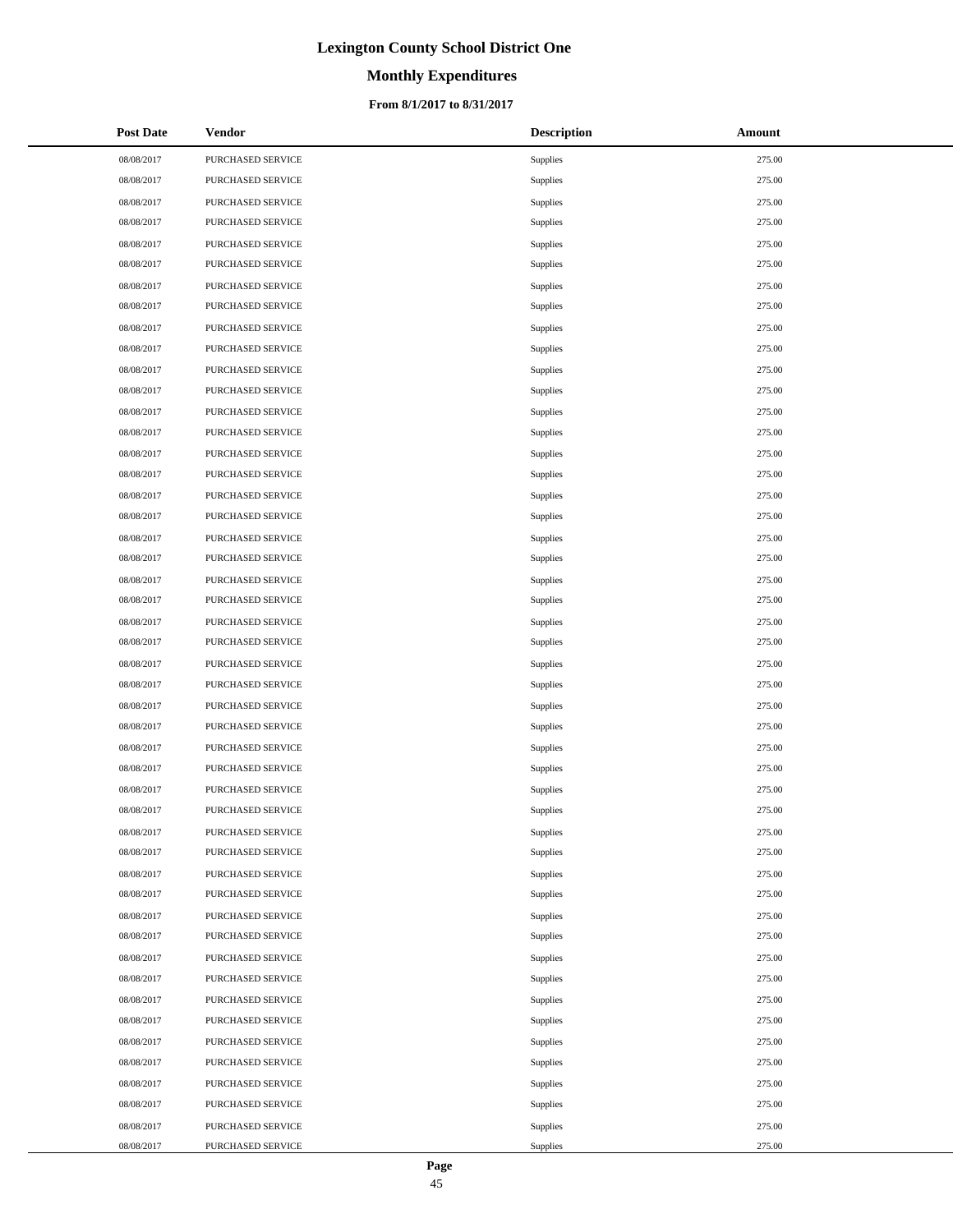# **Monthly Expenditures**

### **From 8/1/2017 to 8/31/2017**

| <b>Post Date</b> | Vendor                   | <b>Description</b> | Amount |
|------------------|--------------------------|--------------------|--------|
| 08/08/2017       | PURCHASED SERVICE        | Supplies           | 275.00 |
| 08/08/2017       | PURCHASED SERVICE        | Supplies           | 275.00 |
| 08/08/2017       | PURCHASED SERVICE        | Supplies           | 275.00 |
| 08/08/2017       | PURCHASED SERVICE        | Supplies           | 275.00 |
| 08/08/2017       | PURCHASED SERVICE        | Supplies           | 275.00 |
| 08/08/2017       | PURCHASED SERVICE        | Supplies           | 275.00 |
| 08/08/2017       | PURCHASED SERVICE        | Supplies           | 275.00 |
| 08/08/2017       | PURCHASED SERVICE        | Supplies           | 275.00 |
| 08/08/2017       | PURCHASED SERVICE        | Supplies           | 275.00 |
| 08/08/2017       | PURCHASED SERVICE        | Supplies           | 275.00 |
| 08/08/2017       | PURCHASED SERVICE        | Supplies           | 275.00 |
| 08/08/2017       | PURCHASED SERVICE        | Supplies           | 275.00 |
| 08/08/2017       | PURCHASED SERVICE        | Supplies           | 275.00 |
| 08/08/2017       | PURCHASED SERVICE        | Supplies           | 275.00 |
| 08/08/2017       | PURCHASED SERVICE        | Supplies           | 275.00 |
| 08/08/2017       | PURCHASED SERVICE        | Supplies           | 275.00 |
| 08/08/2017       | PURCHASED SERVICE        | Supplies           | 275.00 |
| 08/08/2017       | PURCHASED SERVICE        | Supplies           | 275.00 |
| 08/08/2017       | PURCHASED SERVICE        | Supplies           | 275.00 |
| 08/08/2017       | PURCHASED SERVICE        | Supplies           | 275.00 |
| 08/08/2017       | PURCHASED SERVICE        | Supplies           | 275.00 |
| 08/08/2017       | PURCHASED SERVICE        | Supplies           | 275.00 |
| 08/08/2017       | PURCHASED SERVICE        | Supplies           | 275.00 |
| 08/08/2017       | PURCHASED SERVICE        | Supplies           | 275.00 |
| 08/08/2017       | PURCHASED SERVICE        | Supplies           | 275.00 |
| 08/08/2017       | PURCHASED SERVICE        | Supplies           | 275.00 |
| 08/08/2017       | PURCHASED SERVICE        | Supplies           | 275.00 |
| 08/08/2017       | PURCHASED SERVICE        | Supplies           | 275.00 |
| 08/08/2017       | PURCHASED SERVICE        | Supplies           | 275.00 |
| 08/08/2017       | PURCHASED SERVICE        | Supplies           | 275.00 |
| 08/08/2017       | PURCHASED SERVICE        | Supplies           | 275.00 |
| 08/08/2017       | <b>PURCHASED SERVICE</b> | Supplies           | 275.00 |
| 08/08/2017       | PURCHASED SERVICE        | Supplies           | 275.00 |
| 08/08/2017       | PURCHASED SERVICE        | Supplies           | 275.00 |
| 08/08/2017       | PURCHASED SERVICE        | Supplies           | 275.00 |
| 08/08/2017       | PURCHASED SERVICE        | Supplies           | 275.00 |
| 08/08/2017       | PURCHASED SERVICE        | Supplies           | 275.00 |
| 08/08/2017       | PURCHASED SERVICE        | Supplies           | 275.00 |
| 08/08/2017       | PURCHASED SERVICE        | Supplies           | 275.00 |
| 08/08/2017       | PURCHASED SERVICE        | Supplies           | 275.00 |
| 08/08/2017       | PURCHASED SERVICE        | Supplies           | 275.00 |
| 08/08/2017       | PURCHASED SERVICE        | Supplies           | 275.00 |
| 08/08/2017       | PURCHASED SERVICE        | Supplies           | 275.00 |
| 08/08/2017       | PURCHASED SERVICE        | Supplies           | 275.00 |
| 08/08/2017       | PURCHASED SERVICE        | Supplies           | 275.00 |
| 08/08/2017       | PURCHASED SERVICE        | Supplies           | 275.00 |
| 08/08/2017       | PURCHASED SERVICE        | Supplies           | 275.00 |
| 08/08/2017       | PURCHASED SERVICE        | Supplies           | 275.00 |

 $\overline{a}$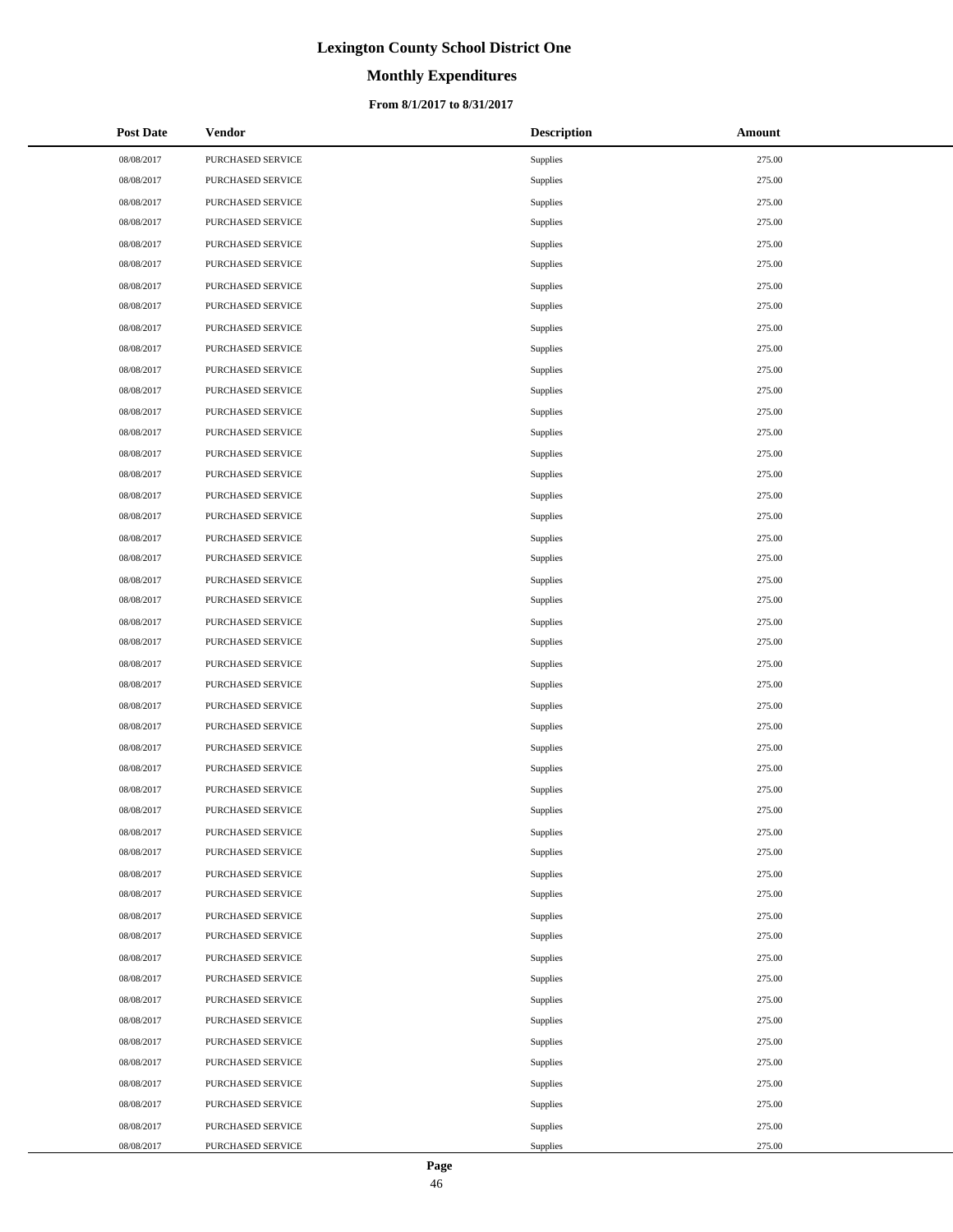# **Monthly Expenditures**

### **From 8/1/2017 to 8/31/2017**

| <b>Post Date</b> | Vendor            | <b>Description</b> | Amount |
|------------------|-------------------|--------------------|--------|
| 08/08/2017       | PURCHASED SERVICE | Supplies           | 275.00 |
| 08/08/2017       | PURCHASED SERVICE | Supplies           | 275.00 |
| 08/08/2017       | PURCHASED SERVICE | Supplies           | 275.00 |
| 08/08/2017       | PURCHASED SERVICE | Supplies           | 275.00 |
| 08/08/2017       | PURCHASED SERVICE | Supplies           | 275.00 |
| 08/08/2017       | PURCHASED SERVICE | Supplies           | 275.00 |
| 08/08/2017       | PURCHASED SERVICE | Supplies           | 275.00 |
| 08/08/2017       | PURCHASED SERVICE | Supplies           | 275.00 |
| 08/08/2017       | PURCHASED SERVICE | Supplies           | 275.00 |
| 08/08/2017       | PURCHASED SERVICE | Supplies           | 275.00 |
| 08/08/2017       | PURCHASED SERVICE | Supplies           | 275.00 |
| 08/08/2017       | PURCHASED SERVICE | Supplies           | 275.00 |
| 08/08/2017       | PURCHASED SERVICE | Supplies           | 275.00 |
| 08/08/2017       | PURCHASED SERVICE | Supplies           | 275.00 |
| 08/08/2017       | PURCHASED SERVICE | Supplies           | 275.00 |
| 08/08/2017       | PURCHASED SERVICE | Supplies           | 275.00 |
| 08/08/2017       | PURCHASED SERVICE | Supplies           | 275.00 |
| 08/08/2017       | PURCHASED SERVICE | <b>Supplies</b>    | 275.00 |
| 08/08/2017       | PURCHASED SERVICE | <b>Supplies</b>    | 275.00 |
| 08/08/2017       | PURCHASED SERVICE | Supplies           | 275.00 |
| 08/08/2017       | PURCHASED SERVICE | Supplies           | 275.00 |
| 08/08/2017       | PURCHASED SERVICE | <b>Supplies</b>    | 275.00 |
| 08/08/2017       | PURCHASED SERVICE | Supplies           | 275.00 |
| 08/08/2017       | PURCHASED SERVICE | Supplies           | 275.00 |
| 08/08/2017       | PURCHASED SERVICE | Supplies           | 275.00 |
| 08/08/2017       | PURCHASED SERVICE | <b>Supplies</b>    | 275.00 |
| 08/08/2017       | PURCHASED SERVICE | <b>Supplies</b>    | 275.00 |
| 08/08/2017       | PURCHASED SERVICE | <b>Supplies</b>    | 275.00 |
| 08/08/2017       | PURCHASED SERVICE | Supplies           | 275.00 |
| 08/08/2017       | PURCHASED SERVICE | <b>Supplies</b>    | 275.00 |
| 08/08/2017       | PURCHASED SERVICE | Supplies           | 275.00 |
| 08/08/2017       | PURCHASED SERVICE | Supplies           | 275.00 |
| 08/08/2017       | PURCHASED SERVICE | Supplies           | 275.00 |
| 08/08/2017       | PURCHASED SERVICE | Supplies           | 275.00 |
| 08/08/2017       | PURCHASED SERVICE | Supplies           | 275.00 |
| 08/08/2017       | PURCHASED SERVICE | Supplies           | 275.00 |
| 08/08/2017       | PURCHASED SERVICE | Supplies           | 275.00 |
| 08/08/2017       | PURCHASED SERVICE | <b>Supplies</b>    | 275.00 |
| 08/08/2017       | PURCHASED SERVICE | Supplies           | 275.00 |
| 08/08/2017       | PURCHASED SERVICE | Supplies           | 275.00 |
| 08/08/2017       | PURCHASED SERVICE | Supplies           | 275.00 |
| 08/08/2017       | PURCHASED SERVICE | Supplies           | 275.00 |
| 08/08/2017       | PURCHASED SERVICE | Supplies           | 275.00 |
| 08/08/2017       | PURCHASED SERVICE | Supplies           | 275.00 |
| 08/08/2017       | PURCHASED SERVICE | Supplies           | 275.00 |
| 08/08/2017       | PURCHASED SERVICE | Supplies           | 275.00 |
| 08/08/2017       | PURCHASED SERVICE | Supplies           | 275.00 |
| 08/08/2017       | PURCHASED SERVICE | Supplies           | 275.00 |

 $\overline{a}$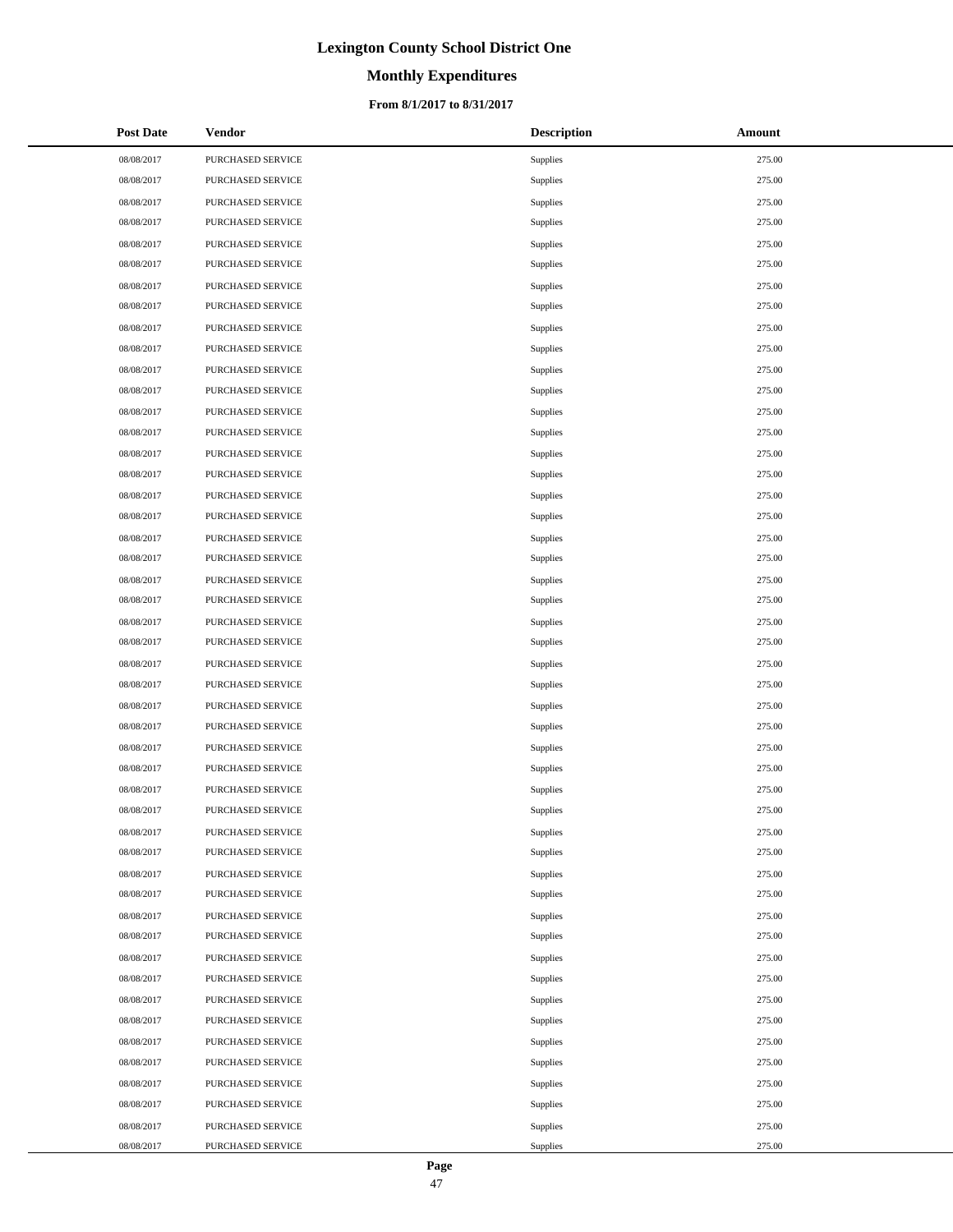# **Monthly Expenditures**

### **From 8/1/2017 to 8/31/2017**

| <b>Post Date</b> | <b>Vendor</b>     | <b>Description</b> | Amount |
|------------------|-------------------|--------------------|--------|
| 08/08/2017       | PURCHASED SERVICE | Supplies           | 275.00 |
| 08/08/2017       | PURCHASED SERVICE | Supplies           | 275.00 |
| 08/08/2017       | PURCHASED SERVICE | Supplies           | 275.00 |
| 08/08/2017       | PURCHASED SERVICE | Supplies           | 275.00 |
| 08/08/2017       | PURCHASED SERVICE | Supplies           | 275.00 |
| 08/08/2017       | PURCHASED SERVICE | Supplies           | 275.00 |
| 08/08/2017       | PURCHASED SERVICE | Supplies           | 275.00 |
| 08/08/2017       | PURCHASED SERVICE | Supplies           | 275.00 |
| 08/08/2017       | PURCHASED SERVICE | Supplies           | 275.00 |
| 08/08/2017       | PURCHASED SERVICE | Supplies           | 275.00 |
| 08/08/2017       | PURCHASED SERVICE | Supplies           | 275.00 |
| 08/08/2017       | PURCHASED SERVICE | Supplies           | 275.00 |
| 08/08/2017       | PURCHASED SERVICE | Supplies           | 275.00 |
| 08/08/2017       | PURCHASED SERVICE | Supplies           | 275.00 |
| 08/08/2017       | PURCHASED SERVICE | Supplies           | 275.00 |
| 08/08/2017       | PURCHASED SERVICE | Supplies           | 275.00 |
| 08/08/2017       | PURCHASED SERVICE | Supplies           | 275.00 |
| 08/08/2017       | PURCHASED SERVICE | Supplies           | 275.00 |
| 08/08/2017       | PURCHASED SERVICE | Supplies           | 275.00 |
| 08/08/2017       | PURCHASED SERVICE | Supplies           | 275.00 |
| 08/08/2017       | PURCHASED SERVICE | Supplies           | 275.00 |
| 08/08/2017       | PURCHASED SERVICE | Supplies           | 275.00 |
| 08/08/2017       | PURCHASED SERVICE | Supplies           | 275.00 |
| 08/08/2017       | PURCHASED SERVICE | Supplies           | 275.00 |
| 08/08/2017       | PURCHASED SERVICE | Supplies           | 275.00 |
| 08/08/2017       | PURCHASED SERVICE | Supplies           | 275.00 |
| 08/08/2017       | PURCHASED SERVICE | Supplies           | 275.00 |
| 08/08/2017       | PURCHASED SERVICE | Supplies           | 275.00 |
| 08/08/2017       | PURCHASED SERVICE | Supplies           | 275.00 |
| 08/08/2017       | PURCHASED SERVICE | Supplies           | 275.00 |
| 08/08/2017       | PURCHASED SERVICE | Supplies           | 275.00 |
| 08/08/2017       | PURCHASED SERVICE | Supplies           | 275.00 |
| 08/08/2017       | PURCHASED SERVICE | Supplies           | 275.00 |
| 08/08/2017       | PURCHASED SERVICE | Supplies           | 275.00 |
| 08/08/2017       | PURCHASED SERVICE | Supplies           | 275.00 |
| 08/08/2017       | PURCHASED SERVICE | Supplies           | 275.00 |
| 08/08/2017       | PURCHASED SERVICE | Supplies           | 275.00 |
| 08/08/2017       | PURCHASED SERVICE | Supplies           | 275.00 |
| 08/08/2017       | PURCHASED SERVICE | Supplies           | 275.00 |
| 08/08/2017       | PURCHASED SERVICE | Supplies           | 275.00 |
| 08/08/2017       | PURCHASED SERVICE | Supplies           | 275.00 |
| 08/08/2017       | PURCHASED SERVICE | Supplies           | 275.00 |
| 08/08/2017       | PURCHASED SERVICE | Supplies           | 275.00 |
| 08/08/2017       | PURCHASED SERVICE | Supplies           | 275.00 |
| 08/08/2017       | PURCHASED SERVICE | Supplies           | 275.00 |
| 08/08/2017       | PURCHASED SERVICE | Supplies           | 275.00 |
| 08/08/2017       | PURCHASED SERVICE | Supplies           | 275.00 |
| 08/08/2017       | PURCHASED SERVICE | Supplies           | 275.00 |

 $\overline{a}$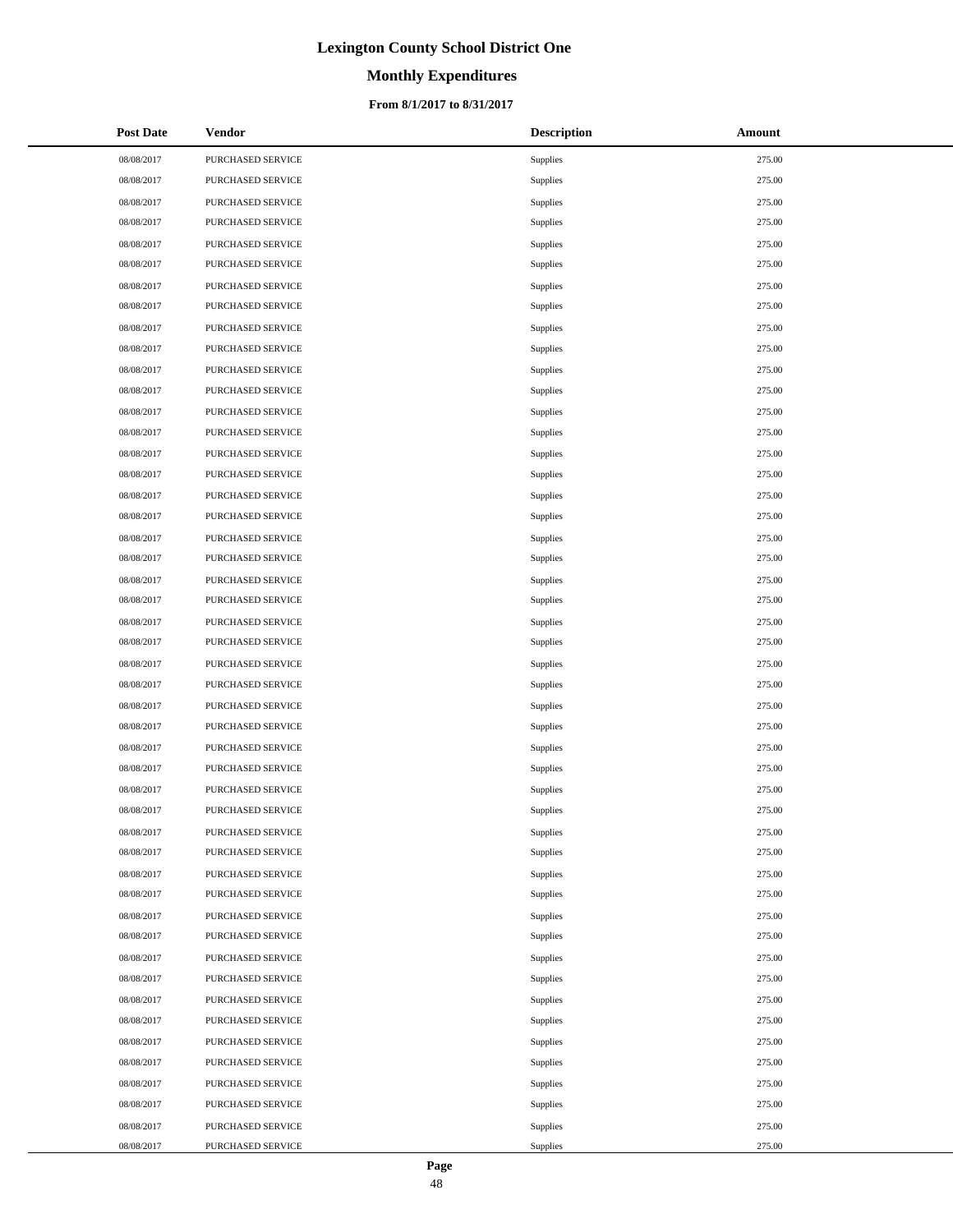# **Monthly Expenditures**

### **From 8/1/2017 to 8/31/2017**

| <b>Post Date</b> | <b>Vendor</b>     | <b>Description</b> | Amount |
|------------------|-------------------|--------------------|--------|
| 08/08/2017       | PURCHASED SERVICE | Supplies           | 275.00 |
| 08/08/2017       | PURCHASED SERVICE | Supplies           | 275.00 |
| 08/08/2017       | PURCHASED SERVICE | Supplies           | 275.00 |
| 08/08/2017       | PURCHASED SERVICE | Supplies           | 275.00 |
| 08/08/2017       | PURCHASED SERVICE | Supplies           | 275.00 |
| 08/08/2017       | PURCHASED SERVICE | Supplies           | 275.00 |
| 08/08/2017       | PURCHASED SERVICE | Supplies           | 275.00 |
| 08/08/2017       | PURCHASED SERVICE | Supplies           | 275.00 |
| 08/08/2017       | PURCHASED SERVICE | Supplies           | 275.00 |
| 08/08/2017       | PURCHASED SERVICE | Supplies           | 275.00 |
| 08/08/2017       | PURCHASED SERVICE | Supplies           | 275.00 |
| 08/08/2017       | PURCHASED SERVICE | Supplies           | 275.00 |
| 08/08/2017       | PURCHASED SERVICE | Supplies           | 275.00 |
| 08/08/2017       | PURCHASED SERVICE | Supplies           | 275.00 |
| 08/08/2017       | PURCHASED SERVICE | Supplies           | 275.00 |
| 08/08/2017       | PURCHASED SERVICE | Supplies           | 275.00 |
| 08/08/2017       | PURCHASED SERVICE | Supplies           | 275.00 |
| 08/08/2017       | PURCHASED SERVICE | Supplies           | 275.00 |
| 08/08/2017       | PURCHASED SERVICE | Supplies           | 275.00 |
| 08/08/2017       | PURCHASED SERVICE | Supplies           | 275.00 |
| 08/08/2017       | PURCHASED SERVICE | Supplies           | 275.00 |
| 08/08/2017       | PURCHASED SERVICE | Supplies           | 275.00 |
| 08/08/2017       | PURCHASED SERVICE | Supplies           | 275.00 |
| 08/08/2017       | PURCHASED SERVICE | Supplies           | 275.00 |
| 08/08/2017       | PURCHASED SERVICE | Supplies           | 275.00 |
| 08/08/2017       | PURCHASED SERVICE | Supplies           | 275.00 |
| 08/08/2017       | PURCHASED SERVICE | Supplies           | 275.00 |
| 08/08/2017       | PURCHASED SERVICE | Supplies           | 275.00 |
| 08/08/2017       | PURCHASED SERVICE | Supplies           | 275.00 |
| 08/08/2017       | PURCHASED SERVICE | Supplies           | 275.00 |
| 08/08/2017       | PURCHASED SERVICE | Supplies           | 275.00 |
| 08/08/2017       | PURCHASED SERVICE | Supplies           | 275.00 |
| 08/08/2017       | PURCHASED SERVICE | Supplies           | 275.00 |
| 08/08/2017       | PURCHASED SERVICE | Supplies           | 275.00 |
| 08/08/2017       | PURCHASED SERVICE | Supplies           | 275.00 |
| 08/08/2017       | PURCHASED SERVICE | Supplies           | 275.00 |
| 08/08/2017       | PURCHASED SERVICE | Supplies           | 275.00 |
| 08/08/2017       | PURCHASED SERVICE | Supplies           | 275.00 |
| 08/08/2017       | PURCHASED SERVICE | Supplies           | 275.00 |
| 08/08/2017       | PURCHASED SERVICE | Supplies           | 275.00 |
| 08/08/2017       | PURCHASED SERVICE | Supplies           | 275.00 |
| 08/08/2017       | PURCHASED SERVICE | Supplies           | 275.00 |
| 08/08/2017       | PURCHASED SERVICE | Supplies           | 275.00 |
| 08/08/2017       | PURCHASED SERVICE | Supplies           | 275.00 |
| 08/08/2017       | PURCHASED SERVICE | Supplies           | 275.00 |
| 08/08/2017       | PURCHASED SERVICE | Supplies           | 275.00 |
| 08/08/2017       | PURCHASED SERVICE | Supplies           | 275.00 |
| 08/08/2017       | PURCHASED SERVICE | Supplies           | 275.00 |

 $\overline{a}$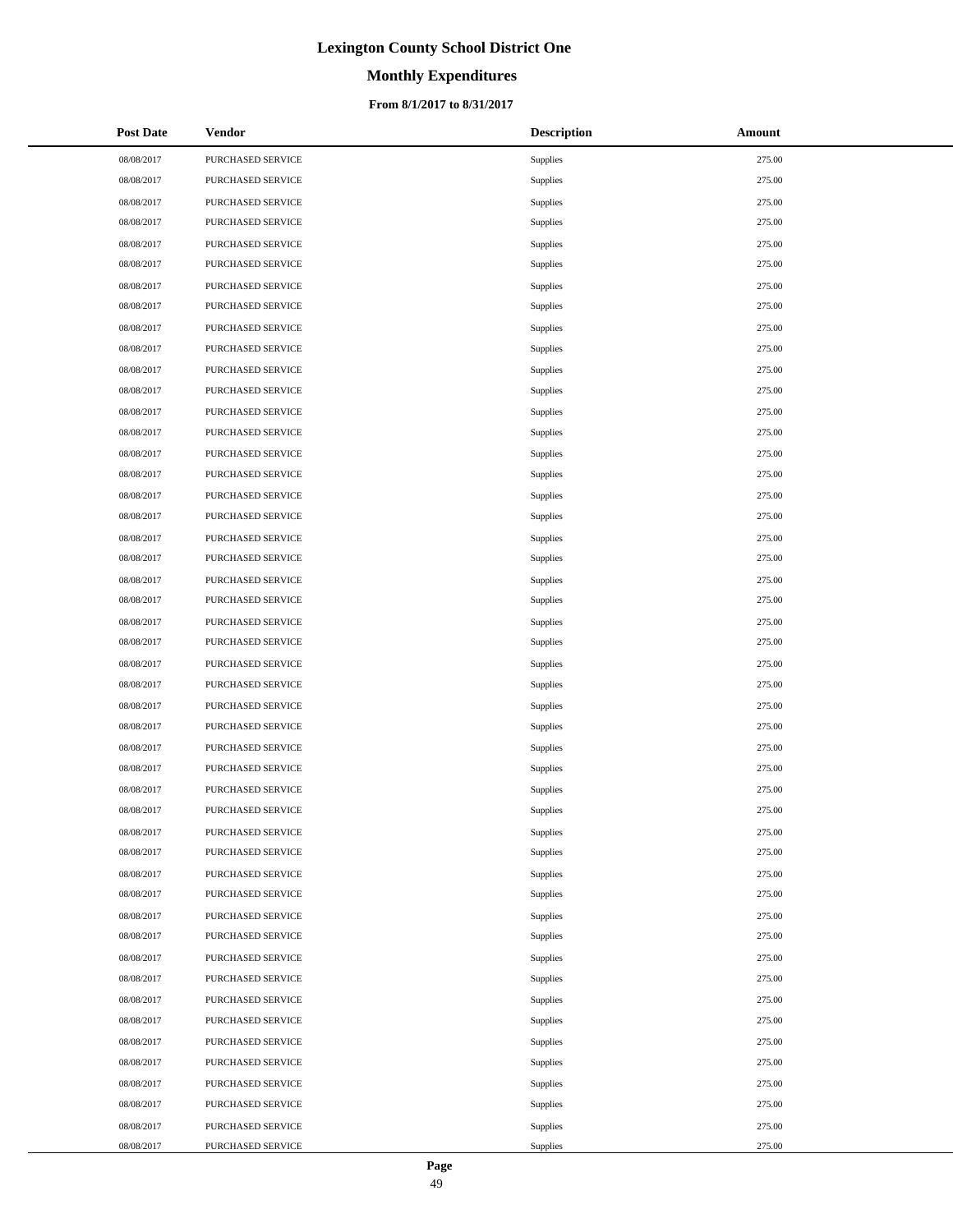# **Monthly Expenditures**

### **From 8/1/2017 to 8/31/2017**

| <b>Post Date</b> | <b>Vendor</b>     | <b>Description</b> | Amount |
|------------------|-------------------|--------------------|--------|
| 08/08/2017       | PURCHASED SERVICE | Supplies           | 275.00 |
| 08/08/2017       | PURCHASED SERVICE | Supplies           | 275.00 |
| 08/08/2017       | PURCHASED SERVICE | Supplies           | 275.00 |
| 08/08/2017       | PURCHASED SERVICE | Supplies           | 275.00 |
| 08/08/2017       | PURCHASED SERVICE | Supplies           | 275.00 |
| 08/08/2017       | PURCHASED SERVICE | Supplies           | 275.00 |
| 08/08/2017       | PURCHASED SERVICE | Supplies           | 275.00 |
| 08/08/2017       | PURCHASED SERVICE | Supplies           | 275.00 |
| 08/08/2017       | PURCHASED SERVICE | Supplies           | 275.00 |
| 08/08/2017       | PURCHASED SERVICE | Supplies           | 275.00 |
| 08/08/2017       | PURCHASED SERVICE | Supplies           | 275.00 |
| 08/08/2017       | PURCHASED SERVICE | Supplies           | 275.00 |
| 08/08/2017       | PURCHASED SERVICE | Supplies           | 275.00 |
| 08/08/2017       | PURCHASED SERVICE | Supplies           | 275.00 |
| 08/08/2017       | PURCHASED SERVICE | Supplies           | 275.00 |
| 08/08/2017       | PURCHASED SERVICE | Supplies           | 275.00 |
| 08/08/2017       | PURCHASED SERVICE | Supplies           | 275.00 |
| 08/08/2017       | PURCHASED SERVICE | Supplies           | 275.00 |
| 08/08/2017       | PURCHASED SERVICE | Supplies           | 275.00 |
| 08/08/2017       | PURCHASED SERVICE | Supplies           | 275.00 |
| 08/08/2017       | PURCHASED SERVICE | Supplies           | 275.00 |
| 08/08/2017       | PURCHASED SERVICE | Supplies           | 275.00 |
| 08/08/2017       | PURCHASED SERVICE | Supplies           | 275.00 |
| 08/08/2017       | PURCHASED SERVICE | Supplies           | 275.00 |
| 08/08/2017       | PURCHASED SERVICE | Supplies           | 275.00 |
| 08/08/2017       | PURCHASED SERVICE | Supplies           | 275.00 |
| 08/08/2017       | PURCHASED SERVICE | Supplies           | 275.00 |
| 08/08/2017       | PURCHASED SERVICE | Supplies           | 275.00 |
| 08/08/2017       | PURCHASED SERVICE | Supplies           | 275.00 |
| 08/08/2017       | PURCHASED SERVICE | Supplies           | 275.00 |
| 08/08/2017       | PURCHASED SERVICE | Supplies           | 275.00 |
| 08/08/2017       | PURCHASED SERVICE | Supplies           | 275.00 |
| 08/08/2017       | PURCHASED SERVICE | Supplies           | 275.00 |
| 08/08/2017       | PURCHASED SERVICE | Supplies           | 275.00 |
| 08/08/2017       | PURCHASED SERVICE | Supplies           | 275.00 |
| 08/08/2017       | PURCHASED SERVICE | Supplies           | 275.00 |
| 08/08/2017       | PURCHASED SERVICE | Supplies           | 275.00 |
| 08/08/2017       | PURCHASED SERVICE | Supplies           | 275.00 |
| 08/08/2017       | PURCHASED SERVICE | Supplies           | 275.00 |
| 08/08/2017       | PURCHASED SERVICE | Supplies           | 275.00 |
| 08/08/2017       | PURCHASED SERVICE | Supplies           | 275.00 |
| 08/08/2017       | PURCHASED SERVICE | Supplies           | 275.00 |
| 08/08/2017       | PURCHASED SERVICE | Supplies           | 275.00 |
| 08/08/2017       | PURCHASED SERVICE | Supplies           | 275.00 |
| 08/08/2017       | PURCHASED SERVICE | Supplies           | 275.00 |
| 08/08/2017       | PURCHASED SERVICE | Supplies           | 275.00 |
| 08/08/2017       | PURCHASED SERVICE | Supplies           | 275.00 |
| 08/08/2017       | PURCHASED SERVICE | Supplies           | 275.00 |

 $\overline{a}$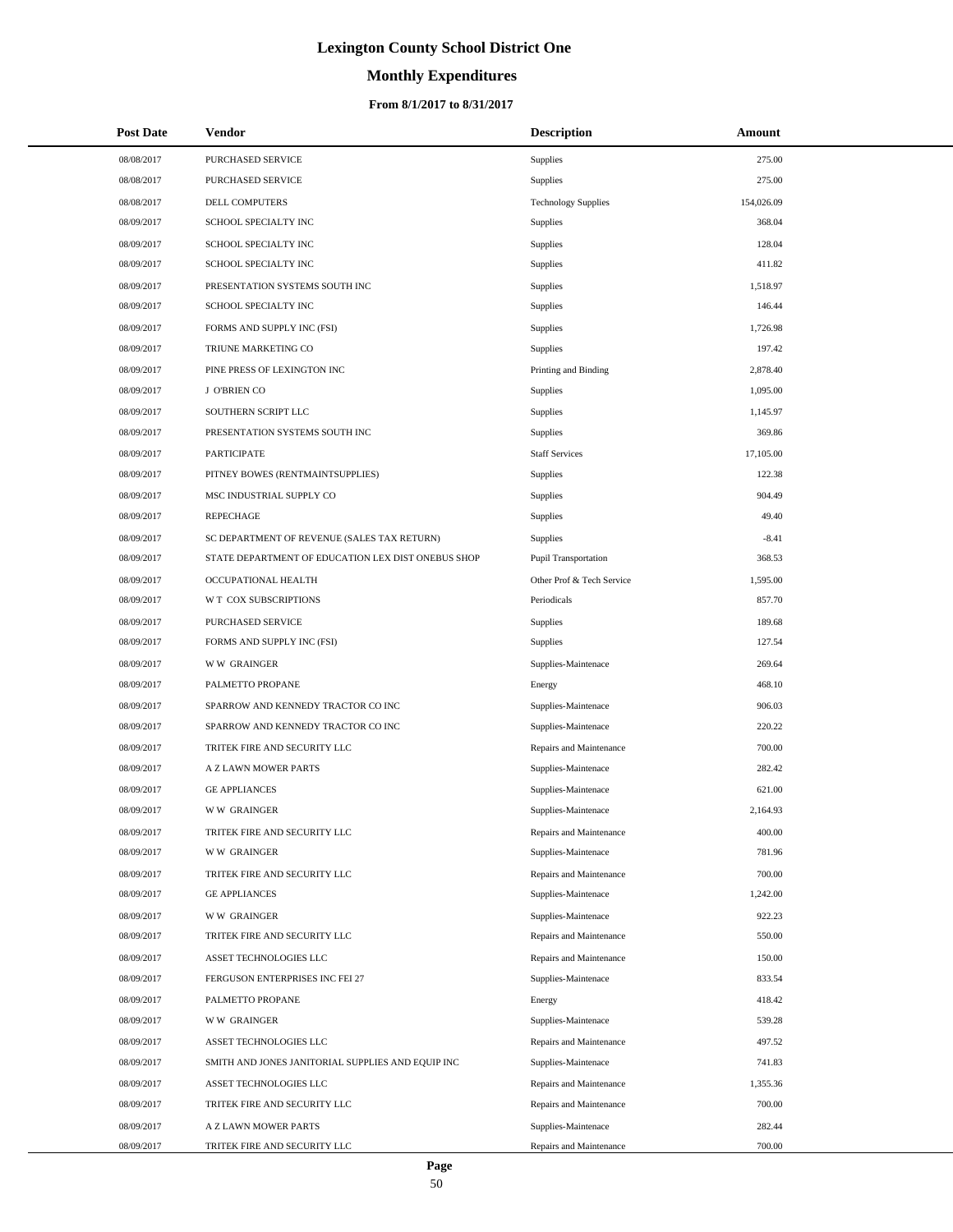# **Monthly Expenditures**

### **From 8/1/2017 to 8/31/2017**

| <b>Post Date</b> | Vendor                                             | <b>Description</b>          | Amount     |
|------------------|----------------------------------------------------|-----------------------------|------------|
| 08/08/2017       | PURCHASED SERVICE                                  | Supplies                    | 275.00     |
| 08/08/2017       | PURCHASED SERVICE                                  | Supplies                    | 275.00     |
| 08/08/2017       | <b>DELL COMPUTERS</b>                              | <b>Technology Supplies</b>  | 154,026.09 |
| 08/09/2017       | SCHOOL SPECIALTY INC                               | Supplies                    | 368.04     |
| 08/09/2017       | SCHOOL SPECIALTY INC                               | Supplies                    | 128.04     |
| 08/09/2017       | SCHOOL SPECIALTY INC                               | Supplies                    | 411.82     |
| 08/09/2017       | PRESENTATION SYSTEMS SOUTH INC                     | Supplies                    | 1,518.97   |
| 08/09/2017       | SCHOOL SPECIALTY INC                               | Supplies                    | 146.44     |
| 08/09/2017       | FORMS AND SUPPLY INC (FSI)                         | Supplies                    | 1,726.98   |
| 08/09/2017       | TRIUNE MARKETING CO                                | Supplies                    | 197.42     |
| 08/09/2017       | PINE PRESS OF LEXINGTON INC                        | Printing and Binding        | 2,878.40   |
| 08/09/2017       | J O'BRIEN CO                                       | Supplies                    | 1,095.00   |
| 08/09/2017       | SOUTHERN SCRIPT LLC                                | Supplies                    | 1,145.97   |
| 08/09/2017       | PRESENTATION SYSTEMS SOUTH INC                     | Supplies                    | 369.86     |
| 08/09/2017       | <b>PARTICIPATE</b>                                 | <b>Staff Services</b>       | 17,105.00  |
| 08/09/2017       | PITNEY BOWES (RENTMAINTSUPPLIES)                   | Supplies                    | 122.38     |
| 08/09/2017       | MSC INDUSTRIAL SUPPLY CO                           | Supplies                    | 904.49     |
| 08/09/2017       | <b>REPECHAGE</b>                                   | Supplies                    | 49.40      |
| 08/09/2017       | SC DEPARTMENT OF REVENUE (SALES TAX RETURN)        | Supplies                    | $-8.41$    |
| 08/09/2017       | STATE DEPARTMENT OF EDUCATION LEX DIST ONEBUS SHOP | <b>Pupil Transportation</b> | 368.53     |
| 08/09/2017       | OCCUPATIONAL HEALTH                                | Other Prof & Tech Service   | 1,595.00   |
| 08/09/2017       | W T COX SUBSCRIPTIONS                              | Periodicals                 | 857.70     |
| 08/09/2017       | PURCHASED SERVICE                                  | Supplies                    | 189.68     |
| 08/09/2017       | FORMS AND SUPPLY INC (FSI)                         | Supplies                    | 127.54     |
| 08/09/2017       | <b>WW GRAINGER</b>                                 | Supplies-Maintenace         | 269.64     |
| 08/09/2017       | PALMETTO PROPANE                                   | Energy                      | 468.10     |
| 08/09/2017       | SPARROW AND KENNEDY TRACTOR CO INC                 | Supplies-Maintenace         | 906.03     |
| 08/09/2017       | SPARROW AND KENNEDY TRACTOR CO INC                 | Supplies-Maintenace         | 220.22     |
| 08/09/2017       | TRITEK FIRE AND SECURITY LLC                       | Repairs and Maintenance     | 700.00     |
| 08/09/2017       | A Z LAWN MOWER PARTS                               | Supplies-Maintenace         | 282.42     |
| 08/09/2017       | <b>GE APPLIANCES</b>                               | Supplies-Maintenace         | 621.00     |
| 08/09/2017       | <b>WW GRAINGER</b>                                 | Supplies-Maintenace         | 2,164.93   |
| 08/09/2017       | TRITEK FIRE AND SECURITY LLC                       | Repairs and Maintenance     | 400.00     |
| 08/09/2017       | <b>WW GRAINGER</b>                                 | Supplies-Maintenace         | 781.96     |
| 08/09/2017       | TRITEK FIRE AND SECURITY LLC                       | Repairs and Maintenance     | 700.00     |
| 08/09/2017       | <b>GE APPLIANCES</b>                               | Supplies-Maintenace         | 1,242.00   |
| 08/09/2017       | <b>WW GRAINGER</b>                                 | Supplies-Maintenace         | 922.23     |
| 08/09/2017       | TRITEK FIRE AND SECURITY LLC                       | Repairs and Maintenance     | 550.00     |
| 08/09/2017       | ASSET TECHNOLOGIES LLC                             | Repairs and Maintenance     | 150.00     |
| 08/09/2017       | FERGUSON ENTERPRISES INC FEI 27                    | Supplies-Maintenace         | 833.54     |
| 08/09/2017       | PALMETTO PROPANE                                   | Energy                      | 418.42     |
| 08/09/2017       | <b>WW GRAINGER</b>                                 | Supplies-Maintenace         | 539.28     |
| 08/09/2017       | ASSET TECHNOLOGIES LLC                             | Repairs and Maintenance     | 497.52     |
| 08/09/2017       | SMITH AND JONES JANITORIAL SUPPLIES AND EQUIP INC  | Supplies-Maintenace         | 741.83     |
| 08/09/2017       | ASSET TECHNOLOGIES LLC                             | Repairs and Maintenance     | 1,355.36   |
| 08/09/2017       | TRITEK FIRE AND SECURITY LLC                       | Repairs and Maintenance     | 700.00     |
| 08/09/2017       | A Z LAWN MOWER PARTS                               | Supplies-Maintenace         | 282.44     |
| 08/09/2017       | TRITEK FIRE AND SECURITY LLC                       | Repairs and Maintenance     | 700.00     |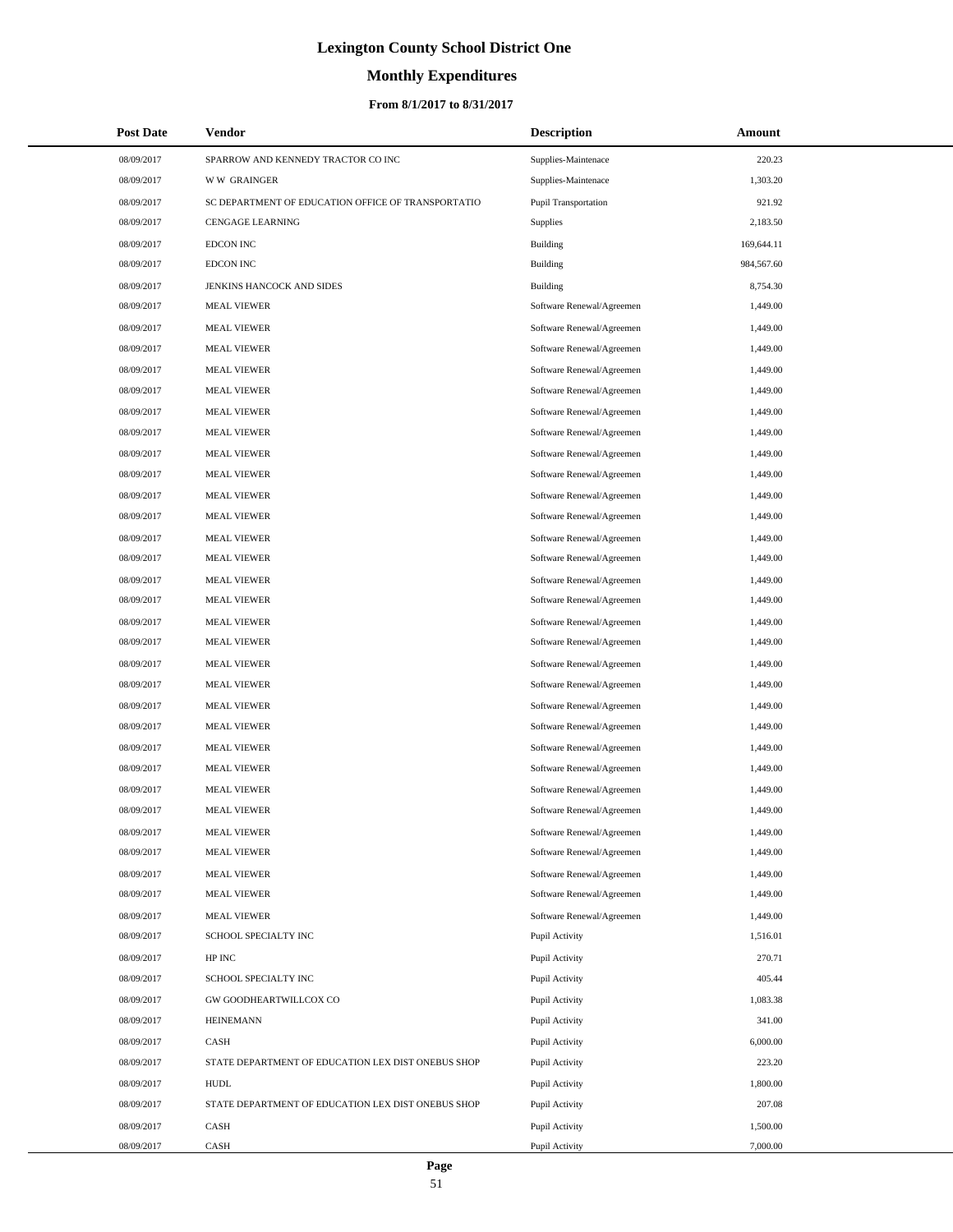# **Monthly Expenditures**

### **From 8/1/2017 to 8/31/2017**

| <b>Post Date</b> | Vendor                                             | <b>Description</b>        | <b>Amount</b> |  |
|------------------|----------------------------------------------------|---------------------------|---------------|--|
| 08/09/2017       | SPARROW AND KENNEDY TRACTOR CO INC                 | Supplies-Maintenace       | 220.23        |  |
| 08/09/2017       | <b>WW GRAINGER</b>                                 | Supplies-Maintenace       | 1,303.20      |  |
| 08/09/2017       | SC DEPARTMENT OF EDUCATION OFFICE OF TRANSPORTATIO | Pupil Transportation      | 921.92        |  |
| 08/09/2017       | <b>CENGAGE LEARNING</b>                            | <b>Supplies</b>           | 2,183.50      |  |
| 08/09/2017       | <b>EDCON INC</b>                                   | Building                  | 169,644.11    |  |
| 08/09/2017       | <b>EDCON INC</b>                                   | <b>Building</b>           | 984,567.60    |  |
| 08/09/2017       | JENKINS HANCOCK AND SIDES                          | Building                  | 8,754.30      |  |
| 08/09/2017       | <b>MEAL VIEWER</b>                                 | Software Renewal/Agreemen | 1,449.00      |  |
| 08/09/2017       | <b>MEAL VIEWER</b>                                 | Software Renewal/Agreemen | 1,449.00      |  |
| 08/09/2017       | <b>MEAL VIEWER</b>                                 | Software Renewal/Agreemen | 1,449.00      |  |
| 08/09/2017       | <b>MEAL VIEWER</b>                                 | Software Renewal/Agreemen | 1,449.00      |  |
| 08/09/2017       | <b>MEAL VIEWER</b>                                 | Software Renewal/Agreemen | 1,449.00      |  |
| 08/09/2017       | <b>MEAL VIEWER</b>                                 | Software Renewal/Agreemen | 1,449.00      |  |
| 08/09/2017       | <b>MEAL VIEWER</b>                                 | Software Renewal/Agreemen | 1,449.00      |  |
| 08/09/2017       | <b>MEAL VIEWER</b>                                 | Software Renewal/Agreemen | 1,449.00      |  |
| 08/09/2017       | <b>MEAL VIEWER</b>                                 | Software Renewal/Agreemen | 1,449.00      |  |
| 08/09/2017       | <b>MEAL VIEWER</b>                                 | Software Renewal/Agreemen | 1,449.00      |  |
| 08/09/2017       | <b>MEAL VIEWER</b>                                 | Software Renewal/Agreemen | 1,449.00      |  |
| 08/09/2017       | <b>MEAL VIEWER</b>                                 | Software Renewal/Agreemen | 1,449.00      |  |
| 08/09/2017       | <b>MEAL VIEWER</b>                                 | Software Renewal/Agreemen | 1,449.00      |  |
| 08/09/2017       | <b>MEAL VIEWER</b>                                 | Software Renewal/Agreemen | 1,449.00      |  |
| 08/09/2017       | <b>MEAL VIEWER</b>                                 | Software Renewal/Agreemen | 1,449.00      |  |
| 08/09/2017       | <b>MEAL VIEWER</b>                                 | Software Renewal/Agreemen | 1,449.00      |  |
| 08/09/2017       | <b>MEAL VIEWER</b>                                 | Software Renewal/Agreemen | 1,449.00      |  |
| 08/09/2017       | <b>MEAL VIEWER</b>                                 | Software Renewal/Agreemen | 1,449.00      |  |
| 08/09/2017       | <b>MEAL VIEWER</b>                                 | Software Renewal/Agreemen | 1,449.00      |  |
| 08/09/2017       | <b>MEAL VIEWER</b>                                 | Software Renewal/Agreemen | 1,449.00      |  |
| 08/09/2017       | <b>MEAL VIEWER</b>                                 | Software Renewal/Agreemen | 1,449.00      |  |
| 08/09/2017       | <b>MEAL VIEWER</b>                                 | Software Renewal/Agreemen | 1,449.00      |  |
| 08/09/2017       | <b>MEAL VIEWER</b>                                 | Software Renewal/Agreemen | 1,449.00      |  |
| 08/09/2017       | <b>MEAL VIEWER</b>                                 | Software Renewal/Agreemen | 1,449.00      |  |
| 08/09/2017       | <b>MEAL VIEWER</b>                                 | Software Renewal/Agreemen | 1,449.00      |  |
| 08/09/2017       | <b>MEAL VIEWER</b>                                 | Software Renewal/Agreemen | 1,449.00      |  |
| 08/09/2017       | <b>MEAL VIEWER</b>                                 | Software Renewal/Agreemen | 1,449.00      |  |
| 08/09/2017       | <b>MEAL VIEWER</b>                                 | Software Renewal/Agreemen | 1,449.00      |  |
| 08/09/2017       | <b>MEAL VIEWER</b>                                 | Software Renewal/Agreemen | 1,449.00      |  |
| 08/09/2017       | <b>MEAL VIEWER</b>                                 | Software Renewal/Agreemen | 1,449.00      |  |
| 08/09/2017       | SCHOOL SPECIALTY INC                               | Pupil Activity            | 1,516.01      |  |
| 08/09/2017       | HP INC                                             | Pupil Activity            | 270.71        |  |
| 08/09/2017       | SCHOOL SPECIALTY INC                               | Pupil Activity            | 405.44        |  |
| 08/09/2017       | GW GOODHEARTWILLCOX CO                             | Pupil Activity            | 1,083.38      |  |
| 08/09/2017       | <b>HEINEMANN</b>                                   | Pupil Activity            | 341.00        |  |
| 08/09/2017       | CASH                                               | Pupil Activity            | 6,000.00      |  |
| 08/09/2017       | STATE DEPARTMENT OF EDUCATION LEX DIST ONEBUS SHOP | Pupil Activity            | 223.20        |  |
| 08/09/2017       | <b>HUDL</b>                                        | Pupil Activity            | 1,800.00      |  |
| 08/09/2017       | STATE DEPARTMENT OF EDUCATION LEX DIST ONEBUS SHOP | Pupil Activity            | 207.08        |  |
| 08/09/2017       | CASH                                               | Pupil Activity            | 1,500.00      |  |
| 08/09/2017       | CASH                                               | Pupil Activity            | 7,000.00      |  |

 $\overline{\phantom{0}}$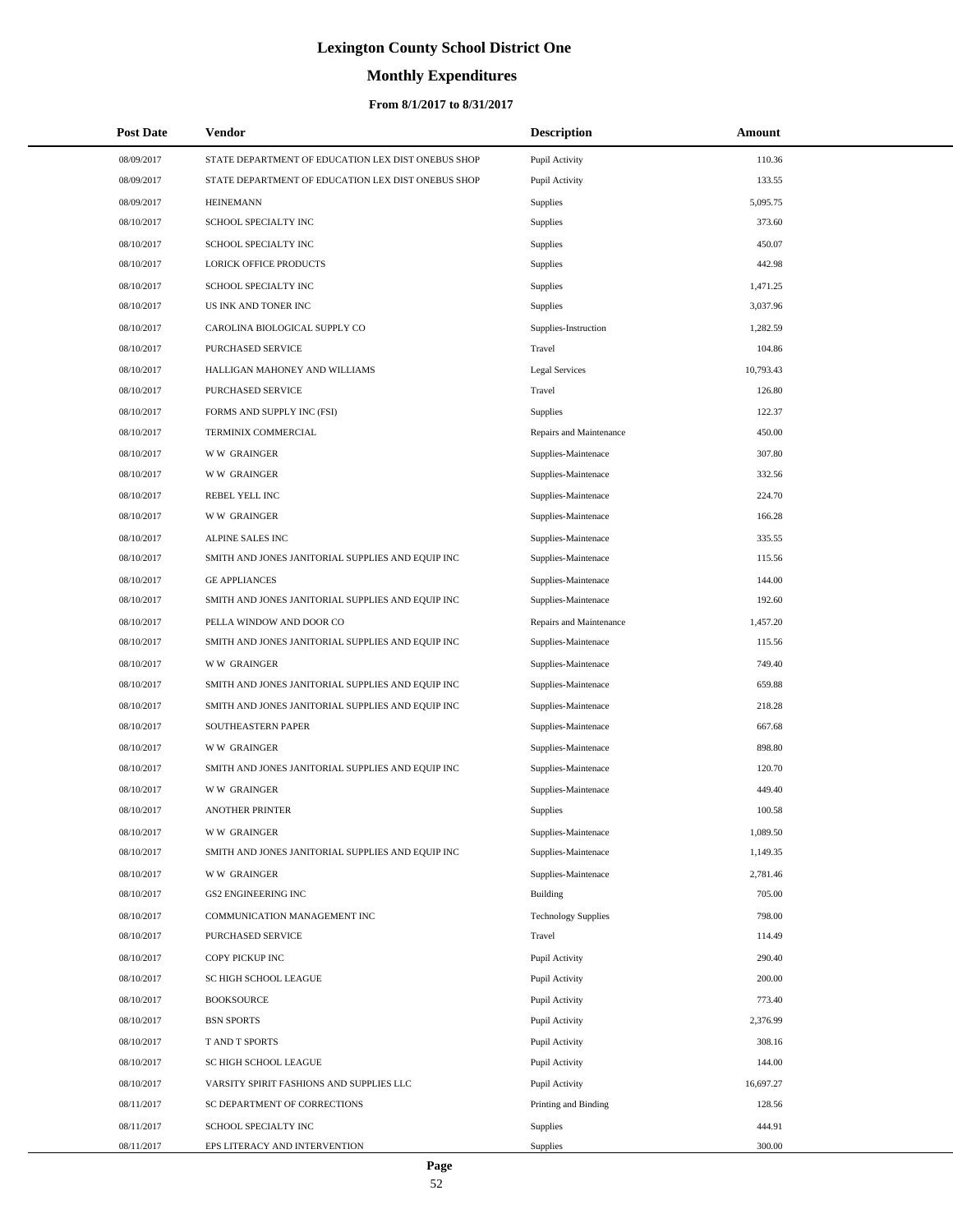# **Monthly Expenditures**

## **From 8/1/2017 to 8/31/2017**

| <b>Post Date</b> | <b>Vendor</b>                                      | <b>Description</b>         | <b>Amount</b> |  |
|------------------|----------------------------------------------------|----------------------------|---------------|--|
| 08/09/2017       | STATE DEPARTMENT OF EDUCATION LEX DIST ONEBUS SHOP | Pupil Activity             | 110.36        |  |
| 08/09/2017       | STATE DEPARTMENT OF EDUCATION LEX DIST ONEBUS SHOP | Pupil Activity             | 133.55        |  |
| 08/09/2017       | <b>HEINEMANN</b>                                   | Supplies                   | 5,095.75      |  |
| 08/10/2017       | SCHOOL SPECIALTY INC                               | <b>Supplies</b>            | 373.60        |  |
| 08/10/2017       | SCHOOL SPECIALTY INC                               | Supplies                   | 450.07        |  |
| 08/10/2017       | LORICK OFFICE PRODUCTS                             | <b>Supplies</b>            | 442.98        |  |
| 08/10/2017       | SCHOOL SPECIALTY INC                               | Supplies                   | 1,471.25      |  |
| 08/10/2017       | US INK AND TONER INC                               | <b>Supplies</b>            | 3,037.96      |  |
| 08/10/2017       | CAROLINA BIOLOGICAL SUPPLY CO                      | Supplies-Instruction       | 1,282.59      |  |
| 08/10/2017       | <b>PURCHASED SERVICE</b>                           | Travel                     | 104.86        |  |
| 08/10/2017       | HALLIGAN MAHONEY AND WILLIAMS                      | <b>Legal Services</b>      | 10,793.43     |  |
| 08/10/2017       | PURCHASED SERVICE                                  | Travel                     | 126.80        |  |
| 08/10/2017       | FORMS AND SUPPLY INC (FSI)                         | Supplies                   | 122.37        |  |
| 08/10/2017       | TERMINIX COMMERCIAL                                | Repairs and Maintenance    | 450.00        |  |
| 08/10/2017       | <b>WW GRAINGER</b>                                 | Supplies-Maintenace        | 307.80        |  |
| 08/10/2017       | <b>WW GRAINGER</b>                                 | Supplies-Maintenace        | 332.56        |  |
| 08/10/2017       | REBEL YELL INC                                     | Supplies-Maintenace        | 224.70        |  |
| 08/10/2017       | <b>WW GRAINGER</b>                                 | Supplies-Maintenace        | 166.28        |  |
| 08/10/2017       | <b>ALPINE SALES INC</b>                            | Supplies-Maintenace        | 335.55        |  |
| 08/10/2017       | SMITH AND JONES JANITORIAL SUPPLIES AND EQUIP INC  | Supplies-Maintenace        | 115.56        |  |
| 08/10/2017       | <b>GE APPLIANCES</b>                               | Supplies-Maintenace        | 144.00        |  |
| 08/10/2017       | SMITH AND JONES JANITORIAL SUPPLIES AND EQUIP INC  | Supplies-Maintenace        | 192.60        |  |
| 08/10/2017       | PELLA WINDOW AND DOOR CO                           | Repairs and Maintenance    | 1,457.20      |  |
| 08/10/2017       | SMITH AND JONES JANITORIAL SUPPLIES AND EQUIP INC  | Supplies-Maintenace        | 115.56        |  |
| 08/10/2017       | <b>WW GRAINGER</b>                                 | Supplies-Maintenace        | 749.40        |  |
| 08/10/2017       | SMITH AND JONES JANITORIAL SUPPLIES AND EQUIP INC  | Supplies-Maintenace        | 659.88        |  |
| 08/10/2017       | SMITH AND JONES JANITORIAL SUPPLIES AND EQUIP INC  | Supplies-Maintenace        | 218.28        |  |
| 08/10/2017       | <b>SOUTHEASTERN PAPER</b>                          | Supplies-Maintenace        | 667.68        |  |
| 08/10/2017       | <b>WW GRAINGER</b>                                 | Supplies-Maintenace        | 898.80        |  |
| 08/10/2017       | SMITH AND JONES JANITORIAL SUPPLIES AND EQUIP INC  | Supplies-Maintenace        | 120.70        |  |
| 08/10/2017       | <b>WW GRAINGER</b>                                 | Supplies-Maintenace        | 449.40        |  |
| 08/10/2017       | <b>ANOTHER PRINTER</b>                             | Supplies                   | 100.58        |  |
| 08/10/2017       | <b>WW GRAINGER</b>                                 | Supplies-Maintenace        | 1,089.50      |  |
| 08/10/2017       | SMITH AND JONES JANITORIAL SUPPLIES AND EQUIP INC  | Supplies-Maintenace        | 1,149.35      |  |
| 08/10/2017       | <b>WW GRAINGER</b>                                 | Supplies-Maintenace        | 2,781.46      |  |
| 08/10/2017       | <b>GS2 ENGINEERING INC</b>                         | Building                   | 705.00        |  |
| 08/10/2017       | COMMUNICATION MANAGEMENT INC                       | <b>Technology Supplies</b> | 798.00        |  |
| 08/10/2017       | PURCHASED SERVICE                                  | Travel                     | 114.49        |  |
| 08/10/2017       | COPY PICKUP INC                                    | Pupil Activity             | 290.40        |  |
| 08/10/2017       | SC HIGH SCHOOL LEAGUE                              | Pupil Activity             | 200.00        |  |
| 08/10/2017       | <b>BOOKSOURCE</b>                                  | Pupil Activity             | 773.40        |  |
| 08/10/2017       | <b>BSN SPORTS</b>                                  | Pupil Activity             | 2,376.99      |  |
| 08/10/2017       | T AND T SPORTS                                     | Pupil Activity             | 308.16        |  |
| 08/10/2017       | SC HIGH SCHOOL LEAGUE                              | Pupil Activity             | 144.00        |  |
| 08/10/2017       | VARSITY SPIRIT FASHIONS AND SUPPLIES LLC           | Pupil Activity             | 16,697.27     |  |
| 08/11/2017       | SC DEPARTMENT OF CORRECTIONS                       | Printing and Binding       | 128.56        |  |
| 08/11/2017       | SCHOOL SPECIALTY INC                               | <b>Supplies</b>            | 444.91        |  |
| 08/11/2017       | EPS LITERACY AND INTERVENTION                      | <b>Supplies</b>            | 300.00        |  |

÷.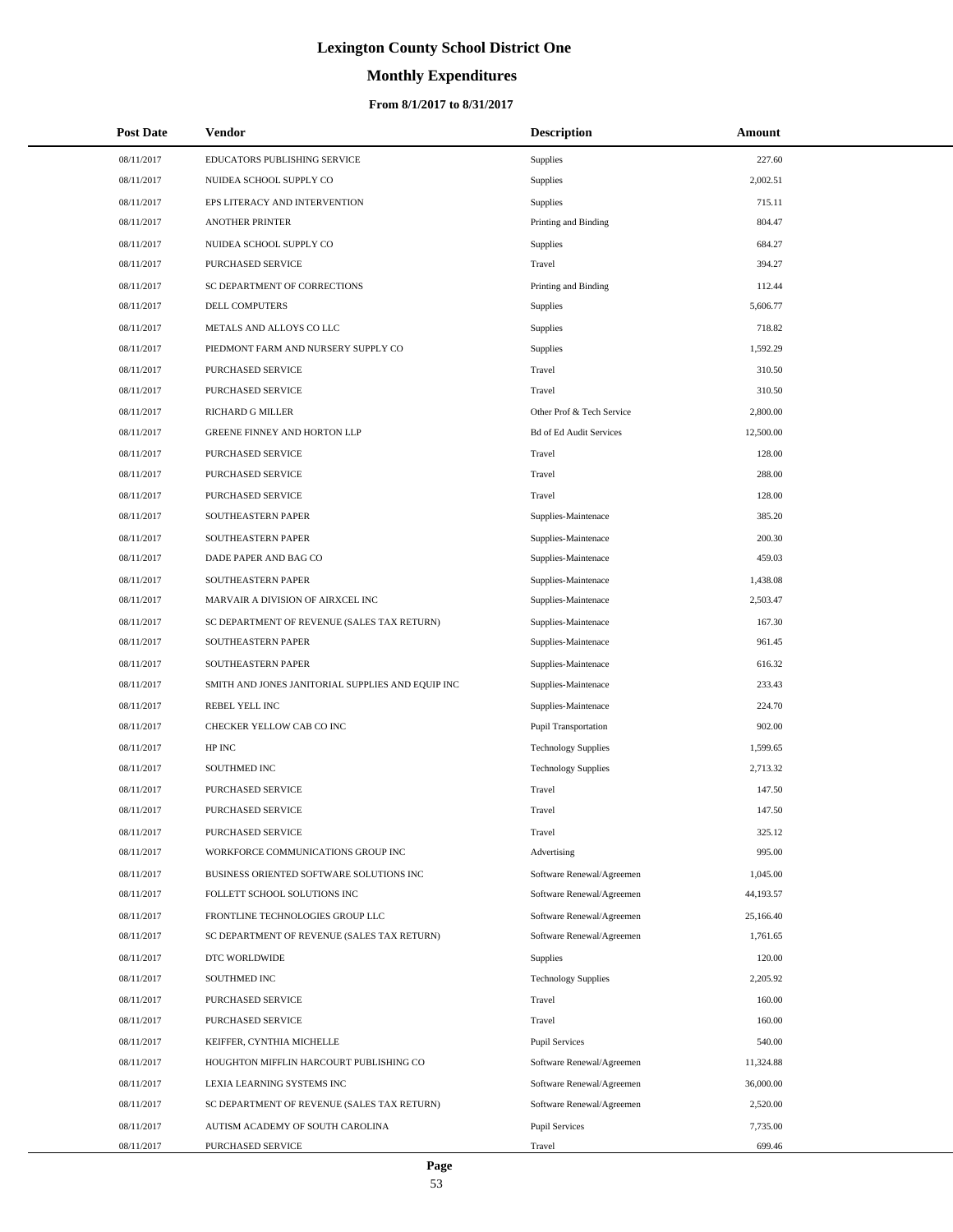# **Monthly Expenditures**

## **From 8/1/2017 to 8/31/2017**

| <b>Post Date</b> | Vendor                                            | <b>Description</b>             | Amount    |
|------------------|---------------------------------------------------|--------------------------------|-----------|
| 08/11/2017       | EDUCATORS PUBLISHING SERVICE                      | Supplies                       | 227.60    |
| 08/11/2017       | NUIDEA SCHOOL SUPPLY CO                           | Supplies                       | 2,002.51  |
| 08/11/2017       | EPS LITERACY AND INTERVENTION                     | Supplies                       | 715.11    |
| 08/11/2017       | <b>ANOTHER PRINTER</b>                            | Printing and Binding           | 804.47    |
| 08/11/2017       | NUIDEA SCHOOL SUPPLY CO                           | Supplies                       | 684.27    |
| 08/11/2017       | PURCHASED SERVICE                                 | Travel                         | 394.27    |
| 08/11/2017       | SC DEPARTMENT OF CORRECTIONS                      | Printing and Binding           | 112.44    |
| 08/11/2017       | DELL COMPUTERS                                    | Supplies                       | 5,606.77  |
| 08/11/2017       | METALS AND ALLOYS CO LLC                          | Supplies                       | 718.82    |
| 08/11/2017       | PIEDMONT FARM AND NURSERY SUPPLY CO               | Supplies                       | 1,592.29  |
| 08/11/2017       | PURCHASED SERVICE                                 | Travel                         | 310.50    |
| 08/11/2017       | PURCHASED SERVICE                                 | Travel                         | 310.50    |
| 08/11/2017       | RICHARD G MILLER                                  | Other Prof & Tech Service      | 2,800.00  |
| 08/11/2017       | <b>GREENE FINNEY AND HORTON LLP</b>               | <b>Bd of Ed Audit Services</b> | 12,500.00 |
| 08/11/2017       | PURCHASED SERVICE                                 | Travel                         | 128.00    |
| 08/11/2017       | PURCHASED SERVICE                                 | Travel                         | 288.00    |
| 08/11/2017       | PURCHASED SERVICE                                 | Travel                         | 128.00    |
| 08/11/2017       | SOUTHEASTERN PAPER                                | Supplies-Maintenace            | 385.20    |
| 08/11/2017       | SOUTHEASTERN PAPER                                | Supplies-Maintenace            | 200.30    |
| 08/11/2017       | DADE PAPER AND BAG CO                             | Supplies-Maintenace            | 459.03    |
| 08/11/2017       | SOUTHEASTERN PAPER                                | Supplies-Maintenace            | 1,438.08  |
| 08/11/2017       | MARVAIR A DIVISION OF AIRXCEL INC                 | Supplies-Maintenace            | 2,503.47  |
| 08/11/2017       | SC DEPARTMENT OF REVENUE (SALES TAX RETURN)       | Supplies-Maintenace            | 167.30    |
| 08/11/2017       | SOUTHEASTERN PAPER                                | Supplies-Maintenace            | 961.45    |
| 08/11/2017       | SOUTHEASTERN PAPER                                | Supplies-Maintenace            | 616.32    |
| 08/11/2017       | SMITH AND JONES JANITORIAL SUPPLIES AND EQUIP INC | Supplies-Maintenace            | 233.43    |
| 08/11/2017       | REBEL YELL INC                                    | Supplies-Maintenace            | 224.70    |
| 08/11/2017       | CHECKER YELLOW CAB CO INC                         | <b>Pupil Transportation</b>    | 902.00    |
| 08/11/2017       | HP INC                                            | <b>Technology Supplies</b>     | 1,599.65  |
| 08/11/2017       | SOUTHMED INC                                      | <b>Technology Supplies</b>     | 2,713.32  |
| 08/11/2017       | PURCHASED SERVICE                                 | Travel                         | 147.50    |
| 08/11/2017       | PURCHASED SERVICE                                 | Travel                         | 147.50    |
| 08/11/2017       | <b>PURCHASED SERVICE</b>                          | Travel                         | 325.12    |
| 08/11/2017       | WORKFORCE COMMUNICATIONS GROUP INC                | Advertising                    | 995.00    |
| 08/11/2017       | BUSINESS ORIENTED SOFTWARE SOLUTIONS INC          | Software Renewal/Agreemen      | 1,045.00  |
| 08/11/2017       | FOLLETT SCHOOL SOLUTIONS INC                      | Software Renewal/Agreemen      | 44,193.57 |
| 08/11/2017       | FRONTLINE TECHNOLOGIES GROUP LLC                  | Software Renewal/Agreemen      | 25,166.40 |
| 08/11/2017       | SC DEPARTMENT OF REVENUE (SALES TAX RETURN)       | Software Renewal/Agreemen      | 1,761.65  |
| 08/11/2017       | DTC WORLDWIDE                                     | <b>Supplies</b>                | 120.00    |
| 08/11/2017       | SOUTHMED INC                                      | <b>Technology Supplies</b>     | 2,205.92  |
| 08/11/2017       | PURCHASED SERVICE                                 | Travel                         | 160.00    |
| 08/11/2017       | PURCHASED SERVICE                                 | Travel                         | 160.00    |
| 08/11/2017       | KEIFFER, CYNTHIA MICHELLE                         | <b>Pupil Services</b>          | 540.00    |
| 08/11/2017       | HOUGHTON MIFFLIN HARCOURT PUBLISHING CO           | Software Renewal/Agreemen      | 11,324.88 |
| 08/11/2017       | LEXIA LEARNING SYSTEMS INC                        | Software Renewal/Agreemen      | 36,000.00 |
| 08/11/2017       | SC DEPARTMENT OF REVENUE (SALES TAX RETURN)       | Software Renewal/Agreemen      | 2,520.00  |
| 08/11/2017       | AUTISM ACADEMY OF SOUTH CAROLINA                  | <b>Pupil Services</b>          | 7,735.00  |
| 08/11/2017       | PURCHASED SERVICE                                 | Travel                         | 699.46    |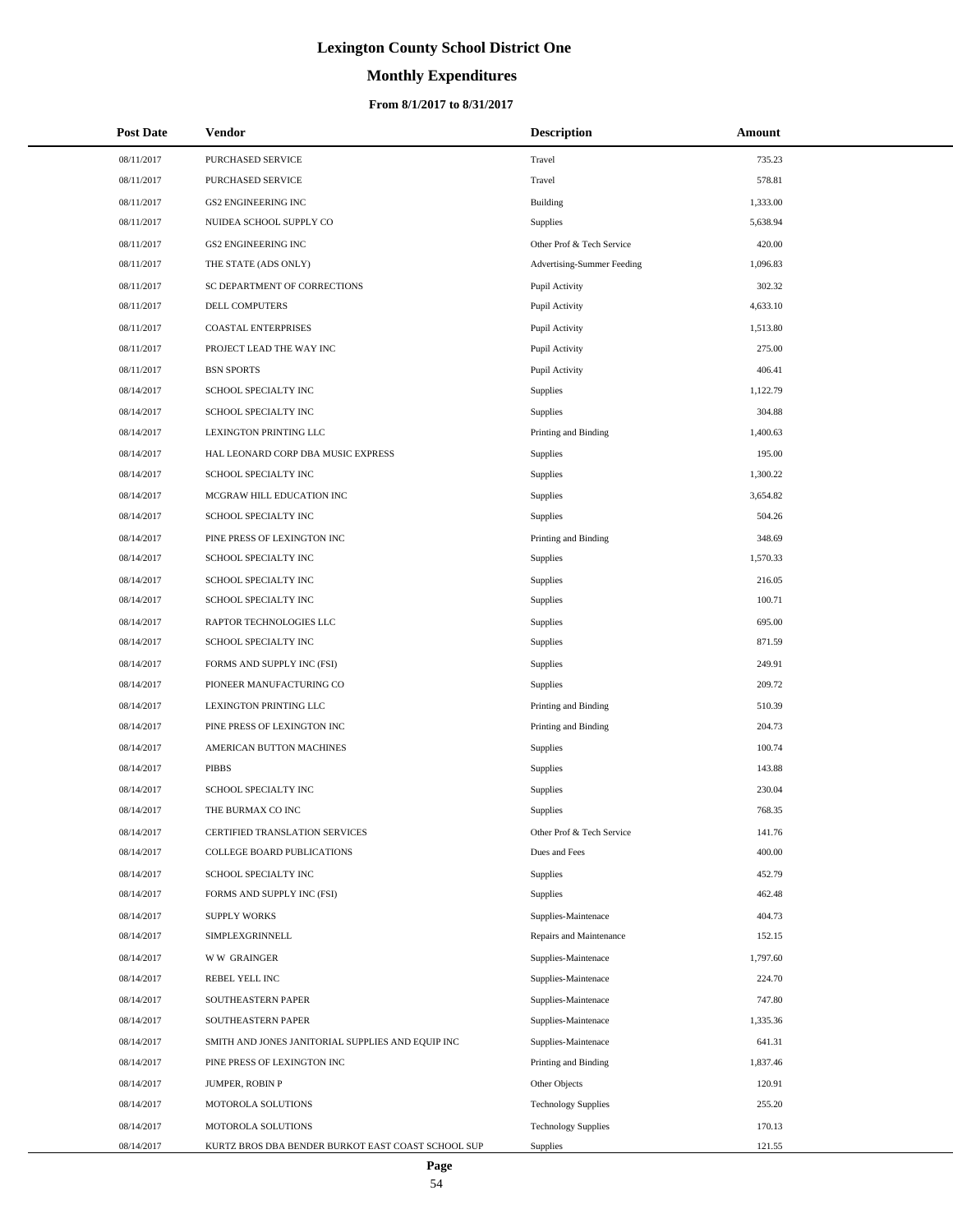# **Monthly Expenditures**

### **From 8/1/2017 to 8/31/2017**

| <b>Post Date</b> | <b>Vendor</b>                                      | <b>Description</b>         | Amount   |
|------------------|----------------------------------------------------|----------------------------|----------|
| 08/11/2017       | PURCHASED SERVICE                                  | Travel                     | 735.23   |
| 08/11/2017       | PURCHASED SERVICE                                  | Travel                     | 578.81   |
| 08/11/2017       | <b>GS2 ENGINEERING INC</b>                         | <b>Building</b>            | 1,333.00 |
| 08/11/2017       | NUIDEA SCHOOL SUPPLY CO                            | <b>Supplies</b>            | 5,638.94 |
| 08/11/2017       | <b>GS2 ENGINEERING INC</b>                         | Other Prof & Tech Service  | 420.00   |
| 08/11/2017       | THE STATE (ADS ONLY)                               | Advertising-Summer Feeding | 1,096.83 |
| 08/11/2017       | SC DEPARTMENT OF CORRECTIONS                       | Pupil Activity             | 302.32   |
| 08/11/2017       | DELL COMPUTERS                                     | Pupil Activity             | 4,633.10 |
| 08/11/2017       | <b>COASTAL ENTERPRISES</b>                         | Pupil Activity             | 1,513.80 |
| 08/11/2017       | PROJECT LEAD THE WAY INC                           | Pupil Activity             | 275.00   |
| 08/11/2017       | <b>BSN SPORTS</b>                                  | Pupil Activity             | 406.41   |
| 08/14/2017       | SCHOOL SPECIALTY INC                               | Supplies                   | 1,122.79 |
| 08/14/2017       | SCHOOL SPECIALTY INC                               | <b>Supplies</b>            | 304.88   |
| 08/14/2017       | LEXINGTON PRINTING LLC                             | Printing and Binding       | 1,400.63 |
| 08/14/2017       | HAL LEONARD CORP DBA MUSIC EXPRESS                 | <b>Supplies</b>            | 195.00   |
| 08/14/2017       | SCHOOL SPECIALTY INC                               | <b>Supplies</b>            | 1,300.22 |
| 08/14/2017       | MCGRAW HILL EDUCATION INC                          | <b>Supplies</b>            | 3,654.82 |
| 08/14/2017       | SCHOOL SPECIALTY INC                               | <b>Supplies</b>            | 504.26   |
| 08/14/2017       | PINE PRESS OF LEXINGTON INC                        | Printing and Binding       | 348.69   |
| 08/14/2017       | SCHOOL SPECIALTY INC                               | <b>Supplies</b>            | 1,570.33 |
| 08/14/2017       | SCHOOL SPECIALTY INC                               | Supplies                   | 216.05   |
| 08/14/2017       | SCHOOL SPECIALTY INC                               | Supplies                   | 100.71   |
| 08/14/2017       | RAPTOR TECHNOLOGIES LLC                            | <b>Supplies</b>            | 695.00   |
| 08/14/2017       | SCHOOL SPECIALTY INC                               | <b>Supplies</b>            | 871.59   |
| 08/14/2017       | FORMS AND SUPPLY INC (FSI)                         | <b>Supplies</b>            | 249.91   |
| 08/14/2017       | PIONEER MANUFACTURING CO                           | Supplies                   | 209.72   |
| 08/14/2017       | LEXINGTON PRINTING LLC                             | Printing and Binding       | 510.39   |
| 08/14/2017       | PINE PRESS OF LEXINGTON INC                        | Printing and Binding       | 204.73   |
| 08/14/2017       | AMERICAN BUTTON MACHINES                           | Supplies                   | 100.74   |
| 08/14/2017       | <b>PIBBS</b>                                       | Supplies                   | 143.88   |
| 08/14/2017       | SCHOOL SPECIALTY INC                               | Supplies                   | 230.04   |
| 08/14/2017       | THE BURMAX CO INC                                  | Supplies                   | 768.35   |
| 08/14/2017       | CERTIFIED TRANSLATION SERVICES                     | Other Prof & Tech Service  | 141.76   |
| 08/14/2017       | <b>COLLEGE BOARD PUBLICATIONS</b>                  | Dues and Fees              | 400.00   |
| 08/14/2017       | SCHOOL SPECIALTY INC                               | Supplies                   | 452.79   |
| 08/14/2017       | FORMS AND SUPPLY INC (FSI)                         | Supplies                   | 462.48   |
| 08/14/2017       | <b>SUPPLY WORKS</b>                                | Supplies-Maintenace        | 404.73   |
| 08/14/2017       | SIMPLEXGRINNELL                                    | Repairs and Maintenance    | 152.15   |
| 08/14/2017       | <b>WW GRAINGER</b>                                 | Supplies-Maintenace        | 1,797.60 |
| 08/14/2017       | REBEL YELL INC                                     | Supplies-Maintenace        | 224.70   |
| 08/14/2017       | SOUTHEASTERN PAPER                                 | Supplies-Maintenace        | 747.80   |
| 08/14/2017       | SOUTHEASTERN PAPER                                 | Supplies-Maintenace        | 1,335.36 |
| 08/14/2017       | SMITH AND JONES JANITORIAL SUPPLIES AND EQUIP INC  | Supplies-Maintenace        | 641.31   |
| 08/14/2017       | PINE PRESS OF LEXINGTON INC                        | Printing and Binding       | 1,837.46 |
| 08/14/2017       | JUMPER, ROBIN P                                    | Other Objects              | 120.91   |
| 08/14/2017       | MOTOROLA SOLUTIONS                                 | <b>Technology Supplies</b> | 255.20   |
| 08/14/2017       | MOTOROLA SOLUTIONS                                 | <b>Technology Supplies</b> | 170.13   |
| 08/14/2017       | KURTZ BROS DBA BENDER BURKOT EAST COAST SCHOOL SUP | Supplies                   | 121.55   |

÷.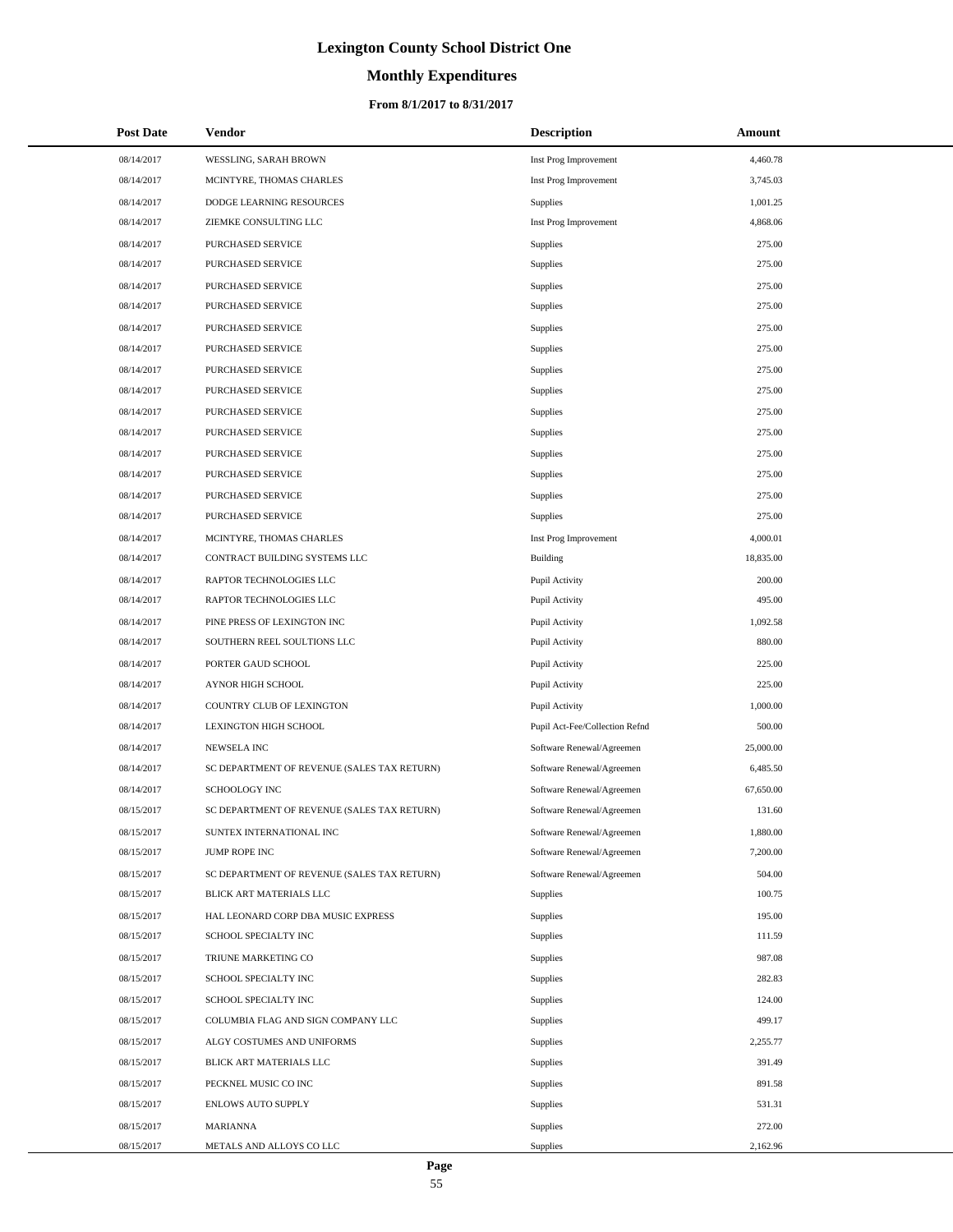# **Monthly Expenditures**

| <b>Post Date</b> | Vendor                                      | <b>Description</b>             | Amount    |
|------------------|---------------------------------------------|--------------------------------|-----------|
| 08/14/2017       | WESSLING, SARAH BROWN                       | Inst Prog Improvement          | 4,460.78  |
| 08/14/2017       | MCINTYRE, THOMAS CHARLES                    | Inst Prog Improvement          | 3,745.03  |
| 08/14/2017       | DODGE LEARNING RESOURCES                    | <b>Supplies</b>                | 1,001.25  |
| 08/14/2017       | ZIEMKE CONSULTING LLC                       | Inst Prog Improvement          | 4,868.06  |
| 08/14/2017       | PURCHASED SERVICE                           | Supplies                       | 275.00    |
| 08/14/2017       | PURCHASED SERVICE                           | Supplies                       | 275.00    |
| 08/14/2017       | PURCHASED SERVICE                           | Supplies                       | 275.00    |
| 08/14/2017       | PURCHASED SERVICE                           | Supplies                       | 275.00    |
| 08/14/2017       | PURCHASED SERVICE                           | Supplies                       | 275.00    |
| 08/14/2017       | PURCHASED SERVICE                           | Supplies                       | 275.00    |
| 08/14/2017       | PURCHASED SERVICE                           | Supplies                       | 275.00    |
| 08/14/2017       | PURCHASED SERVICE                           | Supplies                       | 275.00    |
| 08/14/2017       | PURCHASED SERVICE                           | Supplies                       | 275.00    |
| 08/14/2017       | PURCHASED SERVICE                           | Supplies                       | 275.00    |
| 08/14/2017       | PURCHASED SERVICE                           | Supplies                       | 275.00    |
| 08/14/2017       | PURCHASED SERVICE                           | Supplies                       | 275.00    |
| 08/14/2017       | PURCHASED SERVICE                           | Supplies                       | 275.00    |
| 08/14/2017       | PURCHASED SERVICE                           | Supplies                       | 275.00    |
| 08/14/2017       | MCINTYRE, THOMAS CHARLES                    | Inst Prog Improvement          | 4,000.01  |
| 08/14/2017       | CONTRACT BUILDING SYSTEMS LLC               | <b>Building</b>                | 18,835.00 |
| 08/14/2017       | RAPTOR TECHNOLOGIES LLC                     | Pupil Activity                 | 200.00    |
| 08/14/2017       | RAPTOR TECHNOLOGIES LLC                     | Pupil Activity                 | 495.00    |
| 08/14/2017       | PINE PRESS OF LEXINGTON INC                 | Pupil Activity                 | 1,092.58  |
| 08/14/2017       | SOUTHERN REEL SOULTIONS LLC                 | Pupil Activity                 | 880.00    |
| 08/14/2017       | PORTER GAUD SCHOOL                          | Pupil Activity                 | 225.00    |
| 08/14/2017       | AYNOR HIGH SCHOOL                           | Pupil Activity                 | 225.00    |
| 08/14/2017       | COUNTRY CLUB OF LEXINGTON                   | Pupil Activity                 | 1,000.00  |
| 08/14/2017       | LEXINGTON HIGH SCHOOL                       | Pupil Act-Fee/Collection Refnd | 500.00    |
| 08/14/2017       | <b>NEWSELA INC</b>                          | Software Renewal/Agreemen      | 25,000.00 |
| 08/14/2017       | SC DEPARTMENT OF REVENUE (SALES TAX RETURN) | Software Renewal/Agreemen      | 6,485.50  |
| 08/14/2017       | <b>SCHOOLOGY INC</b>                        | Software Renewal/Agreemen      | 67,650.00 |
| 08/15/2017       | SC DEPARTMENT OF REVENUE (SALES TAX RETURN) | Software Renewal/Agreemen      | 131.60    |
| 08/15/2017       | SUNTEX INTERNATIONAL INC                    | Software Renewal/Agreemen      | 1,880.00  |
| 08/15/2017       | JUMP ROPE INC                               | Software Renewal/Agreemen      | 7,200.00  |
| 08/15/2017       | SC DEPARTMENT OF REVENUE (SALES TAX RETURN) | Software Renewal/Agreemen      | 504.00    |
| 08/15/2017       | BLICK ART MATERIALS LLC                     | <b>Supplies</b>                | 100.75    |
| 08/15/2017       | HAL LEONARD CORP DBA MUSIC EXPRESS          | Supplies                       | 195.00    |
| 08/15/2017       | SCHOOL SPECIALTY INC                        | Supplies                       | 111.59    |
| 08/15/2017       | TRIUNE MARKETING CO                         | Supplies                       | 987.08    |
| 08/15/2017       | SCHOOL SPECIALTY INC                        | Supplies                       | 282.83    |
| 08/15/2017       | SCHOOL SPECIALTY INC                        | Supplies                       | 124.00    |
| 08/15/2017       | COLUMBIA FLAG AND SIGN COMPANY LLC          | Supplies                       | 499.17    |
| 08/15/2017       | ALGY COSTUMES AND UNIFORMS                  | Supplies                       | 2,255.77  |
| 08/15/2017       | BLICK ART MATERIALS LLC                     | Supplies                       | 391.49    |
| 08/15/2017       | PECKNEL MUSIC CO INC                        | Supplies                       | 891.58    |
| 08/15/2017       | ENLOWS AUTO SUPPLY                          | Supplies                       | 531.31    |
| 08/15/2017       | <b>MARIANNA</b>                             | Supplies                       | 272.00    |
| 08/15/2017       | METALS AND ALLOYS CO LLC                    | Supplies                       | 2,162.96  |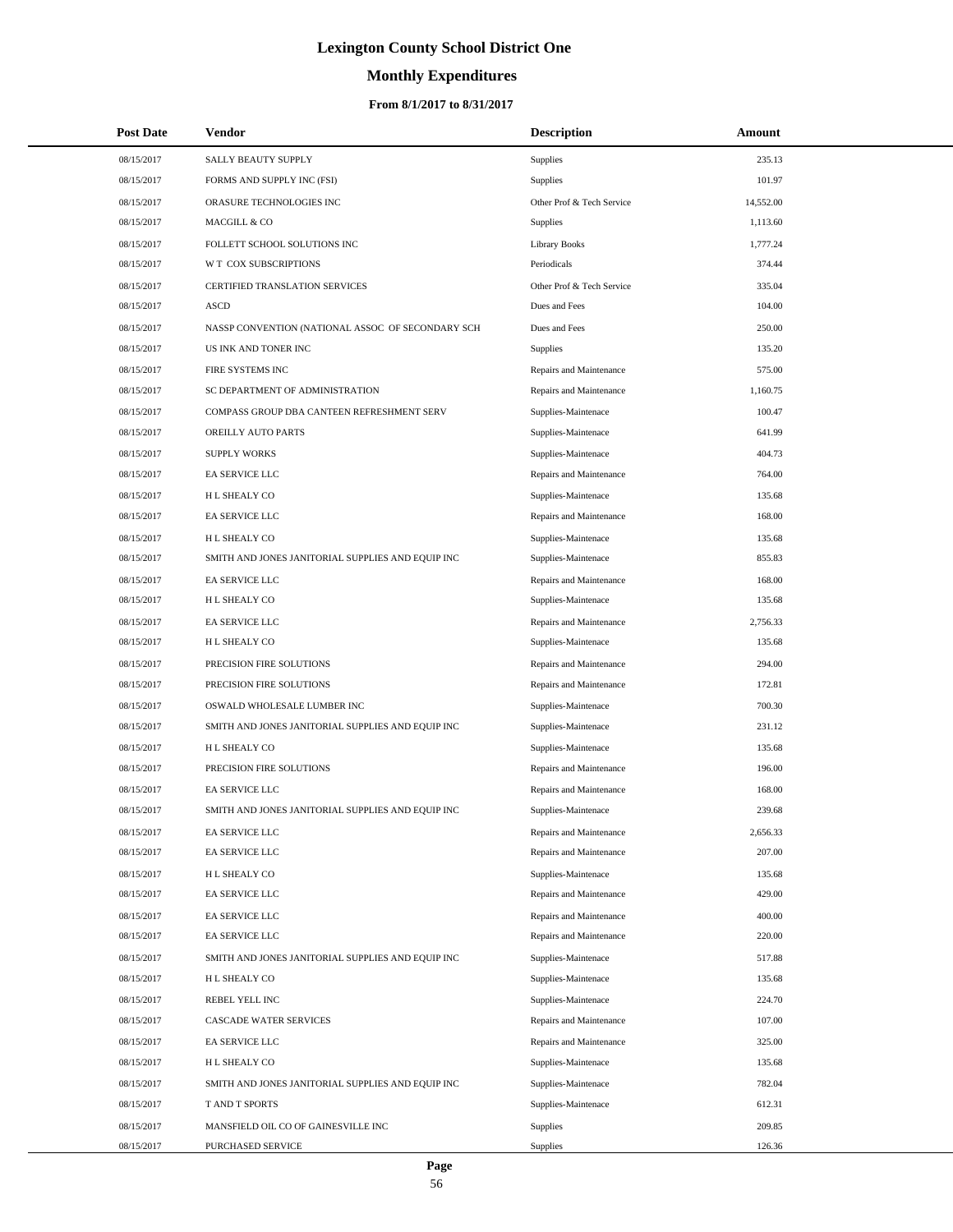# **Monthly Expenditures**

### **From 8/1/2017 to 8/31/2017**

| <b>Post Date</b> | Vendor                                            | <b>Description</b>        | Amount    |  |
|------------------|---------------------------------------------------|---------------------------|-----------|--|
| 08/15/2017       | SALLY BEAUTY SUPPLY                               | Supplies                  | 235.13    |  |
| 08/15/2017       | FORMS AND SUPPLY INC (FSI)                        | Supplies                  | 101.97    |  |
| 08/15/2017       | ORASURE TECHNOLOGIES INC                          | Other Prof & Tech Service | 14,552.00 |  |
| 08/15/2017       | MACGILL & CO                                      | Supplies                  | 1,113.60  |  |
| 08/15/2017       | FOLLETT SCHOOL SOLUTIONS INC                      | <b>Library Books</b>      | 1,777.24  |  |
| 08/15/2017       | W T COX SUBSCRIPTIONS                             | Periodicals               | 374.44    |  |
| 08/15/2017       | CERTIFIED TRANSLATION SERVICES                    | Other Prof & Tech Service | 335.04    |  |
| 08/15/2017       | <b>ASCD</b>                                       | Dues and Fees             | 104.00    |  |
| 08/15/2017       | NASSP CONVENTION (NATIONAL ASSOC OF SECONDARY SCH | Dues and Fees             | 250.00    |  |
| 08/15/2017       | US INK AND TONER INC                              | Supplies                  | 135.20    |  |
| 08/15/2017       | FIRE SYSTEMS INC                                  | Repairs and Maintenance   | 575.00    |  |
| 08/15/2017       | SC DEPARTMENT OF ADMINISTRATION                   | Repairs and Maintenance   | 1,160.75  |  |
| 08/15/2017       | COMPASS GROUP DBA CANTEEN REFRESHMENT SERV        | Supplies-Maintenace       | 100.47    |  |
| 08/15/2017       | OREILLY AUTO PARTS                                | Supplies-Maintenace       | 641.99    |  |
| 08/15/2017       | <b>SUPPLY WORKS</b>                               | Supplies-Maintenace       | 404.73    |  |
| 08/15/2017       | EA SERVICE LLC                                    | Repairs and Maintenance   | 764.00    |  |
| 08/15/2017       | H L SHEALY CO                                     | Supplies-Maintenace       | 135.68    |  |
| 08/15/2017       | EA SERVICE LLC                                    | Repairs and Maintenance   | 168.00    |  |
| 08/15/2017       | <b>HL SHEALY CO</b>                               | Supplies-Maintenace       | 135.68    |  |
| 08/15/2017       | SMITH AND JONES JANITORIAL SUPPLIES AND EQUIP INC | Supplies-Maintenace       | 855.83    |  |
| 08/15/2017       | EA SERVICE LLC                                    | Repairs and Maintenance   | 168.00    |  |
| 08/15/2017       | H L SHEALY CO                                     | Supplies-Maintenace       | 135.68    |  |
| 08/15/2017       | EA SERVICE LLC                                    | Repairs and Maintenance   | 2,756.33  |  |
| 08/15/2017       | H L SHEALY CO                                     | Supplies-Maintenace       | 135.68    |  |
| 08/15/2017       | PRECISION FIRE SOLUTIONS                          | Repairs and Maintenance   | 294.00    |  |
| 08/15/2017       | PRECISION FIRE SOLUTIONS                          | Repairs and Maintenance   | 172.81    |  |
| 08/15/2017       | OSWALD WHOLESALE LUMBER INC                       | Supplies-Maintenace       | 700.30    |  |
| 08/15/2017       | SMITH AND JONES JANITORIAL SUPPLIES AND EQUIP INC | Supplies-Maintenace       | 231.12    |  |
| 08/15/2017       | <b>HL SHEALY CO</b>                               | Supplies-Maintenace       | 135.68    |  |
| 08/15/2017       | PRECISION FIRE SOLUTIONS                          | Repairs and Maintenance   | 196.00    |  |
| 08/15/2017       | EA SERVICE LLC                                    | Repairs and Maintenance   | 168.00    |  |
| 08/15/2017       | SMITH AND JONES JANITORIAL SUPPLIES AND EQUIP INC | Supplies-Maintenace       | 239.68    |  |
| 08/15/2017       | EA SERVICE LLC                                    | Repairs and Maintenance   | 2,656.33  |  |
| 08/15/2017       | EA SERVICE LLC                                    | Repairs and Maintenance   | 207.00    |  |
| 08/15/2017       | H L SHEALY CO                                     | Supplies-Maintenace       | 135.68    |  |
| 08/15/2017       | EA SERVICE LLC                                    | Repairs and Maintenance   | 429.00    |  |
| 08/15/2017       | EA SERVICE LLC                                    | Repairs and Maintenance   | 400.00    |  |
| 08/15/2017       | EA SERVICE LLC                                    | Repairs and Maintenance   | 220.00    |  |
| 08/15/2017       | SMITH AND JONES JANITORIAL SUPPLIES AND EQUIP INC | Supplies-Maintenace       | 517.88    |  |
| 08/15/2017       | H L SHEALY CO                                     | Supplies-Maintenace       | 135.68    |  |
| 08/15/2017       | REBEL YELL INC                                    | Supplies-Maintenace       | 224.70    |  |
| 08/15/2017       | <b>CASCADE WATER SERVICES</b>                     | Repairs and Maintenance   | 107.00    |  |
| 08/15/2017       | EA SERVICE LLC                                    | Repairs and Maintenance   | 325.00    |  |
| 08/15/2017       | H L SHEALY CO                                     | Supplies-Maintenace       | 135.68    |  |
| 08/15/2017       | SMITH AND JONES JANITORIAL SUPPLIES AND EQUIP INC | Supplies-Maintenace       | 782.04    |  |
| 08/15/2017       | T AND T SPORTS                                    | Supplies-Maintenace       | 612.31    |  |
| 08/15/2017       | MANSFIELD OIL CO OF GAINESVILLE INC               | Supplies                  | 209.85    |  |
| 08/15/2017       | PURCHASED SERVICE                                 | Supplies                  | 126.36    |  |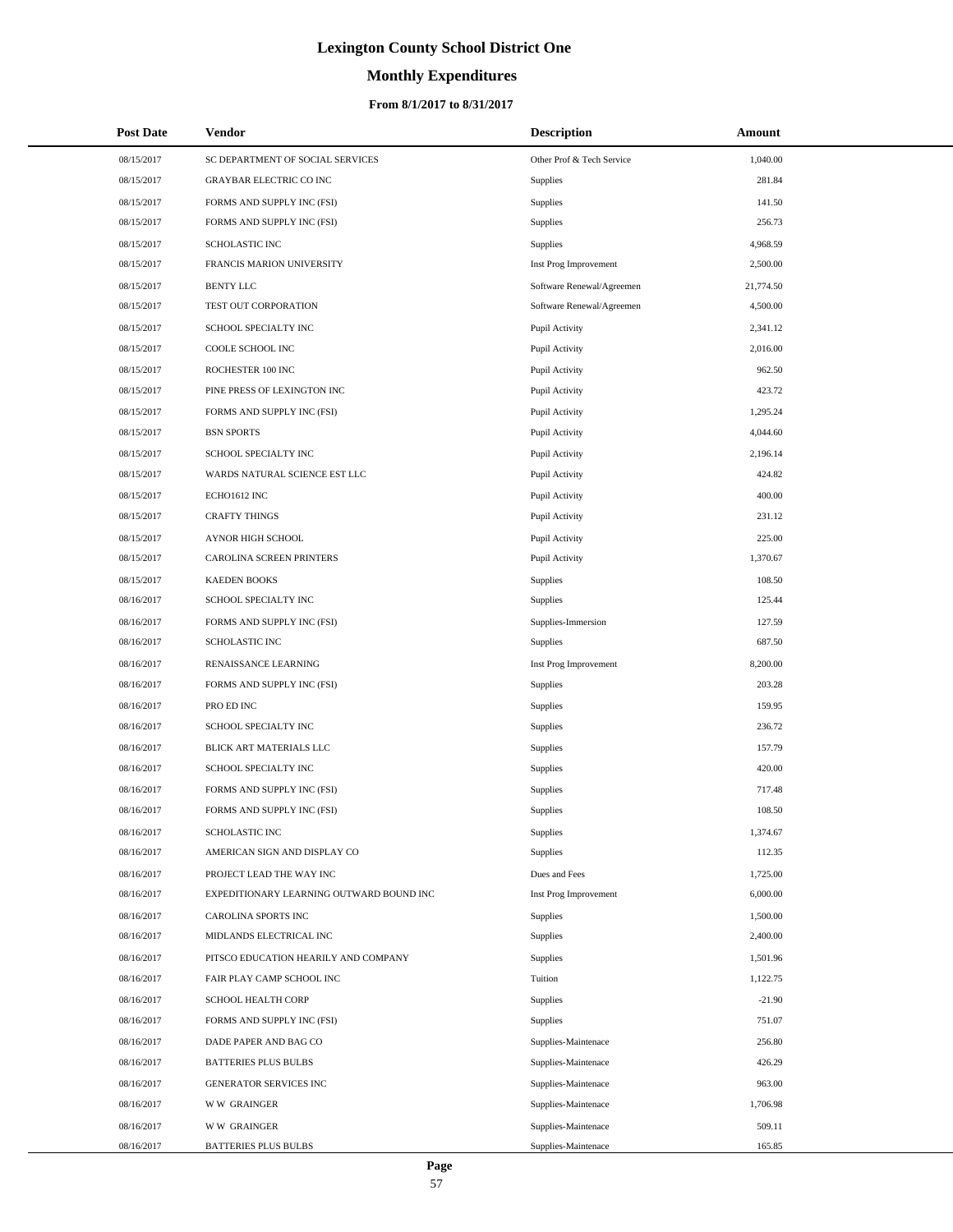# **Monthly Expenditures**

## **From 8/1/2017 to 8/31/2017**

| <b>Post Date</b> | Vendor                                   | <b>Description</b>        | Amount    |  |
|------------------|------------------------------------------|---------------------------|-----------|--|
| 08/15/2017       | SC DEPARTMENT OF SOCIAL SERVICES         | Other Prof & Tech Service | 1,040.00  |  |
| 08/15/2017       | GRAYBAR ELECTRIC CO INC                  | <b>Supplies</b>           | 281.84    |  |
| 08/15/2017       | FORMS AND SUPPLY INC (FSI)               | Supplies                  | 141.50    |  |
| 08/15/2017       | FORMS AND SUPPLY INC (FSI)               | Supplies                  | 256.73    |  |
| 08/15/2017       | <b>SCHOLASTIC INC</b>                    | Supplies                  | 4,968.59  |  |
| 08/15/2017       | FRANCIS MARION UNIVERSITY                | Inst Prog Improvement     | 2,500.00  |  |
| 08/15/2017       | <b>BENTY LLC</b>                         | Software Renewal/Agreemen | 21,774.50 |  |
| 08/15/2017       | TEST OUT CORPORATION                     | Software Renewal/Agreemen | 4,500.00  |  |
| 08/15/2017       | SCHOOL SPECIALTY INC                     | Pupil Activity            | 2,341.12  |  |
| 08/15/2017       | COOLE SCHOOL INC                         | Pupil Activity            | 2,016.00  |  |
| 08/15/2017       | ROCHESTER 100 INC                        | Pupil Activity            | 962.50    |  |
| 08/15/2017       | PINE PRESS OF LEXINGTON INC              | Pupil Activity            | 423.72    |  |
| 08/15/2017       | FORMS AND SUPPLY INC (FSI)               | Pupil Activity            | 1,295.24  |  |
| 08/15/2017       | <b>BSN SPORTS</b>                        | Pupil Activity            | 4,044.60  |  |
| 08/15/2017       | SCHOOL SPECIALTY INC                     | Pupil Activity            | 2,196.14  |  |
| 08/15/2017       | WARDS NATURAL SCIENCE EST LLC            | Pupil Activity            | 424.82    |  |
| 08/15/2017       | ECHO1612 INC                             | Pupil Activity            | 400.00    |  |
| 08/15/2017       | <b>CRAFTY THINGS</b>                     | Pupil Activity            | 231.12    |  |
| 08/15/2017       | AYNOR HIGH SCHOOL                        | Pupil Activity            | 225.00    |  |
| 08/15/2017       | CAROLINA SCREEN PRINTERS                 | Pupil Activity            | 1,370.67  |  |
| 08/15/2017       | <b>KAEDEN BOOKS</b>                      | Supplies                  | 108.50    |  |
| 08/16/2017       | SCHOOL SPECIALTY INC                     | Supplies                  | 125.44    |  |
| 08/16/2017       | FORMS AND SUPPLY INC (FSI)               | Supplies-Immersion        | 127.59    |  |
| 08/16/2017       | SCHOLASTIC INC                           | <b>Supplies</b>           | 687.50    |  |
| 08/16/2017       | RENAISSANCE LEARNING                     | Inst Prog Improvement     | 8,200.00  |  |
| 08/16/2017       | FORMS AND SUPPLY INC (FSI)               | <b>Supplies</b>           | 203.28    |  |
| 08/16/2017       | PRO ED INC                               | Supplies                  | 159.95    |  |
| 08/16/2017       | SCHOOL SPECIALTY INC                     | Supplies                  | 236.72    |  |
| 08/16/2017       | BLICK ART MATERIALS LLC                  | Supplies                  | 157.79    |  |
| 08/16/2017       | SCHOOL SPECIALTY INC                     | Supplies                  | 420.00    |  |
| 08/16/2017       | FORMS AND SUPPLY INC (FSI)               | Supplies                  | 717.48    |  |
| 08/16/2017       | FORMS AND SUPPLY INC (FSI)               | Supplies                  | 108.50    |  |
| 08/16/2017       | SCHOLASTIC INC                           | Supplies                  | 1,374.67  |  |
| 08/16/2017       | AMERICAN SIGN AND DISPLAY CO             | Supplies                  | 112.35    |  |
| 08/16/2017       | PROJECT LEAD THE WAY INC                 | Dues and Fees             | 1,725.00  |  |
| 08/16/2017       | EXPEDITIONARY LEARNING OUTWARD BOUND INC | Inst Prog Improvement     | 6,000.00  |  |
| 08/16/2017       | CAROLINA SPORTS INC                      | <b>Supplies</b>           | 1,500.00  |  |
| 08/16/2017       | MIDLANDS ELECTRICAL INC                  | Supplies                  | 2,400.00  |  |
| 08/16/2017       | PITSCO EDUCATION HEARILY AND COMPANY     | Supplies                  | 1,501.96  |  |
| 08/16/2017       | FAIR PLAY CAMP SCHOOL INC                | Tuition                   | 1,122.75  |  |
| 08/16/2017       | SCHOOL HEALTH CORP                       | Supplies                  | $-21.90$  |  |
| 08/16/2017       | FORMS AND SUPPLY INC (FSI)               | Supplies                  | 751.07    |  |
| 08/16/2017       | DADE PAPER AND BAG CO                    | Supplies-Maintenace       | 256.80    |  |
| 08/16/2017       | <b>BATTERIES PLUS BULBS</b>              | Supplies-Maintenace       | 426.29    |  |
| 08/16/2017       | GENERATOR SERVICES INC                   | Supplies-Maintenace       | 963.00    |  |
| 08/16/2017       | <b>WW GRAINGER</b>                       | Supplies-Maintenace       | 1,706.98  |  |
| 08/16/2017       | <b>WW GRAINGER</b>                       | Supplies-Maintenace       | 509.11    |  |
| 08/16/2017       | <b>BATTERIES PLUS BULBS</b>              | Supplies-Maintenace       | 165.85    |  |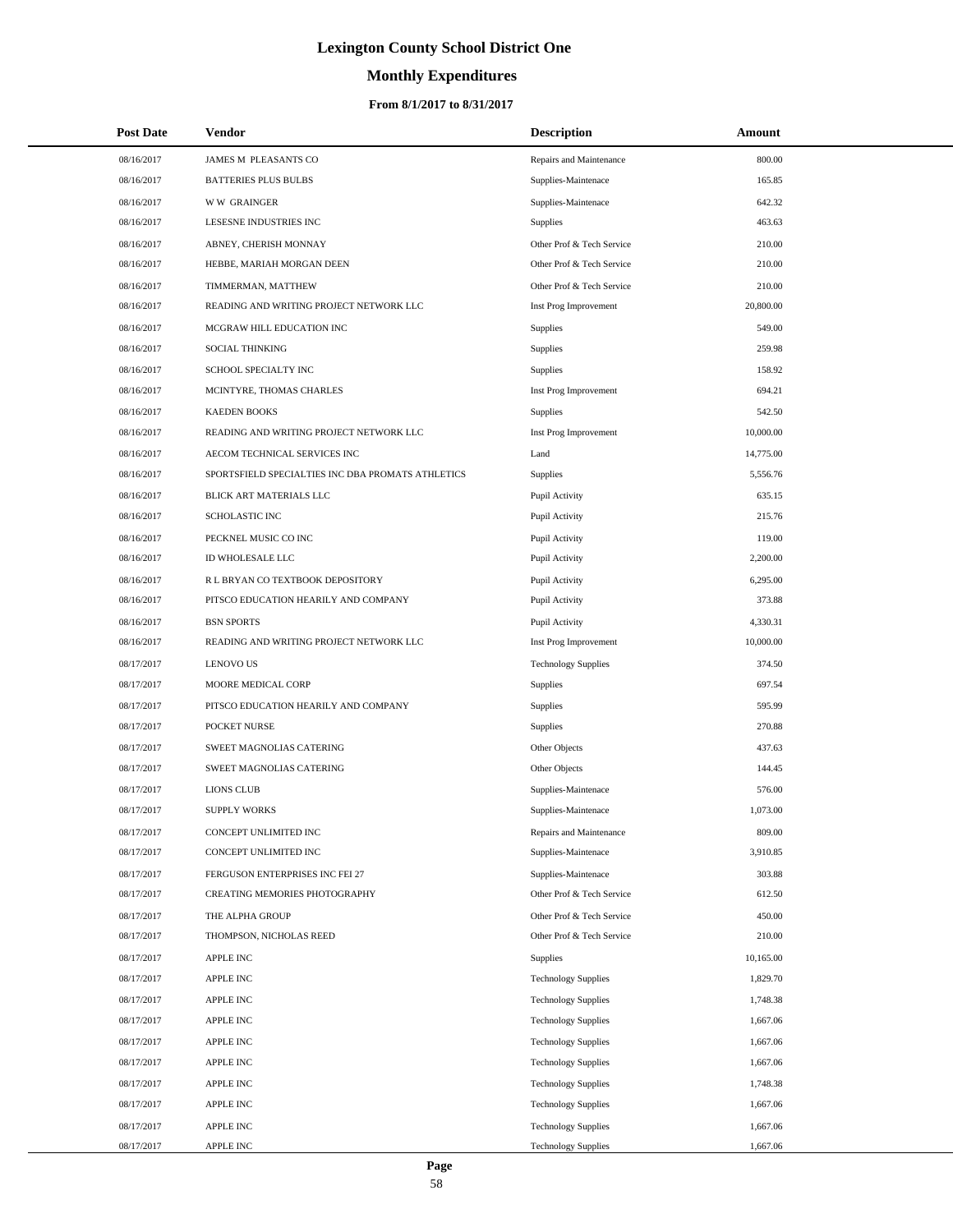# **Monthly Expenditures**

| <b>Post Date</b> | Vendor                                            | <b>Description</b>         | Amount    |
|------------------|---------------------------------------------------|----------------------------|-----------|
| 08/16/2017       | JAMES M PLEASANTS CO                              | Repairs and Maintenance    | 800.00    |
| 08/16/2017       | <b>BATTERIES PLUS BULBS</b>                       | Supplies-Maintenace        | 165.85    |
| 08/16/2017       | <b>WW GRAINGER</b>                                | Supplies-Maintenace        | 642.32    |
| 08/16/2017       | LESESNE INDUSTRIES INC                            | <b>Supplies</b>            | 463.63    |
| 08/16/2017       | ABNEY, CHERISH MONNAY                             | Other Prof & Tech Service  | 210.00    |
| 08/16/2017       | HEBBE, MARIAH MORGAN DEEN                         | Other Prof & Tech Service  | 210.00    |
| 08/16/2017       | TIMMERMAN, MATTHEW                                | Other Prof & Tech Service  | 210.00    |
| 08/16/2017       | READING AND WRITING PROJECT NETWORK LLC           | Inst Prog Improvement      | 20,800.00 |
| 08/16/2017       | MCGRAW HILL EDUCATION INC                         | Supplies                   | 549.00    |
| 08/16/2017       | SOCIAL THINKING                                   | Supplies                   | 259.98    |
| 08/16/2017       | SCHOOL SPECIALTY INC                              | Supplies                   | 158.92    |
| 08/16/2017       | MCINTYRE, THOMAS CHARLES                          | Inst Prog Improvement      | 694.21    |
| 08/16/2017       | <b>KAEDEN BOOKS</b>                               | Supplies                   | 542.50    |
| 08/16/2017       | READING AND WRITING PROJECT NETWORK LLC           | Inst Prog Improvement      | 10,000.00 |
| 08/16/2017       | AECOM TECHNICAL SERVICES INC                      | Land                       | 14,775.00 |
| 08/16/2017       | SPORTSFIELD SPECIALTIES INC DBA PROMATS ATHLETICS | Supplies                   | 5,556.76  |
| 08/16/2017       | BLICK ART MATERIALS LLC                           | Pupil Activity             | 635.15    |
| 08/16/2017       | <b>SCHOLASTIC INC</b>                             | Pupil Activity             | 215.76    |
| 08/16/2017       | PECKNEL MUSIC CO INC                              | Pupil Activity             | 119.00    |
| 08/16/2017       | ID WHOLESALE LLC                                  | Pupil Activity             | 2,200.00  |
| 08/16/2017       | R L BRYAN CO TEXTBOOK DEPOSITORY                  | Pupil Activity             | 6,295.00  |
| 08/16/2017       | PITSCO EDUCATION HEARILY AND COMPANY              | Pupil Activity             | 373.88    |
| 08/16/2017       | <b>BSN SPORTS</b>                                 | Pupil Activity             | 4,330.31  |
| 08/16/2017       | READING AND WRITING PROJECT NETWORK LLC           | Inst Prog Improvement      | 10,000.00 |
| 08/17/2017       | <b>LENOVO US</b>                                  | <b>Technology Supplies</b> | 374.50    |
| 08/17/2017       | MOORE MEDICAL CORP                                | <b>Supplies</b>            | 697.54    |
| 08/17/2017       | PITSCO EDUCATION HEARILY AND COMPANY              | Supplies                   | 595.99    |
| 08/17/2017       | POCKET NURSE                                      | Supplies                   | 270.88    |
| 08/17/2017       | SWEET MAGNOLIAS CATERING                          | Other Objects              | 437.63    |
| 08/17/2017       | SWEET MAGNOLIAS CATERING                          | Other Objects              | 144.45    |
| 08/17/2017       | <b>LIONS CLUB</b>                                 | Supplies-Maintenace        | 576.00    |
| 08/17/2017       | <b>SUPPLY WORKS</b>                               | Supplies-Maintenace        | 1,073.00  |
| 08/17/2017       | CONCEPT UNLIMITED INC                             | Repairs and Maintenance    | 809.00    |
| 08/17/2017       | CONCEPT UNLIMITED INC                             | Supplies-Maintenace        | 3,910.85  |
| 08/17/2017       | FERGUSON ENTERPRISES INC FEI 27                   | Supplies-Maintenace        | 303.88    |
| 08/17/2017       | CREATING MEMORIES PHOTOGRAPHY                     | Other Prof & Tech Service  | 612.50    |
| 08/17/2017       | THE ALPHA GROUP                                   | Other Prof & Tech Service  | 450.00    |
| 08/17/2017       | THOMPSON, NICHOLAS REED                           | Other Prof & Tech Service  | 210.00    |
| 08/17/2017       | <b>APPLE INC</b>                                  | Supplies                   | 10,165.00 |
| 08/17/2017       | <b>APPLE INC</b>                                  | <b>Technology Supplies</b> | 1,829.70  |
| 08/17/2017       | <b>APPLE INC</b>                                  | <b>Technology Supplies</b> | 1,748.38  |
| 08/17/2017       | <b>APPLE INC</b>                                  | <b>Technology Supplies</b> | 1,667.06  |
| 08/17/2017       | <b>APPLE INC</b>                                  | <b>Technology Supplies</b> | 1,667.06  |
| 08/17/2017       | <b>APPLE INC</b>                                  | <b>Technology Supplies</b> | 1,667.06  |
| 08/17/2017       | <b>APPLE INC</b>                                  | <b>Technology Supplies</b> | 1,748.38  |
| 08/17/2017       | <b>APPLE INC</b>                                  | <b>Technology Supplies</b> | 1,667.06  |
| 08/17/2017       | <b>APPLE INC</b>                                  | <b>Technology Supplies</b> | 1,667.06  |
| 08/17/2017       | APPLE INC                                         | <b>Technology Supplies</b> | 1,667.06  |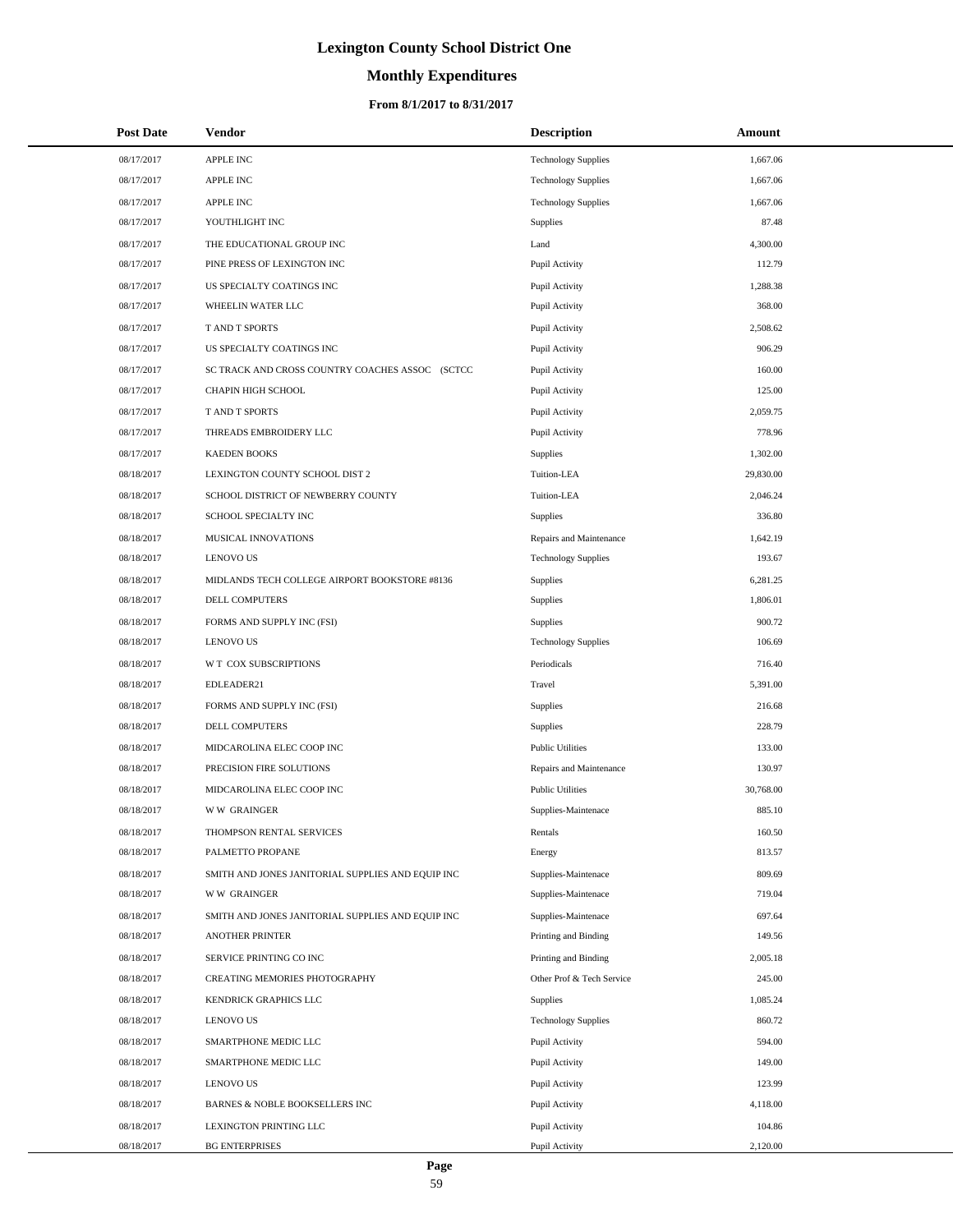# **Monthly Expenditures**

## **From 8/1/2017 to 8/31/2017**

| <b>Post Date</b> | Vendor                                            | <b>Description</b>         | <b>Amount</b> |
|------------------|---------------------------------------------------|----------------------------|---------------|
| 08/17/2017       | <b>APPLE INC</b>                                  | <b>Technology Supplies</b> | 1,667.06      |
| 08/17/2017       | <b>APPLE INC</b>                                  | <b>Technology Supplies</b> | 1,667.06      |
| 08/17/2017       | <b>APPLE INC</b>                                  | <b>Technology Supplies</b> | 1,667.06      |
| 08/17/2017       | YOUTHLIGHT INC                                    | Supplies                   | 87.48         |
| 08/17/2017       | THE EDUCATIONAL GROUP INC                         | Land                       | 4,300.00      |
| 08/17/2017       | PINE PRESS OF LEXINGTON INC                       | Pupil Activity             | 112.79        |
| 08/17/2017       | US SPECIALTY COATINGS INC                         | Pupil Activity             | 1,288.38      |
| 08/17/2017       | WHEELIN WATER LLC                                 | Pupil Activity             | 368.00        |
| 08/17/2017       | <b>TAND T SPORTS</b>                              | Pupil Activity             | 2,508.62      |
| 08/17/2017       | US SPECIALTY COATINGS INC                         | Pupil Activity             | 906.29        |
| 08/17/2017       | SC TRACK AND CROSS COUNTRY COACHES ASSOC (SCTCC   | Pupil Activity             | 160.00        |
| 08/17/2017       | CHAPIN HIGH SCHOOL                                | Pupil Activity             | 125.00        |
| 08/17/2017       | T AND T SPORTS                                    | Pupil Activity             | 2,059.75      |
| 08/17/2017       | THREADS EMBROIDERY LLC                            | Pupil Activity             | 778.96        |
| 08/17/2017       | <b>KAEDEN BOOKS</b>                               | <b>Supplies</b>            | 1,302.00      |
| 08/18/2017       | LEXINGTON COUNTY SCHOOL DIST 2                    | Tuition-LEA                | 29,830.00     |
| 08/18/2017       | SCHOOL DISTRICT OF NEWBERRY COUNTY                | Tuition-LEA                | 2,046.24      |
| 08/18/2017       | SCHOOL SPECIALTY INC                              | Supplies                   | 336.80        |
| 08/18/2017       | MUSICAL INNOVATIONS                               | Repairs and Maintenance    | 1,642.19      |
| 08/18/2017       | <b>LENOVO US</b>                                  | <b>Technology Supplies</b> | 193.67        |
| 08/18/2017       | MIDLANDS TECH COLLEGE AIRPORT BOOKSTORE #8136     | <b>Supplies</b>            | 6,281.25      |
| 08/18/2017       | DELL COMPUTERS                                    | Supplies                   | 1,806.01      |
| 08/18/2017       | FORMS AND SUPPLY INC (FSI)                        | <b>Supplies</b>            | 900.72        |
| 08/18/2017       | <b>LENOVO US</b>                                  | <b>Technology Supplies</b> | 106.69        |
| 08/18/2017       | W T COX SUBSCRIPTIONS                             | Periodicals                | 716.40        |
| 08/18/2017       | EDLEADER21                                        | Travel                     | 5,391.00      |
| 08/18/2017       | FORMS AND SUPPLY INC (FSI)                        | Supplies                   | 216.68        |
| 08/18/2017       | <b>DELL COMPUTERS</b>                             | Supplies                   | 228.79        |
| 08/18/2017       | MIDCAROLINA ELEC COOP INC                         | <b>Public Utilities</b>    | 133.00        |
| 08/18/2017       | PRECISION FIRE SOLUTIONS                          | Repairs and Maintenance    | 130.97        |
| 08/18/2017       | MIDCAROLINA ELEC COOP INC                         | <b>Public Utilities</b>    | 30,768.00     |
| 08/18/2017       | <b>WW GRAINGER</b>                                | Supplies-Maintenace        | 885.10        |
| 08/18/2017       | THOMPSON RENTAL SERVICES                          | Rentals                    | 160.50        |
| 08/18/2017       | PALMETTO PROPANE                                  | Energy                     | 813.57        |
| 08/18/2017       | SMITH AND JONES JANITORIAL SUPPLIES AND EQUIP INC | Supplies-Maintenace        | 809.69        |
| 08/18/2017       | <b>WW GRAINGER</b>                                | Supplies-Maintenace        | 719.04        |
| 08/18/2017       | SMITH AND JONES JANITORIAL SUPPLIES AND EQUIP INC | Supplies-Maintenace        | 697.64        |
| 08/18/2017       | <b>ANOTHER PRINTER</b>                            | Printing and Binding       | 149.56        |
| 08/18/2017       | SERVICE PRINTING CO INC                           | Printing and Binding       | 2,005.18      |
| 08/18/2017       | CREATING MEMORIES PHOTOGRAPHY                     | Other Prof & Tech Service  | 245.00        |
| 08/18/2017       | KENDRICK GRAPHICS LLC                             | Supplies                   | 1,085.24      |
| 08/18/2017       | <b>LENOVO US</b>                                  | <b>Technology Supplies</b> | 860.72        |
| 08/18/2017       | SMARTPHONE MEDIC LLC                              | Pupil Activity             | 594.00        |
| 08/18/2017       | SMARTPHONE MEDIC LLC                              | Pupil Activity             | 149.00        |
| 08/18/2017       | <b>LENOVO US</b>                                  | Pupil Activity             | 123.99        |
| 08/18/2017       | BARNES & NOBLE BOOKSELLERS INC                    | Pupil Activity             | 4,118.00      |
| 08/18/2017       | LEXINGTON PRINTING LLC                            | Pupil Activity             | 104.86        |
| 08/18/2017       | <b>BG ENTERPRISES</b>                             | Pupil Activity             | 2,120.00      |

 $\overline{\phantom{0}}$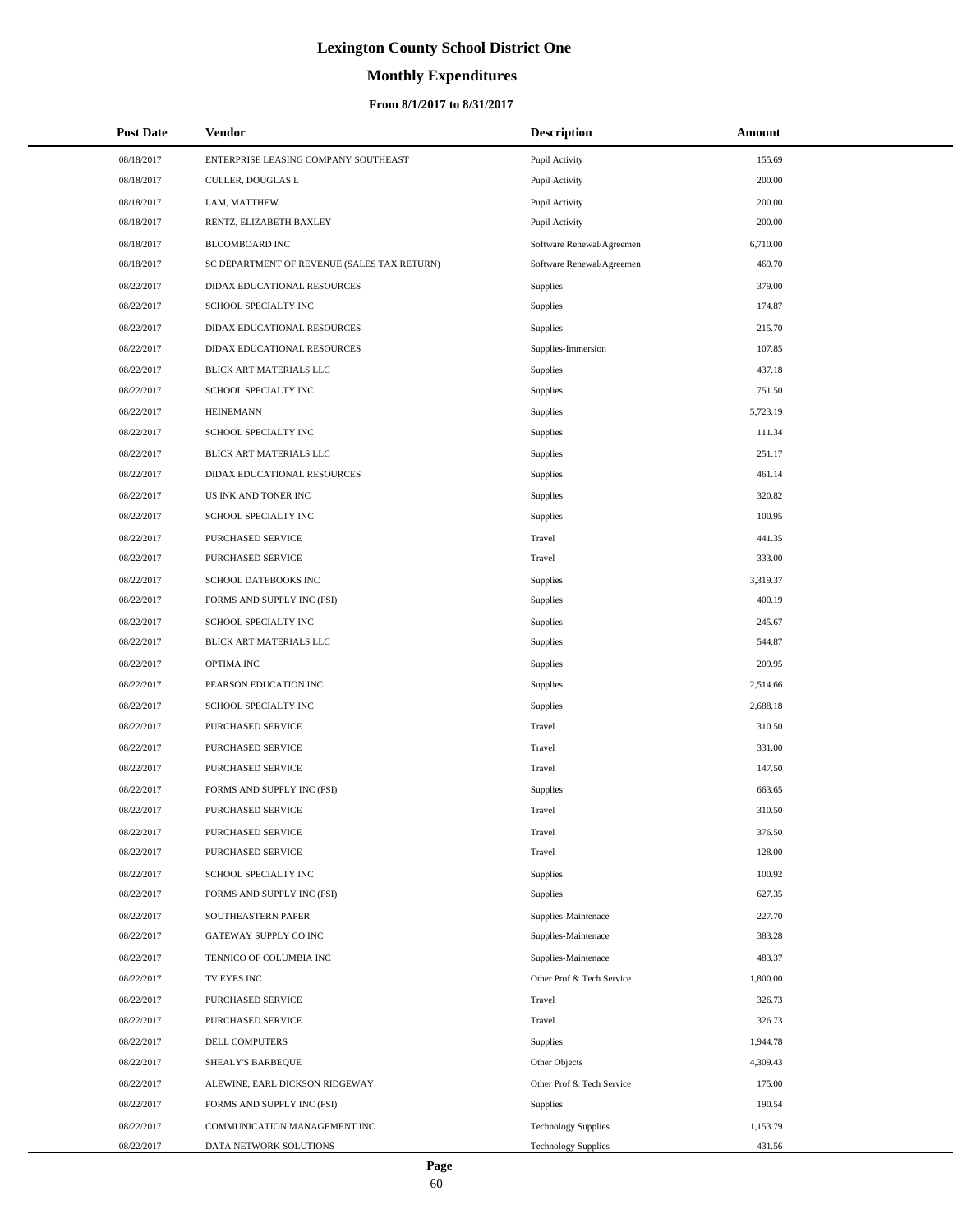# **Monthly Expenditures**

### **From 8/1/2017 to 8/31/2017**

| <b>Post Date</b> | Vendor                                      | <b>Description</b>         | Amount   |
|------------------|---------------------------------------------|----------------------------|----------|
| 08/18/2017       | ENTERPRISE LEASING COMPANY SOUTHEAST        | Pupil Activity             | 155.69   |
| 08/18/2017       | CULLER, DOUGLAS L                           | Pupil Activity             | 200.00   |
| 08/18/2017       | LAM, MATTHEW                                | Pupil Activity             | 200.00   |
| 08/18/2017       | RENTZ, ELIZABETH BAXLEY                     | Pupil Activity             | 200.00   |
| 08/18/2017       | <b>BLOOMBOARD INC</b>                       | Software Renewal/Agreemen  | 6,710.00 |
| 08/18/2017       | SC DEPARTMENT OF REVENUE (SALES TAX RETURN) | Software Renewal/Agreemen  | 469.70   |
| 08/22/2017       | DIDAX EDUCATIONAL RESOURCES                 | Supplies                   | 379.00   |
| 08/22/2017       | SCHOOL SPECIALTY INC                        | Supplies                   | 174.87   |
| 08/22/2017       | DIDAX EDUCATIONAL RESOURCES                 | Supplies                   | 215.70   |
| 08/22/2017       | DIDAX EDUCATIONAL RESOURCES                 | Supplies-Immersion         | 107.85   |
| 08/22/2017       | BLICK ART MATERIALS LLC                     | Supplies                   | 437.18   |
| 08/22/2017       | SCHOOL SPECIALTY INC                        | Supplies                   | 751.50   |
| 08/22/2017       | <b>HEINEMANN</b>                            | Supplies                   | 5,723.19 |
| 08/22/2017       | SCHOOL SPECIALTY INC                        | Supplies                   | 111.34   |
| 08/22/2017       | BLICK ART MATERIALS LLC                     | Supplies                   | 251.17   |
| 08/22/2017       | DIDAX EDUCATIONAL RESOURCES                 | Supplies                   | 461.14   |
| 08/22/2017       | US INK AND TONER INC                        | Supplies                   | 320.82   |
| 08/22/2017       | SCHOOL SPECIALTY INC                        | Supplies                   | 100.95   |
| 08/22/2017       | PURCHASED SERVICE                           | Travel                     | 441.35   |
| 08/22/2017       | PURCHASED SERVICE                           | Travel                     | 333.00   |
| 08/22/2017       | SCHOOL DATEBOOKS INC                        | <b>Supplies</b>            | 3,319.37 |
| 08/22/2017       | FORMS AND SUPPLY INC (FSI)                  | Supplies                   | 400.19   |
| 08/22/2017       | SCHOOL SPECIALTY INC                        | Supplies                   | 245.67   |
| 08/22/2017       | BLICK ART MATERIALS LLC                     | Supplies                   | 544.87   |
| 08/22/2017       | OPTIMA INC                                  | <b>Supplies</b>            | 209.95   |
| 08/22/2017       | PEARSON EDUCATION INC                       | Supplies                   | 2,514.66 |
| 08/22/2017       | SCHOOL SPECIALTY INC                        | Supplies                   | 2,688.18 |
| 08/22/2017       | PURCHASED SERVICE                           | Travel                     | 310.50   |
| 08/22/2017       | PURCHASED SERVICE                           | Travel                     | 331.00   |
| 08/22/2017       | PURCHASED SERVICE                           | Travel                     | 147.50   |
| 08/22/2017       | FORMS AND SUPPLY INC (FSI)                  | Supplies                   | 663.65   |
| 08/22/2017       | PURCHASED SERVICE                           | Travel                     | 310.50   |
| 08/22/2017       | <b>PURCHASED SERVICE</b>                    | Travel                     | 376.50   |
| 08/22/2017       | PURCHASED SERVICE                           | Travel                     | 128.00   |
| 08/22/2017       | SCHOOL SPECIALTY INC                        | Supplies                   | 100.92   |
| 08/22/2017       | FORMS AND SUPPLY INC (FSI)                  | Supplies                   | 627.35   |
| 08/22/2017       | SOUTHEASTERN PAPER                          | Supplies-Maintenace        | 227.70   |
| 08/22/2017       | GATEWAY SUPPLY CO INC                       | Supplies-Maintenace        | 383.28   |
| 08/22/2017       | TENNICO OF COLUMBIA INC                     | Supplies-Maintenace        | 483.37   |
| 08/22/2017       | TV EYES INC                                 | Other Prof & Tech Service  | 1,800.00 |
| 08/22/2017       | PURCHASED SERVICE                           | Travel                     | 326.73   |
| 08/22/2017       | PURCHASED SERVICE                           | Travel                     | 326.73   |
| 08/22/2017       | DELL COMPUTERS                              | Supplies                   | 1,944.78 |
| 08/22/2017       | SHEALY'S BARBEQUE                           | Other Objects              | 4,309.43 |
| 08/22/2017       | ALEWINE, EARL DICKSON RIDGEWAY              | Other Prof & Tech Service  | 175.00   |
| 08/22/2017       | FORMS AND SUPPLY INC (FSI)                  | <b>Supplies</b>            | 190.54   |
| 08/22/2017       | COMMUNICATION MANAGEMENT INC                | <b>Technology Supplies</b> | 1,153.79 |
| 08/22/2017       | DATA NETWORK SOLUTIONS                      | <b>Technology Supplies</b> | 431.56   |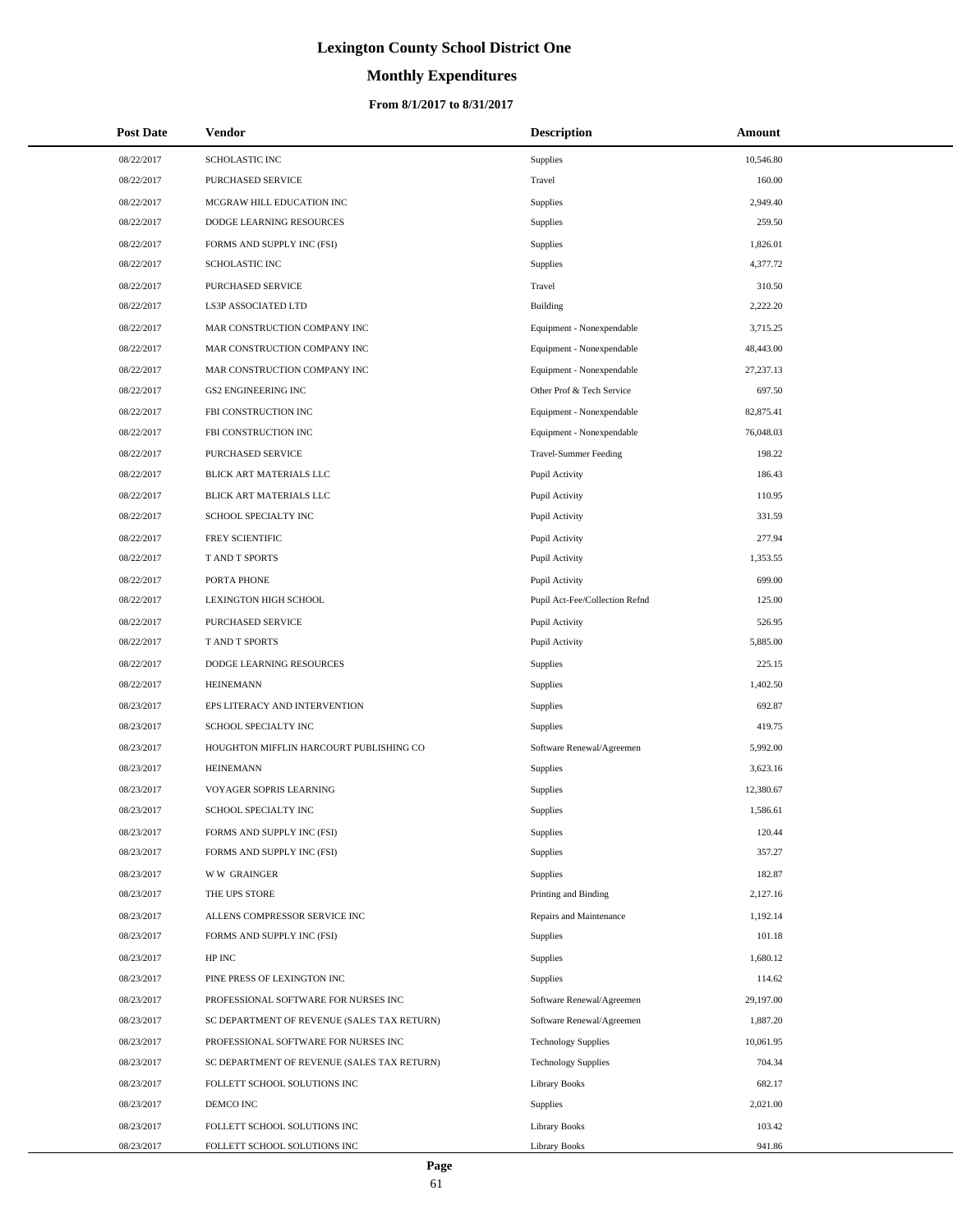# **Monthly Expenditures**

| <b>Post Date</b> | <b>Vendor</b>                               | <b>Description</b>             | Amount      |
|------------------|---------------------------------------------|--------------------------------|-------------|
| 08/22/2017       | SCHOLASTIC INC                              | Supplies                       | 10,546.80   |
| 08/22/2017       | PURCHASED SERVICE                           | Travel                         | 160.00      |
| 08/22/2017       | MCGRAW HILL EDUCATION INC                   | Supplies                       | 2,949.40    |
| 08/22/2017       | DODGE LEARNING RESOURCES                    | Supplies                       | 259.50      |
| 08/22/2017       | FORMS AND SUPPLY INC (FSI)                  | Supplies                       | 1,826.01    |
| 08/22/2017       | SCHOLASTIC INC                              | Supplies                       | 4,377.72    |
| 08/22/2017       | PURCHASED SERVICE                           | Travel                         | 310.50      |
| 08/22/2017       | LS3P ASSOCIATED LTD                         | Building                       | 2,222.20    |
| 08/22/2017       | MAR CONSTRUCTION COMPANY INC                | Equipment - Nonexpendable      | 3,715.25    |
| 08/22/2017       | MAR CONSTRUCTION COMPANY INC                | Equipment - Nonexpendable      | 48,443.00   |
| 08/22/2017       | MAR CONSTRUCTION COMPANY INC                | Equipment - Nonexpendable      | 27, 237. 13 |
| 08/22/2017       | <b>GS2 ENGINEERING INC</b>                  | Other Prof & Tech Service      | 697.50      |
| 08/22/2017       | FBI CONSTRUCTION INC                        | Equipment - Nonexpendable      | 82,875.41   |
| 08/22/2017       | FBI CONSTRUCTION INC                        | Equipment - Nonexpendable      | 76,048.03   |
| 08/22/2017       | PURCHASED SERVICE                           | <b>Travel-Summer Feeding</b>   | 198.22      |
| 08/22/2017       | BLICK ART MATERIALS LLC                     | Pupil Activity                 | 186.43      |
| 08/22/2017       | BLICK ART MATERIALS LLC                     | Pupil Activity                 | 110.95      |
| 08/22/2017       | SCHOOL SPECIALTY INC                        | Pupil Activity                 | 331.59      |
| 08/22/2017       | FREY SCIENTIFIC                             | Pupil Activity                 | 277.94      |
| 08/22/2017       | T AND T SPORTS                              | Pupil Activity                 | 1,353.55    |
| 08/22/2017       | PORTA PHONE                                 | Pupil Activity                 | 699.00      |
| 08/22/2017       | LEXINGTON HIGH SCHOOL                       | Pupil Act-Fee/Collection Refnd | 125.00      |
| 08/22/2017       | PURCHASED SERVICE                           | Pupil Activity                 | 526.95      |
| 08/22/2017       | T AND T SPORTS                              | Pupil Activity                 | 5,885.00    |
| 08/22/2017       | DODGE LEARNING RESOURCES                    | Supplies                       | 225.15      |
| 08/22/2017       | <b>HEINEMANN</b>                            | Supplies                       | 1,402.50    |
| 08/23/2017       | EPS LITERACY AND INTERVENTION               | Supplies                       | 692.87      |
| 08/23/2017       | SCHOOL SPECIALTY INC                        | Supplies                       | 419.75      |
| 08/23/2017       | HOUGHTON MIFFLIN HARCOURT PUBLISHING CO     | Software Renewal/Agreemen      | 5,992.00    |
| 08/23/2017       | <b>HEINEMANN</b>                            | Supplies                       | 3,623.16    |
| 08/23/2017       | VOYAGER SOPRIS LEARNING                     | Supplies                       | 12,380.67   |
| 08/23/2017       | SCHOOL SPECIALTY INC                        | Supplies                       | 1,586.61    |
| 08/23/2017       | FORMS AND SUPPLY INC (FSI)                  | Supplies                       | 120.44      |
| 08/23/2017       | FORMS AND SUPPLY INC (FSI)                  | Supplies                       | 357.27      |
| 08/23/2017       | <b>WW GRAINGER</b>                          | Supplies                       | 182.87      |
| 08/23/2017       | THE UPS STORE                               | Printing and Binding           | 2,127.16    |
| 08/23/2017       | ALLENS COMPRESSOR SERVICE INC               | Repairs and Maintenance        | 1,192.14    |
| 08/23/2017       | FORMS AND SUPPLY INC (FSI)                  | Supplies                       | 101.18      |
| 08/23/2017       | HP INC                                      | Supplies                       | 1,680.12    |
| 08/23/2017       | PINE PRESS OF LEXINGTON INC                 | Supplies                       | 114.62      |
| 08/23/2017       | PROFESSIONAL SOFTWARE FOR NURSES INC        | Software Renewal/Agreemen      | 29,197.00   |
| 08/23/2017       | SC DEPARTMENT OF REVENUE (SALES TAX RETURN) | Software Renewal/Agreemen      | 1,887.20    |
| 08/23/2017       | PROFESSIONAL SOFTWARE FOR NURSES INC        | <b>Technology Supplies</b>     | 10,061.95   |
| 08/23/2017       | SC DEPARTMENT OF REVENUE (SALES TAX RETURN) | <b>Technology Supplies</b>     | 704.34      |
| 08/23/2017       | FOLLETT SCHOOL SOLUTIONS INC                | <b>Library Books</b>           | 682.17      |
| 08/23/2017       | DEMCO INC                                   | Supplies                       | 2,021.00    |
| 08/23/2017       | FOLLETT SCHOOL SOLUTIONS INC                | <b>Library Books</b>           | 103.42      |
| 08/23/2017       | FOLLETT SCHOOL SOLUTIONS INC                | <b>Library Books</b>           | 941.86      |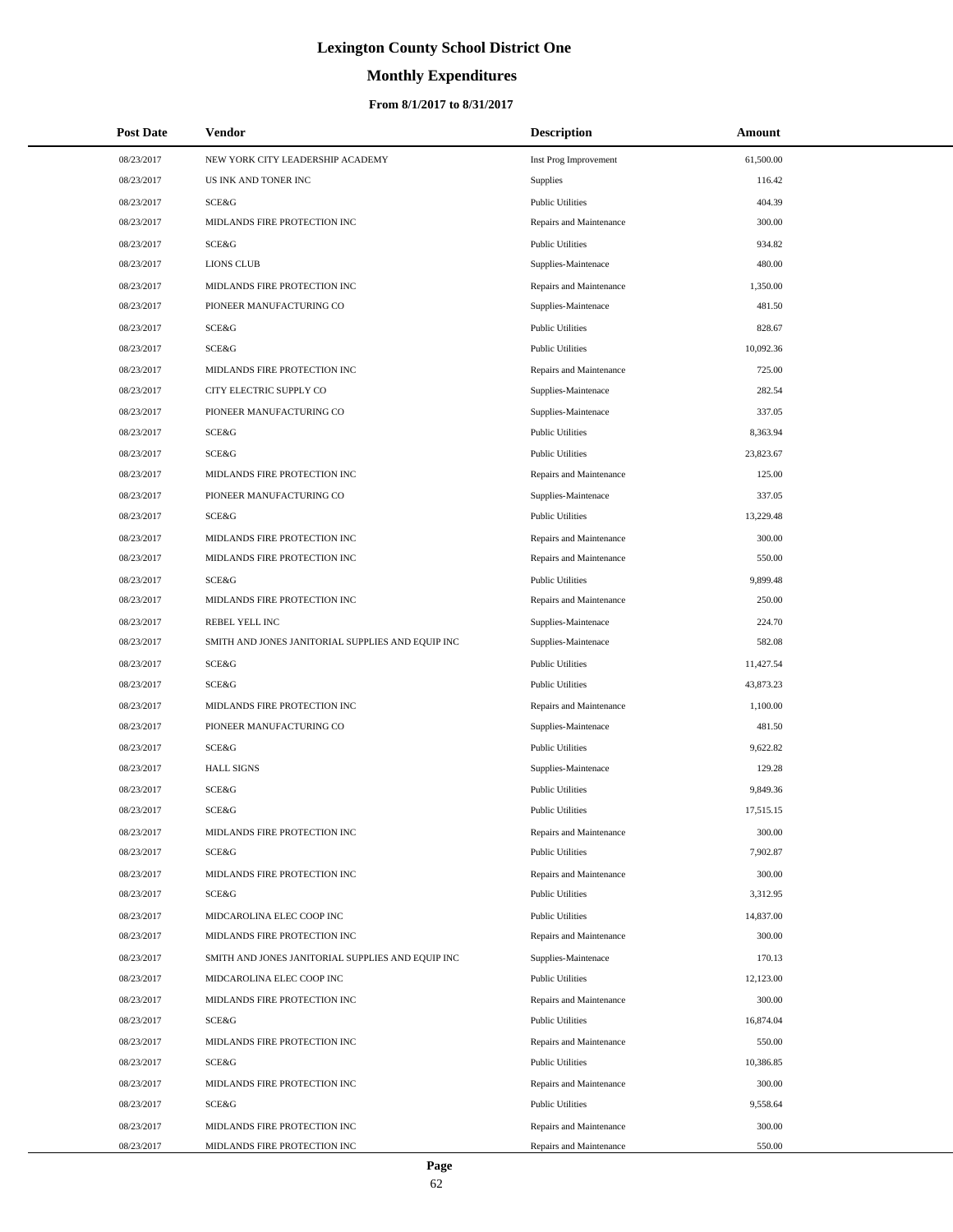# **Monthly Expenditures**

| <b>Post Date</b> | Vendor                                            | <b>Description</b>      | Amount    |
|------------------|---------------------------------------------------|-------------------------|-----------|
| 08/23/2017       | NEW YORK CITY LEADERSHIP ACADEMY                  | Inst Prog Improvement   | 61,500.00 |
| 08/23/2017       | US INK AND TONER INC                              | Supplies                | 116.42    |
| 08/23/2017       | SCE&G                                             | <b>Public Utilities</b> | 404.39    |
| 08/23/2017       | MIDLANDS FIRE PROTECTION INC                      | Repairs and Maintenance | 300.00    |
| 08/23/2017       | SCE&G                                             | <b>Public Utilities</b> | 934.82    |
| 08/23/2017       | <b>LIONS CLUB</b>                                 | Supplies-Maintenace     | 480.00    |
| 08/23/2017       | MIDLANDS FIRE PROTECTION INC                      | Repairs and Maintenance | 1,350.00  |
| 08/23/2017       | PIONEER MANUFACTURING CO                          | Supplies-Maintenace     | 481.50    |
| 08/23/2017       | SCE&G                                             | <b>Public Utilities</b> | 828.67    |
| 08/23/2017       | SCE&G                                             | <b>Public Utilities</b> | 10,092.36 |
| 08/23/2017       | MIDLANDS FIRE PROTECTION INC                      | Repairs and Maintenance | 725.00    |
| 08/23/2017       | CITY ELECTRIC SUPPLY CO                           | Supplies-Maintenace     | 282.54    |
| 08/23/2017       | PIONEER MANUFACTURING CO                          | Supplies-Maintenace     | 337.05    |
| 08/23/2017       | SCE&G                                             | <b>Public Utilities</b> | 8,363.94  |
| 08/23/2017       | SCE&G                                             | <b>Public Utilities</b> | 23,823.67 |
| 08/23/2017       | MIDLANDS FIRE PROTECTION INC                      | Repairs and Maintenance | 125.00    |
| 08/23/2017       | PIONEER MANUFACTURING CO                          | Supplies-Maintenace     | 337.05    |
| 08/23/2017       | SCE&G                                             | <b>Public Utilities</b> | 13,229.48 |
| 08/23/2017       | MIDLANDS FIRE PROTECTION INC                      | Repairs and Maintenance | 300.00    |
| 08/23/2017       | MIDLANDS FIRE PROTECTION INC                      | Repairs and Maintenance | 550.00    |
| 08/23/2017       | SCE&G                                             | <b>Public Utilities</b> | 9,899.48  |
| 08/23/2017       | MIDLANDS FIRE PROTECTION INC                      | Repairs and Maintenance | 250.00    |
| 08/23/2017       | REBEL YELL INC                                    | Supplies-Maintenace     | 224.70    |
| 08/23/2017       | SMITH AND JONES JANITORIAL SUPPLIES AND EQUIP INC | Supplies-Maintenace     | 582.08    |
| 08/23/2017       | SCE&G                                             | <b>Public Utilities</b> | 11,427.54 |
| 08/23/2017       | SCE&G                                             | <b>Public Utilities</b> | 43,873.23 |
| 08/23/2017       | MIDLANDS FIRE PROTECTION INC                      | Repairs and Maintenance | 1,100.00  |
| 08/23/2017       | PIONEER MANUFACTURING CO                          | Supplies-Maintenace     | 481.50    |
| 08/23/2017       | SCE&G                                             | <b>Public Utilities</b> | 9,622.82  |
| 08/23/2017       | <b>HALL SIGNS</b>                                 | Supplies-Maintenace     | 129.28    |
| 08/23/2017       | SCE&G                                             | <b>Public Utilities</b> | 9,849.36  |
| 08/23/2017       | SCE&G                                             | <b>Public Utilities</b> | 17,515.15 |
| 08/23/2017       | MIDLANDS FIRE PROTECTION INC                      | Repairs and Maintenance | 300.00    |
| 08/23/2017       | SCE&G                                             | <b>Public Utilities</b> | 7,902.87  |
| 08/23/2017       | MIDLANDS FIRE PROTECTION INC                      | Repairs and Maintenance | 300.00    |
| 08/23/2017       | SCE&G                                             | <b>Public Utilities</b> | 3,312.95  |
| 08/23/2017       | MIDCAROLINA ELEC COOP INC                         | <b>Public Utilities</b> | 14,837.00 |
| 08/23/2017       | MIDLANDS FIRE PROTECTION INC                      | Repairs and Maintenance | 300.00    |
| 08/23/2017       | SMITH AND JONES JANITORIAL SUPPLIES AND EQUIP INC | Supplies-Maintenace     | 170.13    |
| 08/23/2017       | MIDCAROLINA ELEC COOP INC                         | <b>Public Utilities</b> | 12,123.00 |
| 08/23/2017       | MIDLANDS FIRE PROTECTION INC                      | Repairs and Maintenance | 300.00    |
| 08/23/2017       | SCE&G                                             | <b>Public Utilities</b> | 16,874.04 |
| 08/23/2017       | MIDLANDS FIRE PROTECTION INC                      | Repairs and Maintenance | 550.00    |
| 08/23/2017       | SCE&G                                             | <b>Public Utilities</b> | 10,386.85 |
| 08/23/2017       | MIDLANDS FIRE PROTECTION INC                      | Repairs and Maintenance | 300.00    |
| 08/23/2017       | SCE&G                                             | <b>Public Utilities</b> | 9,558.64  |
| 08/23/2017       | MIDLANDS FIRE PROTECTION INC                      | Repairs and Maintenance | 300.00    |
| 08/23/2017       | MIDLANDS FIRE PROTECTION INC                      | Repairs and Maintenance | 550.00    |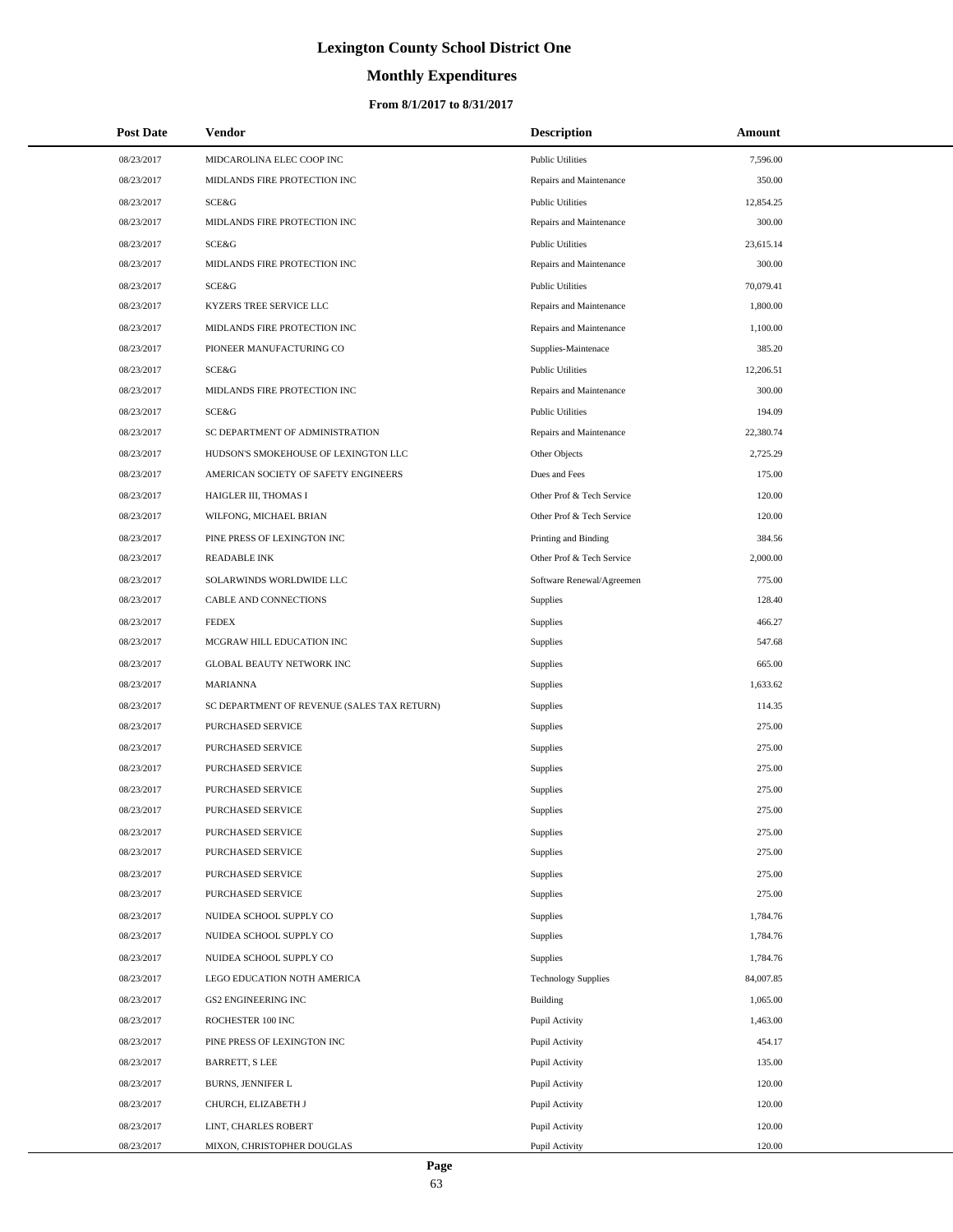# **Monthly Expenditures**

| <b>Post Date</b> | Vendor                                      | <b>Description</b>         | Amount    |
|------------------|---------------------------------------------|----------------------------|-----------|
| 08/23/2017       | MIDCAROLINA ELEC COOP INC                   | <b>Public Utilities</b>    | 7,596.00  |
| 08/23/2017       | MIDLANDS FIRE PROTECTION INC                | Repairs and Maintenance    | 350.00    |
| 08/23/2017       | SCE&G                                       | <b>Public Utilities</b>    | 12,854.25 |
| 08/23/2017       | MIDLANDS FIRE PROTECTION INC                | Repairs and Maintenance    | 300.00    |
| 08/23/2017       | <b>SCE&amp;G</b>                            | <b>Public Utilities</b>    | 23,615.14 |
| 08/23/2017       | MIDLANDS FIRE PROTECTION INC                | Repairs and Maintenance    | 300.00    |
| 08/23/2017       | SCE&G                                       | <b>Public Utilities</b>    | 70,079.41 |
| 08/23/2017       | KYZERS TREE SERVICE LLC                     | Repairs and Maintenance    | 1,800.00  |
| 08/23/2017       | MIDLANDS FIRE PROTECTION INC                | Repairs and Maintenance    | 1,100.00  |
| 08/23/2017       | PIONEER MANUFACTURING CO                    | Supplies-Maintenace        | 385.20    |
| 08/23/2017       | <b>SCE&amp;G</b>                            | <b>Public Utilities</b>    | 12,206.51 |
| 08/23/2017       | MIDLANDS FIRE PROTECTION INC                | Repairs and Maintenance    | 300.00    |
| 08/23/2017       | <b>SCE&amp;G</b>                            | <b>Public Utilities</b>    | 194.09    |
| 08/23/2017       | SC DEPARTMENT OF ADMINISTRATION             | Repairs and Maintenance    | 22,380.74 |
| 08/23/2017       | HUDSON'S SMOKEHOUSE OF LEXINGTON LLC        | Other Objects              | 2,725.29  |
| 08/23/2017       | AMERICAN SOCIETY OF SAFETY ENGINEERS        | Dues and Fees              | 175.00    |
| 08/23/2017       | HAIGLER III, THOMAS I                       | Other Prof & Tech Service  | 120.00    |
| 08/23/2017       | WILFONG, MICHAEL BRIAN                      | Other Prof & Tech Service  | 120.00    |
| 08/23/2017       | PINE PRESS OF LEXINGTON INC                 | Printing and Binding       | 384.56    |
| 08/23/2017       | <b>READABLE INK</b>                         | Other Prof & Tech Service  | 2,000.00  |
| 08/23/2017       | SOLARWINDS WORLDWIDE LLC                    | Software Renewal/Agreemen  | 775.00    |
| 08/23/2017       | CABLE AND CONNECTIONS                       | Supplies                   | 128.40    |
| 08/23/2017       | <b>FEDEX</b>                                | Supplies                   | 466.27    |
| 08/23/2017       | MCGRAW HILL EDUCATION INC                   | Supplies                   | 547.68    |
| 08/23/2017       | GLOBAL BEAUTY NETWORK INC                   | <b>Supplies</b>            | 665.00    |
| 08/23/2017       | <b>MARIANNA</b>                             | Supplies                   | 1,633.62  |
| 08/23/2017       | SC DEPARTMENT OF REVENUE (SALES TAX RETURN) | Supplies                   | 114.35    |
| 08/23/2017       | PURCHASED SERVICE                           | Supplies                   | 275.00    |
| 08/23/2017       | PURCHASED SERVICE                           | <b>Supplies</b>            | 275.00    |
| 08/23/2017       | PURCHASED SERVICE                           | Supplies                   | 275.00    |
| 08/23/2017       | <b>PURCHASED SERVICE</b>                    | Supplies                   | 275.00    |
| 08/23/2017       | PURCHASED SERVICE                           | Supplies                   | 275.00    |
| 08/23/2017       | PURCHASED SERVICE                           | Supplies                   | 275.00    |
| 08/23/2017       | PURCHASED SERVICE                           | Supplies                   | 275.00    |
| 08/23/2017       | PURCHASED SERVICE                           | Supplies                   | 275.00    |
| 08/23/2017       | PURCHASED SERVICE                           | Supplies                   | 275.00    |
| 08/23/2017       | NUIDEA SCHOOL SUPPLY CO                     | Supplies                   | 1,784.76  |
| 08/23/2017       | NUIDEA SCHOOL SUPPLY CO                     | Supplies                   | 1,784.76  |
| 08/23/2017       | NUIDEA SCHOOL SUPPLY CO                     | Supplies                   | 1,784.76  |
| 08/23/2017       | LEGO EDUCATION NOTH AMERICA                 | <b>Technology Supplies</b> | 84,007.85 |
| 08/23/2017       | <b>GS2 ENGINEERING INC</b>                  | Building                   | 1,065.00  |
| 08/23/2017       | ROCHESTER 100 INC                           | Pupil Activity             | 1,463.00  |
| 08/23/2017       | PINE PRESS OF LEXINGTON INC                 | Pupil Activity             | 454.17    |
| 08/23/2017       | BARRETT, S LEE                              | Pupil Activity             | 135.00    |
| 08/23/2017       | <b>BURNS, JENNIFER L</b>                    | Pupil Activity             | 120.00    |
| 08/23/2017       | CHURCH, ELIZABETH J                         | Pupil Activity             | 120.00    |
| 08/23/2017       | LINT, CHARLES ROBERT                        | Pupil Activity             | 120.00    |
| 08/23/2017       | MIXON, CHRISTOPHER DOUGLAS                  | Pupil Activity             | 120.00    |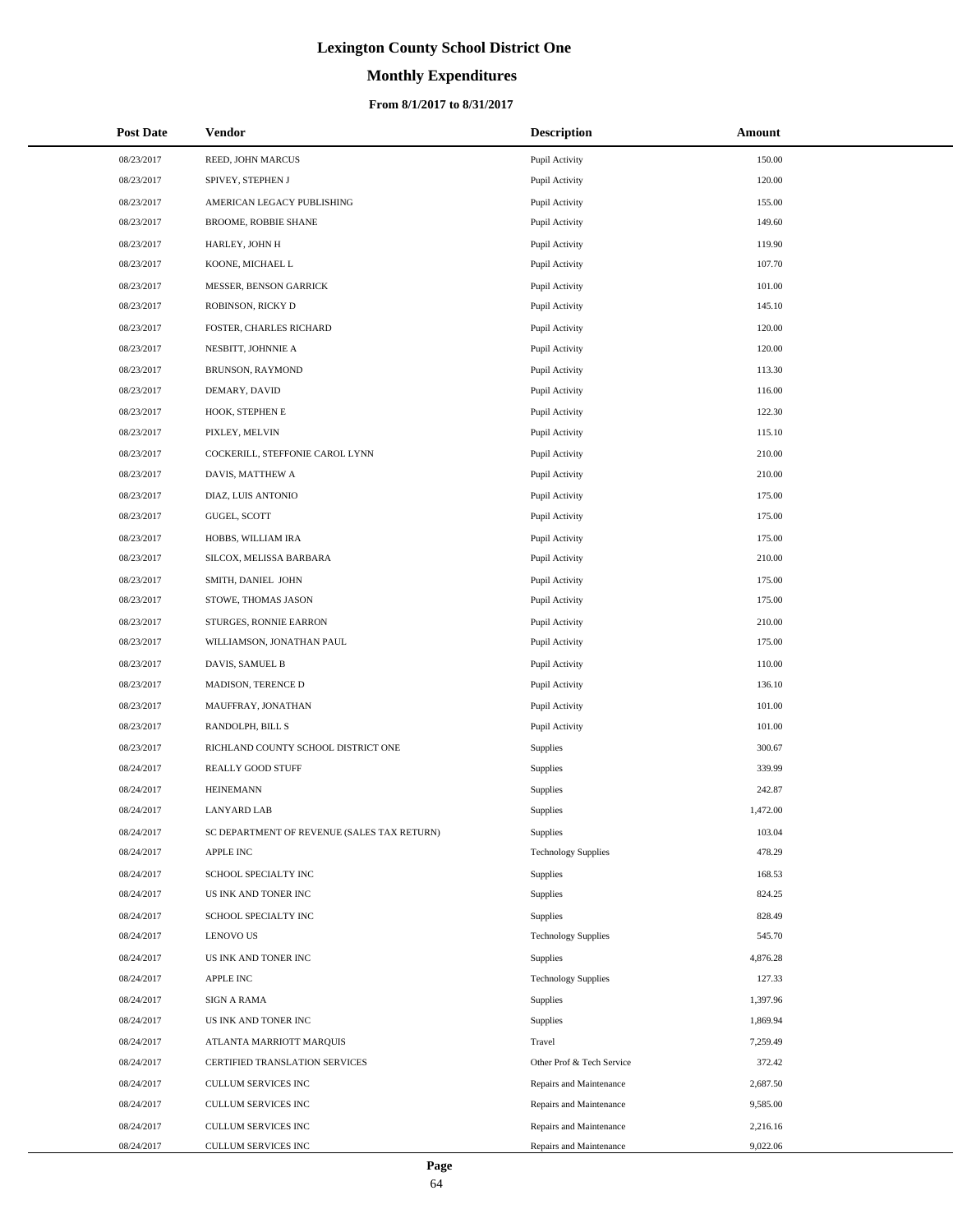# **Monthly Expenditures**

| <b>Post Date</b> | Vendor                                      | <b>Description</b>         | Amount   |
|------------------|---------------------------------------------|----------------------------|----------|
| 08/23/2017       | REED, JOHN MARCUS                           | Pupil Activity             | 150.00   |
| 08/23/2017       | SPIVEY, STEPHEN J                           | Pupil Activity             | 120.00   |
| 08/23/2017       | AMERICAN LEGACY PUBLISHING                  | Pupil Activity             | 155.00   |
| 08/23/2017       | <b>BROOME, ROBBIE SHANE</b>                 | Pupil Activity             | 149.60   |
| 08/23/2017       | HARLEY, JOHN H                              | Pupil Activity             | 119.90   |
| 08/23/2017       | KOONE, MICHAEL L                            | Pupil Activity             | 107.70   |
| 08/23/2017       | MESSER, BENSON GARRICK                      | Pupil Activity             | 101.00   |
| 08/23/2017       | ROBINSON, RICKY D                           | Pupil Activity             | 145.10   |
| 08/23/2017       | FOSTER, CHARLES RICHARD                     | Pupil Activity             | 120.00   |
| 08/23/2017       | NESBITT, JOHNNIE A                          | Pupil Activity             | 120.00   |
| 08/23/2017       | BRUNSON, RAYMOND                            | Pupil Activity             | 113.30   |
| 08/23/2017       | DEMARY, DAVID                               | Pupil Activity             | 116.00   |
| 08/23/2017       | HOOK, STEPHEN E                             | Pupil Activity             | 122.30   |
| 08/23/2017       | PIXLEY, MELVIN                              | Pupil Activity             | 115.10   |
| 08/23/2017       | COCKERILL, STEFFONIE CAROL LYNN             | Pupil Activity             | 210.00   |
| 08/23/2017       | DAVIS, MATTHEW A                            | Pupil Activity             | 210.00   |
| 08/23/2017       | DIAZ, LUIS ANTONIO                          | Pupil Activity             | 175.00   |
| 08/23/2017       | GUGEL, SCOTT                                | Pupil Activity             | 175.00   |
| 08/23/2017       | HOBBS, WILLIAM IRA                          | Pupil Activity             | 175.00   |
| 08/23/2017       | SILCOX, MELISSA BARBARA                     | Pupil Activity             | 210.00   |
| 08/23/2017       | SMITH, DANIEL JOHN                          | Pupil Activity             | 175.00   |
| 08/23/2017       | STOWE, THOMAS JASON                         | Pupil Activity             | 175.00   |
| 08/23/2017       | STURGES, RONNIE EARRON                      | Pupil Activity             | 210.00   |
| 08/23/2017       | WILLIAMSON, JONATHAN PAUL                   | Pupil Activity             | 175.00   |
| 08/23/2017       | DAVIS, SAMUEL B                             | Pupil Activity             | 110.00   |
| 08/23/2017       | MADISON, TERENCE D                          | Pupil Activity             | 136.10   |
| 08/23/2017       | MAUFFRAY, JONATHAN                          | Pupil Activity             | 101.00   |
| 08/23/2017       | RANDOLPH, BILL S                            | Pupil Activity             | 101.00   |
| 08/23/2017       | RICHLAND COUNTY SCHOOL DISTRICT ONE         | Supplies                   | 300.67   |
| 08/24/2017       | REALLY GOOD STUFF                           | Supplies                   | 339.99   |
| 08/24/2017       | <b>HEINEMANN</b>                            | Supplies                   | 242.87   |
| 08/24/2017       | <b>LANYARD LAB</b>                          | Supplies                   | 1,472.00 |
| 08/24/2017       | SC DEPARTMENT OF REVENUE (SALES TAX RETURN) | Supplies                   | 103.04   |
| 08/24/2017       | APPLE INC                                   | <b>Technology Supplies</b> | 478.29   |
| 08/24/2017       | SCHOOL SPECIALTY INC                        | Supplies                   | 168.53   |
| 08/24/2017       | US INK AND TONER INC                        | Supplies                   | 824.25   |
| 08/24/2017       | SCHOOL SPECIALTY INC                        | Supplies                   | 828.49   |
| 08/24/2017       | <b>LENOVO US</b>                            | <b>Technology Supplies</b> | 545.70   |
| 08/24/2017       | US INK AND TONER INC                        | Supplies                   | 4,876.28 |
| 08/24/2017       | <b>APPLE INC</b>                            | <b>Technology Supplies</b> | 127.33   |
| 08/24/2017       | <b>SIGN A RAMA</b>                          | Supplies                   | 1,397.96 |
| 08/24/2017       | US INK AND TONER INC                        | Supplies                   | 1,869.94 |
| 08/24/2017       | ATLANTA MARRIOTT MARQUIS                    | Travel                     | 7,259.49 |
| 08/24/2017       | CERTIFIED TRANSLATION SERVICES              | Other Prof & Tech Service  | 372.42   |
| 08/24/2017       | CULLUM SERVICES INC                         | Repairs and Maintenance    | 2,687.50 |
| 08/24/2017       | CULLUM SERVICES INC                         | Repairs and Maintenance    | 9,585.00 |
| 08/24/2017       | CULLUM SERVICES INC                         | Repairs and Maintenance    | 2,216.16 |
| 08/24/2017       | CULLUM SERVICES INC                         | Repairs and Maintenance    | 9,022.06 |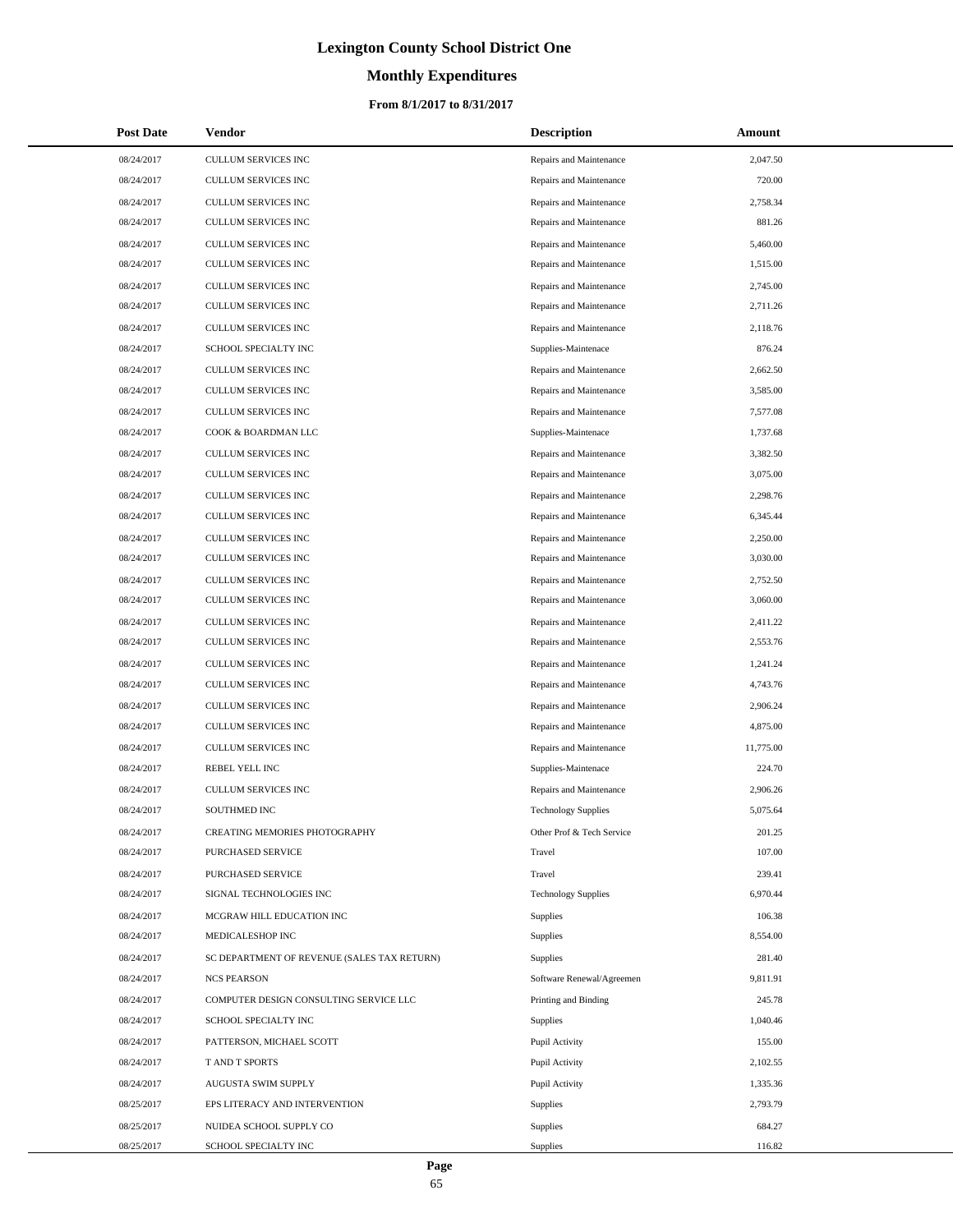# **Monthly Expenditures**

### **From 8/1/2017 to 8/31/2017**

| <b>Post Date</b> | <b>Vendor</b>                               | <b>Description</b>         | <b>Amount</b> |
|------------------|---------------------------------------------|----------------------------|---------------|
| 08/24/2017       | CULLUM SERVICES INC                         | Repairs and Maintenance    | 2,047.50      |
| 08/24/2017       | CULLUM SERVICES INC                         | Repairs and Maintenance    | 720.00        |
| 08/24/2017       | CULLUM SERVICES INC                         | Repairs and Maintenance    | 2,758.34      |
| 08/24/2017       | CULLUM SERVICES INC                         | Repairs and Maintenance    | 881.26        |
| 08/24/2017       | CULLUM SERVICES INC                         | Repairs and Maintenance    | 5,460.00      |
| 08/24/2017       | CULLUM SERVICES INC                         | Repairs and Maintenance    | 1,515.00      |
| 08/24/2017       | CULLUM SERVICES INC                         | Repairs and Maintenance    | 2,745.00      |
| 08/24/2017       | <b>CULLUM SERVICES INC</b>                  | Repairs and Maintenance    | 2,711.26      |
| 08/24/2017       | <b>CULLUM SERVICES INC</b>                  | Repairs and Maintenance    | 2,118.76      |
| 08/24/2017       | SCHOOL SPECIALTY INC                        | Supplies-Maintenace        | 876.24        |
| 08/24/2017       | CULLUM SERVICES INC                         | Repairs and Maintenance    | 2,662.50      |
| 08/24/2017       | CULLUM SERVICES INC                         | Repairs and Maintenance    | 3,585.00      |
| 08/24/2017       | CULLUM SERVICES INC                         | Repairs and Maintenance    | 7,577.08      |
| 08/24/2017       | COOK & BOARDMAN LLC                         | Supplies-Maintenace        | 1,737.68      |
| 08/24/2017       | CULLUM SERVICES INC                         | Repairs and Maintenance    | 3,382.50      |
| 08/24/2017       | CULLUM SERVICES INC                         | Repairs and Maintenance    | 3,075.00      |
| 08/24/2017       | CULLUM SERVICES INC                         | Repairs and Maintenance    | 2,298.76      |
| 08/24/2017       | CULLUM SERVICES INC                         | Repairs and Maintenance    | 6,345.44      |
| 08/24/2017       | CULLUM SERVICES INC                         | Repairs and Maintenance    | 2,250.00      |
| 08/24/2017       | <b>CULLUM SERVICES INC</b>                  | Repairs and Maintenance    | 3,030.00      |
| 08/24/2017       | CULLUM SERVICES INC                         | Repairs and Maintenance    | 2,752.50      |
| 08/24/2017       | CULLUM SERVICES INC                         | Repairs and Maintenance    | 3,060.00      |
| 08/24/2017       | CULLUM SERVICES INC                         | Repairs and Maintenance    | 2,411.22      |
| 08/24/2017       | CULLUM SERVICES INC                         | Repairs and Maintenance    | 2,553.76      |
| 08/24/2017       | CULLUM SERVICES INC                         | Repairs and Maintenance    | 1,241.24      |
| 08/24/2017       | CULLUM SERVICES INC                         | Repairs and Maintenance    | 4,743.76      |
| 08/24/2017       | CULLUM SERVICES INC                         | Repairs and Maintenance    | 2,906.24      |
| 08/24/2017       | CULLUM SERVICES INC                         | Repairs and Maintenance    | 4,875.00      |
| 08/24/2017       | CULLUM SERVICES INC                         | Repairs and Maintenance    | 11,775.00     |
| 08/24/2017       | REBEL YELL INC                              | Supplies-Maintenace        | 224.70        |
| 08/24/2017       | <b>CULLUM SERVICES INC</b>                  | Repairs and Maintenance    | 2,906.26      |
| 08/24/2017       | SOUTHMED INC                                | <b>Technology Supplies</b> | 5,075.64      |
| 08/24/2017       | CREATING MEMORIES PHOTOGRAPHY               | Other Prof & Tech Service  | 201.25        |
| 08/24/2017       | <b>PURCHASED SERVICE</b>                    | Travel                     | 107.00        |
| 08/24/2017       | PURCHASED SERVICE                           | Travel                     | 239.41        |
| 08/24/2017       | SIGNAL TECHNOLOGIES INC                     | <b>Technology Supplies</b> | 6,970.44      |
| 08/24/2017       | MCGRAW HILL EDUCATION INC                   | Supplies                   | 106.38        |
| 08/24/2017       | MEDICALESHOP INC                            | Supplies                   | 8,554.00      |
| 08/24/2017       | SC DEPARTMENT OF REVENUE (SALES TAX RETURN) | Supplies                   | 281.40        |
| 08/24/2017       | <b>NCS PEARSON</b>                          | Software Renewal/Agreemen  | 9,811.91      |
| 08/24/2017       | COMPUTER DESIGN CONSULTING SERVICE LLC      | Printing and Binding       | 245.78        |
| 08/24/2017       | SCHOOL SPECIALTY INC                        | <b>Supplies</b>            | 1,040.46      |
| 08/24/2017       | PATTERSON, MICHAEL SCOTT                    | Pupil Activity             | 155.00        |
| 08/24/2017       | T AND T SPORTS                              | Pupil Activity             | 2,102.55      |
| 08/24/2017       | AUGUSTA SWIM SUPPLY                         | Pupil Activity             | 1,335.36      |
| 08/25/2017       | EPS LITERACY AND INTERVENTION               | Supplies                   | 2,793.79      |
| 08/25/2017       | NUIDEA SCHOOL SUPPLY CO                     | Supplies                   | 684.27        |
| 08/25/2017       | SCHOOL SPECIALTY INC                        | Supplies                   | 116.82        |

 $\overline{\phantom{0}}$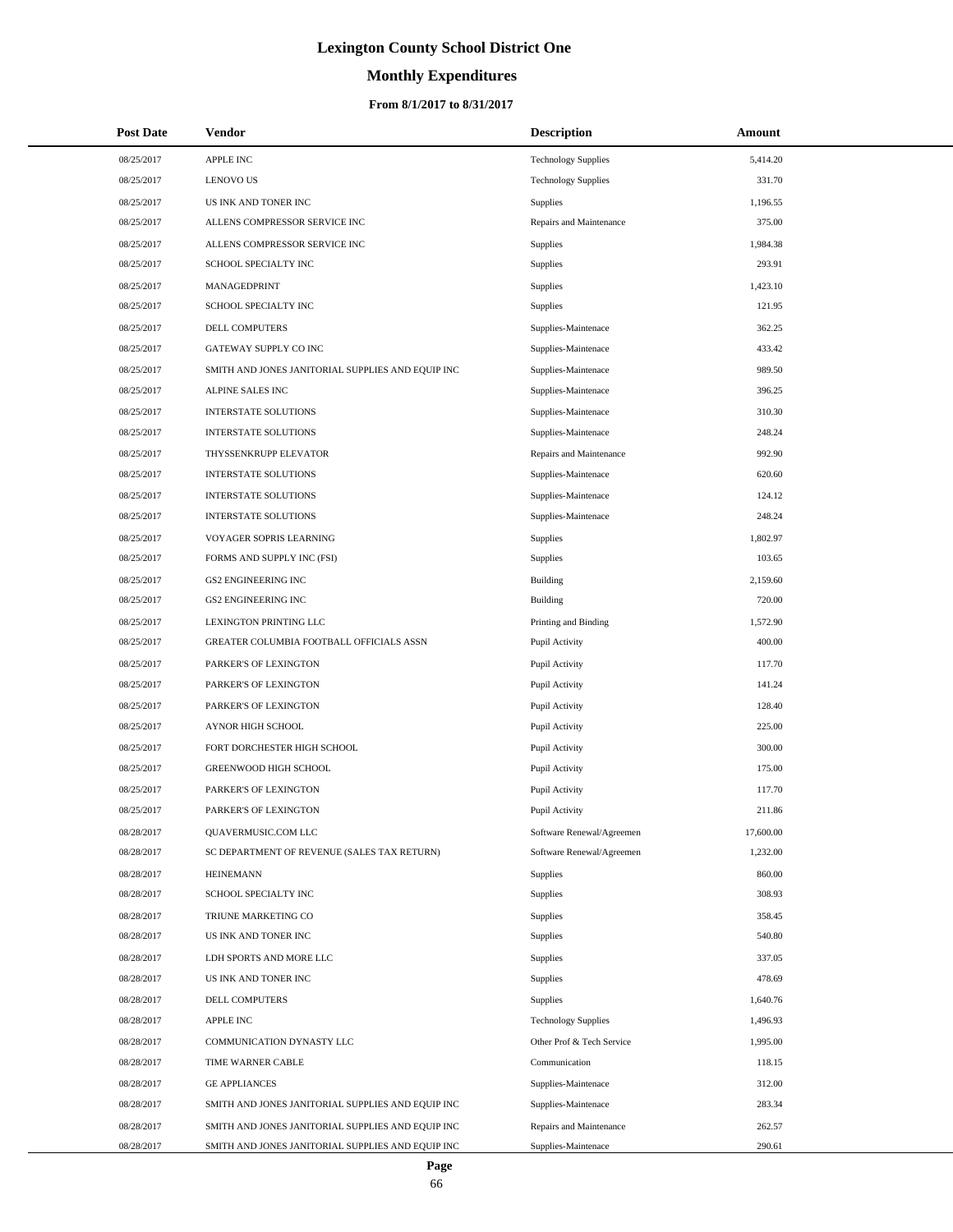# **Monthly Expenditures**

| <b>Post Date</b> | Vendor                                            | <b>Description</b>         | Amount    |
|------------------|---------------------------------------------------|----------------------------|-----------|
| 08/25/2017       | APPLE INC                                         | <b>Technology Supplies</b> | 5,414.20  |
| 08/25/2017       | <b>LENOVO US</b>                                  | <b>Technology Supplies</b> | 331.70    |
| 08/25/2017       | US INK AND TONER INC                              | Supplies                   | 1,196.55  |
| 08/25/2017       | ALLENS COMPRESSOR SERVICE INC                     | Repairs and Maintenance    | 375.00    |
| 08/25/2017       | ALLENS COMPRESSOR SERVICE INC                     | Supplies                   | 1,984.38  |
| 08/25/2017       | SCHOOL SPECIALTY INC                              | Supplies                   | 293.91    |
| 08/25/2017       | MANAGEDPRINT                                      | Supplies                   | 1,423.10  |
| 08/25/2017       | SCHOOL SPECIALTY INC                              | Supplies                   | 121.95    |
| 08/25/2017       | DELL COMPUTERS                                    | Supplies-Maintenace        | 362.25    |
| 08/25/2017       | GATEWAY SUPPLY CO INC                             | Supplies-Maintenace        | 433.42    |
| 08/25/2017       | SMITH AND JONES JANITORIAL SUPPLIES AND EQUIP INC | Supplies-Maintenace        | 989.50    |
| 08/25/2017       | ALPINE SALES INC                                  | Supplies-Maintenace        | 396.25    |
| 08/25/2017       | <b>INTERSTATE SOLUTIONS</b>                       | Supplies-Maintenace        | 310.30    |
| 08/25/2017       | <b>INTERSTATE SOLUTIONS</b>                       | Supplies-Maintenace        | 248.24    |
| 08/25/2017       | THYSSENKRUPP ELEVATOR                             | Repairs and Maintenance    | 992.90    |
| 08/25/2017       | <b>INTERSTATE SOLUTIONS</b>                       | Supplies-Maintenace        | 620.60    |
| 08/25/2017       | <b>INTERSTATE SOLUTIONS</b>                       | Supplies-Maintenace        | 124.12    |
| 08/25/2017       | INTERSTATE SOLUTIONS                              | Supplies-Maintenace        | 248.24    |
| 08/25/2017       | VOYAGER SOPRIS LEARNING                           | Supplies                   | 1,802.97  |
| 08/25/2017       | FORMS AND SUPPLY INC (FSI)                        | Supplies                   | 103.65    |
| 08/25/2017       | GS2 ENGINEERING INC                               | <b>Building</b>            | 2,159.60  |
| 08/25/2017       | GS2 ENGINEERING INC                               | <b>Building</b>            | 720.00    |
| 08/25/2017       | LEXINGTON PRINTING LLC                            | Printing and Binding       | 1,572.90  |
| 08/25/2017       | GREATER COLUMBIA FOOTBALL OFFICIALS ASSN          | Pupil Activity             | 400.00    |
| 08/25/2017       | PARKER'S OF LEXINGTON                             | Pupil Activity             | 117.70    |
| 08/25/2017       | PARKER'S OF LEXINGTON                             | Pupil Activity             | 141.24    |
| 08/25/2017       | PARKER'S OF LEXINGTON                             | Pupil Activity             | 128.40    |
| 08/25/2017       | <b>AYNOR HIGH SCHOOL</b>                          | Pupil Activity             | 225.00    |
| 08/25/2017       | FORT DORCHESTER HIGH SCHOOL                       | Pupil Activity             | 300.00    |
| 08/25/2017       | <b>GREENWOOD HIGH SCHOOL</b>                      | Pupil Activity             | 175.00    |
| 08/25/2017       | PARKER'S OF LEXINGTON                             | Pupil Activity             | 117.70    |
| 08/25/2017       | PARKER'S OF LEXINGTON                             | Pupil Activity             | 211.86    |
| 08/28/2017       | QUAVERMUSIC.COM LLC                               | Software Renewal/Agreemen  | 17,600.00 |
| 08/28/2017       | SC DEPARTMENT OF REVENUE (SALES TAX RETURN)       | Software Renewal/Agreemen  | 1,232.00  |
| 08/28/2017       | <b>HEINEMANN</b>                                  | Supplies                   | 860.00    |
| 08/28/2017       | SCHOOL SPECIALTY INC                              | Supplies                   | 308.93    |
| 08/28/2017       | TRIUNE MARKETING CO                               | Supplies                   | 358.45    |
| 08/28/2017       | US INK AND TONER INC                              | Supplies                   | 540.80    |
| 08/28/2017       | LDH SPORTS AND MORE LLC                           | Supplies                   | 337.05    |
| 08/28/2017       | US INK AND TONER INC                              | Supplies                   | 478.69    |
| 08/28/2017       | DELL COMPUTERS                                    | Supplies                   | 1,640.76  |
| 08/28/2017       | APPLE INC                                         | <b>Technology Supplies</b> | 1,496.93  |
| 08/28/2017       | COMMUNICATION DYNASTY LLC                         | Other Prof & Tech Service  | 1,995.00  |
| 08/28/2017       | TIME WARNER CABLE                                 | Communication              | 118.15    |
| 08/28/2017       | <b>GE APPLIANCES</b>                              | Supplies-Maintenace        | 312.00    |
| 08/28/2017       | SMITH AND JONES JANITORIAL SUPPLIES AND EQUIP INC | Supplies-Maintenace        | 283.34    |
| 08/28/2017       | SMITH AND JONES JANITORIAL SUPPLIES AND EQUIP INC | Repairs and Maintenance    | 262.57    |
| 08/28/2017       | SMITH AND JONES JANITORIAL SUPPLIES AND EQUIP INC | Supplies-Maintenace        | 290.61    |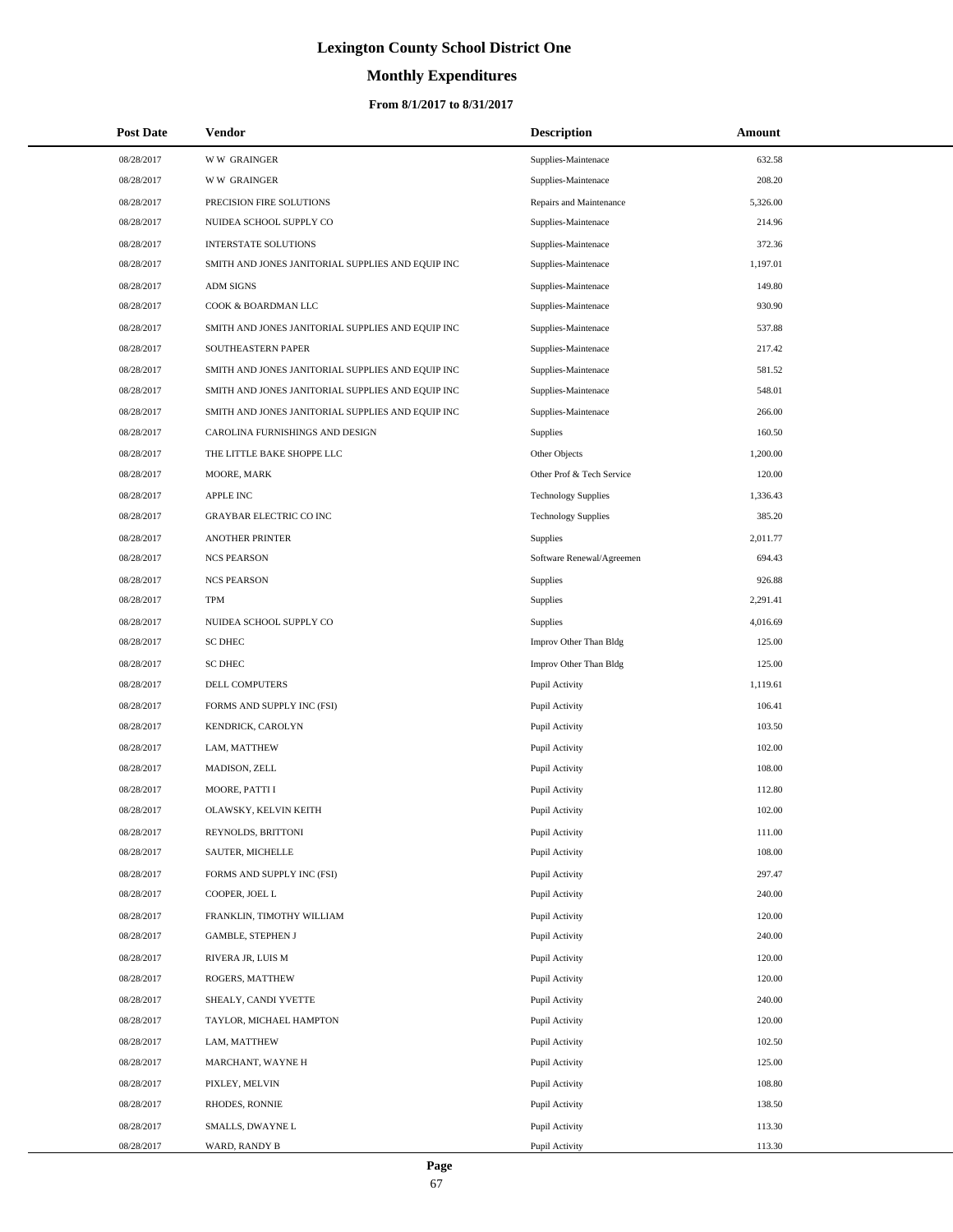# **Monthly Expenditures**

| <b>Post Date</b> | Vendor                                            | <b>Description</b>         | Amount   |
|------------------|---------------------------------------------------|----------------------------|----------|
| 08/28/2017       | <b>WW GRAINGER</b>                                | Supplies-Maintenace        | 632.58   |
| 08/28/2017       | <b>WW GRAINGER</b>                                | Supplies-Maintenace        | 208.20   |
| 08/28/2017       | PRECISION FIRE SOLUTIONS                          | Repairs and Maintenance    | 5,326.00 |
| 08/28/2017       | NUIDEA SCHOOL SUPPLY CO                           | Supplies-Maintenace        | 214.96   |
| 08/28/2017       | <b>INTERSTATE SOLUTIONS</b>                       | Supplies-Maintenace        | 372.36   |
| 08/28/2017       | SMITH AND JONES JANITORIAL SUPPLIES AND EQUIP INC | Supplies-Maintenace        | 1,197.01 |
| 08/28/2017       | <b>ADM SIGNS</b>                                  | Supplies-Maintenace        | 149.80   |
| 08/28/2017       | COOK & BOARDMAN LLC                               | Supplies-Maintenace        | 930.90   |
| 08/28/2017       | SMITH AND JONES JANITORIAL SUPPLIES AND EQUIP INC | Supplies-Maintenace        | 537.88   |
| 08/28/2017       | SOUTHEASTERN PAPER                                | Supplies-Maintenace        | 217.42   |
| 08/28/2017       | SMITH AND JONES JANITORIAL SUPPLIES AND EQUIP INC | Supplies-Maintenace        | 581.52   |
| 08/28/2017       | SMITH AND JONES JANITORIAL SUPPLIES AND EQUIP INC | Supplies-Maintenace        | 548.01   |
| 08/28/2017       | SMITH AND JONES JANITORIAL SUPPLIES AND EQUIP INC | Supplies-Maintenace        | 266.00   |
| 08/28/2017       | CAROLINA FURNISHINGS AND DESIGN                   | <b>Supplies</b>            | 160.50   |
| 08/28/2017       | THE LITTLE BAKE SHOPPE LLC                        | Other Objects              | 1,200.00 |
| 08/28/2017       | MOORE, MARK                                       | Other Prof & Tech Service  | 120.00   |
| 08/28/2017       | <b>APPLE INC</b>                                  | <b>Technology Supplies</b> | 1,336.43 |
| 08/28/2017       | GRAYBAR ELECTRIC CO INC                           | <b>Technology Supplies</b> | 385.20   |
| 08/28/2017       | <b>ANOTHER PRINTER</b>                            | <b>Supplies</b>            | 2,011.77 |
| 08/28/2017       | <b>NCS PEARSON</b>                                | Software Renewal/Agreemen  | 694.43   |
| 08/28/2017       | <b>NCS PEARSON</b>                                | <b>Supplies</b>            | 926.88   |
| 08/28/2017       | <b>TPM</b>                                        | <b>Supplies</b>            | 2,291.41 |
| 08/28/2017       | NUIDEA SCHOOL SUPPLY CO                           | <b>Supplies</b>            | 4,016.69 |
| 08/28/2017       | <b>SC DHEC</b>                                    | Improv Other Than Bldg     | 125.00   |
| 08/28/2017       | <b>SC DHEC</b>                                    | Improv Other Than Bldg     | 125.00   |
| 08/28/2017       | DELL COMPUTERS                                    | Pupil Activity             | 1,119.61 |
| 08/28/2017       | FORMS AND SUPPLY INC (FSI)                        | Pupil Activity             | 106.41   |
| 08/28/2017       | KENDRICK, CAROLYN                                 | Pupil Activity             | 103.50   |
| 08/28/2017       | LAM, MATTHEW                                      | Pupil Activity             | 102.00   |
| 08/28/2017       | MADISON, ZELL                                     | Pupil Activity             | 108.00   |
| 08/28/2017       | MOORE, PATTI I                                    | Pupil Activity             | 112.80   |
| 08/28/2017       | OLAWSKY, KELVIN KEITH                             | Pupil Activity             | 102.00   |
| 08/28/2017       | REYNOLDS, BRITTONI                                | Pupil Activity             | 111.00   |
| 08/28/2017       | SAUTER, MICHELLE                                  | Pupil Activity             | 108.00   |
| 08/28/2017       | FORMS AND SUPPLY INC (FSI)                        | Pupil Activity             | 297.47   |
| 08/28/2017       | COOPER, JOEL L                                    | Pupil Activity             | 240.00   |
| 08/28/2017       | FRANKLIN, TIMOTHY WILLIAM                         | Pupil Activity             | 120.00   |
| 08/28/2017       | <b>GAMBLE, STEPHEN J</b>                          | Pupil Activity             | 240.00   |
| 08/28/2017       | RIVERA JR, LUIS M                                 | Pupil Activity             | 120.00   |
| 08/28/2017       | ROGERS, MATTHEW                                   | Pupil Activity             | 120.00   |
| 08/28/2017       | SHEALY, CANDI YVETTE                              | Pupil Activity             | 240.00   |
| 08/28/2017       | TAYLOR, MICHAEL HAMPTON                           | Pupil Activity             | 120.00   |
| 08/28/2017       | LAM, MATTHEW                                      | Pupil Activity             | 102.50   |
| 08/28/2017       | MARCHANT, WAYNE H                                 | Pupil Activity             | 125.00   |
| 08/28/2017       | PIXLEY, MELVIN                                    | Pupil Activity             | 108.80   |
| 08/28/2017       | RHODES, RONNIE                                    | Pupil Activity             | 138.50   |
| 08/28/2017       | SMALLS, DWAYNE L                                  | Pupil Activity             | 113.30   |
| 08/28/2017       | WARD, RANDY B                                     | Pupil Activity             | 113.30   |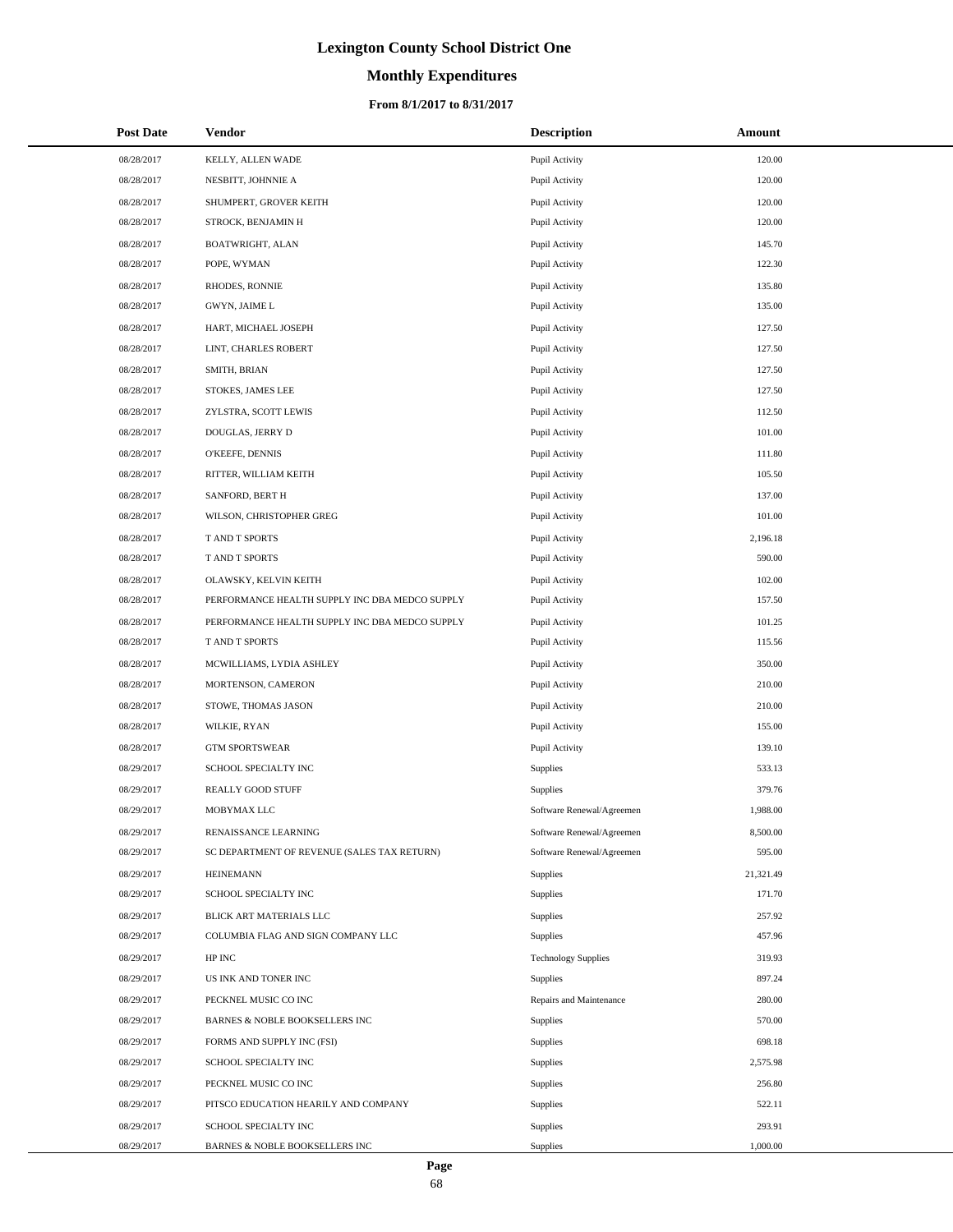# **Monthly Expenditures**

| <b>Post Date</b> | <b>Vendor</b>                                  | <b>Description</b>         | <b>Amount</b> |
|------------------|------------------------------------------------|----------------------------|---------------|
| 08/28/2017       | KELLY, ALLEN WADE                              | Pupil Activity             | 120.00        |
| 08/28/2017       | NESBITT, JOHNNIE A                             | Pupil Activity             | 120.00        |
| 08/28/2017       | SHUMPERT, GROVER KEITH                         | Pupil Activity             | 120.00        |
| 08/28/2017       | STROCK, BENJAMIN H                             | Pupil Activity             | 120.00        |
| 08/28/2017       | BOATWRIGHT, ALAN                               | Pupil Activity             | 145.70        |
| 08/28/2017       | POPE, WYMAN                                    | Pupil Activity             | 122.30        |
| 08/28/2017       | RHODES, RONNIE                                 | Pupil Activity             | 135.80        |
| 08/28/2017       | GWYN, JAIME L                                  | Pupil Activity             | 135.00        |
| 08/28/2017       | HART, MICHAEL JOSEPH                           | Pupil Activity             | 127.50        |
| 08/28/2017       | LINT, CHARLES ROBERT                           | Pupil Activity             | 127.50        |
| 08/28/2017       | SMITH, BRIAN                                   | Pupil Activity             | 127.50        |
| 08/28/2017       | STOKES, JAMES LEE                              | Pupil Activity             | 127.50        |
| 08/28/2017       | ZYLSTRA, SCOTT LEWIS                           | Pupil Activity             | 112.50        |
| 08/28/2017       | DOUGLAS, JERRY D                               | Pupil Activity             | 101.00        |
| 08/28/2017       | O'KEEFE, DENNIS                                | Pupil Activity             | 111.80        |
| 08/28/2017       | RITTER, WILLIAM KEITH                          | Pupil Activity             | 105.50        |
| 08/28/2017       | SANFORD, BERT H                                | Pupil Activity             | 137.00        |
| 08/28/2017       | WILSON, CHRISTOPHER GREG                       | Pupil Activity             | 101.00        |
| 08/28/2017       | T AND T SPORTS                                 | Pupil Activity             | 2,196.18      |
| 08/28/2017       | T AND T SPORTS                                 | Pupil Activity             | 590.00        |
| 08/28/2017       | OLAWSKY, KELVIN KEITH                          | Pupil Activity             | 102.00        |
| 08/28/2017       | PERFORMANCE HEALTH SUPPLY INC DBA MEDCO SUPPLY | Pupil Activity             | 157.50        |
| 08/28/2017       | PERFORMANCE HEALTH SUPPLY INC DBA MEDCO SUPPLY | Pupil Activity             | 101.25        |
| 08/28/2017       | T AND T SPORTS                                 | Pupil Activity             | 115.56        |
| 08/28/2017       | MCWILLIAMS, LYDIA ASHLEY                       | Pupil Activity             | 350.00        |
| 08/28/2017       | MORTENSON, CAMERON                             | Pupil Activity             | 210.00        |
| 08/28/2017       | STOWE, THOMAS JASON                            | Pupil Activity             | 210.00        |
| 08/28/2017       | WILKIE, RYAN                                   | Pupil Activity             | 155.00        |
| 08/28/2017       | <b>GTM SPORTSWEAR</b>                          | Pupil Activity             | 139.10        |
| 08/29/2017       | SCHOOL SPECIALTY INC                           | <b>Supplies</b>            | 533.13        |
| 08/29/2017       | REALLY GOOD STUFF                              | <b>Supplies</b>            | 379.76        |
| 08/29/2017       | MOBYMAX LLC                                    | Software Renewal/Agreemen  | 1,988.00      |
| 08/29/2017       | RENAISSANCE LEARNING                           | Software Renewal/Agreemen  | 8,500.00      |
| 08/29/2017       | SC DEPARTMENT OF REVENUE (SALES TAX RETURN)    | Software Renewal/Agreemen  | 595.00        |
| 08/29/2017       | <b>HEINEMANN</b>                               | Supplies                   | 21,321.49     |
| 08/29/2017       | SCHOOL SPECIALTY INC                           | Supplies                   | 171.70        |
| 08/29/2017       | BLICK ART MATERIALS LLC                        | Supplies                   | 257.92        |
| 08/29/2017       | COLUMBIA FLAG AND SIGN COMPANY LLC             | Supplies                   | 457.96        |
| 08/29/2017       | HP INC                                         | <b>Technology Supplies</b> | 319.93        |
| 08/29/2017       | US INK AND TONER INC                           | Supplies                   | 897.24        |
| 08/29/2017       | PECKNEL MUSIC CO INC                           | Repairs and Maintenance    | 280.00        |
| 08/29/2017       | BARNES & NOBLE BOOKSELLERS INC                 | Supplies                   | 570.00        |
| 08/29/2017       | FORMS AND SUPPLY INC (FSI)                     | Supplies                   | 698.18        |
| 08/29/2017       | SCHOOL SPECIALTY INC                           | Supplies                   | 2,575.98      |
| 08/29/2017       | PECKNEL MUSIC CO INC                           | Supplies                   | 256.80        |
| 08/29/2017       | PITSCO EDUCATION HEARILY AND COMPANY           | Supplies                   | 522.11        |
| 08/29/2017       | SCHOOL SPECIALTY INC                           | Supplies                   | 293.91        |
| 08/29/2017       | BARNES & NOBLE BOOKSELLERS INC                 | Supplies                   | 1,000.00      |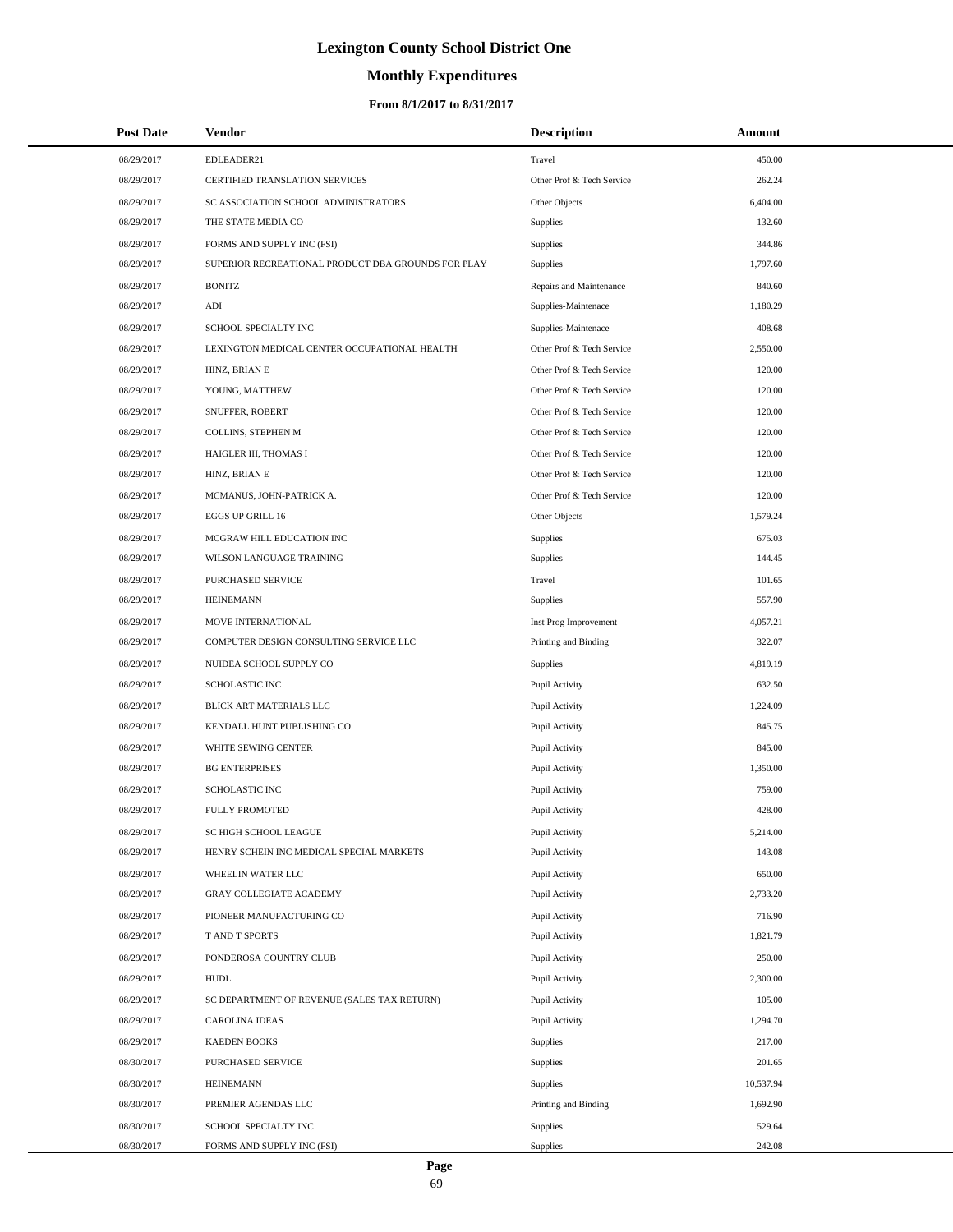# **Monthly Expenditures**

## **From 8/1/2017 to 8/31/2017**

| <b>Post Date</b> | Vendor                                             | <b>Description</b>        | Amount    |  |
|------------------|----------------------------------------------------|---------------------------|-----------|--|
| 08/29/2017       | EDLEADER21                                         | Travel                    | 450.00    |  |
| 08/29/2017       | CERTIFIED TRANSLATION SERVICES                     | Other Prof & Tech Service | 262.24    |  |
| 08/29/2017       | SC ASSOCIATION SCHOOL ADMINISTRATORS               | Other Objects             | 6,404.00  |  |
| 08/29/2017       | THE STATE MEDIA CO                                 | <b>Supplies</b>           | 132.60    |  |
| 08/29/2017       | FORMS AND SUPPLY INC (FSI)                         | Supplies                  | 344.86    |  |
| 08/29/2017       | SUPERIOR RECREATIONAL PRODUCT DBA GROUNDS FOR PLAY | <b>Supplies</b>           | 1,797.60  |  |
| 08/29/2017       | <b>BONITZ</b>                                      | Repairs and Maintenance   | 840.60    |  |
| 08/29/2017       | ADI                                                | Supplies-Maintenace       | 1,180.29  |  |
| 08/29/2017       | SCHOOL SPECIALTY INC                               | Supplies-Maintenace       | 408.68    |  |
| 08/29/2017       | LEXINGTON MEDICAL CENTER OCCUPATIONAL HEALTH       | Other Prof & Tech Service | 2,550.00  |  |
| 08/29/2017       | HINZ, BRIAN E                                      | Other Prof & Tech Service | 120.00    |  |
| 08/29/2017       | YOUNG, MATTHEW                                     | Other Prof & Tech Service | 120.00    |  |
| 08/29/2017       | SNUFFER, ROBERT                                    | Other Prof & Tech Service | 120.00    |  |
| 08/29/2017       | COLLINS, STEPHEN M                                 | Other Prof & Tech Service | 120.00    |  |
| 08/29/2017       | HAIGLER III, THOMAS I                              | Other Prof & Tech Service | 120.00    |  |
| 08/29/2017       | HINZ, BRIAN E                                      | Other Prof & Tech Service | 120.00    |  |
| 08/29/2017       | MCMANUS, JOHN-PATRICK A.                           | Other Prof & Tech Service | 120.00    |  |
| 08/29/2017       | EGGS UP GRILL 16                                   | Other Objects             | 1,579.24  |  |
| 08/29/2017       | MCGRAW HILL EDUCATION INC                          | Supplies                  | 675.03    |  |
| 08/29/2017       | WILSON LANGUAGE TRAINING                           | <b>Supplies</b>           | 144.45    |  |
| 08/29/2017       | PURCHASED SERVICE                                  | Travel                    | 101.65    |  |
| 08/29/2017       | <b>HEINEMANN</b>                                   | Supplies                  | 557.90    |  |
| 08/29/2017       | MOVE INTERNATIONAL                                 | Inst Prog Improvement     | 4,057.21  |  |
| 08/29/2017       | COMPUTER DESIGN CONSULTING SERVICE LLC             | Printing and Binding      | 322.07    |  |
| 08/29/2017       | NUIDEA SCHOOL SUPPLY CO                            | <b>Supplies</b>           | 4,819.19  |  |
| 08/29/2017       | SCHOLASTIC INC                                     | Pupil Activity            | 632.50    |  |
| 08/29/2017       | BLICK ART MATERIALS LLC                            | Pupil Activity            | 1,224.09  |  |
| 08/29/2017       | KENDALL HUNT PUBLISHING CO                         | Pupil Activity            | 845.75    |  |
| 08/29/2017       | WHITE SEWING CENTER                                | Pupil Activity            | 845.00    |  |
| 08/29/2017       | <b>BG ENTERPRISES</b>                              | Pupil Activity            | 1,350.00  |  |
| 08/29/2017       | <b>SCHOLASTIC INC</b>                              | Pupil Activity            | 759.00    |  |
| 08/29/2017       | <b>FULLY PROMOTED</b>                              | Pupil Activity            | 428.00    |  |
| 08/29/2017       | SC HIGH SCHOOL LEAGUE                              | Pupil Activity            | 5,214.00  |  |
| 08/29/2017       | HENRY SCHEIN INC MEDICAL SPECIAL MARKETS           | Pupil Activity            | 143.08    |  |
| 08/29/2017       | WHEELIN WATER LLC                                  | Pupil Activity            | 650.00    |  |
| 08/29/2017       | <b>GRAY COLLEGIATE ACADEMY</b>                     | Pupil Activity            | 2,733.20  |  |
| 08/29/2017       | PIONEER MANUFACTURING CO                           | Pupil Activity            | 716.90    |  |
| 08/29/2017       | T AND T SPORTS                                     | Pupil Activity            | 1,821.79  |  |
| 08/29/2017       | PONDEROSA COUNTRY CLUB                             | Pupil Activity            | 250.00    |  |
| 08/29/2017       | <b>HUDL</b>                                        | Pupil Activity            | 2,300.00  |  |
| 08/29/2017       | SC DEPARTMENT OF REVENUE (SALES TAX RETURN)        | Pupil Activity            | 105.00    |  |
| 08/29/2017       | <b>CAROLINA IDEAS</b>                              | Pupil Activity            | 1,294.70  |  |
| 08/29/2017       | <b>KAEDEN BOOKS</b>                                | Supplies                  | 217.00    |  |
| 08/30/2017       | PURCHASED SERVICE                                  | Supplies                  | 201.65    |  |
| 08/30/2017       | <b>HEINEMANN</b>                                   | Supplies                  | 10,537.94 |  |
| 08/30/2017       | PREMIER AGENDAS LLC                                | Printing and Binding      | 1,692.90  |  |
| 08/30/2017       | SCHOOL SPECIALTY INC                               | Supplies                  | 529.64    |  |
| 08/30/2017       | FORMS AND SUPPLY INC (FSI)                         | Supplies                  | 242.08    |  |

 $\overline{\phantom{0}}$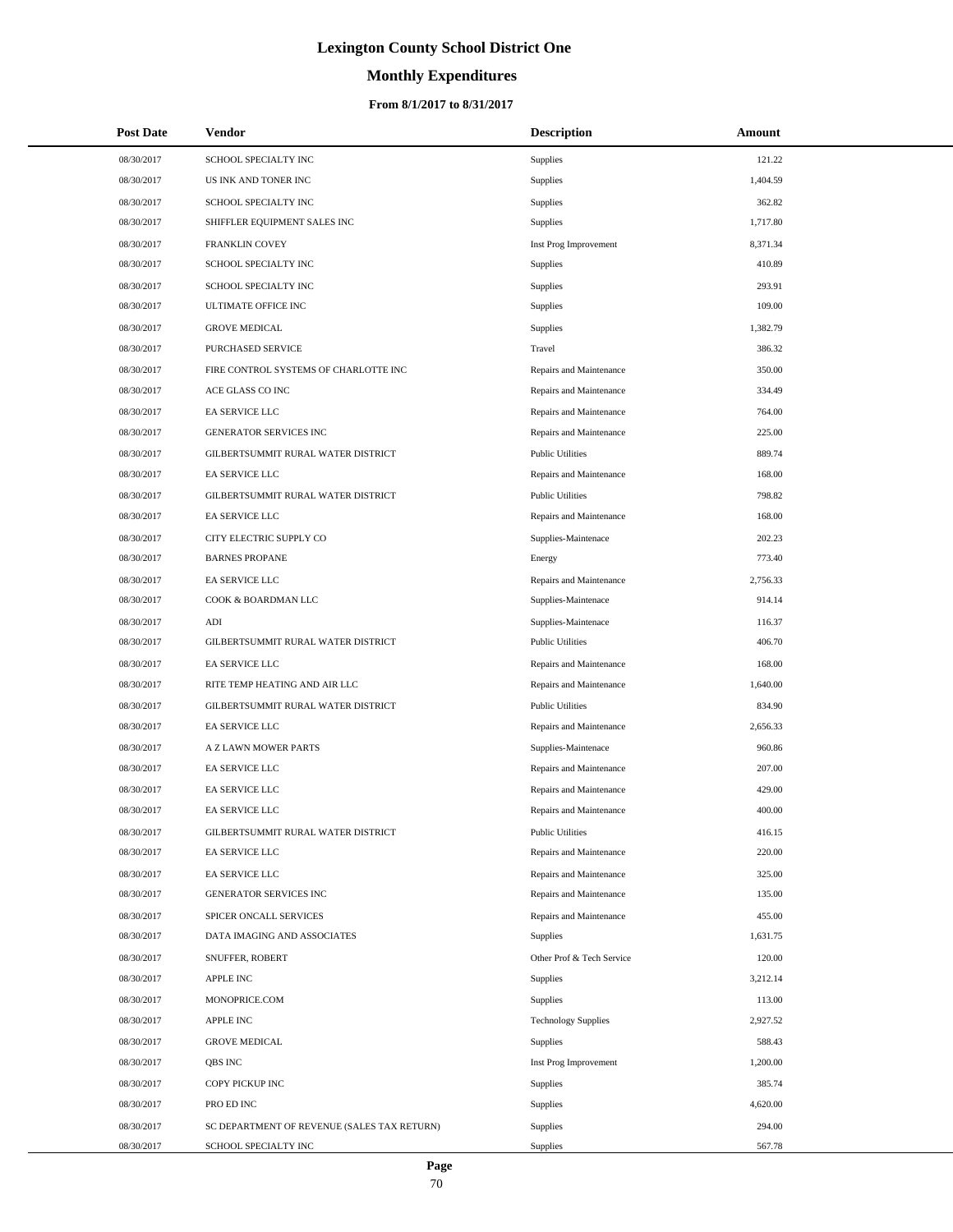# **Monthly Expenditures**

### **From 8/1/2017 to 8/31/2017**

| <b>Post Date</b> | <b>Vendor</b>                               | <b>Description</b>         | Amount   |
|------------------|---------------------------------------------|----------------------------|----------|
| 08/30/2017       | SCHOOL SPECIALTY INC                        | <b>Supplies</b>            | 121.22   |
| 08/30/2017       | US INK AND TONER INC                        | <b>Supplies</b>            | 1,404.59 |
| 08/30/2017       | SCHOOL SPECIALTY INC                        | <b>Supplies</b>            | 362.82   |
| 08/30/2017       | SHIFFLER EQUIPMENT SALES INC                | Supplies                   | 1,717.80 |
| 08/30/2017       | FRANKLIN COVEY                              | Inst Prog Improvement      | 8,371.34 |
| 08/30/2017       | SCHOOL SPECIALTY INC                        | Supplies                   | 410.89   |
| 08/30/2017       | SCHOOL SPECIALTY INC                        | Supplies                   | 293.91   |
| 08/30/2017       | ULTIMATE OFFICE INC                         | Supplies                   | 109.00   |
| 08/30/2017       | <b>GROVE MEDICAL</b>                        | Supplies                   | 1,382.79 |
| 08/30/2017       | PURCHASED SERVICE                           | Travel                     | 386.32   |
| 08/30/2017       | FIRE CONTROL SYSTEMS OF CHARLOTTE INC       | Repairs and Maintenance    | 350.00   |
| 08/30/2017       | ACE GLASS CO INC                            | Repairs and Maintenance    | 334.49   |
| 08/30/2017       | EA SERVICE LLC                              | Repairs and Maintenance    | 764.00   |
| 08/30/2017       | <b>GENERATOR SERVICES INC</b>               | Repairs and Maintenance    | 225.00   |
| 08/30/2017       | GILBERTSUMMIT RURAL WATER DISTRICT          | <b>Public Utilities</b>    | 889.74   |
| 08/30/2017       | EA SERVICE LLC                              | Repairs and Maintenance    | 168.00   |
| 08/30/2017       | GILBERTSUMMIT RURAL WATER DISTRICT          | <b>Public Utilities</b>    | 798.82   |
| 08/30/2017       | EA SERVICE LLC                              | Repairs and Maintenance    | 168.00   |
| 08/30/2017       | CITY ELECTRIC SUPPLY CO                     | Supplies-Maintenace        | 202.23   |
| 08/30/2017       | <b>BARNES PROPANE</b>                       | Energy                     | 773.40   |
| 08/30/2017       | EA SERVICE LLC                              | Repairs and Maintenance    | 2,756.33 |
| 08/30/2017       | COOK & BOARDMAN LLC                         | Supplies-Maintenace        | 914.14   |
| 08/30/2017       | ADI                                         | Supplies-Maintenace        | 116.37   |
| 08/30/2017       | GILBERTSUMMIT RURAL WATER DISTRICT          | <b>Public Utilities</b>    | 406.70   |
| 08/30/2017       | EA SERVICE LLC                              | Repairs and Maintenance    | 168.00   |
| 08/30/2017       | RITE TEMP HEATING AND AIR LLC               | Repairs and Maintenance    | 1,640.00 |
| 08/30/2017       | GILBERTSUMMIT RURAL WATER DISTRICT          | <b>Public Utilities</b>    | 834.90   |
| 08/30/2017       | EA SERVICE LLC                              | Repairs and Maintenance    | 2,656.33 |
| 08/30/2017       | A Z LAWN MOWER PARTS                        | Supplies-Maintenace        | 960.86   |
| 08/30/2017       | EA SERVICE LLC                              | Repairs and Maintenance    | 207.00   |
| 08/30/2017       | EA SERVICE LLC                              | Repairs and Maintenance    | 429.00   |
| 08/30/2017       | EA SERVICE LLC                              | Repairs and Maintenance    | 400.00   |
| 08/30/2017       | GILBERTSUMMIT RURAL WATER DISTRICT          | <b>Public Utilities</b>    | 416.15   |
| 08/30/2017       | EA SERVICE LLC                              | Repairs and Maintenance    | 220.00   |
| 08/30/2017       | EA SERVICE LLC                              | Repairs and Maintenance    | 325.00   |
| 08/30/2017       | GENERATOR SERVICES INC                      | Repairs and Maintenance    | 135.00   |
| 08/30/2017       | SPICER ONCALL SERVICES                      | Repairs and Maintenance    | 455.00   |
| 08/30/2017       | DATA IMAGING AND ASSOCIATES                 | Supplies                   | 1,631.75 |
| 08/30/2017       | SNUFFER, ROBERT                             | Other Prof & Tech Service  | 120.00   |
| 08/30/2017       | <b>APPLE INC</b>                            | Supplies                   | 3,212.14 |
| 08/30/2017       | MONOPRICE.COM                               | <b>Supplies</b>            | 113.00   |
| 08/30/2017       | <b>APPLE INC</b>                            | <b>Technology Supplies</b> | 2,927.52 |
| 08/30/2017       | <b>GROVE MEDICAL</b>                        | Supplies                   | 588.43   |
| 08/30/2017       | QBS INC                                     | Inst Prog Improvement      | 1,200.00 |
| 08/30/2017       | COPY PICKUP INC                             | Supplies                   | 385.74   |
| 08/30/2017       | PRO ED INC                                  | Supplies                   | 4,620.00 |
| 08/30/2017       | SC DEPARTMENT OF REVENUE (SALES TAX RETURN) | Supplies                   | 294.00   |
| 08/30/2017       | SCHOOL SPECIALTY INC                        | Supplies                   | 567.78   |

 $\overline{\phantom{0}}$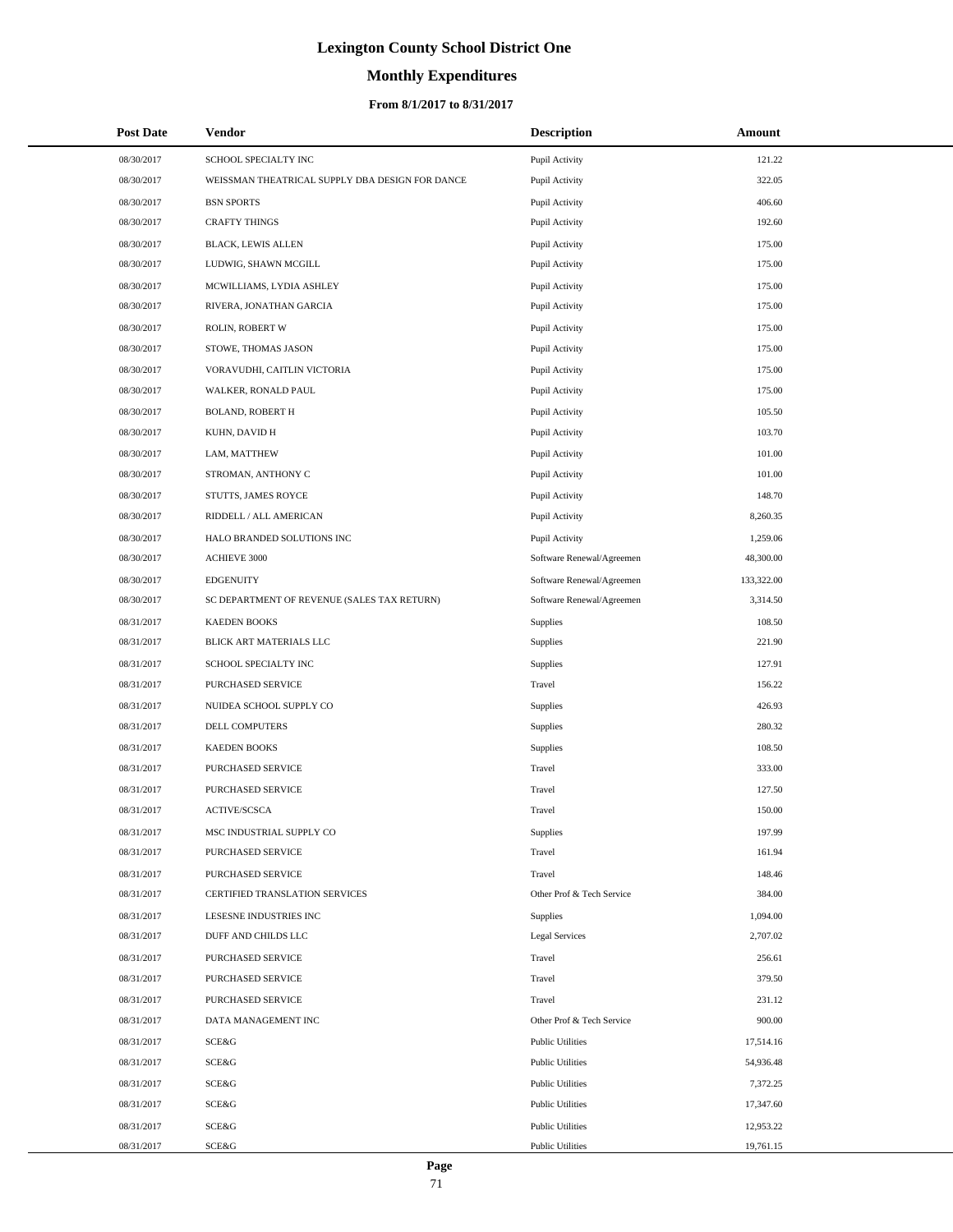# **Monthly Expenditures**

| <b>Post Date</b> | Vendor                                          | <b>Description</b>        | Amount     |  |
|------------------|-------------------------------------------------|---------------------------|------------|--|
| 08/30/2017       | SCHOOL SPECIALTY INC                            | Pupil Activity            | 121.22     |  |
| 08/30/2017       | WEISSMAN THEATRICAL SUPPLY DBA DESIGN FOR DANCE | Pupil Activity            | 322.05     |  |
| 08/30/2017       | <b>BSN SPORTS</b>                               | Pupil Activity            | 406.60     |  |
| 08/30/2017       | <b>CRAFTY THINGS</b>                            | Pupil Activity            | 192.60     |  |
| 08/30/2017       | BLACK, LEWIS ALLEN                              | Pupil Activity            | 175.00     |  |
| 08/30/2017       | LUDWIG, SHAWN MCGILL                            | Pupil Activity            | 175.00     |  |
| 08/30/2017       | MCWILLIAMS, LYDIA ASHLEY                        | Pupil Activity            | 175.00     |  |
| 08/30/2017       | RIVERA, JONATHAN GARCIA                         | Pupil Activity            | 175.00     |  |
| 08/30/2017       | ROLIN, ROBERT W                                 | Pupil Activity            | 175.00     |  |
| 08/30/2017       | STOWE, THOMAS JASON                             | Pupil Activity            | 175.00     |  |
| 08/30/2017       | VORAVUDHI, CAITLIN VICTORIA                     | Pupil Activity            | 175.00     |  |
| 08/30/2017       | WALKER, RONALD PAUL                             | Pupil Activity            | 175.00     |  |
| 08/30/2017       | <b>BOLAND, ROBERT H</b>                         | Pupil Activity            | 105.50     |  |
| 08/30/2017       | KUHN, DAVID H                                   | Pupil Activity            | 103.70     |  |
| 08/30/2017       | LAM, MATTHEW                                    | Pupil Activity            | 101.00     |  |
| 08/30/2017       | STROMAN, ANTHONY C                              | Pupil Activity            | 101.00     |  |
| 08/30/2017       | STUTTS, JAMES ROYCE                             | Pupil Activity            | 148.70     |  |
| 08/30/2017       | RIDDELL / ALL AMERICAN                          | Pupil Activity            | 8,260.35   |  |
| 08/30/2017       | HALO BRANDED SOLUTIONS INC                      | Pupil Activity            | 1,259.06   |  |
| 08/30/2017       | ACHIEVE 3000                                    | Software Renewal/Agreemen | 48,300.00  |  |
| 08/30/2017       | <b>EDGENUITY</b>                                | Software Renewal/Agreemen | 133,322.00 |  |
| 08/30/2017       | SC DEPARTMENT OF REVENUE (SALES TAX RETURN)     | Software Renewal/Agreemen | 3,314.50   |  |
| 08/31/2017       | <b>KAEDEN BOOKS</b>                             | Supplies                  | 108.50     |  |
| 08/31/2017       | BLICK ART MATERIALS LLC                         | Supplies                  | 221.90     |  |
| 08/31/2017       | SCHOOL SPECIALTY INC                            | Supplies                  | 127.91     |  |
| 08/31/2017       | PURCHASED SERVICE                               | Travel                    | 156.22     |  |
| 08/31/2017       | NUIDEA SCHOOL SUPPLY CO                         | Supplies                  | 426.93     |  |
| 08/31/2017       | DELL COMPUTERS                                  | Supplies                  | 280.32     |  |
| 08/31/2017       | <b>KAEDEN BOOKS</b>                             | Supplies                  | 108.50     |  |
| 08/31/2017       | PURCHASED SERVICE                               | Travel                    | 333.00     |  |
| 08/31/2017       | PURCHASED SERVICE                               | Travel                    | 127.50     |  |
| 08/31/2017       | <b>ACTIVE/SCSCA</b>                             | Travel                    | 150.00     |  |
| 08/31/2017       | MSC INDUSTRIAL SUPPLY CO                        | Supplies                  | 197.99     |  |
| 08/31/2017       | PURCHASED SERVICE                               | Travel                    | 161.94     |  |
| 08/31/2017       | PURCHASED SERVICE                               | Travel                    | 148.46     |  |
| 08/31/2017       | CERTIFIED TRANSLATION SERVICES                  | Other Prof & Tech Service | 384.00     |  |
| 08/31/2017       | LESESNE INDUSTRIES INC                          | Supplies                  | 1,094.00   |  |
| 08/31/2017       | DUFF AND CHILDS LLC                             | <b>Legal Services</b>     | 2,707.02   |  |
| 08/31/2017       | PURCHASED SERVICE                               | Travel                    | 256.61     |  |
| 08/31/2017       | PURCHASED SERVICE                               | Travel                    | 379.50     |  |
| 08/31/2017       | PURCHASED SERVICE                               | Travel                    | 231.12     |  |
| 08/31/2017       | DATA MANAGEMENT INC                             | Other Prof & Tech Service | 900.00     |  |
| 08/31/2017       | <b>SCE&amp;G</b>                                | <b>Public Utilities</b>   | 17,514.16  |  |
| 08/31/2017       | SCE&G                                           | <b>Public Utilities</b>   | 54,936.48  |  |
| 08/31/2017       | <b>SCE&amp;G</b>                                | <b>Public Utilities</b>   | 7,372.25   |  |
| 08/31/2017       | SCE&G                                           | <b>Public Utilities</b>   | 17,347.60  |  |
| 08/31/2017       | SCE&G                                           | <b>Public Utilities</b>   | 12,953.22  |  |
| 08/31/2017       | SCE&G                                           | <b>Public Utilities</b>   | 19,761.15  |  |